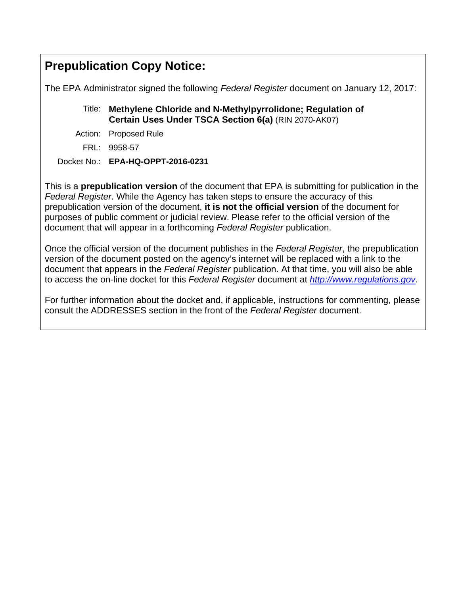# **Prepublication Copy Notice:**

The EPA Administrator signed the following *Federal Register* document on January 12, 2017:

# Title: **Methylene Chloride and N-Methylpyrrolidone; Regulation of Certain Uses Under TSCA Section 6(a)** (RIN 2070-AK07)

- Action: Proposed Rule
	- FRL: 9958-57

# Docket No.: **EPA-HQ-OPPT-2016-0231**

This is a **prepublication version** of the document that EPA is submitting for publication in the *Federal Register*. While the Agency has taken steps to ensure the accuracy of this prepublication version of the document, **it is not the official version** of the document for purposes of public comment or judicial review. Please refer to the official version of the document that will appear in a forthcoming *Federal Register* publication.

Once the official version of the document publishes in the *Federal Register*, the prepublication version of the document posted on the agency's internet will be replaced with a link to the document that appears in the *Federal Register* publication. At that time, you will also be able to access the on-line docket for this *Federal Register* document at *http://www.regulations.gov*.

For further information about the docket and, if applicable, instructions for commenting, please consult the ADDRESSES section in the front of the *Federal Register* document.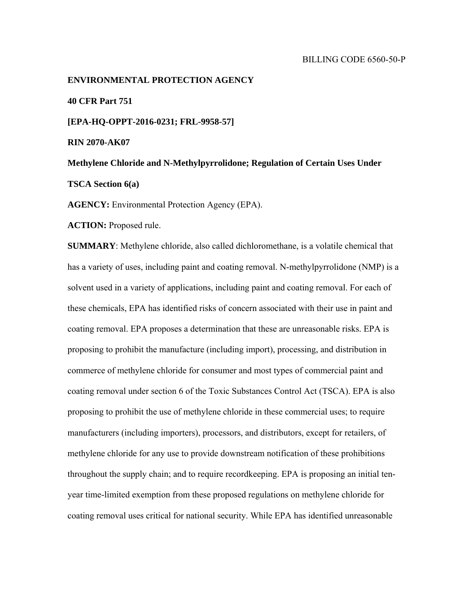# **ENVIRONMENTAL PROTECTION AGENCY 40 CFR Part 751 [EPA-HQ-OPPT-2016-0231; FRL-9958-57] RIN 2070-AK07 Methylene Chloride and N-Methylpyrrolidone; Regulation of Certain Uses Under**

**TSCA Section 6(a)** 

**AGENCY:** Environmental Protection Agency (EPA).

**ACTION:** Proposed rule.

**SUMMARY**: Methylene chloride, also called dichloromethane, is a volatile chemical that has a variety of uses, including paint and coating removal. N-methylpyrrolidone (NMP) is a solvent used in a variety of applications, including paint and coating removal. For each of these chemicals, EPA has identified risks of concern associated with their use in paint and coating removal. EPA proposes a determination that these are unreasonable risks. EPA is proposing to prohibit the manufacture (including import), processing, and distribution in commerce of methylene chloride for consumer and most types of commercial paint and coating removal under section 6 of the Toxic Substances Control Act (TSCA). EPA is also proposing to prohibit the use of methylene chloride in these commercial uses; to require manufacturers (including importers), processors, and distributors, except for retailers, of methylene chloride for any use to provide downstream notification of these prohibitions throughout the supply chain; and to require recordkeeping. EPA is proposing an initial tenyear time-limited exemption from these proposed regulations on methylene chloride for coating removal uses critical for national security. While EPA has identified unreasonable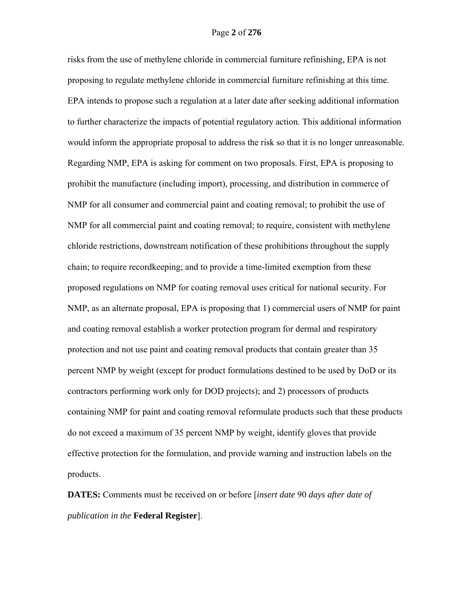risks from the use of methylene chloride in commercial furniture refinishing, EPA is not proposing to regulate methylene chloride in commercial furniture refinishing at this time. EPA intends to propose such a regulation at a later date after seeking additional information to further characterize the impacts of potential regulatory action. This additional information would inform the appropriate proposal to address the risk so that it is no longer unreasonable. Regarding NMP, EPA is asking for comment on two proposals. First, EPA is proposing to prohibit the manufacture (including import), processing, and distribution in commerce of NMP for all consumer and commercial paint and coating removal; to prohibit the use of NMP for all commercial paint and coating removal; to require, consistent with methylene chloride restrictions, downstream notification of these prohibitions throughout the supply chain; to require recordkeeping; and to provide a time-limited exemption from these proposed regulations on NMP for coating removal uses critical for national security. For NMP, as an alternate proposal, EPA is proposing that 1) commercial users of NMP for paint and coating removal establish a worker protection program for dermal and respiratory protection and not use paint and coating removal products that contain greater than 35 percent NMP by weight (except for product formulations destined to be used by DoD or its contractors performing work only for DOD projects); and 2) processors of products containing NMP for paint and coating removal reformulate products such that these products do not exceed a maximum of 35 percent NMP by weight, identify gloves that provide effective protection for the formulation, and provide warning and instruction labels on the products.

**DATES:** Comments must be received on or before [*insert date* 90 *days after date of publication in the* **Federal Register**].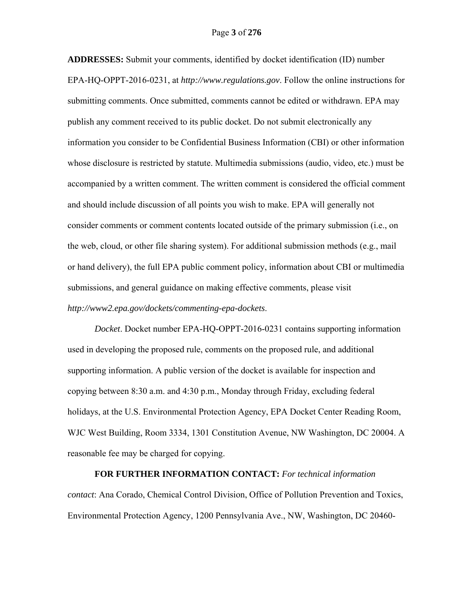**ADDRESSES:** Submit your comments, identified by docket identification (ID) number EPA-HQ-OPPT-2016-0231, at *http://www.regulations.gov*. Follow the online instructions for submitting comments. Once submitted, comments cannot be edited or withdrawn. EPA may publish any comment received to its public docket. Do not submit electronically any information you consider to be Confidential Business Information (CBI) or other information whose disclosure is restricted by statute. Multimedia submissions (audio, video, etc.) must be accompanied by a written comment. The written comment is considered the official comment and should include discussion of all points you wish to make. EPA will generally not consider comments or comment contents located outside of the primary submission (i.e., on the web, cloud, or other file sharing system). For additional submission methods (e.g., mail or hand delivery), the full EPA public comment policy, information about CBI or multimedia submissions, and general guidance on making effective comments, please visit *http://www2.epa.gov/dockets/commenting-epa-dockets*.

*Docket*. Docket number EPA-HQ-OPPT-2016-0231 contains supporting information used in developing the proposed rule, comments on the proposed rule, and additional supporting information. A public version of the docket is available for inspection and copying between 8:30 a.m. and 4:30 p.m., Monday through Friday, excluding federal holidays, at the U.S. Environmental Protection Agency, EPA Docket Center Reading Room, WJC West Building, Room 3334, 1301 Constitution Avenue, NW Washington, DC 20004. A reasonable fee may be charged for copying.

**FOR FURTHER INFORMATION CONTACT:** *For technical information contact*: Ana Corado, Chemical Control Division, Office of Pollution Prevention and Toxics, Environmental Protection Agency, 1200 Pennsylvania Ave., NW, Washington, DC 20460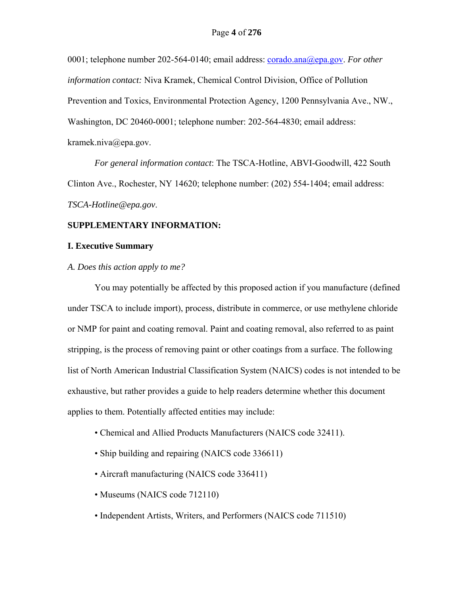0001; telephone number 202-564-0140; email address: corado.ana@epa.gov. *For other information contact:* Niva Kramek, Chemical Control Division, Office of Pollution Prevention and Toxics, Environmental Protection Agency, 1200 Pennsylvania Ave., NW., Washington, DC 20460-0001; telephone number: 202-564-4830; email address: kramek.niva@epa.gov.

*For general information contact*: The TSCA-Hotline, ABVI-Goodwill, 422 South Clinton Ave., Rochester, NY 14620; telephone number: (202) 554-1404; email address: *TSCA-Hotline@epa.gov*.

# **SUPPLEMENTARY INFORMATION:**

# **I. Executive Summary**

*A. Does this action apply to me?* 

 You may potentially be affected by this proposed action if you manufacture (defined under TSCA to include import), process, distribute in commerce, or use methylene chloride or NMP for paint and coating removal. Paint and coating removal, also referred to as paint stripping, is the process of removing paint or other coatings from a surface. The following list of North American Industrial Classification System (NAICS) codes is not intended to be exhaustive, but rather provides a guide to help readers determine whether this document applies to them. Potentially affected entities may include:

- Chemical and Allied Products Manufacturers (NAICS code 32411).
- Ship building and repairing (NAICS code 336611)
- Aircraft manufacturing (NAICS code 336411)
- Museums (NAICS code 712110)
- Independent Artists, Writers, and Performers (NAICS code 711510)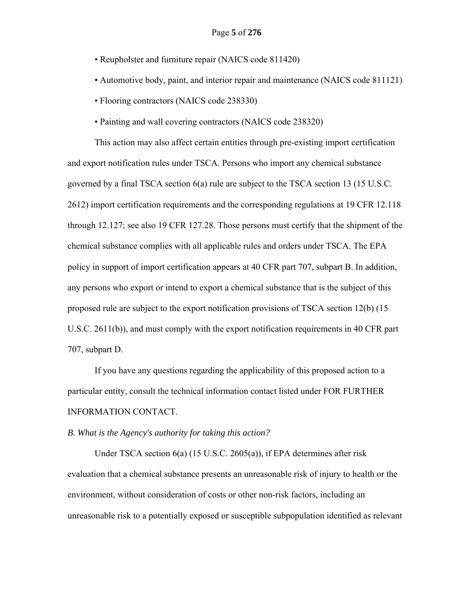- Reupholster and furniture repair (NAICS code 811420)
- Automotive body, paint, and interior repair and maintenance (NAICS code 811121)
- Flooring contractors (NAICS code 238330)
- Painting and wall covering contractors (NAICS code 238320)

This action may also affect certain entities through pre-existing import certification and export notification rules under TSCA. Persons who import any chemical substance governed by a final TSCA section 6(a) rule are subject to the TSCA section 13 (15 U.S.C. 2612) import certification requirements and the corresponding regulations at 19 CFR 12.118 through 12.127; see also 19 CFR 127.28. Those persons must certify that the shipment of the chemical substance complies with all applicable rules and orders under TSCA. The EPA policy in support of import certification appears at 40 CFR part 707, subpart B. In addition, any persons who export or intend to export a chemical substance that is the subject of this proposed rule are subject to the export notification provisions of TSCA section 12(b) (15 U.S.C. 2611(b)), and must comply with the export notification requirements in 40 CFR part 707, subpart D.

If you have any questions regarding the applicability of this proposed action to a particular entity, consult the technical information contact listed under FOR FURTHER INFORMATION CONTACT.

# *B. What is the Agency's authority for taking this action?*

Under TSCA section 6(a) (15 U.S.C. 2605(a)), if EPA determines after risk evaluation that a chemical substance presents an unreasonable risk of injury to health or the environment, without consideration of costs or other non-risk factors, including an unreasonable risk to a potentially exposed or susceptible subpopulation identified as relevant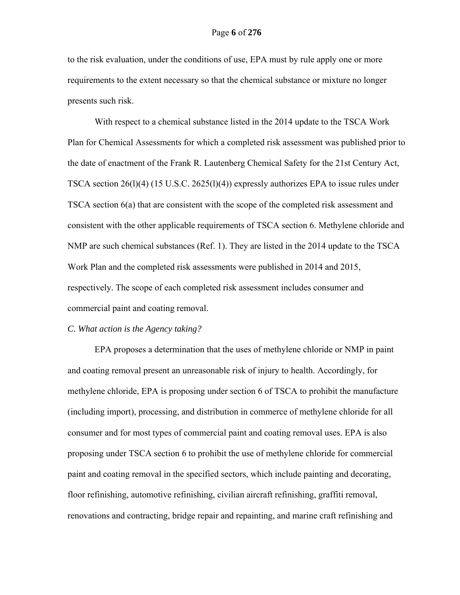to the risk evaluation, under the conditions of use, EPA must by rule apply one or more requirements to the extent necessary so that the chemical substance or mixture no longer presents such risk.

With respect to a chemical substance listed in the 2014 update to the TSCA Work Plan for Chemical Assessments for which a completed risk assessment was published prior to the date of enactment of the Frank R. Lautenberg Chemical Safety for the 21st Century Act, TSCA section 26(l)(4) (15 U.S.C. 2625(l)(4)) expressly authorizes EPA to issue rules under TSCA section 6(a) that are consistent with the scope of the completed risk assessment and consistent with the other applicable requirements of TSCA section 6. Methylene chloride and NMP are such chemical substances (Ref. 1). They are listed in the 2014 update to the TSCA Work Plan and the completed risk assessments were published in 2014 and 2015, respectively. The scope of each completed risk assessment includes consumer and commercial paint and coating removal.

# *C. What action is the Agency taking?*

EPA proposes a determination that the uses of methylene chloride or NMP in paint and coating removal present an unreasonable risk of injury to health. Accordingly, for methylene chloride, EPA is proposing under section 6 of TSCA to prohibit the manufacture (including import), processing, and distribution in commerce of methylene chloride for all consumer and for most types of commercial paint and coating removal uses. EPA is also proposing under TSCA section 6 to prohibit the use of methylene chloride for commercial paint and coating removal in the specified sectors, which include painting and decorating, floor refinishing, automotive refinishing, civilian aircraft refinishing, graffiti removal, renovations and contracting, bridge repair and repainting, and marine craft refinishing and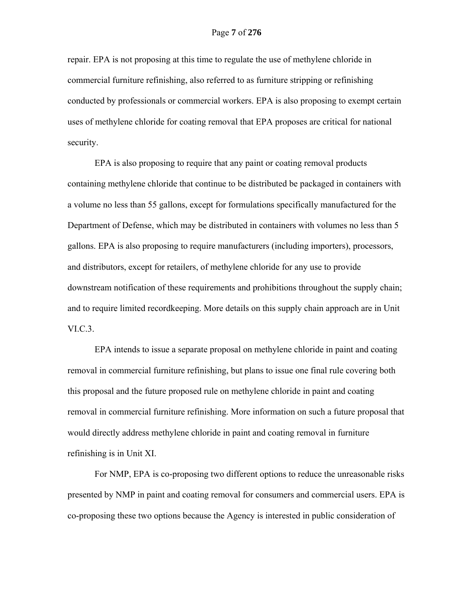repair. EPA is not proposing at this time to regulate the use of methylene chloride in commercial furniture refinishing, also referred to as furniture stripping or refinishing conducted by professionals or commercial workers. EPA is also proposing to exempt certain uses of methylene chloride for coating removal that EPA proposes are critical for national security.

EPA is also proposing to require that any paint or coating removal products containing methylene chloride that continue to be distributed be packaged in containers with a volume no less than 55 gallons, except for formulations specifically manufactured for the Department of Defense, which may be distributed in containers with volumes no less than 5 gallons. EPA is also proposing to require manufacturers (including importers), processors, and distributors, except for retailers, of methylene chloride for any use to provide downstream notification of these requirements and prohibitions throughout the supply chain; and to require limited recordkeeping. More details on this supply chain approach are in Unit VI.C.3.

EPA intends to issue a separate proposal on methylene chloride in paint and coating removal in commercial furniture refinishing, but plans to issue one final rule covering both this proposal and the future proposed rule on methylene chloride in paint and coating removal in commercial furniture refinishing. More information on such a future proposal that would directly address methylene chloride in paint and coating removal in furniture refinishing is in Unit XI.

For NMP, EPA is co-proposing two different options to reduce the unreasonable risks presented by NMP in paint and coating removal for consumers and commercial users. EPA is co-proposing these two options because the Agency is interested in public consideration of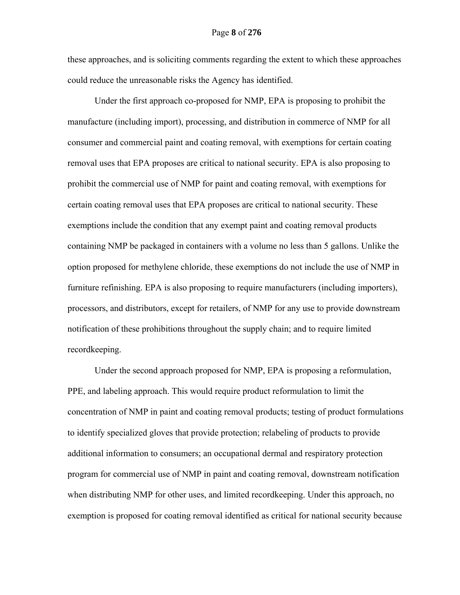these approaches, and is soliciting comments regarding the extent to which these approaches could reduce the unreasonable risks the Agency has identified.

Under the first approach co-proposed for NMP, EPA is proposing to prohibit the manufacture (including import), processing, and distribution in commerce of NMP for all consumer and commercial paint and coating removal, with exemptions for certain coating removal uses that EPA proposes are critical to national security. EPA is also proposing to prohibit the commercial use of NMP for paint and coating removal, with exemptions for certain coating removal uses that EPA proposes are critical to national security. These exemptions include the condition that any exempt paint and coating removal products containing NMP be packaged in containers with a volume no less than 5 gallons. Unlike the option proposed for methylene chloride, these exemptions do not include the use of NMP in furniture refinishing. EPA is also proposing to require manufacturers (including importers), processors, and distributors, except for retailers, of NMP for any use to provide downstream notification of these prohibitions throughout the supply chain; and to require limited recordkeeping.

Under the second approach proposed for NMP, EPA is proposing a reformulation, PPE, and labeling approach. This would require product reformulation to limit the concentration of NMP in paint and coating removal products; testing of product formulations to identify specialized gloves that provide protection; relabeling of products to provide additional information to consumers; an occupational dermal and respiratory protection program for commercial use of NMP in paint and coating removal, downstream notification when distributing NMP for other uses, and limited recordkeeping. Under this approach, no exemption is proposed for coating removal identified as critical for national security because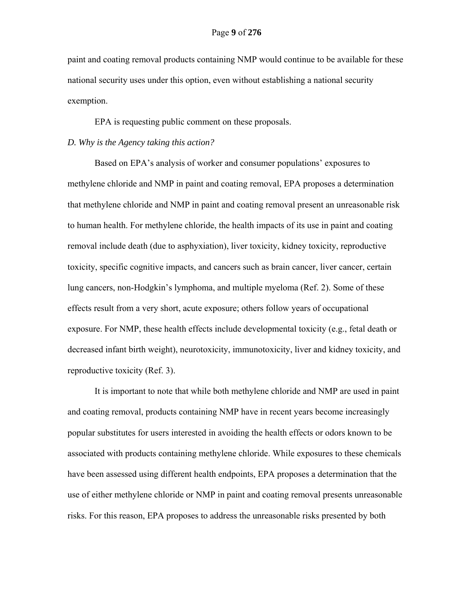paint and coating removal products containing NMP would continue to be available for these national security uses under this option, even without establishing a national security exemption.

EPA is requesting public comment on these proposals.

# *D. Why is the Agency taking this action?*

Based on EPA's analysis of worker and consumer populations' exposures to methylene chloride and NMP in paint and coating removal, EPA proposes a determination that methylene chloride and NMP in paint and coating removal present an unreasonable risk to human health. For methylene chloride, the health impacts of its use in paint and coating removal include death (due to asphyxiation), liver toxicity, kidney toxicity, reproductive toxicity, specific cognitive impacts, and cancers such as brain cancer, liver cancer, certain lung cancers, non-Hodgkin's lymphoma, and multiple myeloma (Ref. 2). Some of these effects result from a very short, acute exposure; others follow years of occupational exposure. For NMP, these health effects include developmental toxicity (e.g., fetal death or decreased infant birth weight), neurotoxicity, immunotoxicity, liver and kidney toxicity, and reproductive toxicity (Ref. 3).

It is important to note that while both methylene chloride and NMP are used in paint and coating removal, products containing NMP have in recent years become increasingly popular substitutes for users interested in avoiding the health effects or odors known to be associated with products containing methylene chloride. While exposures to these chemicals have been assessed using different health endpoints, EPA proposes a determination that the use of either methylene chloride or NMP in paint and coating removal presents unreasonable risks. For this reason, EPA proposes to address the unreasonable risks presented by both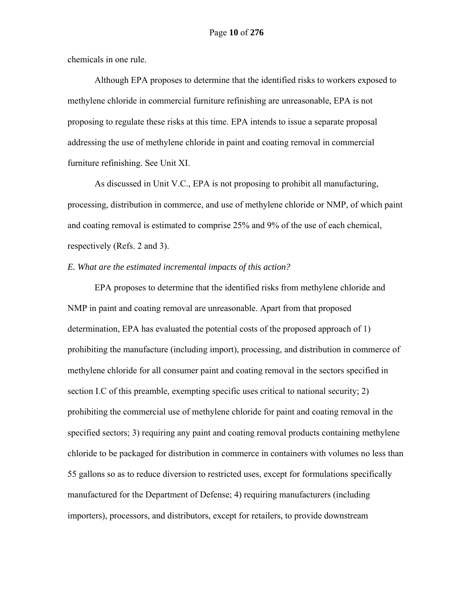chemicals in one rule.

Although EPA proposes to determine that the identified risks to workers exposed to methylene chloride in commercial furniture refinishing are unreasonable, EPA is not proposing to regulate these risks at this time. EPA intends to issue a separate proposal addressing the use of methylene chloride in paint and coating removal in commercial furniture refinishing. See Unit XI.

As discussed in Unit V.C., EPA is not proposing to prohibit all manufacturing, processing, distribution in commerce, and use of methylene chloride or NMP, of which paint and coating removal is estimated to comprise 25% and 9% of the use of each chemical, respectively (Refs. 2 and 3).

### *E. What are the estimated incremental impacts of this action?*

EPA proposes to determine that the identified risks from methylene chloride and NMP in paint and coating removal are unreasonable. Apart from that proposed determination, EPA has evaluated the potential costs of the proposed approach of 1) prohibiting the manufacture (including import), processing, and distribution in commerce of methylene chloride for all consumer paint and coating removal in the sectors specified in section I.C of this preamble, exempting specific uses critical to national security; 2) prohibiting the commercial use of methylene chloride for paint and coating removal in the specified sectors; 3) requiring any paint and coating removal products containing methylene chloride to be packaged for distribution in commerce in containers with volumes no less than 55 gallons so as to reduce diversion to restricted uses, except for formulations specifically manufactured for the Department of Defense; 4) requiring manufacturers (including importers), processors, and distributors, except for retailers, to provide downstream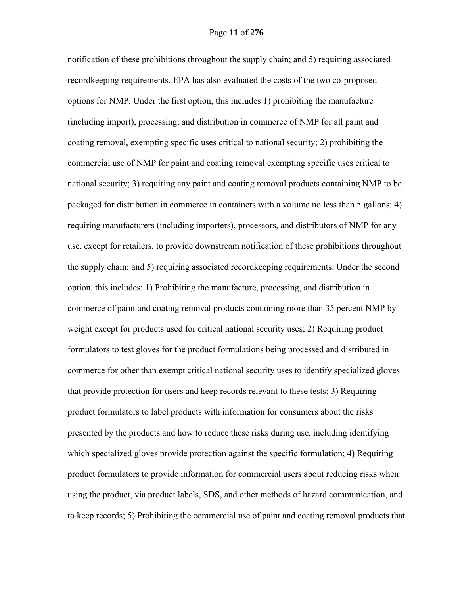notification of these prohibitions throughout the supply chain; and 5) requiring associated recordkeeping requirements. EPA has also evaluated the costs of the two co-proposed options for NMP. Under the first option, this includes 1) prohibiting the manufacture (including import), processing, and distribution in commerce of NMP for all paint and coating removal, exempting specific uses critical to national security; 2) prohibiting the commercial use of NMP for paint and coating removal exempting specific uses critical to national security; 3) requiring any paint and coating removal products containing NMP to be packaged for distribution in commerce in containers with a volume no less than 5 gallons; 4) requiring manufacturers (including importers), processors, and distributors of NMP for any use, except for retailers, to provide downstream notification of these prohibitions throughout the supply chain; and 5) requiring associated recordkeeping requirements. Under the second option, this includes: 1) Prohibiting the manufacture, processing, and distribution in commerce of paint and coating removal products containing more than 35 percent NMP by weight except for products used for critical national security uses; 2) Requiring product formulators to test gloves for the product formulations being processed and distributed in commerce for other than exempt critical national security uses to identify specialized gloves that provide protection for users and keep records relevant to these tests; 3) Requiring product formulators to label products with information for consumers about the risks presented by the products and how to reduce these risks during use, including identifying which specialized gloves provide protection against the specific formulation; 4) Requiring product formulators to provide information for commercial users about reducing risks when using the product, via product labels, SDS, and other methods of hazard communication, and to keep records; 5) Prohibiting the commercial use of paint and coating removal products that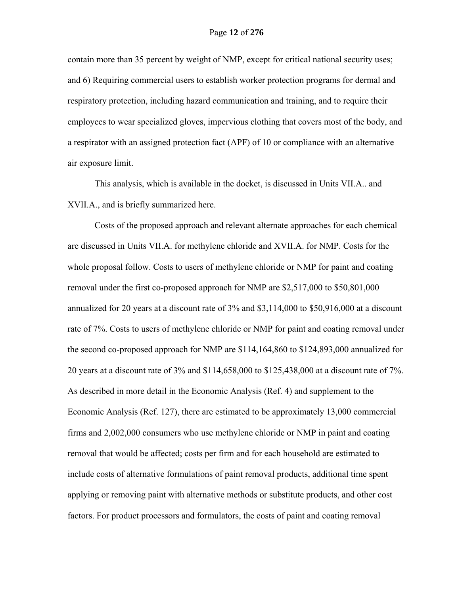contain more than 35 percent by weight of NMP, except for critical national security uses; and 6) Requiring commercial users to establish worker protection programs for dermal and respiratory protection, including hazard communication and training, and to require their employees to wear specialized gloves, impervious clothing that covers most of the body, and a respirator with an assigned protection fact (APF) of 10 or compliance with an alternative air exposure limit.

This analysis, which is available in the docket, is discussed in Units VII.A.. and XVII.A., and is briefly summarized here.

Costs of the proposed approach and relevant alternate approaches for each chemical are discussed in Units VII.A. for methylene chloride and XVII.A. for NMP. Costs for the whole proposal follow. Costs to users of methylene chloride or NMP for paint and coating removal under the first co-proposed approach for NMP are \$2,517,000 to \$50,801,000 annualized for 20 years at a discount rate of 3% and \$3,114,000 to \$50,916,000 at a discount rate of 7%. Costs to users of methylene chloride or NMP for paint and coating removal under the second co-proposed approach for NMP are \$114,164,860 to \$124,893,000 annualized for 20 years at a discount rate of 3% and \$114,658,000 to \$125,438,000 at a discount rate of 7%. As described in more detail in the Economic Analysis (Ref. 4) and supplement to the Economic Analysis (Ref. 127), there are estimated to be approximately 13,000 commercial firms and 2,002,000 consumers who use methylene chloride or NMP in paint and coating removal that would be affected; costs per firm and for each household are estimated to include costs of alternative formulations of paint removal products, additional time spent applying or removing paint with alternative methods or substitute products, and other cost factors. For product processors and formulators, the costs of paint and coating removal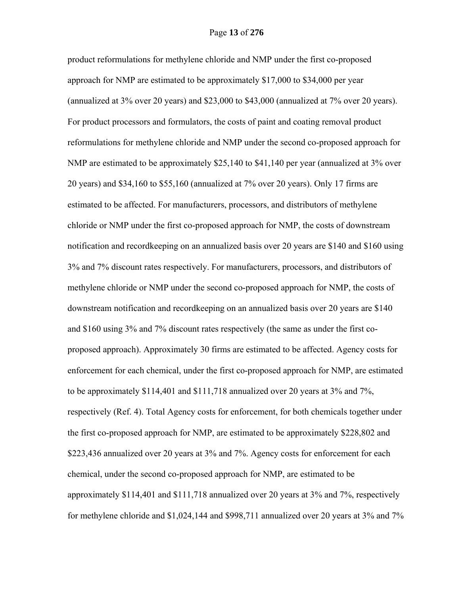product reformulations for methylene chloride and NMP under the first co-proposed approach for NMP are estimated to be approximately \$17,000 to \$34,000 per year (annualized at 3% over 20 years) and \$23,000 to \$43,000 (annualized at 7% over 20 years). For product processors and formulators, the costs of paint and coating removal product reformulations for methylene chloride and NMP under the second co-proposed approach for NMP are estimated to be approximately \$25,140 to \$41,140 per year (annualized at 3% over 20 years) and \$34,160 to \$55,160 (annualized at 7% over 20 years). Only 17 firms are estimated to be affected. For manufacturers, processors, and distributors of methylene chloride or NMP under the first co-proposed approach for NMP, the costs of downstream notification and recordkeeping on an annualized basis over 20 years are \$140 and \$160 using 3% and 7% discount rates respectively. For manufacturers, processors, and distributors of methylene chloride or NMP under the second co-proposed approach for NMP, the costs of downstream notification and recordkeeping on an annualized basis over 20 years are \$140 and \$160 using 3% and 7% discount rates respectively (the same as under the first coproposed approach). Approximately 30 firms are estimated to be affected. Agency costs for enforcement for each chemical, under the first co-proposed approach for NMP, are estimated to be approximately \$114,401 and \$111,718 annualized over 20 years at 3% and 7%, respectively (Ref. 4). Total Agency costs for enforcement, for both chemicals together under the first co-proposed approach for NMP, are estimated to be approximately \$228,802 and \$223,436 annualized over 20 years at 3% and 7%. Agency costs for enforcement for each chemical, under the second co-proposed approach for NMP, are estimated to be approximately \$114,401 and \$111,718 annualized over 20 years at 3% and 7%, respectively for methylene chloride and \$1,024,144 and \$998,711 annualized over 20 years at 3% and 7%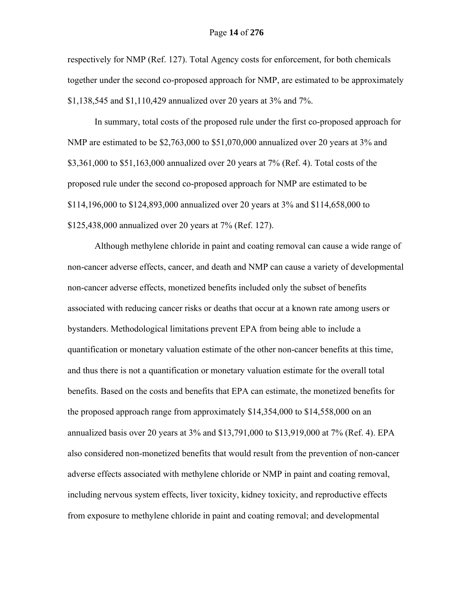respectively for NMP (Ref. 127). Total Agency costs for enforcement, for both chemicals together under the second co-proposed approach for NMP, are estimated to be approximately \$1,138,545 and \$1,110,429 annualized over 20 years at 3% and 7%.

In summary, total costs of the proposed rule under the first co-proposed approach for NMP are estimated to be \$2,763,000 to \$51,070,000 annualized over 20 years at 3% and \$3,361,000 to \$51,163,000 annualized over 20 years at 7% (Ref. 4). Total costs of the proposed rule under the second co-proposed approach for NMP are estimated to be \$114,196,000 to \$124,893,000 annualized over 20 years at 3% and \$114,658,000 to \$125,438,000 annualized over 20 years at 7% (Ref. 127).

Although methylene chloride in paint and coating removal can cause a wide range of non-cancer adverse effects, cancer, and death and NMP can cause a variety of developmental non-cancer adverse effects, monetized benefits included only the subset of benefits associated with reducing cancer risks or deaths that occur at a known rate among users or bystanders. Methodological limitations prevent EPA from being able to include a quantification or monetary valuation estimate of the other non-cancer benefits at this time, and thus there is not a quantification or monetary valuation estimate for the overall total benefits. Based on the costs and benefits that EPA can estimate, the monetized benefits for the proposed approach range from approximately \$14,354,000 to \$14,558,000 on an annualized basis over 20 years at 3% and \$13,791,000 to \$13,919,000 at 7% (Ref. 4). EPA also considered non-monetized benefits that would result from the prevention of non-cancer adverse effects associated with methylene chloride or NMP in paint and coating removal, including nervous system effects, liver toxicity, kidney toxicity, and reproductive effects from exposure to methylene chloride in paint and coating removal; and developmental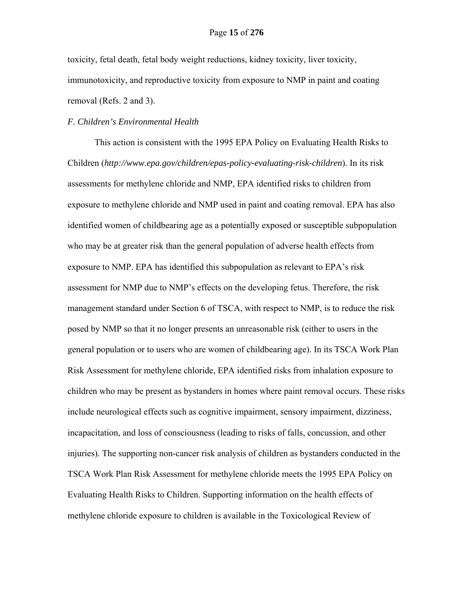toxicity, fetal death, fetal body weight reductions, kidney toxicity, liver toxicity, immunotoxicity, and reproductive toxicity from exposure to NMP in paint and coating removal (Refs. 2 and 3).

# *F. Children's Environmental Health*

This action is consistent with the 1995 EPA Policy on Evaluating Health Risks to Children (*http://www.epa.gov/children/epas-policy-evaluating-risk-children*). In its risk assessments for methylene chloride and NMP, EPA identified risks to children from exposure to methylene chloride and NMP used in paint and coating removal. EPA has also identified women of childbearing age as a potentially exposed or susceptible subpopulation who may be at greater risk than the general population of adverse health effects from exposure to NMP. EPA has identified this subpopulation as relevant to EPA's risk assessment for NMP due to NMP's effects on the developing fetus. Therefore, the risk management standard under Section 6 of TSCA, with respect to NMP, is to reduce the risk posed by NMP so that it no longer presents an unreasonable risk (either to users in the general population or to users who are women of childbearing age). In its TSCA Work Plan Risk Assessment for methylene chloride, EPA identified risks from inhalation exposure to children who may be present as bystanders in homes where paint removal occurs. These risks include neurological effects such as cognitive impairment, sensory impairment, dizziness, incapacitation, and loss of consciousness (leading to risks of falls, concussion, and other injuries). The supporting non-cancer risk analysis of children as bystanders conducted in the TSCA Work Plan Risk Assessment for methylene chloride meets the 1995 EPA Policy on Evaluating Health Risks to Children. Supporting information on the health effects of methylene chloride exposure to children is available in the Toxicological Review of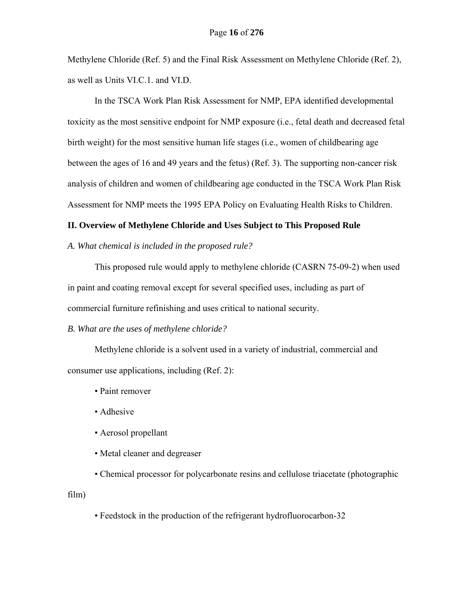Methylene Chloride (Ref. 5) and the Final Risk Assessment on Methylene Chloride (Ref. 2), as well as Units VI.C.1. and VI.D.

In the TSCA Work Plan Risk Assessment for NMP, EPA identified developmental toxicity as the most sensitive endpoint for NMP exposure (i.e., fetal death and decreased fetal birth weight) for the most sensitive human life stages (i.e., women of childbearing age between the ages of 16 and 49 years and the fetus) (Ref. 3). The supporting non-cancer risk analysis of children and women of childbearing age conducted in the TSCA Work Plan Risk Assessment for NMP meets the 1995 EPA Policy on Evaluating Health Risks to Children.

# **II. Overview of Methylene Chloride and Uses Subject to This Proposed Rule**

*A. What chemical is included in the proposed rule?* 

This proposed rule would apply to methylene chloride (CASRN 75-09-2) when used in paint and coating removal except for several specified uses, including as part of commercial furniture refinishing and uses critical to national security.

#### *B. What are the uses of methylene chloride?*

Methylene chloride is a solvent used in a variety of industrial, commercial and consumer use applications, including (Ref. 2):

- Paint remover
- Adhesive
- Aerosol propellant
- Metal cleaner and degreaser

 • Chemical processor for polycarbonate resins and cellulose triacetate (photographic film)

• Feedstock in the production of the refrigerant hydrofluorocarbon-32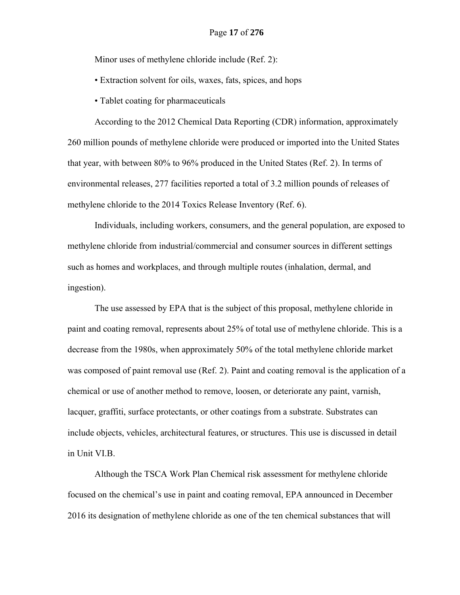Minor uses of methylene chloride include (Ref. 2):

• Extraction solvent for oils, waxes, fats, spices, and hops

• Tablet coating for pharmaceuticals

According to the 2012 Chemical Data Reporting (CDR) information, approximately 260 million pounds of methylene chloride were produced or imported into the United States that year, with between 80% to 96% produced in the United States (Ref. 2). In terms of environmental releases, 277 facilities reported a total of 3.2 million pounds of releases of methylene chloride to the 2014 Toxics Release Inventory (Ref. 6).

Individuals, including workers, consumers, and the general population, are exposed to methylene chloride from industrial/commercial and consumer sources in different settings such as homes and workplaces, and through multiple routes (inhalation, dermal, and ingestion).

The use assessed by EPA that is the subject of this proposal, methylene chloride in paint and coating removal, represents about 25% of total use of methylene chloride. This is a decrease from the 1980s, when approximately 50% of the total methylene chloride market was composed of paint removal use (Ref. 2). Paint and coating removal is the application of a chemical or use of another method to remove, loosen, or deteriorate any paint, varnish, lacquer, graffiti, surface protectants, or other coatings from a substrate. Substrates can include objects, vehicles, architectural features, or structures. This use is discussed in detail in Unit VI.B.

Although the TSCA Work Plan Chemical risk assessment for methylene chloride focused on the chemical's use in paint and coating removal, EPA announced in December 2016 its designation of methylene chloride as one of the ten chemical substances that will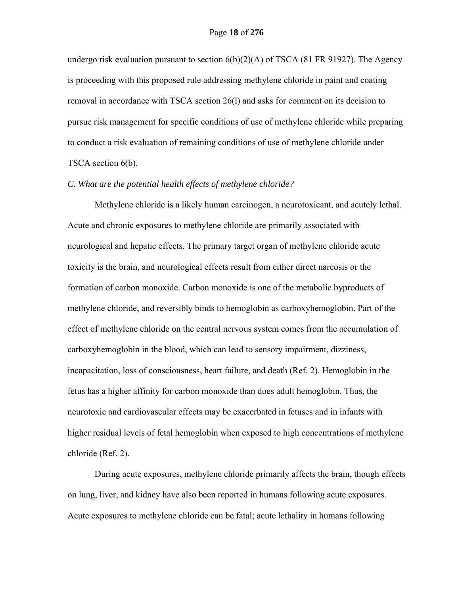undergo risk evaluation pursuant to section 6(b)(2)(A) of TSCA (81 FR 91927). The Agency is proceeding with this proposed rule addressing methylene chloride in paint and coating removal in accordance with TSCA section 26(l) and asks for comment on its decision to pursue risk management for specific conditions of use of methylene chloride while preparing to conduct a risk evaluation of remaining conditions of use of methylene chloride under TSCA section 6(b).

# *C. What are the potential health effects of methylene chloride?*

Methylene chloride is a likely human carcinogen, a neurotoxicant, and acutely lethal. Acute and chronic exposures to methylene chloride are primarily associated with neurological and hepatic effects. The primary target organ of methylene chloride acute toxicity is the brain, and neurological effects result from either direct narcosis or the formation of carbon monoxide. Carbon monoxide is one of the metabolic byproducts of methylene chloride, and reversibly binds to hemoglobin as carboxyhemoglobin. Part of the effect of methylene chloride on the central nervous system comes from the accumulation of carboxyhemoglobin in the blood, which can lead to sensory impairment, dizziness, incapacitation, loss of consciousness, heart failure, and death (Ref. 2). Hemoglobin in the fetus has a higher affinity for carbon monoxide than does adult hemoglobin. Thus, the neurotoxic and cardiovascular effects may be exacerbated in fetuses and in infants with higher residual levels of fetal hemoglobin when exposed to high concentrations of methylene chloride (Ref. 2).

During acute exposures, methylene chloride primarily affects the brain, though effects on lung, liver, and kidney have also been reported in humans following acute exposures. Acute exposures to methylene chloride can be fatal; acute lethality in humans following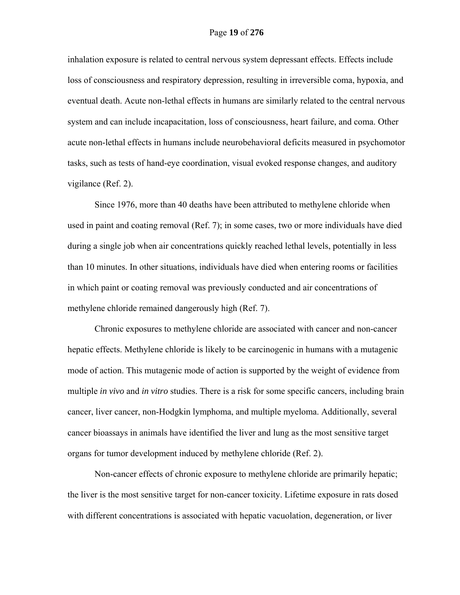inhalation exposure is related to central nervous system depressant effects. Effects include loss of consciousness and respiratory depression, resulting in irreversible coma, hypoxia, and eventual death. Acute non-lethal effects in humans are similarly related to the central nervous system and can include incapacitation, loss of consciousness, heart failure, and coma. Other acute non-lethal effects in humans include neurobehavioral deficits measured in psychomotor tasks, such as tests of hand-eye coordination, visual evoked response changes, and auditory vigilance (Ref. 2).

Since 1976, more than 40 deaths have been attributed to methylene chloride when used in paint and coating removal (Ref. 7); in some cases, two or more individuals have died during a single job when air concentrations quickly reached lethal levels, potentially in less than 10 minutes. In other situations, individuals have died when entering rooms or facilities in which paint or coating removal was previously conducted and air concentrations of methylene chloride remained dangerously high (Ref. 7).

Chronic exposures to methylene chloride are associated with cancer and non-cancer hepatic effects. Methylene chloride is likely to be carcinogenic in humans with a mutagenic mode of action. This mutagenic mode of action is supported by the weight of evidence from multiple *in vivo* and *in vitro* studies. There is a risk for some specific cancers, including brain cancer, liver cancer, non-Hodgkin lymphoma, and multiple myeloma. Additionally, several cancer bioassays in animals have identified the liver and lung as the most sensitive target organs for tumor development induced by methylene chloride (Ref. 2).

Non-cancer effects of chronic exposure to methylene chloride are primarily hepatic; the liver is the most sensitive target for non-cancer toxicity. Lifetime exposure in rats dosed with different concentrations is associated with hepatic vacuolation, degeneration, or liver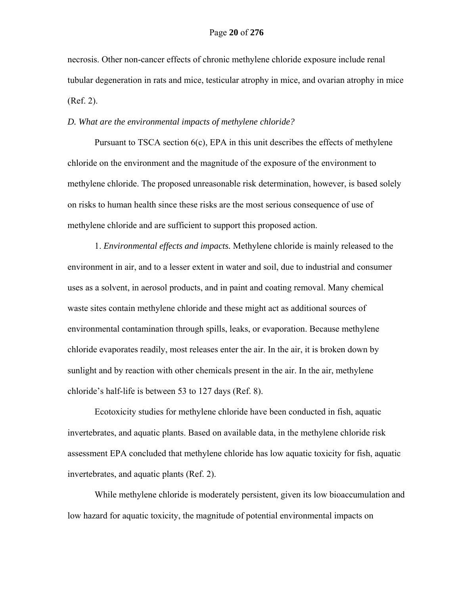necrosis. Other non-cancer effects of chronic methylene chloride exposure include renal tubular degeneration in rats and mice, testicular atrophy in mice, and ovarian atrophy in mice (Ref. 2).

# *D. What are the environmental impacts of methylene chloride?*

Pursuant to TSCA section 6(c), EPA in this unit describes the effects of methylene chloride on the environment and the magnitude of the exposure of the environment to methylene chloride. The proposed unreasonable risk determination, however, is based solely on risks to human health since these risks are the most serious consequence of use of methylene chloride and are sufficient to support this proposed action.

1. *Environmental effects and impacts.* Methylene chloride is mainly released to the environment in air, and to a lesser extent in water and soil, due to industrial and consumer uses as a solvent, in aerosol products, and in paint and coating removal. Many chemical waste sites contain methylene chloride and these might act as additional sources of environmental contamination through spills, leaks, or evaporation. Because methylene chloride evaporates readily, most releases enter the air. In the air, it is broken down by sunlight and by reaction with other chemicals present in the air. In the air, methylene chloride's half-life is between 53 to 127 days (Ref. 8).

Ecotoxicity studies for methylene chloride have been conducted in fish, aquatic invertebrates, and aquatic plants. Based on available data, in the methylene chloride risk assessment EPA concluded that methylene chloride has low aquatic toxicity for fish, aquatic invertebrates, and aquatic plants (Ref. 2).

While methylene chloride is moderately persistent, given its low bioaccumulation and low hazard for aquatic toxicity, the magnitude of potential environmental impacts on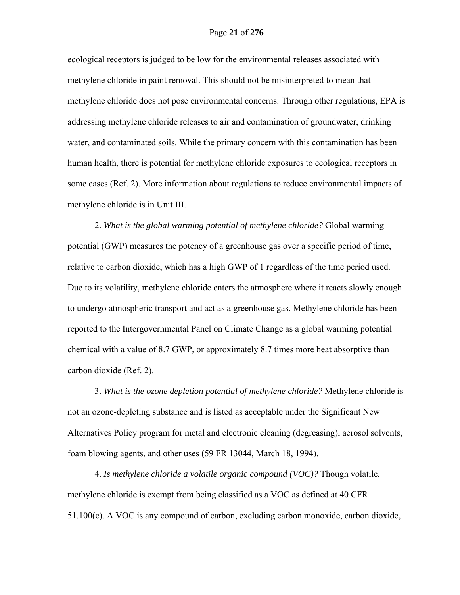ecological receptors is judged to be low for the environmental releases associated with methylene chloride in paint removal. This should not be misinterpreted to mean that methylene chloride does not pose environmental concerns. Through other regulations, EPA is addressing methylene chloride releases to air and contamination of groundwater, drinking water, and contaminated soils. While the primary concern with this contamination has been human health, there is potential for methylene chloride exposures to ecological receptors in some cases (Ref. 2). More information about regulations to reduce environmental impacts of methylene chloride is in Unit III.

2. *What is the global warming potential of methylene chloride?* Global warming potential (GWP) measures the potency of a greenhouse gas over a specific period of time, relative to carbon dioxide, which has a high GWP of 1 regardless of the time period used. Due to its volatility, methylene chloride enters the atmosphere where it reacts slowly enough to undergo atmospheric transport and act as a greenhouse gas. Methylene chloride has been reported to the Intergovernmental Panel on Climate Change as a global warming potential chemical with a value of 8.7 GWP, or approximately 8.7 times more heat absorptive than carbon dioxide (Ref. 2).

3. *What is the ozone depletion potential of methylene chloride?* Methylene chloride is not an ozone-depleting substance and is listed as acceptable under the Significant New Alternatives Policy program for metal and electronic cleaning (degreasing), aerosol solvents, foam blowing agents, and other uses (59 FR 13044, March 18, 1994).

4. *Is methylene chloride a volatile organic compound (VOC)?* Though volatile, methylene chloride is exempt from being classified as a VOC as defined at 40 CFR 51.100(c). A VOC is any compound of carbon, excluding carbon monoxide, carbon dioxide,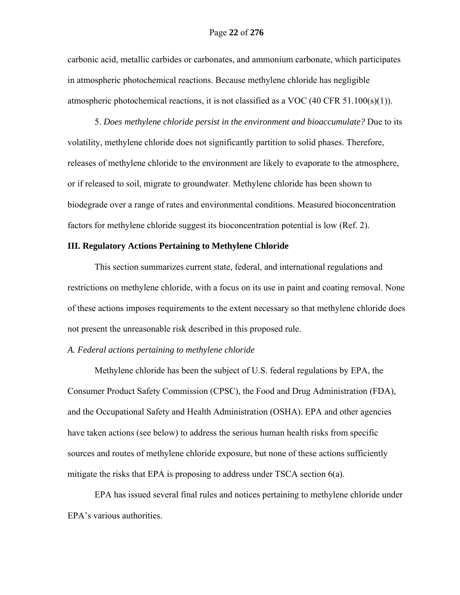carbonic acid, metallic carbides or carbonates, and ammonium carbonate, which participates in atmospheric photochemical reactions. Because methylene chloride has negligible atmospheric photochemical reactions, it is not classified as a VOC (40 CFR 51.100(s)(1)).

5. *Does methylene chloride persist in the environment and bioaccumulate?* Due to its volatility, methylene chloride does not significantly partition to solid phases. Therefore, releases of methylene chloride to the environment are likely to evaporate to the atmosphere, or if released to soil, migrate to groundwater. Methylene chloride has been shown to biodegrade over a range of rates and environmental conditions. Measured bioconcentration factors for methylene chloride suggest its bioconcentration potential is low (Ref. 2).

# **III. Regulatory Actions Pertaining to Methylene Chloride**

 This section summarizes current state, federal, and international regulations and restrictions on methylene chloride, with a focus on its use in paint and coating removal. None of these actions imposes requirements to the extent necessary so that methylene chloride does not present the unreasonable risk described in this proposed rule.

# *A. Federal actions pertaining to methylene chloride*

Methylene chloride has been the subject of U.S. federal regulations by EPA, the Consumer Product Safety Commission (CPSC), the Food and Drug Administration (FDA), and the Occupational Safety and Health Administration (OSHA). EPA and other agencies have taken actions (see below) to address the serious human health risks from specific sources and routes of methylene chloride exposure, but none of these actions sufficiently mitigate the risks that EPA is proposing to address under TSCA section 6(a).

EPA has issued several final rules and notices pertaining to methylene chloride under EPA's various authorities.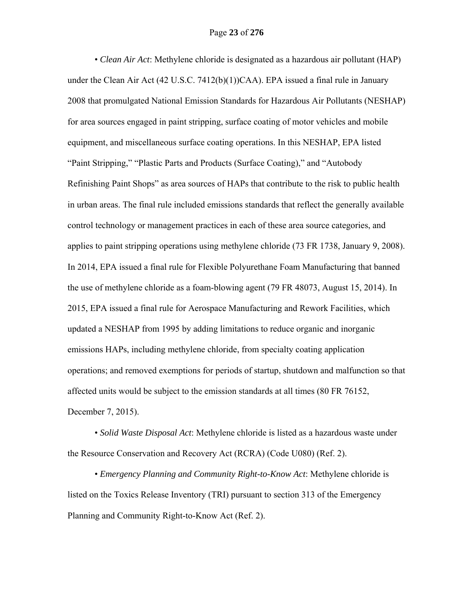• *Clean Air Act*: Methylene chloride is designated as a hazardous air pollutant (HAP) under the Clean Air Act (42 U.S.C. 7412(b)(1))CAA). EPA issued a final rule in January 2008 that promulgated National Emission Standards for Hazardous Air Pollutants (NESHAP) for area sources engaged in paint stripping, surface coating of motor vehicles and mobile equipment, and miscellaneous surface coating operations. In this NESHAP, EPA listed "Paint Stripping," "Plastic Parts and Products (Surface Coating)," and "Autobody Refinishing Paint Shops" as area sources of HAPs that contribute to the risk to public health in urban areas. The final rule included emissions standards that reflect the generally available control technology or management practices in each of these area source categories, and applies to paint stripping operations using methylene chloride (73 FR 1738, January 9, 2008). In 2014, EPA issued a final rule for Flexible Polyurethane Foam Manufacturing that banned the use of methylene chloride as a foam-blowing agent (79 FR 48073, August 15, 2014). In 2015, EPA issued a final rule for Aerospace Manufacturing and Rework Facilities, which updated a NESHAP from 1995 by adding limitations to reduce organic and inorganic emissions HAPs, including methylene chloride, from specialty coating application operations; and removed exemptions for periods of startup, shutdown and malfunction so that affected units would be subject to the emission standards at all times (80 FR 76152, December 7, 2015).

 • *Solid Waste Disposal Act*: Methylene chloride is listed as a hazardous waste under the Resource Conservation and Recovery Act (RCRA) (Code U080) (Ref. 2).

 • *Emergency Planning and Community Right-to-Know Act*: Methylene chloride is listed on the Toxics Release Inventory (TRI) pursuant to section 313 of the Emergency Planning and Community Right-to-Know Act (Ref. 2).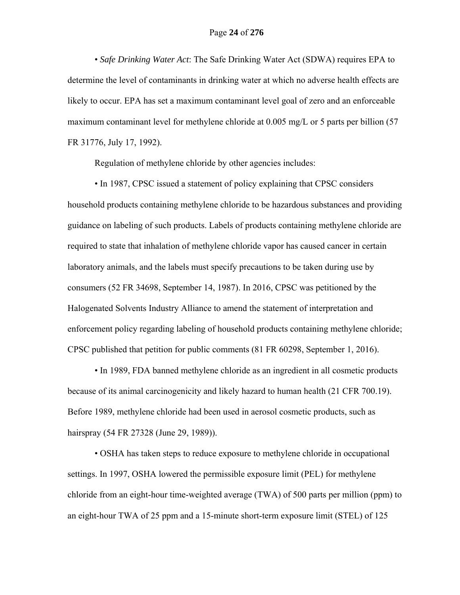• *Safe Drinking Water Act*: The Safe Drinking Water Act (SDWA) requires EPA to determine the level of contaminants in drinking water at which no adverse health effects are likely to occur. EPA has set a maximum contaminant level goal of zero and an enforceable maximum contaminant level for methylene chloride at 0.005 mg/L or 5 parts per billion (57 FR 31776, July 17, 1992).

Regulation of methylene chloride by other agencies includes:

 • In 1987, CPSC issued a statement of policy explaining that CPSC considers household products containing methylene chloride to be hazardous substances and providing guidance on labeling of such products. Labels of products containing methylene chloride are required to state that inhalation of methylene chloride vapor has caused cancer in certain laboratory animals, and the labels must specify precautions to be taken during use by consumers (52 FR 34698, September 14, 1987). In 2016, CPSC was petitioned by the Halogenated Solvents Industry Alliance to amend the statement of interpretation and enforcement policy regarding labeling of household products containing methylene chloride; CPSC published that petition for public comments (81 FR 60298, September 1, 2016).

 • In 1989, FDA banned methylene chloride as an ingredient in all cosmetic products because of its animal carcinogenicity and likely hazard to human health (21 CFR 700.19). Before 1989, methylene chloride had been used in aerosol cosmetic products, such as hairspray (54 FR 27328 (June 29, 1989)).

 • OSHA has taken steps to reduce exposure to methylene chloride in occupational settings. In 1997, OSHA lowered the permissible exposure limit (PEL) for methylene chloride from an eight-hour time-weighted average (TWA) of 500 parts per million (ppm) to an eight-hour TWA of 25 ppm and a 15-minute short-term exposure limit (STEL) of 125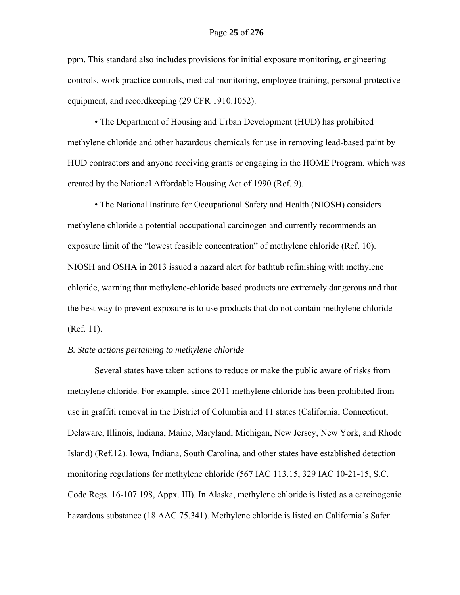ppm. This standard also includes provisions for initial exposure monitoring, engineering controls, work practice controls, medical monitoring, employee training, personal protective equipment, and recordkeeping (29 CFR 1910.1052).

 • The Department of Housing and Urban Development (HUD) has prohibited methylene chloride and other hazardous chemicals for use in removing lead-based paint by HUD contractors and anyone receiving grants or engaging in the HOME Program, which was created by the National Affordable Housing Act of 1990 (Ref. 9).

 • The National Institute for Occupational Safety and Health (NIOSH) considers methylene chloride a potential occupational carcinogen and currently recommends an exposure limit of the "lowest feasible concentration" of methylene chloride (Ref. 10). NIOSH and OSHA in 2013 issued a hazard alert for bathtub refinishing with methylene chloride, warning that methylene-chloride based products are extremely dangerous and that the best way to prevent exposure is to use products that do not contain methylene chloride (Ref. 11).

# *B. State actions pertaining to methylene chloride*

 Several states have taken actions to reduce or make the public aware of risks from methylene chloride. For example, since 2011 methylene chloride has been prohibited from use in graffiti removal in the District of Columbia and 11 states (California, Connecticut, Delaware, Illinois, Indiana, Maine, Maryland, Michigan, New Jersey, New York, and Rhode Island) (Ref.12). Iowa, Indiana, South Carolina, and other states have established detection monitoring regulations for methylene chloride (567 IAC 113.15, 329 IAC 10-21-15, S.C. Code Regs. 16-107.198, Appx. III). In Alaska, methylene chloride is listed as a carcinogenic hazardous substance (18 AAC 75.341). Methylene chloride is listed on California's Safer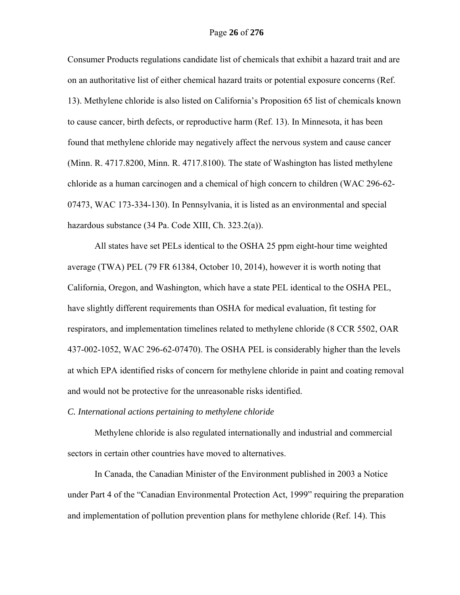Consumer Products regulations candidate list of chemicals that exhibit a hazard trait and are on an authoritative list of either chemical hazard traits or potential exposure concerns (Ref. 13). Methylene chloride is also listed on California's Proposition 65 list of chemicals known to cause cancer, birth defects, or reproductive harm (Ref. 13). In Minnesota, it has been found that methylene chloride may negatively affect the nervous system and cause cancer (Minn. R. 4717.8200, Minn. R. 4717.8100). The state of Washington has listed methylene chloride as a human carcinogen and a chemical of high concern to children (WAC 296-62- 07473, WAC 173-334-130). In Pennsylvania, it is listed as an environmental and special hazardous substance (34 Pa. Code XIII, Ch. 323.2(a)).

All states have set PELs identical to the OSHA 25 ppm eight-hour time weighted average (TWA) PEL (79 FR 61384, October 10, 2014), however it is worth noting that California, Oregon, and Washington, which have a state PEL identical to the OSHA PEL, have slightly different requirements than OSHA for medical evaluation, fit testing for respirators, and implementation timelines related to methylene chloride (8 CCR 5502, OAR 437-002-1052, WAC 296-62-07470). The OSHA PEL is considerably higher than the levels at which EPA identified risks of concern for methylene chloride in paint and coating removal and would not be protective for the unreasonable risks identified.

*C. International actions pertaining to methylene chloride* 

Methylene chloride is also regulated internationally and industrial and commercial sectors in certain other countries have moved to alternatives.

In Canada, the Canadian Minister of the Environment published in 2003 a Notice under Part 4 of the "Canadian Environmental Protection Act, 1999" requiring the preparation and implementation of pollution prevention plans for methylene chloride (Ref. 14). This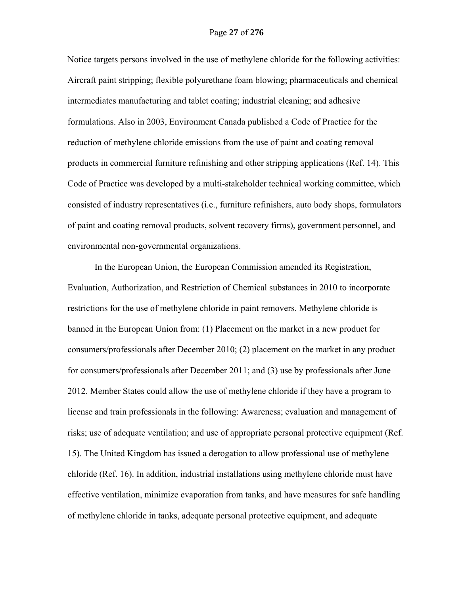Notice targets persons involved in the use of methylene chloride for the following activities: Aircraft paint stripping; flexible polyurethane foam blowing; pharmaceuticals and chemical intermediates manufacturing and tablet coating; industrial cleaning; and adhesive formulations. Also in 2003, Environment Canada published a Code of Practice for the reduction of methylene chloride emissions from the use of paint and coating removal products in commercial furniture refinishing and other stripping applications (Ref. 14). This Code of Practice was developed by a multi-stakeholder technical working committee, which consisted of industry representatives (i.e., furniture refinishers, auto body shops, formulators of paint and coating removal products, solvent recovery firms), government personnel, and environmental non-governmental organizations.

In the European Union, the European Commission amended its Registration, Evaluation, Authorization, and Restriction of Chemical substances in 2010 to incorporate restrictions for the use of methylene chloride in paint removers. Methylene chloride is banned in the European Union from: (1) Placement on the market in a new product for consumers/professionals after December 2010; (2) placement on the market in any product for consumers/professionals after December 2011; and (3) use by professionals after June 2012. Member States could allow the use of methylene chloride if they have a program to license and train professionals in the following: Awareness; evaluation and management of risks; use of adequate ventilation; and use of appropriate personal protective equipment (Ref. 15). The United Kingdom has issued a derogation to allow professional use of methylene chloride (Ref. 16). In addition, industrial installations using methylene chloride must have effective ventilation, minimize evaporation from tanks, and have measures for safe handling of methylene chloride in tanks, adequate personal protective equipment, and adequate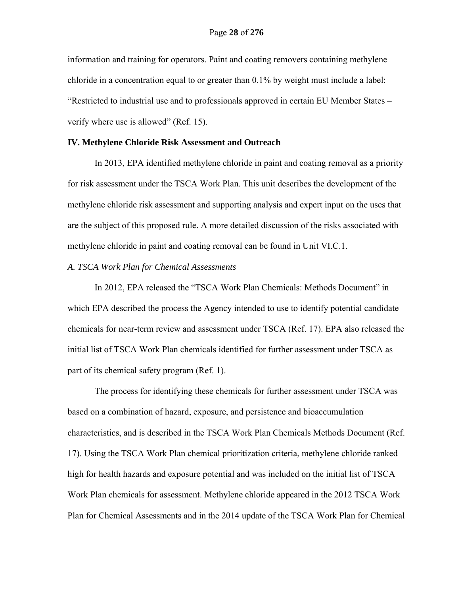information and training for operators. Paint and coating removers containing methylene chloride in a concentration equal to or greater than 0.1% by weight must include a label: "Restricted to industrial use and to professionals approved in certain EU Member States – verify where use is allowed" (Ref. 15).

# **IV. Methylene Chloride Risk Assessment and Outreach**

In 2013, EPA identified methylene chloride in paint and coating removal as a priority for risk assessment under the TSCA Work Plan. This unit describes the development of the methylene chloride risk assessment and supporting analysis and expert input on the uses that are the subject of this proposed rule. A more detailed discussion of the risks associated with methylene chloride in paint and coating removal can be found in Unit VI.C.1.

# *A. TSCA Work Plan for Chemical Assessments*

In 2012, EPA released the "TSCA Work Plan Chemicals: Methods Document" in which EPA described the process the Agency intended to use to identify potential candidate chemicals for near-term review and assessment under TSCA (Ref. 17). EPA also released the initial list of TSCA Work Plan chemicals identified for further assessment under TSCA as part of its chemical safety program (Ref. 1).

The process for identifying these chemicals for further assessment under TSCA was based on a combination of hazard, exposure, and persistence and bioaccumulation characteristics, and is described in the TSCA Work Plan Chemicals Methods Document (Ref. 17). Using the TSCA Work Plan chemical prioritization criteria, methylene chloride ranked high for health hazards and exposure potential and was included on the initial list of TSCA Work Plan chemicals for assessment. Methylene chloride appeared in the 2012 TSCA Work Plan for Chemical Assessments and in the 2014 update of the TSCA Work Plan for Chemical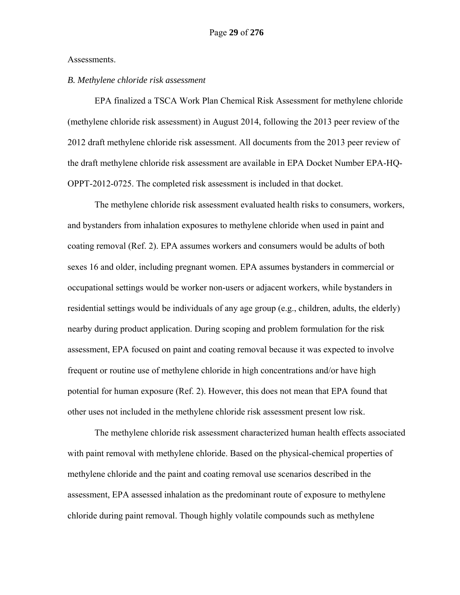#### Assessments.

# *B. Methylene chloride risk assessment*

EPA finalized a TSCA Work Plan Chemical Risk Assessment for methylene chloride (methylene chloride risk assessment) in August 2014, following the 2013 peer review of the 2012 draft methylene chloride risk assessment. All documents from the 2013 peer review of the draft methylene chloride risk assessment are available in EPA Docket Number EPA-HQ-OPPT-2012-0725. The completed risk assessment is included in that docket.

The methylene chloride risk assessment evaluated health risks to consumers, workers, and bystanders from inhalation exposures to methylene chloride when used in paint and coating removal (Ref. 2). EPA assumes workers and consumers would be adults of both sexes 16 and older, including pregnant women. EPA assumes bystanders in commercial or occupational settings would be worker non-users or adjacent workers, while bystanders in residential settings would be individuals of any age group (e.g., children, adults, the elderly) nearby during product application. During scoping and problem formulation for the risk assessment, EPA focused on paint and coating removal because it was expected to involve frequent or routine use of methylene chloride in high concentrations and/or have high potential for human exposure (Ref. 2). However, this does not mean that EPA found that other uses not included in the methylene chloride risk assessment present low risk.

The methylene chloride risk assessment characterized human health effects associated with paint removal with methylene chloride. Based on the physical-chemical properties of methylene chloride and the paint and coating removal use scenarios described in the assessment, EPA assessed inhalation as the predominant route of exposure to methylene chloride during paint removal. Though highly volatile compounds such as methylene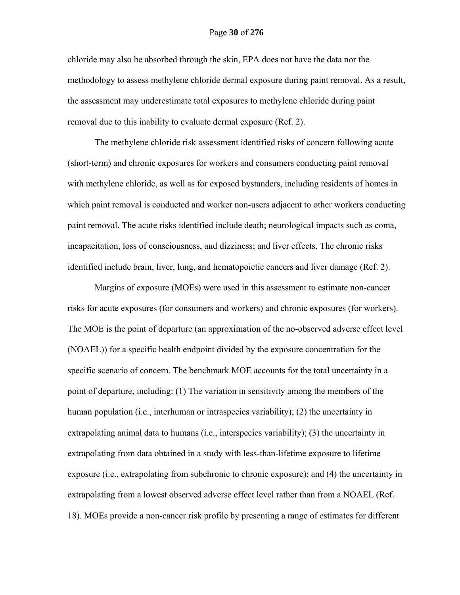chloride may also be absorbed through the skin, EPA does not have the data nor the methodology to assess methylene chloride dermal exposure during paint removal. As a result, the assessment may underestimate total exposures to methylene chloride during paint removal due to this inability to evaluate dermal exposure (Ref. 2).

The methylene chloride risk assessment identified risks of concern following acute (short-term) and chronic exposures for workers and consumers conducting paint removal with methylene chloride, as well as for exposed bystanders, including residents of homes in which paint removal is conducted and worker non-users adjacent to other workers conducting paint removal. The acute risks identified include death; neurological impacts such as coma, incapacitation, loss of consciousness, and dizziness; and liver effects. The chronic risks identified include brain, liver, lung, and hematopoietic cancers and liver damage (Ref. 2).

Margins of exposure (MOEs) were used in this assessment to estimate non-cancer risks for acute exposures (for consumers and workers) and chronic exposures (for workers). The MOE is the point of departure (an approximation of the no-observed adverse effect level (NOAEL)) for a specific health endpoint divided by the exposure concentration for the specific scenario of concern. The benchmark MOE accounts for the total uncertainty in a point of departure, including: (1) The variation in sensitivity among the members of the human population (i.e., interhuman or intraspecies variability); (2) the uncertainty in extrapolating animal data to humans (i.e., interspecies variability); (3) the uncertainty in extrapolating from data obtained in a study with less-than-lifetime exposure to lifetime exposure (i.e., extrapolating from subchronic to chronic exposure); and (4) the uncertainty in extrapolating from a lowest observed adverse effect level rather than from a NOAEL (Ref. 18). MOEs provide a non-cancer risk profile by presenting a range of estimates for different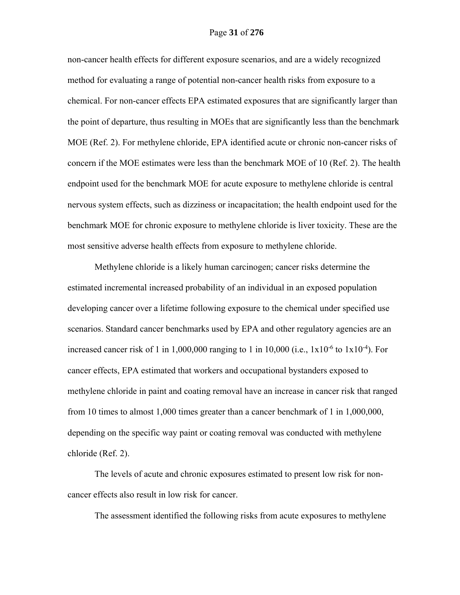non-cancer health effects for different exposure scenarios, and are a widely recognized method for evaluating a range of potential non-cancer health risks from exposure to a chemical. For non-cancer effects EPA estimated exposures that are significantly larger than the point of departure, thus resulting in MOEs that are significantly less than the benchmark MOE (Ref. 2). For methylene chloride, EPA identified acute or chronic non-cancer risks of concern if the MOE estimates were less than the benchmark MOE of 10 (Ref. 2). The health endpoint used for the benchmark MOE for acute exposure to methylene chloride is central nervous system effects, such as dizziness or incapacitation; the health endpoint used for the benchmark MOE for chronic exposure to methylene chloride is liver toxicity. These are the most sensitive adverse health effects from exposure to methylene chloride.

Methylene chloride is a likely human carcinogen; cancer risks determine the estimated incremental increased probability of an individual in an exposed population developing cancer over a lifetime following exposure to the chemical under specified use scenarios. Standard cancer benchmarks used by EPA and other regulatory agencies are an increased cancer risk of 1 in 1,000,000 ranging to 1 in 10,000 (i.e.,  $1 \times 10^{-6}$  to  $1 \times 10^{-4}$ ). For cancer effects, EPA estimated that workers and occupational bystanders exposed to methylene chloride in paint and coating removal have an increase in cancer risk that ranged from 10 times to almost 1,000 times greater than a cancer benchmark of 1 in 1,000,000, depending on the specific way paint or coating removal was conducted with methylene chloride (Ref. 2).

The levels of acute and chronic exposures estimated to present low risk for noncancer effects also result in low risk for cancer.

The assessment identified the following risks from acute exposures to methylene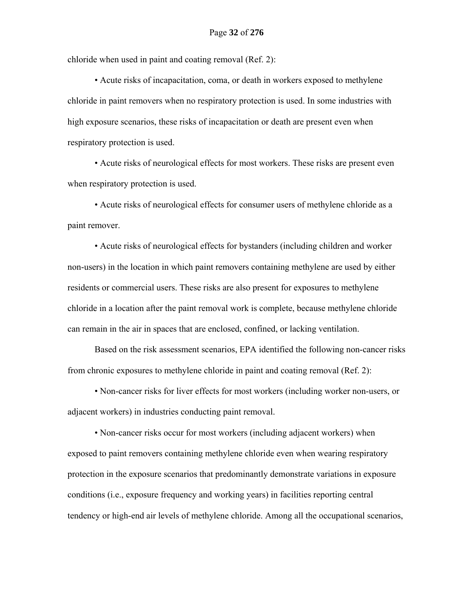chloride when used in paint and coating removal (Ref. 2):

 • Acute risks of incapacitation, coma, or death in workers exposed to methylene chloride in paint removers when no respiratory protection is used. In some industries with high exposure scenarios, these risks of incapacitation or death are present even when respiratory protection is used.

 • Acute risks of neurological effects for most workers. These risks are present even when respiratory protection is used.

 • Acute risks of neurological effects for consumer users of methylene chloride as a paint remover.

 • Acute risks of neurological effects for bystanders (including children and worker non-users) in the location in which paint removers containing methylene are used by either residents or commercial users. These risks are also present for exposures to methylene chloride in a location after the paint removal work is complete, because methylene chloride can remain in the air in spaces that are enclosed, confined, or lacking ventilation.

Based on the risk assessment scenarios, EPA identified the following non-cancer risks from chronic exposures to methylene chloride in paint and coating removal (Ref. 2):

 • Non-cancer risks for liver effects for most workers (including worker non-users, or adjacent workers) in industries conducting paint removal.

 • Non-cancer risks occur for most workers (including adjacent workers) when exposed to paint removers containing methylene chloride even when wearing respiratory protection in the exposure scenarios that predominantly demonstrate variations in exposure conditions (i.e., exposure frequency and working years) in facilities reporting central tendency or high-end air levels of methylene chloride. Among all the occupational scenarios,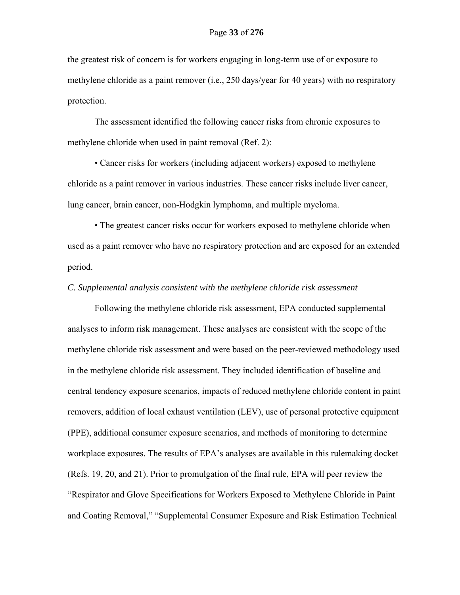the greatest risk of concern is for workers engaging in long-term use of or exposure to methylene chloride as a paint remover (i.e., 250 days/year for 40 years) with no respiratory protection.

The assessment identified the following cancer risks from chronic exposures to methylene chloride when used in paint removal (Ref. 2):

 • Cancer risks for workers (including adjacent workers) exposed to methylene chloride as a paint remover in various industries. These cancer risks include liver cancer, lung cancer, brain cancer, non-Hodgkin lymphoma, and multiple myeloma.

 • The greatest cancer risks occur for workers exposed to methylene chloride when used as a paint remover who have no respiratory protection and are exposed for an extended period.

# *C. Supplemental analysis consistent with the methylene chloride risk assessment*

Following the methylene chloride risk assessment, EPA conducted supplemental analyses to inform risk management. These analyses are consistent with the scope of the methylene chloride risk assessment and were based on the peer-reviewed methodology used in the methylene chloride risk assessment. They included identification of baseline and central tendency exposure scenarios, impacts of reduced methylene chloride content in paint removers, addition of local exhaust ventilation (LEV), use of personal protective equipment (PPE), additional consumer exposure scenarios, and methods of monitoring to determine workplace exposures. The results of EPA's analyses are available in this rulemaking docket (Refs. 19, 20, and 21). Prior to promulgation of the final rule, EPA will peer review the "Respirator and Glove Specifications for Workers Exposed to Methylene Chloride in Paint and Coating Removal," "Supplemental Consumer Exposure and Risk Estimation Technical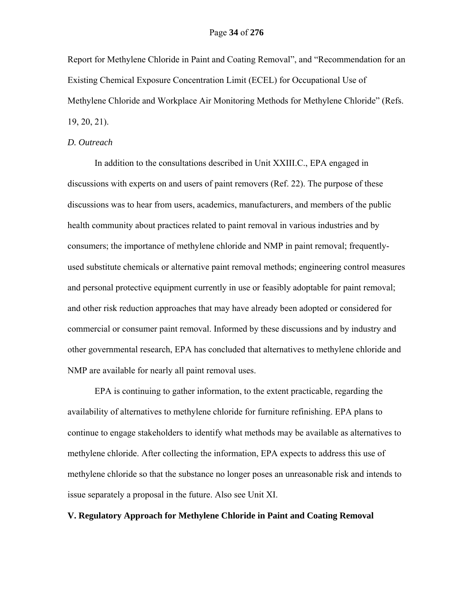Report for Methylene Chloride in Paint and Coating Removal", and "Recommendation for an Existing Chemical Exposure Concentration Limit (ECEL) for Occupational Use of Methylene Chloride and Workplace Air Monitoring Methods for Methylene Chloride" (Refs. 19, 20, 21).

# *D. Outreach*

In addition to the consultations described in Unit XXIII.C., EPA engaged in discussions with experts on and users of paint removers (Ref. 22). The purpose of these discussions was to hear from users, academics, manufacturers, and members of the public health community about practices related to paint removal in various industries and by consumers; the importance of methylene chloride and NMP in paint removal; frequentlyused substitute chemicals or alternative paint removal methods; engineering control measures and personal protective equipment currently in use or feasibly adoptable for paint removal; and other risk reduction approaches that may have already been adopted or considered for commercial or consumer paint removal. Informed by these discussions and by industry and other governmental research, EPA has concluded that alternatives to methylene chloride and NMP are available for nearly all paint removal uses.

EPA is continuing to gather information, to the extent practicable, regarding the availability of alternatives to methylene chloride for furniture refinishing. EPA plans to continue to engage stakeholders to identify what methods may be available as alternatives to methylene chloride. After collecting the information, EPA expects to address this use of methylene chloride so that the substance no longer poses an unreasonable risk and intends to issue separately a proposal in the future. Also see Unit XI.

# **V. Regulatory Approach for Methylene Chloride in Paint and Coating Removal**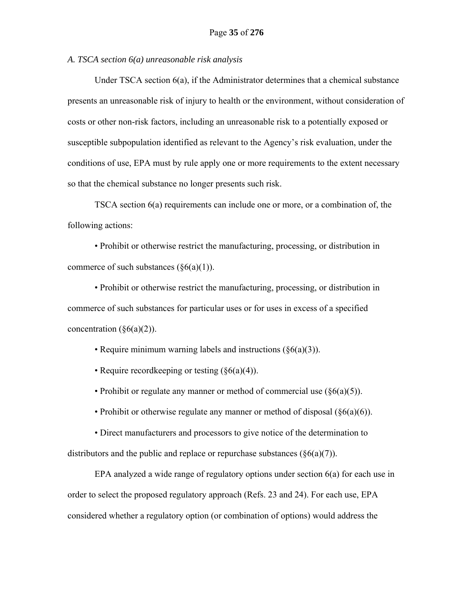*A. TSCA section 6(a) unreasonable risk analysis* 

Under TSCA section 6(a), if the Administrator determines that a chemical substance presents an unreasonable risk of injury to health or the environment, without consideration of costs or other non-risk factors, including an unreasonable risk to a potentially exposed or susceptible subpopulation identified as relevant to the Agency's risk evaluation, under the conditions of use, EPA must by rule apply one or more requirements to the extent necessary so that the chemical substance no longer presents such risk.

TSCA section 6(a) requirements can include one or more, or a combination of, the following actions:

• Prohibit or otherwise restrict the manufacturing, processing, or distribution in commerce of such substances  $(\S6(a)(1))$ .

• Prohibit or otherwise restrict the manufacturing, processing, or distribution in commerce of such substances for particular uses or for uses in excess of a specified concentration  $(\S6(a)(2))$ .

• Require minimum warning labels and instructions (§6(a)(3)).

• Require recordkeeping or testing (§6(a)(4)).

• Prohibit or regulate any manner or method of commercial use  $(\S6(a)(5))$ .

• Prohibit or otherwise regulate any manner or method of disposal  $(\S6(a)(6))$ .

• Direct manufacturers and processors to give notice of the determination to distributors and the public and replace or repurchase substances  $(\S6(a)(7))$ .

EPA analyzed a wide range of regulatory options under section 6(a) for each use in order to select the proposed regulatory approach (Refs. 23 and 24). For each use, EPA considered whether a regulatory option (or combination of options) would address the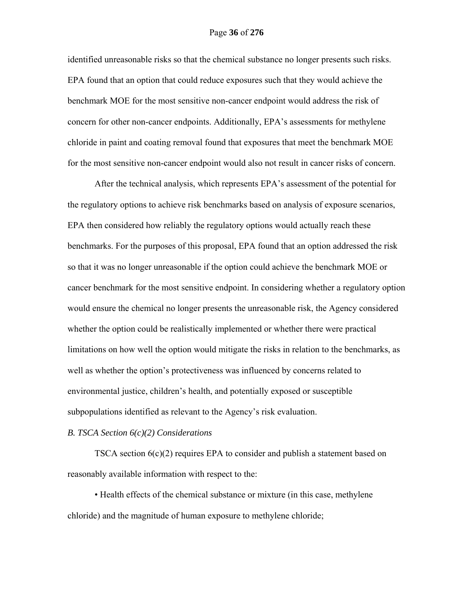identified unreasonable risks so that the chemical substance no longer presents such risks. EPA found that an option that could reduce exposures such that they would achieve the benchmark MOE for the most sensitive non-cancer endpoint would address the risk of concern for other non-cancer endpoints. Additionally, EPA's assessments for methylene chloride in paint and coating removal found that exposures that meet the benchmark MOE for the most sensitive non-cancer endpoint would also not result in cancer risks of concern.

After the technical analysis, which represents EPA's assessment of the potential for the regulatory options to achieve risk benchmarks based on analysis of exposure scenarios, EPA then considered how reliably the regulatory options would actually reach these benchmarks. For the purposes of this proposal, EPA found that an option addressed the risk so that it was no longer unreasonable if the option could achieve the benchmark MOE or cancer benchmark for the most sensitive endpoint. In considering whether a regulatory option would ensure the chemical no longer presents the unreasonable risk, the Agency considered whether the option could be realistically implemented or whether there were practical limitations on how well the option would mitigate the risks in relation to the benchmarks, as well as whether the option's protectiveness was influenced by concerns related to environmental justice, children's health, and potentially exposed or susceptible subpopulations identified as relevant to the Agency's risk evaluation.

# *B. TSCA Section 6(c)(2) Considerations*

TSCA section 6(c)(2) requires EPA to consider and publish a statement based on reasonably available information with respect to the:

• Health effects of the chemical substance or mixture (in this case, methylene chloride) and the magnitude of human exposure to methylene chloride;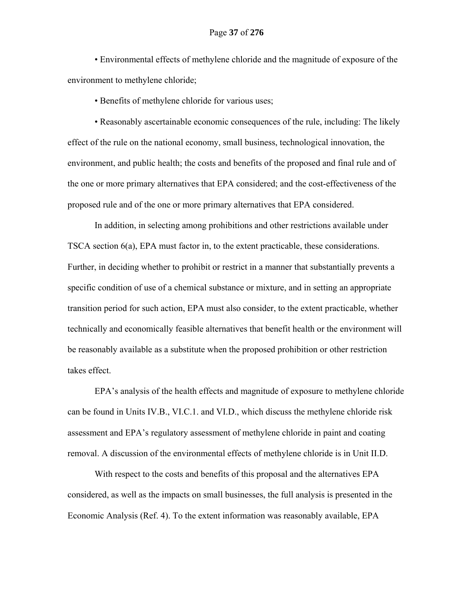• Environmental effects of methylene chloride and the magnitude of exposure of the environment to methylene chloride;

• Benefits of methylene chloride for various uses;

• Reasonably ascertainable economic consequences of the rule, including: The likely effect of the rule on the national economy, small business, technological innovation, the environment, and public health; the costs and benefits of the proposed and final rule and of the one or more primary alternatives that EPA considered; and the cost-effectiveness of the proposed rule and of the one or more primary alternatives that EPA considered.

In addition, in selecting among prohibitions and other restrictions available under TSCA section 6(a), EPA must factor in, to the extent practicable, these considerations. Further, in deciding whether to prohibit or restrict in a manner that substantially prevents a specific condition of use of a chemical substance or mixture, and in setting an appropriate transition period for such action, EPA must also consider, to the extent practicable, whether technically and economically feasible alternatives that benefit health or the environment will be reasonably available as a substitute when the proposed prohibition or other restriction takes effect.

EPA's analysis of the health effects and magnitude of exposure to methylene chloride can be found in Units IV.B., VI.C.1. and VI.D., which discuss the methylene chloride risk assessment and EPA's regulatory assessment of methylene chloride in paint and coating removal. A discussion of the environmental effects of methylene chloride is in Unit II.D.

With respect to the costs and benefits of this proposal and the alternatives EPA considered, as well as the impacts on small businesses, the full analysis is presented in the Economic Analysis (Ref. 4). To the extent information was reasonably available, EPA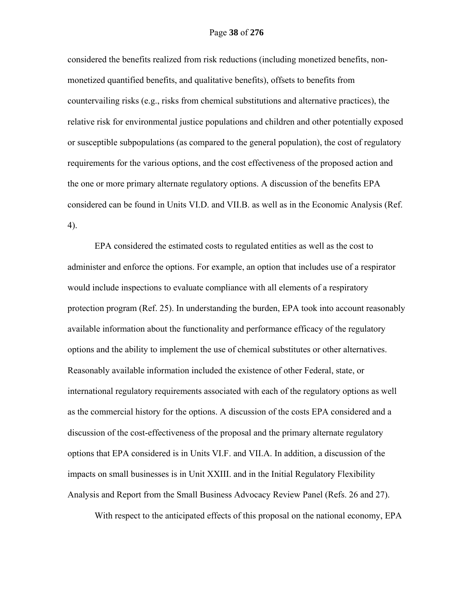considered the benefits realized from risk reductions (including monetized benefits, nonmonetized quantified benefits, and qualitative benefits), offsets to benefits from countervailing risks (e.g., risks from chemical substitutions and alternative practices), the relative risk for environmental justice populations and children and other potentially exposed or susceptible subpopulations (as compared to the general population), the cost of regulatory requirements for the various options, and the cost effectiveness of the proposed action and the one or more primary alternate regulatory options. A discussion of the benefits EPA considered can be found in Units VI.D. and VII.B. as well as in the Economic Analysis (Ref. 4).

EPA considered the estimated costs to regulated entities as well as the cost to administer and enforce the options. For example, an option that includes use of a respirator would include inspections to evaluate compliance with all elements of a respiratory protection program (Ref. 25). In understanding the burden, EPA took into account reasonably available information about the functionality and performance efficacy of the regulatory options and the ability to implement the use of chemical substitutes or other alternatives. Reasonably available information included the existence of other Federal, state, or international regulatory requirements associated with each of the regulatory options as well as the commercial history for the options. A discussion of the costs EPA considered and a discussion of the cost-effectiveness of the proposal and the primary alternate regulatory options that EPA considered is in Units VI.F. and VII.A. In addition, a discussion of the impacts on small businesses is in Unit XXIII. and in the Initial Regulatory Flexibility Analysis and Report from the Small Business Advocacy Review Panel (Refs. 26 and 27).

With respect to the anticipated effects of this proposal on the national economy, EPA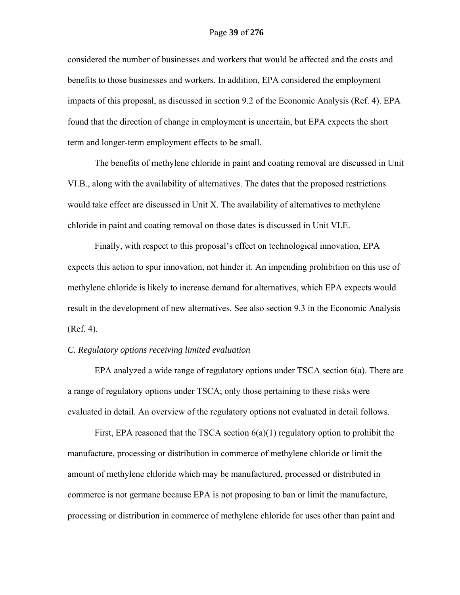considered the number of businesses and workers that would be affected and the costs and benefits to those businesses and workers. In addition, EPA considered the employment impacts of this proposal, as discussed in section 9.2 of the Economic Analysis (Ref. 4). EPA found that the direction of change in employment is uncertain, but EPA expects the short term and longer-term employment effects to be small.

The benefits of methylene chloride in paint and coating removal are discussed in Unit VI.B., along with the availability of alternatives. The dates that the proposed restrictions would take effect are discussed in Unit X. The availability of alternatives to methylene chloride in paint and coating removal on those dates is discussed in Unit VI.E.

Finally, with respect to this proposal's effect on technological innovation, EPA expects this action to spur innovation, not hinder it. An impending prohibition on this use of methylene chloride is likely to increase demand for alternatives, which EPA expects would result in the development of new alternatives. See also section 9.3 in the Economic Analysis (Ref. 4).

#### *C. Regulatory options receiving limited evaluation*

EPA analyzed a wide range of regulatory options under TSCA section 6(a). There are a range of regulatory options under TSCA; only those pertaining to these risks were evaluated in detail. An overview of the regulatory options not evaluated in detail follows.

First, EPA reasoned that the TSCA section  $6(a)(1)$  regulatory option to prohibit the manufacture, processing or distribution in commerce of methylene chloride or limit the amount of methylene chloride which may be manufactured, processed or distributed in commerce is not germane because EPA is not proposing to ban or limit the manufacture, processing or distribution in commerce of methylene chloride for uses other than paint and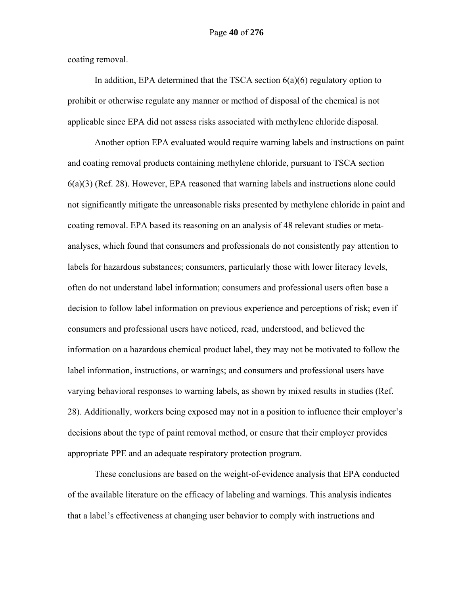coating removal.

In addition, EPA determined that the TSCA section  $6(a)(6)$  regulatory option to prohibit or otherwise regulate any manner or method of disposal of the chemical is not applicable since EPA did not assess risks associated with methylene chloride disposal.

Another option EPA evaluated would require warning labels and instructions on paint and coating removal products containing methylene chloride, pursuant to TSCA section 6(a)(3) (Ref. 28). However, EPA reasoned that warning labels and instructions alone could not significantly mitigate the unreasonable risks presented by methylene chloride in paint and coating removal. EPA based its reasoning on an analysis of 48 relevant studies or metaanalyses, which found that consumers and professionals do not consistently pay attention to labels for hazardous substances; consumers, particularly those with lower literacy levels, often do not understand label information; consumers and professional users often base a decision to follow label information on previous experience and perceptions of risk; even if consumers and professional users have noticed, read, understood, and believed the information on a hazardous chemical product label, they may not be motivated to follow the label information, instructions, or warnings; and consumers and professional users have varying behavioral responses to warning labels, as shown by mixed results in studies (Ref. 28). Additionally, workers being exposed may not in a position to influence their employer's decisions about the type of paint removal method, or ensure that their employer provides appropriate PPE and an adequate respiratory protection program.

These conclusions are based on the weight-of-evidence analysis that EPA conducted of the available literature on the efficacy of labeling and warnings. This analysis indicates that a label's effectiveness at changing user behavior to comply with instructions and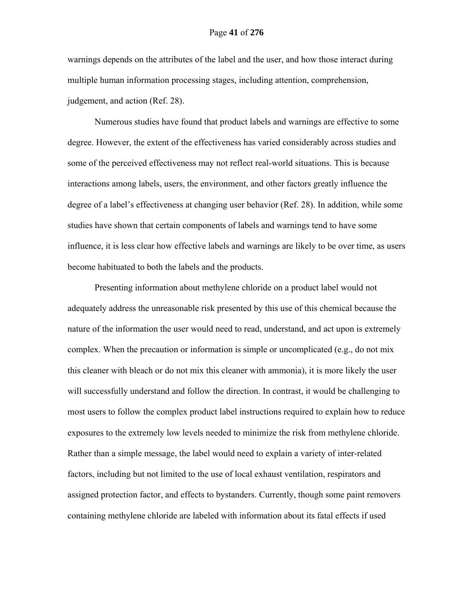warnings depends on the attributes of the label and the user, and how those interact during multiple human information processing stages, including attention, comprehension, judgement, and action (Ref. 28).

Numerous studies have found that product labels and warnings are effective to some degree. However, the extent of the effectiveness has varied considerably across studies and some of the perceived effectiveness may not reflect real-world situations. This is because interactions among labels, users, the environment, and other factors greatly influence the degree of a label's effectiveness at changing user behavior (Ref. 28). In addition, while some studies have shown that certain components of labels and warnings tend to have some influence, it is less clear how effective labels and warnings are likely to be over time, as users become habituated to both the labels and the products.

Presenting information about methylene chloride on a product label would not adequately address the unreasonable risk presented by this use of this chemical because the nature of the information the user would need to read, understand, and act upon is extremely complex. When the precaution or information is simple or uncomplicated (e.g., do not mix this cleaner with bleach or do not mix this cleaner with ammonia), it is more likely the user will successfully understand and follow the direction. In contrast, it would be challenging to most users to follow the complex product label instructions required to explain how to reduce exposures to the extremely low levels needed to minimize the risk from methylene chloride. Rather than a simple message, the label would need to explain a variety of inter-related factors, including but not limited to the use of local exhaust ventilation, respirators and assigned protection factor, and effects to bystanders. Currently, though some paint removers containing methylene chloride are labeled with information about its fatal effects if used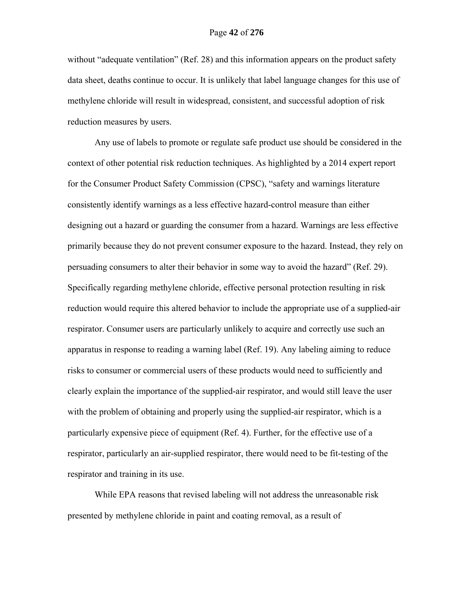without "adequate ventilation" (Ref. 28) and this information appears on the product safety data sheet, deaths continue to occur. It is unlikely that label language changes for this use of methylene chloride will result in widespread, consistent, and successful adoption of risk reduction measures by users.

Any use of labels to promote or regulate safe product use should be considered in the context of other potential risk reduction techniques. As highlighted by a 2014 expert report for the Consumer Product Safety Commission (CPSC), "safety and warnings literature consistently identify warnings as a less effective hazard-control measure than either designing out a hazard or guarding the consumer from a hazard. Warnings are less effective primarily because they do not prevent consumer exposure to the hazard. Instead, they rely on persuading consumers to alter their behavior in some way to avoid the hazard" (Ref. 29). Specifically regarding methylene chloride, effective personal protection resulting in risk reduction would require this altered behavior to include the appropriate use of a supplied-air respirator. Consumer users are particularly unlikely to acquire and correctly use such an apparatus in response to reading a warning label (Ref. 19). Any labeling aiming to reduce risks to consumer or commercial users of these products would need to sufficiently and clearly explain the importance of the supplied-air respirator, and would still leave the user with the problem of obtaining and properly using the supplied-air respirator, which is a particularly expensive piece of equipment (Ref. 4). Further, for the effective use of a respirator, particularly an air-supplied respirator, there would need to be fit-testing of the respirator and training in its use.

While EPA reasons that revised labeling will not address the unreasonable risk presented by methylene chloride in paint and coating removal, as a result of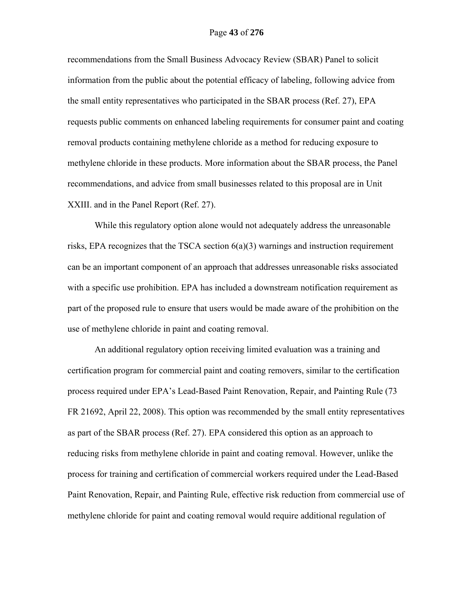recommendations from the Small Business Advocacy Review (SBAR) Panel to solicit information from the public about the potential efficacy of labeling, following advice from the small entity representatives who participated in the SBAR process (Ref. 27), EPA requests public comments on enhanced labeling requirements for consumer paint and coating removal products containing methylene chloride as a method for reducing exposure to methylene chloride in these products. More information about the SBAR process, the Panel recommendations, and advice from small businesses related to this proposal are in Unit XXIII. and in the Panel Report (Ref. 27).

While this regulatory option alone would not adequately address the unreasonable risks, EPA recognizes that the TSCA section  $6(a)(3)$  warnings and instruction requirement can be an important component of an approach that addresses unreasonable risks associated with a specific use prohibition. EPA has included a downstream notification requirement as part of the proposed rule to ensure that users would be made aware of the prohibition on the use of methylene chloride in paint and coating removal.

An additional regulatory option receiving limited evaluation was a training and certification program for commercial paint and coating removers, similar to the certification process required under EPA's Lead-Based Paint Renovation, Repair, and Painting Rule (73 FR 21692, April 22, 2008). This option was recommended by the small entity representatives as part of the SBAR process (Ref. 27). EPA considered this option as an approach to reducing risks from methylene chloride in paint and coating removal. However, unlike the process for training and certification of commercial workers required under the Lead-Based Paint Renovation, Repair, and Painting Rule, effective risk reduction from commercial use of methylene chloride for paint and coating removal would require additional regulation of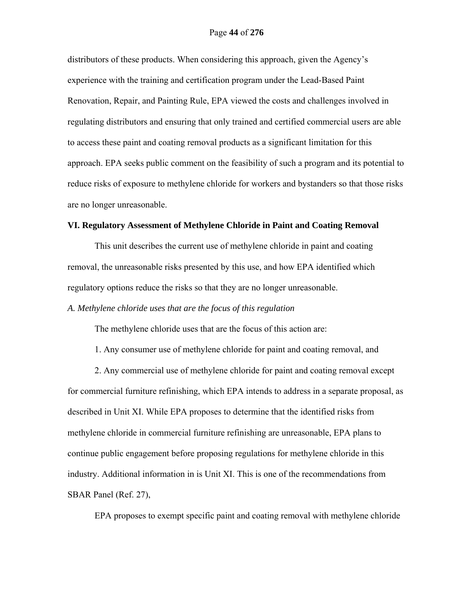# Page **44** of **276**

distributors of these products. When considering this approach, given the Agency's experience with the training and certification program under the Lead-Based Paint Renovation, Repair, and Painting Rule, EPA viewed the costs and challenges involved in regulating distributors and ensuring that only trained and certified commercial users are able to access these paint and coating removal products as a significant limitation for this approach. EPA seeks public comment on the feasibility of such a program and its potential to reduce risks of exposure to methylene chloride for workers and bystanders so that those risks are no longer unreasonable.

### **VI. Regulatory Assessment of Methylene Chloride in Paint and Coating Removal**

This unit describes the current use of methylene chloride in paint and coating removal, the unreasonable risks presented by this use, and how EPA identified which regulatory options reduce the risks so that they are no longer unreasonable.

*A. Methylene chloride uses that are the focus of this regulation* 

The methylene chloride uses that are the focus of this action are:

1. Any consumer use of methylene chloride for paint and coating removal, and

2. Any commercial use of methylene chloride for paint and coating removal except for commercial furniture refinishing, which EPA intends to address in a separate proposal, as described in Unit XI. While EPA proposes to determine that the identified risks from methylene chloride in commercial furniture refinishing are unreasonable, EPA plans to continue public engagement before proposing regulations for methylene chloride in this industry. Additional information in is Unit XI. This is one of the recommendations from SBAR Panel (Ref. 27),

EPA proposes to exempt specific paint and coating removal with methylene chloride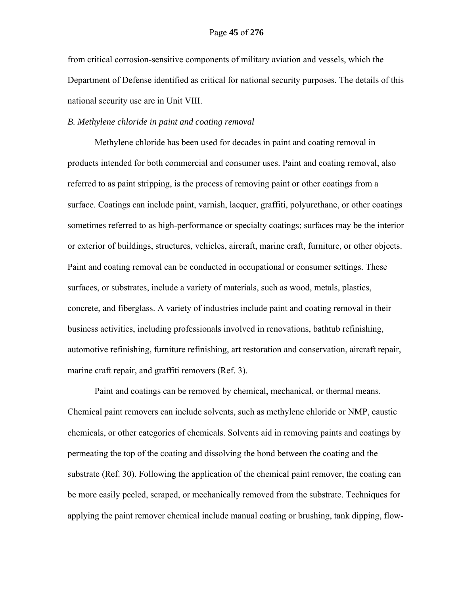from critical corrosion-sensitive components of military aviation and vessels, which the Department of Defense identified as critical for national security purposes. The details of this national security use are in Unit VIII.

# *B. Methylene chloride in paint and coating removal*

Methylene chloride has been used for decades in paint and coating removal in products intended for both commercial and consumer uses. Paint and coating removal, also referred to as paint stripping, is the process of removing paint or other coatings from a surface. Coatings can include paint, varnish, lacquer, graffiti, polyurethane, or other coatings sometimes referred to as high-performance or specialty coatings; surfaces may be the interior or exterior of buildings, structures, vehicles, aircraft, marine craft, furniture, or other objects. Paint and coating removal can be conducted in occupational or consumer settings. These surfaces, or substrates, include a variety of materials, such as wood, metals, plastics, concrete, and fiberglass. A variety of industries include paint and coating removal in their business activities, including professionals involved in renovations, bathtub refinishing, automotive refinishing, furniture refinishing, art restoration and conservation, aircraft repair, marine craft repair, and graffiti removers (Ref. 3).

Paint and coatings can be removed by chemical, mechanical, or thermal means. Chemical paint removers can include solvents, such as methylene chloride or NMP, caustic chemicals, or other categories of chemicals. Solvents aid in removing paints and coatings by permeating the top of the coating and dissolving the bond between the coating and the substrate (Ref. 30). Following the application of the chemical paint remover, the coating can be more easily peeled, scraped, or mechanically removed from the substrate. Techniques for applying the paint remover chemical include manual coating or brushing, tank dipping, flow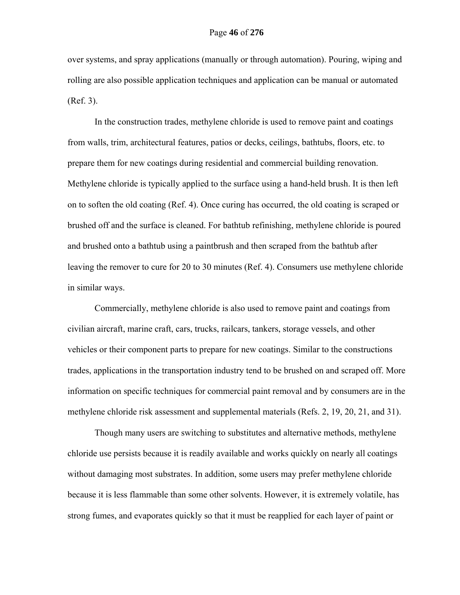over systems, and spray applications (manually or through automation). Pouring, wiping and rolling are also possible application techniques and application can be manual or automated (Ref. 3).

In the construction trades, methylene chloride is used to remove paint and coatings from walls, trim, architectural features, patios or decks, ceilings, bathtubs, floors, etc. to prepare them for new coatings during residential and commercial building renovation. Methylene chloride is typically applied to the surface using a hand-held brush. It is then left on to soften the old coating (Ref. 4). Once curing has occurred, the old coating is scraped or brushed off and the surface is cleaned. For bathtub refinishing, methylene chloride is poured and brushed onto a bathtub using a paintbrush and then scraped from the bathtub after leaving the remover to cure for 20 to 30 minutes (Ref. 4). Consumers use methylene chloride in similar ways.

Commercially, methylene chloride is also used to remove paint and coatings from civilian aircraft, marine craft, cars, trucks, railcars, tankers, storage vessels, and other vehicles or their component parts to prepare for new coatings. Similar to the constructions trades, applications in the transportation industry tend to be brushed on and scraped off. More information on specific techniques for commercial paint removal and by consumers are in the methylene chloride risk assessment and supplemental materials (Refs. 2, 19, 20, 21, and 31).

Though many users are switching to substitutes and alternative methods, methylene chloride use persists because it is readily available and works quickly on nearly all coatings without damaging most substrates. In addition, some users may prefer methylene chloride because it is less flammable than some other solvents. However, it is extremely volatile, has strong fumes, and evaporates quickly so that it must be reapplied for each layer of paint or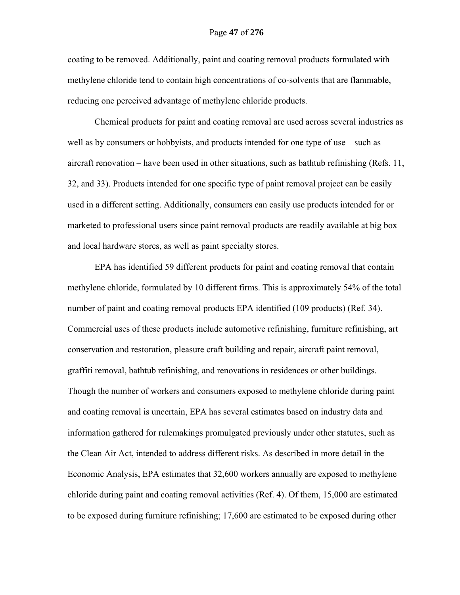coating to be removed. Additionally, paint and coating removal products formulated with methylene chloride tend to contain high concentrations of co-solvents that are flammable, reducing one perceived advantage of methylene chloride products.

Chemical products for paint and coating removal are used across several industries as well as by consumers or hobbyists, and products intended for one type of use – such as aircraft renovation – have been used in other situations, such as bathtub refinishing (Refs. 11, 32, and 33). Products intended for one specific type of paint removal project can be easily used in a different setting. Additionally, consumers can easily use products intended for or marketed to professional users since paint removal products are readily available at big box and local hardware stores, as well as paint specialty stores.

EPA has identified 59 different products for paint and coating removal that contain methylene chloride, formulated by 10 different firms. This is approximately 54% of the total number of paint and coating removal products EPA identified (109 products) (Ref. 34). Commercial uses of these products include automotive refinishing, furniture refinishing, art conservation and restoration, pleasure craft building and repair, aircraft paint removal, graffiti removal, bathtub refinishing, and renovations in residences or other buildings. Though the number of workers and consumers exposed to methylene chloride during paint and coating removal is uncertain, EPA has several estimates based on industry data and information gathered for rulemakings promulgated previously under other statutes, such as the Clean Air Act, intended to address different risks. As described in more detail in the Economic Analysis, EPA estimates that 32,600 workers annually are exposed to methylene chloride during paint and coating removal activities (Ref. 4). Of them, 15,000 are estimated to be exposed during furniture refinishing; 17,600 are estimated to be exposed during other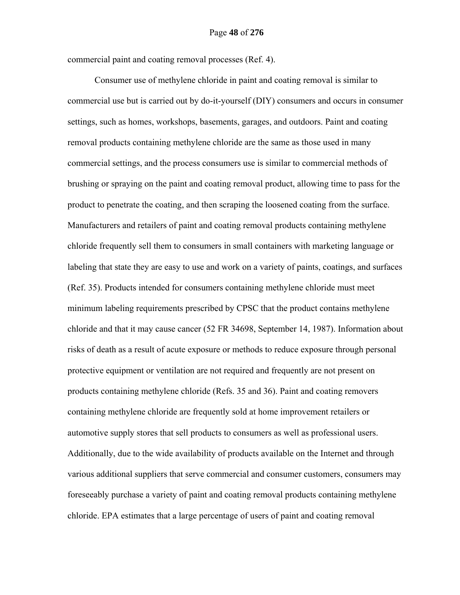commercial paint and coating removal processes (Ref. 4).

Consumer use of methylene chloride in paint and coating removal is similar to commercial use but is carried out by do-it-yourself (DIY) consumers and occurs in consumer settings, such as homes, workshops, basements, garages, and outdoors. Paint and coating removal products containing methylene chloride are the same as those used in many commercial settings, and the process consumers use is similar to commercial methods of brushing or spraying on the paint and coating removal product, allowing time to pass for the product to penetrate the coating, and then scraping the loosened coating from the surface. Manufacturers and retailers of paint and coating removal products containing methylene chloride frequently sell them to consumers in small containers with marketing language or labeling that state they are easy to use and work on a variety of paints, coatings, and surfaces (Ref. 35). Products intended for consumers containing methylene chloride must meet minimum labeling requirements prescribed by CPSC that the product contains methylene chloride and that it may cause cancer (52 FR 34698, September 14, 1987). Information about risks of death as a result of acute exposure or methods to reduce exposure through personal protective equipment or ventilation are not required and frequently are not present on products containing methylene chloride (Refs. 35 and 36). Paint and coating removers containing methylene chloride are frequently sold at home improvement retailers or automotive supply stores that sell products to consumers as well as professional users. Additionally, due to the wide availability of products available on the Internet and through various additional suppliers that serve commercial and consumer customers, consumers may foreseeably purchase a variety of paint and coating removal products containing methylene chloride. EPA estimates that a large percentage of users of paint and coating removal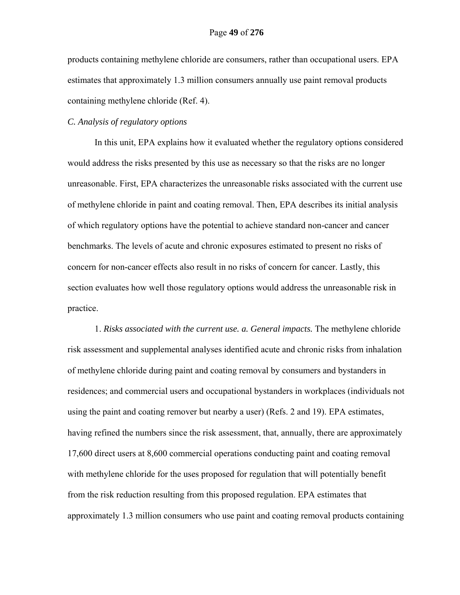products containing methylene chloride are consumers, rather than occupational users. EPA estimates that approximately 1.3 million consumers annually use paint removal products containing methylene chloride (Ref. 4).

# *C. Analysis of regulatory options*

In this unit, EPA explains how it evaluated whether the regulatory options considered would address the risks presented by this use as necessary so that the risks are no longer unreasonable. First, EPA characterizes the unreasonable risks associated with the current use of methylene chloride in paint and coating removal. Then, EPA describes its initial analysis of which regulatory options have the potential to achieve standard non-cancer and cancer benchmarks. The levels of acute and chronic exposures estimated to present no risks of concern for non-cancer effects also result in no risks of concern for cancer. Lastly, this section evaluates how well those regulatory options would address the unreasonable risk in practice.

1. *Risks associated with the current use. a. General impacts.* The methylene chloride risk assessment and supplemental analyses identified acute and chronic risks from inhalation of methylene chloride during paint and coating removal by consumers and bystanders in residences; and commercial users and occupational bystanders in workplaces (individuals not using the paint and coating remover but nearby a user) (Refs. 2 and 19). EPA estimates, having refined the numbers since the risk assessment, that, annually, there are approximately 17,600 direct users at 8,600 commercial operations conducting paint and coating removal with methylene chloride for the uses proposed for regulation that will potentially benefit from the risk reduction resulting from this proposed regulation. EPA estimates that approximately 1.3 million consumers who use paint and coating removal products containing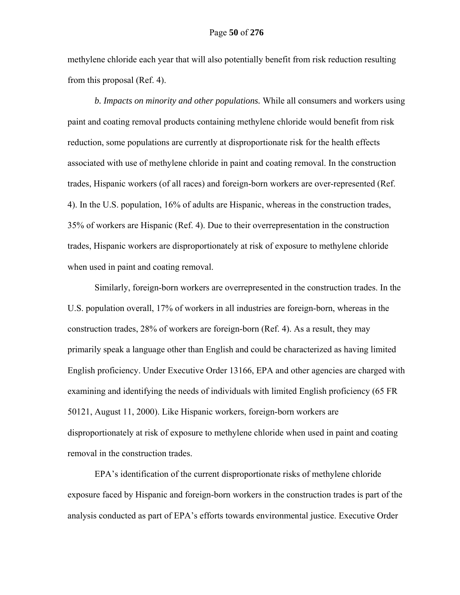methylene chloride each year that will also potentially benefit from risk reduction resulting from this proposal (Ref. 4).

*b. Impacts on minority and other populations.* While all consumers and workers using paint and coating removal products containing methylene chloride would benefit from risk reduction, some populations are currently at disproportionate risk for the health effects associated with use of methylene chloride in paint and coating removal. In the construction trades, Hispanic workers (of all races) and foreign-born workers are over-represented (Ref. 4). In the U.S. population, 16% of adults are Hispanic, whereas in the construction trades, 35% of workers are Hispanic (Ref. 4). Due to their overrepresentation in the construction trades, Hispanic workers are disproportionately at risk of exposure to methylene chloride when used in paint and coating removal.

Similarly, foreign-born workers are overrepresented in the construction trades. In the U.S. population overall, 17% of workers in all industries are foreign-born, whereas in the construction trades, 28% of workers are foreign-born (Ref. 4). As a result, they may primarily speak a language other than English and could be characterized as having limited English proficiency. Under Executive Order 13166, EPA and other agencies are charged with examining and identifying the needs of individuals with limited English proficiency (65 FR 50121, August 11, 2000). Like Hispanic workers, foreign-born workers are disproportionately at risk of exposure to methylene chloride when used in paint and coating removal in the construction trades.

EPA's identification of the current disproportionate risks of methylene chloride exposure faced by Hispanic and foreign-born workers in the construction trades is part of the analysis conducted as part of EPA's efforts towards environmental justice. Executive Order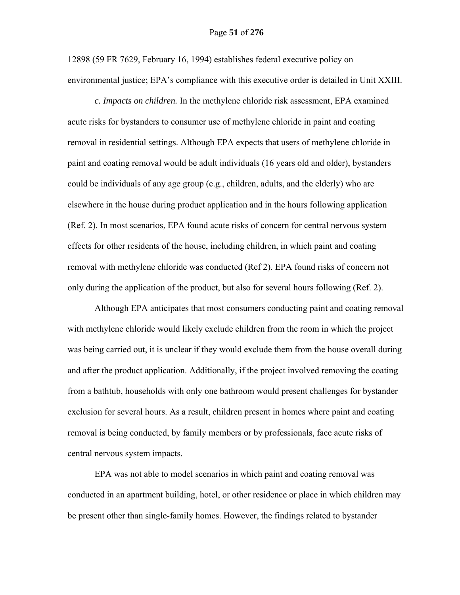### Page **51** of **276**

12898 (59 FR 7629, February 16, 1994) establishes federal executive policy on environmental justice; EPA's compliance with this executive order is detailed in Unit XXIII.

 *c. Impacts on children.* In the methylene chloride risk assessment, EPA examined acute risks for bystanders to consumer use of methylene chloride in paint and coating removal in residential settings. Although EPA expects that users of methylene chloride in paint and coating removal would be adult individuals (16 years old and older), bystanders could be individuals of any age group (e.g., children, adults, and the elderly) who are elsewhere in the house during product application and in the hours following application (Ref. 2). In most scenarios, EPA found acute risks of concern for central nervous system effects for other residents of the house, including children, in which paint and coating removal with methylene chloride was conducted (Ref 2). EPA found risks of concern not only during the application of the product, but also for several hours following (Ref. 2).

Although EPA anticipates that most consumers conducting paint and coating removal with methylene chloride would likely exclude children from the room in which the project was being carried out, it is unclear if they would exclude them from the house overall during and after the product application. Additionally, if the project involved removing the coating from a bathtub, households with only one bathroom would present challenges for bystander exclusion for several hours. As a result, children present in homes where paint and coating removal is being conducted, by family members or by professionals, face acute risks of central nervous system impacts.

EPA was not able to model scenarios in which paint and coating removal was conducted in an apartment building, hotel, or other residence or place in which children may be present other than single-family homes. However, the findings related to bystander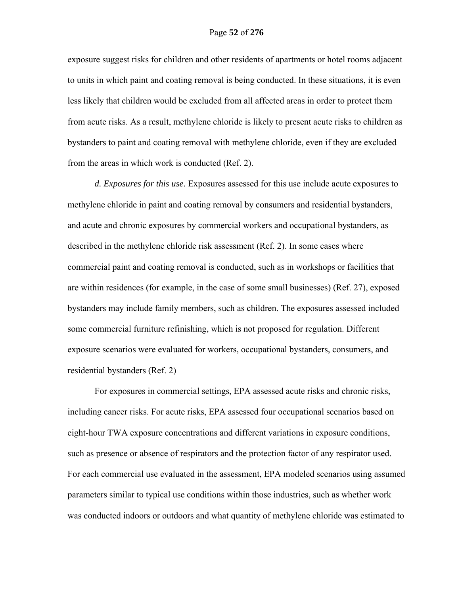exposure suggest risks for children and other residents of apartments or hotel rooms adjacent to units in which paint and coating removal is being conducted. In these situations, it is even less likely that children would be excluded from all affected areas in order to protect them from acute risks. As a result, methylene chloride is likely to present acute risks to children as bystanders to paint and coating removal with methylene chloride, even if they are excluded from the areas in which work is conducted (Ref. 2).

*d. Exposures for this use.* Exposures assessed for this use include acute exposures to methylene chloride in paint and coating removal by consumers and residential bystanders, and acute and chronic exposures by commercial workers and occupational bystanders, as described in the methylene chloride risk assessment (Ref. 2). In some cases where commercial paint and coating removal is conducted, such as in workshops or facilities that are within residences (for example, in the case of some small businesses) (Ref. 27), exposed bystanders may include family members, such as children. The exposures assessed included some commercial furniture refinishing, which is not proposed for regulation. Different exposure scenarios were evaluated for workers, occupational bystanders, consumers, and residential bystanders (Ref. 2)

For exposures in commercial settings, EPA assessed acute risks and chronic risks, including cancer risks. For acute risks, EPA assessed four occupational scenarios based on eight-hour TWA exposure concentrations and different variations in exposure conditions, such as presence or absence of respirators and the protection factor of any respirator used. For each commercial use evaluated in the assessment, EPA modeled scenarios using assumed parameters similar to typical use conditions within those industries, such as whether work was conducted indoors or outdoors and what quantity of methylene chloride was estimated to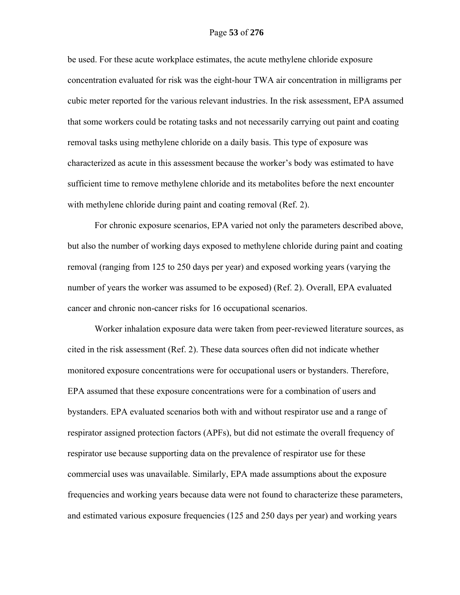# Page **53** of **276**

be used. For these acute workplace estimates, the acute methylene chloride exposure concentration evaluated for risk was the eight-hour TWA air concentration in milligrams per cubic meter reported for the various relevant industries. In the risk assessment, EPA assumed that some workers could be rotating tasks and not necessarily carrying out paint and coating removal tasks using methylene chloride on a daily basis. This type of exposure was characterized as acute in this assessment because the worker's body was estimated to have sufficient time to remove methylene chloride and its metabolites before the next encounter with methylene chloride during paint and coating removal (Ref. 2).

For chronic exposure scenarios, EPA varied not only the parameters described above, but also the number of working days exposed to methylene chloride during paint and coating removal (ranging from 125 to 250 days per year) and exposed working years (varying the number of years the worker was assumed to be exposed) (Ref. 2). Overall, EPA evaluated cancer and chronic non-cancer risks for 16 occupational scenarios.

Worker inhalation exposure data were taken from peer-reviewed literature sources, as cited in the risk assessment (Ref. 2). These data sources often did not indicate whether monitored exposure concentrations were for occupational users or bystanders. Therefore, EPA assumed that these exposure concentrations were for a combination of users and bystanders. EPA evaluated scenarios both with and without respirator use and a range of respirator assigned protection factors (APFs), but did not estimate the overall frequency of respirator use because supporting data on the prevalence of respirator use for these commercial uses was unavailable. Similarly, EPA made assumptions about the exposure frequencies and working years because data were not found to characterize these parameters, and estimated various exposure frequencies (125 and 250 days per year) and working years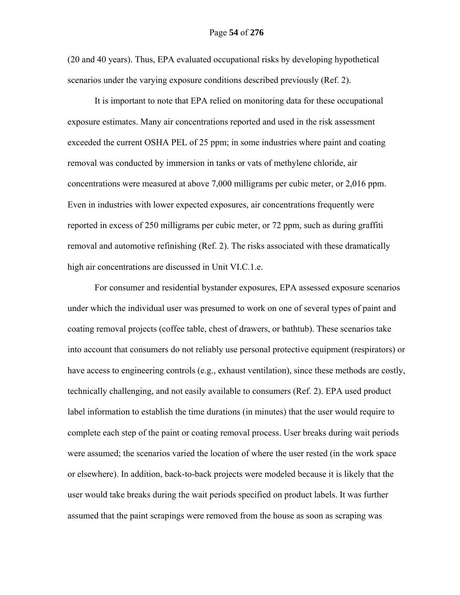# Page **54** of **276**

(20 and 40 years). Thus, EPA evaluated occupational risks by developing hypothetical scenarios under the varying exposure conditions described previously (Ref. 2).

It is important to note that EPA relied on monitoring data for these occupational exposure estimates. Many air concentrations reported and used in the risk assessment exceeded the current OSHA PEL of 25 ppm; in some industries where paint and coating removal was conducted by immersion in tanks or vats of methylene chloride, air concentrations were measured at above 7,000 milligrams per cubic meter, or 2,016 ppm. Even in industries with lower expected exposures, air concentrations frequently were reported in excess of 250 milligrams per cubic meter, or 72 ppm, such as during graffiti removal and automotive refinishing (Ref. 2). The risks associated with these dramatically high air concentrations are discussed in Unit VI.C.1.e.

For consumer and residential bystander exposures, EPA assessed exposure scenarios under which the individual user was presumed to work on one of several types of paint and coating removal projects (coffee table, chest of drawers, or bathtub). These scenarios take into account that consumers do not reliably use personal protective equipment (respirators) or have access to engineering controls (e.g., exhaust ventilation), since these methods are costly, technically challenging, and not easily available to consumers (Ref. 2). EPA used product label information to establish the time durations (in minutes) that the user would require to complete each step of the paint or coating removal process. User breaks during wait periods were assumed; the scenarios varied the location of where the user rested (in the work space or elsewhere). In addition, back-to-back projects were modeled because it is likely that the user would take breaks during the wait periods specified on product labels. It was further assumed that the paint scrapings were removed from the house as soon as scraping was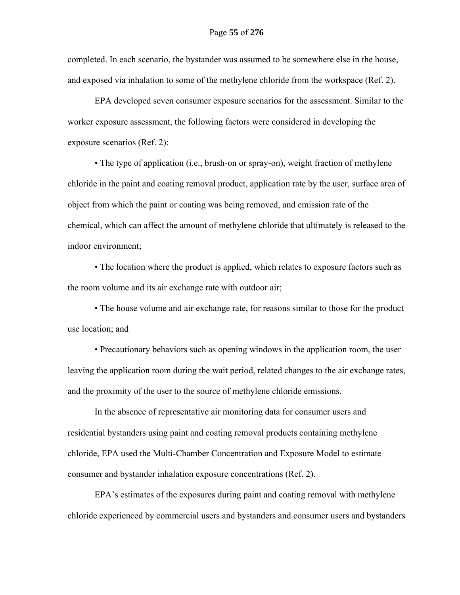completed. In each scenario, the bystander was assumed to be somewhere else in the house, and exposed via inhalation to some of the methylene chloride from the workspace (Ref. 2).

EPA developed seven consumer exposure scenarios for the assessment. Similar to the worker exposure assessment, the following factors were considered in developing the exposure scenarios (Ref. 2):

 • The type of application (i.e., brush-on or spray-on), weight fraction of methylene chloride in the paint and coating removal product, application rate by the user, surface area of object from which the paint or coating was being removed, and emission rate of the chemical, which can affect the amount of methylene chloride that ultimately is released to the indoor environment;

 • The location where the product is applied, which relates to exposure factors such as the room volume and its air exchange rate with outdoor air;

 • The house volume and air exchange rate, for reasons similar to those for the product use location; and

 • Precautionary behaviors such as opening windows in the application room, the user leaving the application room during the wait period, related changes to the air exchange rates, and the proximity of the user to the source of methylene chloride emissions.

In the absence of representative air monitoring data for consumer users and residential bystanders using paint and coating removal products containing methylene chloride, EPA used the Multi-Chamber Concentration and Exposure Model to estimate consumer and bystander inhalation exposure concentrations (Ref. 2).

EPA's estimates of the exposures during paint and coating removal with methylene chloride experienced by commercial users and bystanders and consumer users and bystanders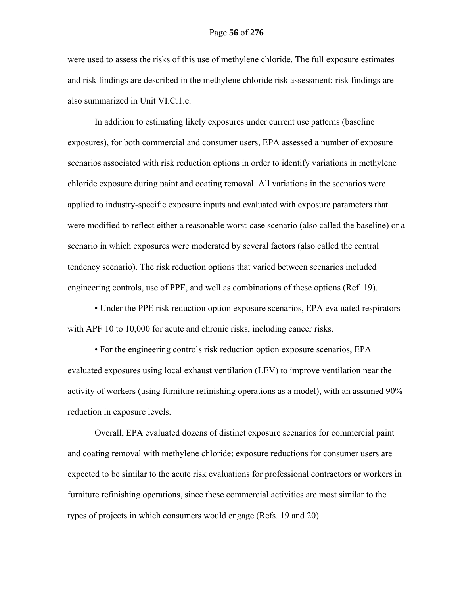were used to assess the risks of this use of methylene chloride. The full exposure estimates and risk findings are described in the methylene chloride risk assessment; risk findings are also summarized in Unit VI.C.1.e.

In addition to estimating likely exposures under current use patterns (baseline exposures), for both commercial and consumer users, EPA assessed a number of exposure scenarios associated with risk reduction options in order to identify variations in methylene chloride exposure during paint and coating removal. All variations in the scenarios were applied to industry-specific exposure inputs and evaluated with exposure parameters that were modified to reflect either a reasonable worst-case scenario (also called the baseline) or a scenario in which exposures were moderated by several factors (also called the central tendency scenario). The risk reduction options that varied between scenarios included engineering controls, use of PPE, and well as combinations of these options (Ref. 19).

 • Under the PPE risk reduction option exposure scenarios, EPA evaluated respirators with APF 10 to 10,000 for acute and chronic risks, including cancer risks.

 • For the engineering controls risk reduction option exposure scenarios, EPA evaluated exposures using local exhaust ventilation (LEV) to improve ventilation near the activity of workers (using furniture refinishing operations as a model), with an assumed 90% reduction in exposure levels.

Overall, EPA evaluated dozens of distinct exposure scenarios for commercial paint and coating removal with methylene chloride; exposure reductions for consumer users are expected to be similar to the acute risk evaluations for professional contractors or workers in furniture refinishing operations, since these commercial activities are most similar to the types of projects in which consumers would engage (Refs. 19 and 20).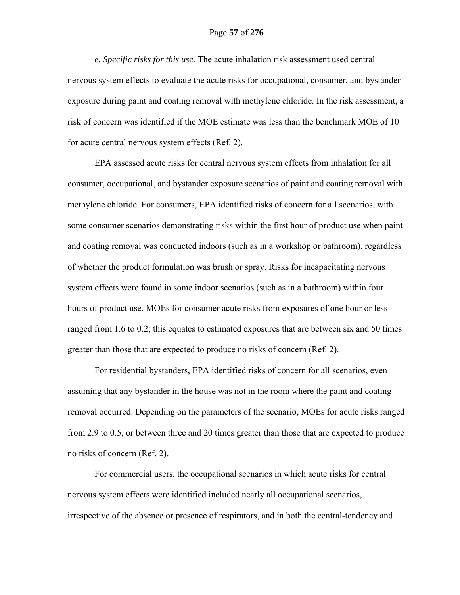# Page **57** of **276**

*e. Specific risks for this use.* The acute inhalation risk assessment used central nervous system effects to evaluate the acute risks for occupational, consumer, and bystander exposure during paint and coating removal with methylene chloride. In the risk assessment, a risk of concern was identified if the MOE estimate was less than the benchmark MOE of 10 for acute central nervous system effects (Ref. 2).

EPA assessed acute risks for central nervous system effects from inhalation for all consumer, occupational, and bystander exposure scenarios of paint and coating removal with methylene chloride. For consumers, EPA identified risks of concern for all scenarios, with some consumer scenarios demonstrating risks within the first hour of product use when paint and coating removal was conducted indoors (such as in a workshop or bathroom), regardless of whether the product formulation was brush or spray. Risks for incapacitating nervous system effects were found in some indoor scenarios (such as in a bathroom) within four hours of product use. MOEs for consumer acute risks from exposures of one hour or less ranged from 1.6 to 0.2; this equates to estimated exposures that are between six and 50 times greater than those that are expected to produce no risks of concern (Ref. 2).

For residential bystanders, EPA identified risks of concern for all scenarios, even assuming that any bystander in the house was not in the room where the paint and coating removal occurred. Depending on the parameters of the scenario, MOEs for acute risks ranged from 2.9 to 0.5, or between three and 20 times greater than those that are expected to produce no risks of concern (Ref. 2).

For commercial users, the occupational scenarios in which acute risks for central nervous system effects were identified included nearly all occupational scenarios, irrespective of the absence or presence of respirators, and in both the central-tendency and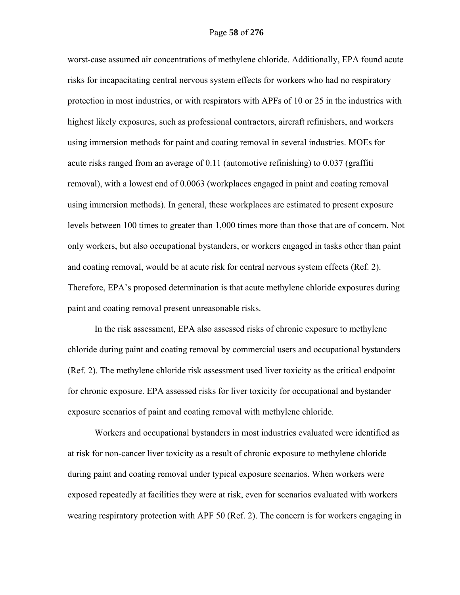worst-case assumed air concentrations of methylene chloride. Additionally, EPA found acute risks for incapacitating central nervous system effects for workers who had no respiratory protection in most industries, or with respirators with APFs of 10 or 25 in the industries with highest likely exposures, such as professional contractors, aircraft refinishers, and workers using immersion methods for paint and coating removal in several industries. MOEs for acute risks ranged from an average of 0.11 (automotive refinishing) to 0.037 (graffiti removal), with a lowest end of 0.0063 (workplaces engaged in paint and coating removal using immersion methods). In general, these workplaces are estimated to present exposure levels between 100 times to greater than 1,000 times more than those that are of concern. Not only workers, but also occupational bystanders, or workers engaged in tasks other than paint and coating removal, would be at acute risk for central nervous system effects (Ref. 2). Therefore, EPA's proposed determination is that acute methylene chloride exposures during paint and coating removal present unreasonable risks.

In the risk assessment, EPA also assessed risks of chronic exposure to methylene chloride during paint and coating removal by commercial users and occupational bystanders (Ref. 2). The methylene chloride risk assessment used liver toxicity as the critical endpoint for chronic exposure. EPA assessed risks for liver toxicity for occupational and bystander exposure scenarios of paint and coating removal with methylene chloride.

Workers and occupational bystanders in most industries evaluated were identified as at risk for non-cancer liver toxicity as a result of chronic exposure to methylene chloride during paint and coating removal under typical exposure scenarios. When workers were exposed repeatedly at facilities they were at risk, even for scenarios evaluated with workers wearing respiratory protection with APF 50 (Ref. 2). The concern is for workers engaging in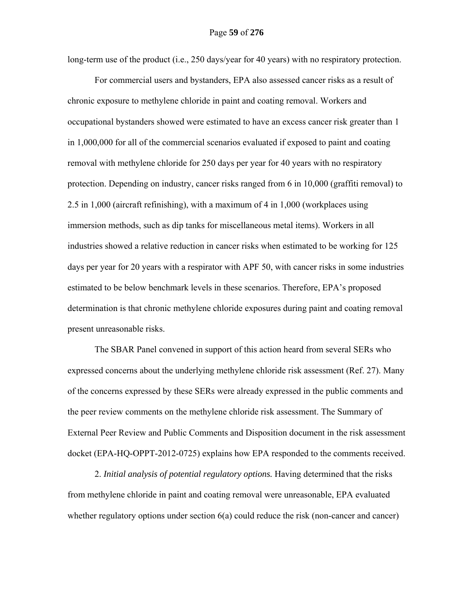long-term use of the product (i.e., 250 days/year for 40 years) with no respiratory protection.

For commercial users and bystanders, EPA also assessed cancer risks as a result of chronic exposure to methylene chloride in paint and coating removal. Workers and occupational bystanders showed were estimated to have an excess cancer risk greater than 1 in 1,000,000 for all of the commercial scenarios evaluated if exposed to paint and coating removal with methylene chloride for 250 days per year for 40 years with no respiratory protection. Depending on industry, cancer risks ranged from 6 in 10,000 (graffiti removal) to 2.5 in 1,000 (aircraft refinishing), with a maximum of 4 in 1,000 (workplaces using immersion methods, such as dip tanks for miscellaneous metal items). Workers in all industries showed a relative reduction in cancer risks when estimated to be working for 125 days per year for 20 years with a respirator with APF 50, with cancer risks in some industries estimated to be below benchmark levels in these scenarios. Therefore, EPA's proposed determination is that chronic methylene chloride exposures during paint and coating removal present unreasonable risks.

The SBAR Panel convened in support of this action heard from several SERs who expressed concerns about the underlying methylene chloride risk assessment (Ref. 27). Many of the concerns expressed by these SERs were already expressed in the public comments and the peer review comments on the methylene chloride risk assessment. The Summary of External Peer Review and Public Comments and Disposition document in the risk assessment docket (EPA-HQ-OPPT-2012-0725) explains how EPA responded to the comments received.

2. *Initial analysis of potential regulatory options.* Having determined that the risks from methylene chloride in paint and coating removal were unreasonable, EPA evaluated whether regulatory options under section 6(a) could reduce the risk (non-cancer and cancer)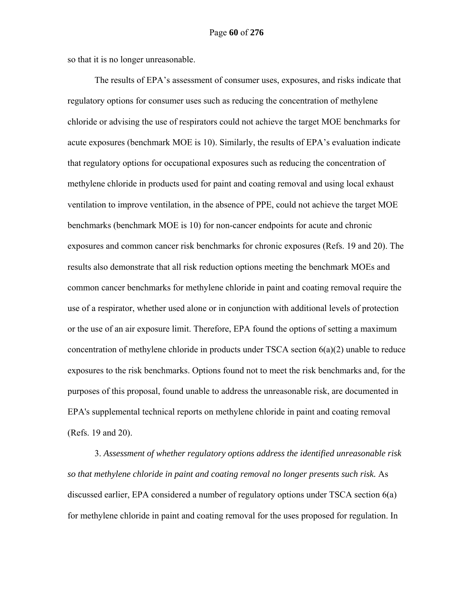so that it is no longer unreasonable.

The results of EPA's assessment of consumer uses, exposures, and risks indicate that regulatory options for consumer uses such as reducing the concentration of methylene chloride or advising the use of respirators could not achieve the target MOE benchmarks for acute exposures (benchmark MOE is 10). Similarly, the results of EPA's evaluation indicate that regulatory options for occupational exposures such as reducing the concentration of methylene chloride in products used for paint and coating removal and using local exhaust ventilation to improve ventilation, in the absence of PPE, could not achieve the target MOE benchmarks (benchmark MOE is 10) for non-cancer endpoints for acute and chronic exposures and common cancer risk benchmarks for chronic exposures (Refs. 19 and 20). The results also demonstrate that all risk reduction options meeting the benchmark MOEs and common cancer benchmarks for methylene chloride in paint and coating removal require the use of a respirator, whether used alone or in conjunction with additional levels of protection or the use of an air exposure limit. Therefore, EPA found the options of setting a maximum concentration of methylene chloride in products under TSCA section 6(a)(2) unable to reduce exposures to the risk benchmarks. Options found not to meet the risk benchmarks and, for the purposes of this proposal, found unable to address the unreasonable risk, are documented in EPA's supplemental technical reports on methylene chloride in paint and coating removal (Refs. 19 and 20).

3. *Assessment of whether regulatory options address the identified unreasonable risk so that methylene chloride in paint and coating removal no longer presents such risk.* As discussed earlier, EPA considered a number of regulatory options under TSCA section 6(a) for methylene chloride in paint and coating removal for the uses proposed for regulation. In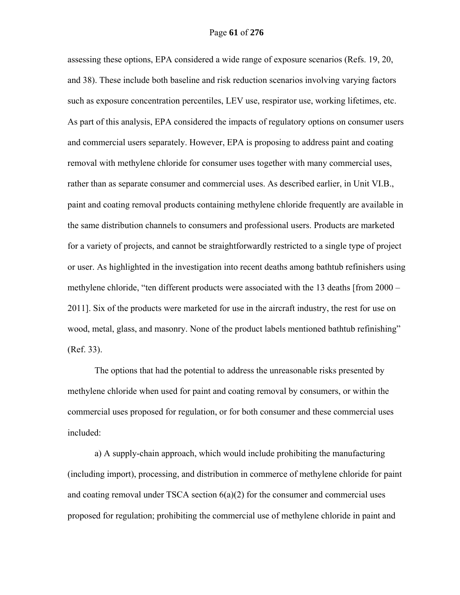assessing these options, EPA considered a wide range of exposure scenarios (Refs. 19, 20, and 38). These include both baseline and risk reduction scenarios involving varying factors such as exposure concentration percentiles, LEV use, respirator use, working lifetimes, etc. As part of this analysis, EPA considered the impacts of regulatory options on consumer users and commercial users separately. However, EPA is proposing to address paint and coating removal with methylene chloride for consumer uses together with many commercial uses, rather than as separate consumer and commercial uses. As described earlier, in Unit VI.B., paint and coating removal products containing methylene chloride frequently are available in the same distribution channels to consumers and professional users. Products are marketed for a variety of projects, and cannot be straightforwardly restricted to a single type of project or user. As highlighted in the investigation into recent deaths among bathtub refinishers using methylene chloride, "ten different products were associated with the 13 deaths [from 2000 – 2011]. Six of the products were marketed for use in the aircraft industry, the rest for use on wood, metal, glass, and masonry. None of the product labels mentioned bathtub refinishing" (Ref. 33).

The options that had the potential to address the unreasonable risks presented by methylene chloride when used for paint and coating removal by consumers, or within the commercial uses proposed for regulation, or for both consumer and these commercial uses included:

a) A supply-chain approach, which would include prohibiting the manufacturing (including import), processing, and distribution in commerce of methylene chloride for paint and coating removal under TSCA section  $6(a)(2)$  for the consumer and commercial uses proposed for regulation; prohibiting the commercial use of methylene chloride in paint and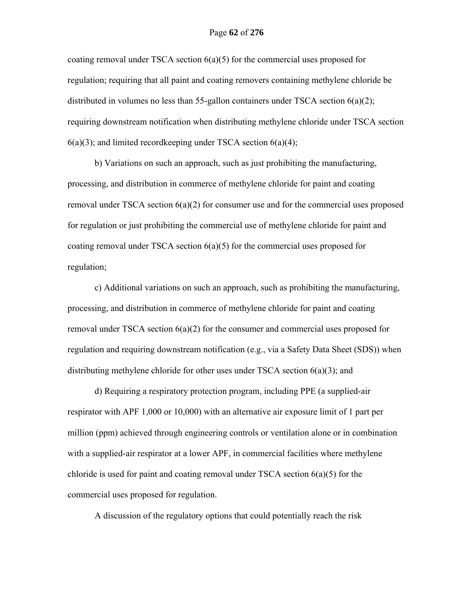## Page **62** of **276**

coating removal under TSCA section  $6(a)(5)$  for the commercial uses proposed for regulation; requiring that all paint and coating removers containing methylene chloride be distributed in volumes no less than 55-gallon containers under TSCA section  $6(a)(2)$ ; requiring downstream notification when distributing methylene chloride under TSCA section  $6(a)(3)$ ; and limited recordkeeping under TSCA section  $6(a)(4)$ ;

b) Variations on such an approach, such as just prohibiting the manufacturing, processing, and distribution in commerce of methylene chloride for paint and coating removal under TSCA section 6(a)(2) for consumer use and for the commercial uses proposed for regulation or just prohibiting the commercial use of methylene chloride for paint and coating removal under TSCA section  $6(a)(5)$  for the commercial uses proposed for regulation;

c) Additional variations on such an approach, such as prohibiting the manufacturing, processing, and distribution in commerce of methylene chloride for paint and coating removal under TSCA section  $6(a)(2)$  for the consumer and commercial uses proposed for regulation and requiring downstream notification (e.g., via a Safety Data Sheet (SDS)) when distributing methylene chloride for other uses under TSCA section  $6(a)(3)$ ; and

d) Requiring a respiratory protection program, including PPE (a supplied-air respirator with APF 1,000 or 10,000) with an alternative air exposure limit of 1 part per million (ppm) achieved through engineering controls or ventilation alone or in combination with a supplied-air respirator at a lower APF, in commercial facilities where methylene chloride is used for paint and coating removal under TSCA section  $6(a)(5)$  for the commercial uses proposed for regulation.

A discussion of the regulatory options that could potentially reach the risk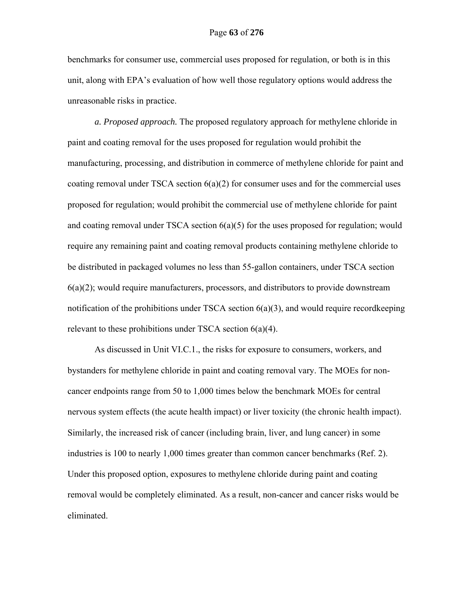benchmarks for consumer use, commercial uses proposed for regulation, or both is in this unit, along with EPA's evaluation of how well those regulatory options would address the unreasonable risks in practice.

*a. Proposed approach.* The proposed regulatory approach for methylene chloride in paint and coating removal for the uses proposed for regulation would prohibit the manufacturing, processing, and distribution in commerce of methylene chloride for paint and coating removal under TSCA section 6(a)(2) for consumer uses and for the commercial uses proposed for regulation; would prohibit the commercial use of methylene chloride for paint and coating removal under TSCA section 6(a)(5) for the uses proposed for regulation; would require any remaining paint and coating removal products containing methylene chloride to be distributed in packaged volumes no less than 55-gallon containers, under TSCA section  $6(a)(2)$ ; would require manufacturers, processors, and distributors to provide downstream notification of the prohibitions under TSCA section 6(a)(3), and would require recordkeeping relevant to these prohibitions under TSCA section 6(a)(4).

As discussed in Unit VI.C.1., the risks for exposure to consumers, workers, and bystanders for methylene chloride in paint and coating removal vary. The MOEs for noncancer endpoints range from 50 to 1,000 times below the benchmark MOEs for central nervous system effects (the acute health impact) or liver toxicity (the chronic health impact). Similarly, the increased risk of cancer (including brain, liver, and lung cancer) in some industries is 100 to nearly 1,000 times greater than common cancer benchmarks (Ref. 2). Under this proposed option, exposures to methylene chloride during paint and coating removal would be completely eliminated. As a result, non-cancer and cancer risks would be eliminated.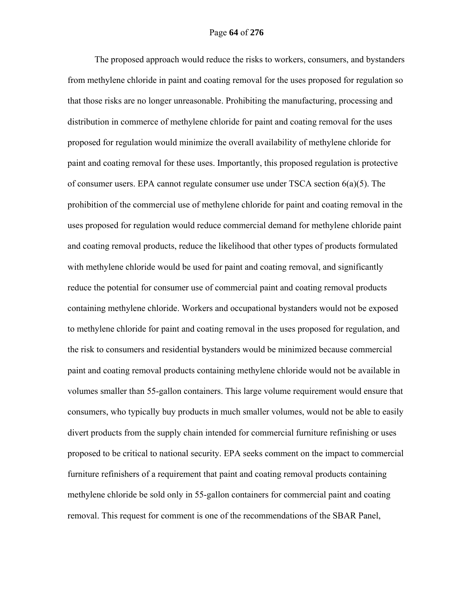The proposed approach would reduce the risks to workers, consumers, and bystanders from methylene chloride in paint and coating removal for the uses proposed for regulation so that those risks are no longer unreasonable. Prohibiting the manufacturing, processing and distribution in commerce of methylene chloride for paint and coating removal for the uses proposed for regulation would minimize the overall availability of methylene chloride for paint and coating removal for these uses. Importantly, this proposed regulation is protective of consumer users. EPA cannot regulate consumer use under TSCA section  $6(a)(5)$ . The prohibition of the commercial use of methylene chloride for paint and coating removal in the uses proposed for regulation would reduce commercial demand for methylene chloride paint and coating removal products, reduce the likelihood that other types of products formulated with methylene chloride would be used for paint and coating removal, and significantly reduce the potential for consumer use of commercial paint and coating removal products containing methylene chloride. Workers and occupational bystanders would not be exposed to methylene chloride for paint and coating removal in the uses proposed for regulation, and the risk to consumers and residential bystanders would be minimized because commercial paint and coating removal products containing methylene chloride would not be available in volumes smaller than 55-gallon containers. This large volume requirement would ensure that consumers, who typically buy products in much smaller volumes, would not be able to easily divert products from the supply chain intended for commercial furniture refinishing or uses proposed to be critical to national security. EPA seeks comment on the impact to commercial furniture refinishers of a requirement that paint and coating removal products containing methylene chloride be sold only in 55-gallon containers for commercial paint and coating removal. This request for comment is one of the recommendations of the SBAR Panel,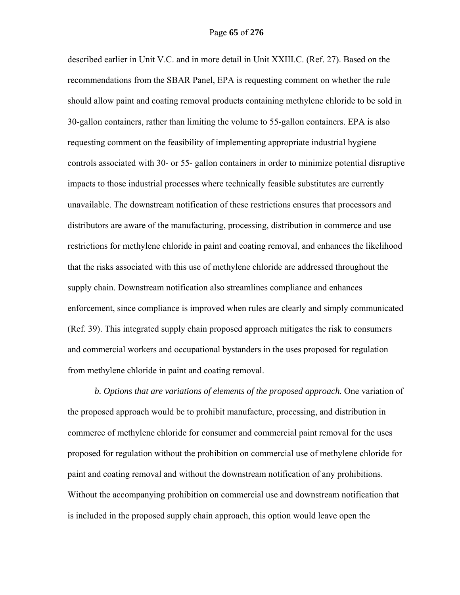described earlier in Unit V.C. and in more detail in Unit XXIII.C. (Ref. 27). Based on the recommendations from the SBAR Panel, EPA is requesting comment on whether the rule should allow paint and coating removal products containing methylene chloride to be sold in 30-gallon containers, rather than limiting the volume to 55-gallon containers. EPA is also requesting comment on the feasibility of implementing appropriate industrial hygiene controls associated with 30- or 55- gallon containers in order to minimize potential disruptive impacts to those industrial processes where technically feasible substitutes are currently unavailable. The downstream notification of these restrictions ensures that processors and distributors are aware of the manufacturing, processing, distribution in commerce and use restrictions for methylene chloride in paint and coating removal, and enhances the likelihood that the risks associated with this use of methylene chloride are addressed throughout the supply chain. Downstream notification also streamlines compliance and enhances enforcement, since compliance is improved when rules are clearly and simply communicated (Ref. 39). This integrated supply chain proposed approach mitigates the risk to consumers and commercial workers and occupational bystanders in the uses proposed for regulation from methylene chloride in paint and coating removal.

*b. Options that are variations of elements of the proposed approach.* One variation of the proposed approach would be to prohibit manufacture, processing, and distribution in commerce of methylene chloride for consumer and commercial paint removal for the uses proposed for regulation without the prohibition on commercial use of methylene chloride for paint and coating removal and without the downstream notification of any prohibitions. Without the accompanying prohibition on commercial use and downstream notification that is included in the proposed supply chain approach, this option would leave open the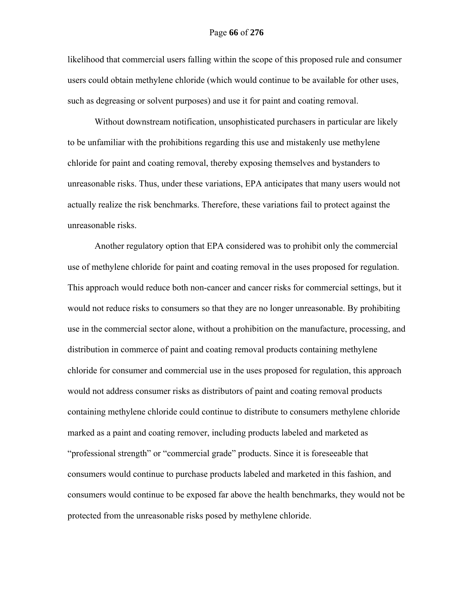likelihood that commercial users falling within the scope of this proposed rule and consumer users could obtain methylene chloride (which would continue to be available for other uses, such as degreasing or solvent purposes) and use it for paint and coating removal.

Without downstream notification, unsophisticated purchasers in particular are likely to be unfamiliar with the prohibitions regarding this use and mistakenly use methylene chloride for paint and coating removal, thereby exposing themselves and bystanders to unreasonable risks. Thus, under these variations, EPA anticipates that many users would not actually realize the risk benchmarks. Therefore, these variations fail to protect against the unreasonable risks.

Another regulatory option that EPA considered was to prohibit only the commercial use of methylene chloride for paint and coating removal in the uses proposed for regulation. This approach would reduce both non-cancer and cancer risks for commercial settings, but it would not reduce risks to consumers so that they are no longer unreasonable. By prohibiting use in the commercial sector alone, without a prohibition on the manufacture, processing, and distribution in commerce of paint and coating removal products containing methylene chloride for consumer and commercial use in the uses proposed for regulation, this approach would not address consumer risks as distributors of paint and coating removal products containing methylene chloride could continue to distribute to consumers methylene chloride marked as a paint and coating remover, including products labeled and marketed as "professional strength" or "commercial grade" products. Since it is foreseeable that consumers would continue to purchase products labeled and marketed in this fashion, and consumers would continue to be exposed far above the health benchmarks, they would not be protected from the unreasonable risks posed by methylene chloride.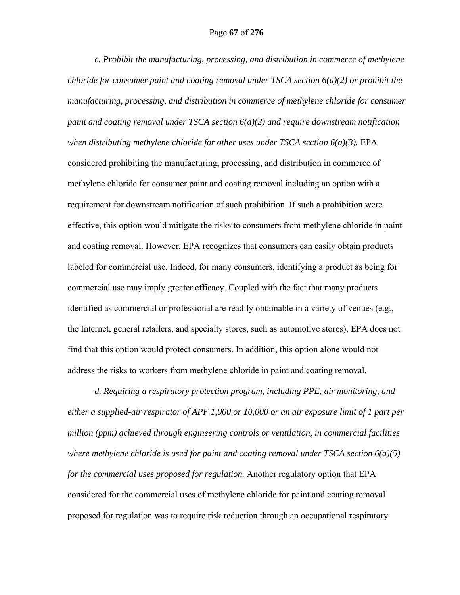# Page **67** of **276**

*c. Prohibit the manufacturing, processing, and distribution in commerce of methylene chloride for consumer paint and coating removal under TSCA section 6(a)(2) or prohibit the manufacturing, processing, and distribution in commerce of methylene chloride for consumer paint and coating removal under TSCA section 6(a)(2) and require downstream notification when distributing methylene chloride for other uses under TSCA section 6(a)(3).* EPA considered prohibiting the manufacturing, processing, and distribution in commerce of methylene chloride for consumer paint and coating removal including an option with a requirement for downstream notification of such prohibition. If such a prohibition were effective, this option would mitigate the risks to consumers from methylene chloride in paint and coating removal. However, EPA recognizes that consumers can easily obtain products labeled for commercial use. Indeed, for many consumers, identifying a product as being for commercial use may imply greater efficacy. Coupled with the fact that many products identified as commercial or professional are readily obtainable in a variety of venues (e.g., the Internet, general retailers, and specialty stores, such as automotive stores), EPA does not find that this option would protect consumers. In addition, this option alone would not address the risks to workers from methylene chloride in paint and coating removal.

*d. Requiring a respiratory protection program, including PPE, air monitoring, and either a supplied-air respirator of APF 1,000 or 10,000 or an air exposure limit of 1 part per million (ppm) achieved through engineering controls or ventilation, in commercial facilities where methylene chloride is used for paint and coating removal under TSCA section 6(a)(5) for the commercial uses proposed for regulation.* Another regulatory option that EPA considered for the commercial uses of methylene chloride for paint and coating removal proposed for regulation was to require risk reduction through an occupational respiratory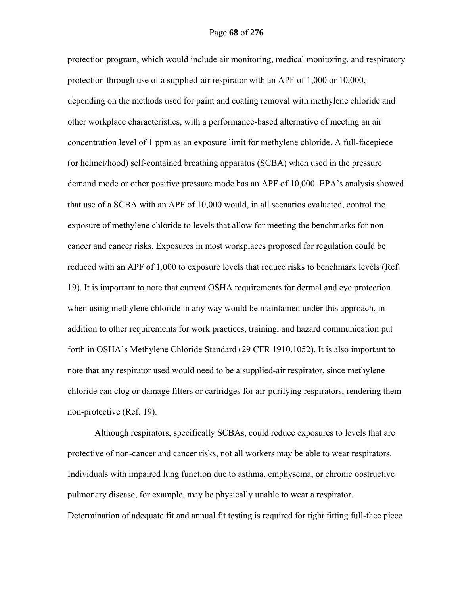protection program, which would include air monitoring, medical monitoring, and respiratory protection through use of a supplied-air respirator with an APF of 1,000 or 10,000, depending on the methods used for paint and coating removal with methylene chloride and other workplace characteristics, with a performance-based alternative of meeting an air concentration level of 1 ppm as an exposure limit for methylene chloride. A full-facepiece (or helmet/hood) self-contained breathing apparatus (SCBA) when used in the pressure demand mode or other positive pressure mode has an APF of 10,000. EPA's analysis showed that use of a SCBA with an APF of 10,000 would, in all scenarios evaluated, control the exposure of methylene chloride to levels that allow for meeting the benchmarks for noncancer and cancer risks. Exposures in most workplaces proposed for regulation could be reduced with an APF of 1,000 to exposure levels that reduce risks to benchmark levels (Ref. 19). It is important to note that current OSHA requirements for dermal and eye protection when using methylene chloride in any way would be maintained under this approach, in addition to other requirements for work practices, training, and hazard communication put forth in OSHA's Methylene Chloride Standard (29 CFR 1910.1052). It is also important to note that any respirator used would need to be a supplied-air respirator, since methylene chloride can clog or damage filters or cartridges for air-purifying respirators, rendering them non-protective (Ref. 19).

Although respirators, specifically SCBAs, could reduce exposures to levels that are protective of non-cancer and cancer risks, not all workers may be able to wear respirators. Individuals with impaired lung function due to asthma, emphysema, or chronic obstructive pulmonary disease, for example, may be physically unable to wear a respirator. Determination of adequate fit and annual fit testing is required for tight fitting full-face piece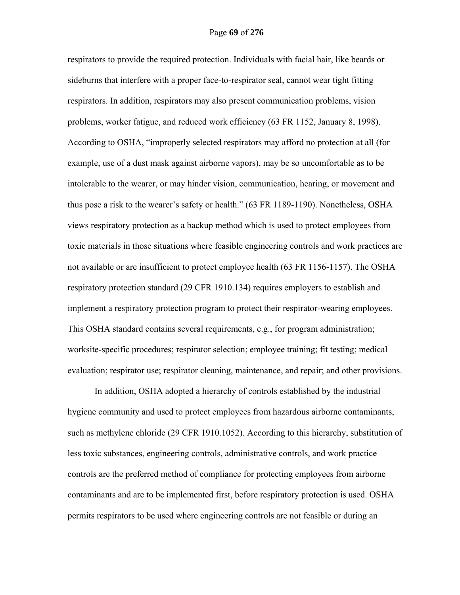respirators to provide the required protection. Individuals with facial hair, like beards or sideburns that interfere with a proper face-to-respirator seal, cannot wear tight fitting respirators. In addition, respirators may also present communication problems, vision problems, worker fatigue, and reduced work efficiency (63 FR 1152, January 8, 1998). According to OSHA, "improperly selected respirators may afford no protection at all (for example, use of a dust mask against airborne vapors), may be so uncomfortable as to be intolerable to the wearer, or may hinder vision, communication, hearing, or movement and thus pose a risk to the wearer's safety or health." (63 FR 1189-1190). Nonetheless, OSHA views respiratory protection as a backup method which is used to protect employees from toxic materials in those situations where feasible engineering controls and work practices are not available or are insufficient to protect employee health (63 FR 1156-1157). The OSHA respiratory protection standard (29 CFR 1910.134) requires employers to establish and implement a respiratory protection program to protect their respirator-wearing employees. This OSHA standard contains several requirements, e.g., for program administration; worksite-specific procedures; respirator selection; employee training; fit testing; medical evaluation; respirator use; respirator cleaning, maintenance, and repair; and other provisions.

In addition, OSHA adopted a hierarchy of controls established by the industrial hygiene community and used to protect employees from hazardous airborne contaminants, such as methylene chloride (29 CFR 1910.1052). According to this hierarchy, substitution of less toxic substances, engineering controls, administrative controls, and work practice controls are the preferred method of compliance for protecting employees from airborne contaminants and are to be implemented first, before respiratory protection is used. OSHA permits respirators to be used where engineering controls are not feasible or during an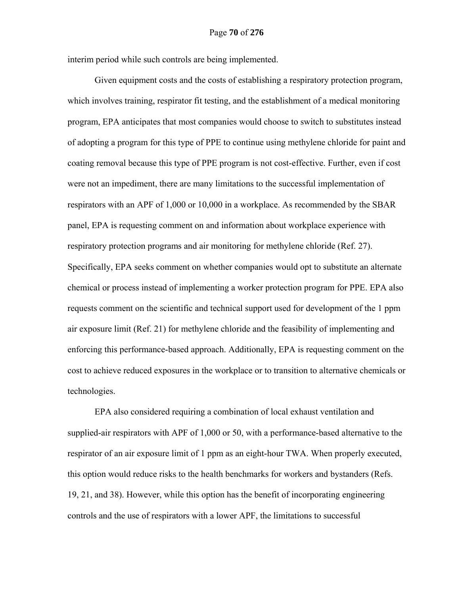interim period while such controls are being implemented.

Given equipment costs and the costs of establishing a respiratory protection program, which involves training, respirator fit testing, and the establishment of a medical monitoring program, EPA anticipates that most companies would choose to switch to substitutes instead of adopting a program for this type of PPE to continue using methylene chloride for paint and coating removal because this type of PPE program is not cost-effective. Further, even if cost were not an impediment, there are many limitations to the successful implementation of respirators with an APF of 1,000 or 10,000 in a workplace. As recommended by the SBAR panel, EPA is requesting comment on and information about workplace experience with respiratory protection programs and air monitoring for methylene chloride (Ref. 27). Specifically, EPA seeks comment on whether companies would opt to substitute an alternate chemical or process instead of implementing a worker protection program for PPE. EPA also requests comment on the scientific and technical support used for development of the 1 ppm air exposure limit (Ref. 21) for methylene chloride and the feasibility of implementing and enforcing this performance-based approach. Additionally, EPA is requesting comment on the cost to achieve reduced exposures in the workplace or to transition to alternative chemicals or technologies.

EPA also considered requiring a combination of local exhaust ventilation and supplied-air respirators with APF of 1,000 or 50, with a performance-based alternative to the respirator of an air exposure limit of 1 ppm as an eight-hour TWA. When properly executed, this option would reduce risks to the health benchmarks for workers and bystanders (Refs. 19, 21, and 38). However, while this option has the benefit of incorporating engineering controls and the use of respirators with a lower APF, the limitations to successful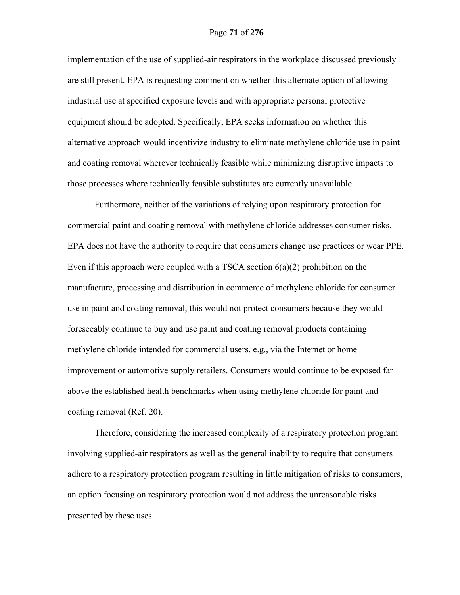implementation of the use of supplied-air respirators in the workplace discussed previously are still present. EPA is requesting comment on whether this alternate option of allowing industrial use at specified exposure levels and with appropriate personal protective equipment should be adopted. Specifically, EPA seeks information on whether this alternative approach would incentivize industry to eliminate methylene chloride use in paint and coating removal wherever technically feasible while minimizing disruptive impacts to those processes where technically feasible substitutes are currently unavailable.

Furthermore, neither of the variations of relying upon respiratory protection for commercial paint and coating removal with methylene chloride addresses consumer risks. EPA does not have the authority to require that consumers change use practices or wear PPE. Even if this approach were coupled with a TSCA section  $6(a)(2)$  prohibition on the manufacture, processing and distribution in commerce of methylene chloride for consumer use in paint and coating removal, this would not protect consumers because they would foreseeably continue to buy and use paint and coating removal products containing methylene chloride intended for commercial users, e.g., via the Internet or home improvement or automotive supply retailers. Consumers would continue to be exposed far above the established health benchmarks when using methylene chloride for paint and coating removal (Ref. 20).

Therefore, considering the increased complexity of a respiratory protection program involving supplied-air respirators as well as the general inability to require that consumers adhere to a respiratory protection program resulting in little mitigation of risks to consumers, an option focusing on respiratory protection would not address the unreasonable risks presented by these uses.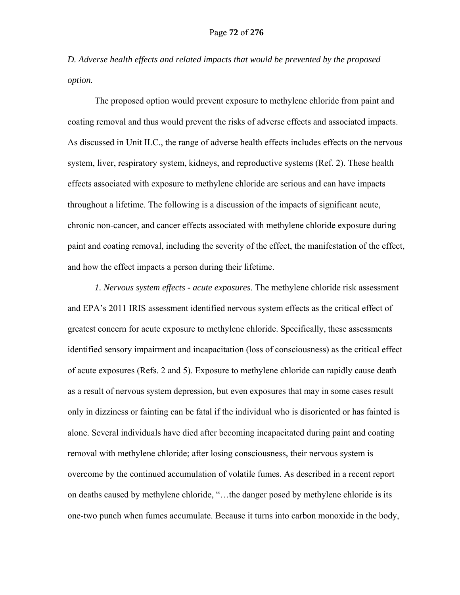*D. Adverse health effects and related impacts that would be prevented by the proposed option.* 

The proposed option would prevent exposure to methylene chloride from paint and coating removal and thus would prevent the risks of adverse effects and associated impacts. As discussed in Unit II.C., the range of adverse health effects includes effects on the nervous system, liver, respiratory system, kidneys, and reproductive systems (Ref. 2). These health effects associated with exposure to methylene chloride are serious and can have impacts throughout a lifetime. The following is a discussion of the impacts of significant acute, chronic non-cancer, and cancer effects associated with methylene chloride exposure during paint and coating removal, including the severity of the effect, the manifestation of the effect, and how the effect impacts a person during their lifetime.

 *1. Nervous system effects - acute exposures*. The methylene chloride risk assessment and EPA's 2011 IRIS assessment identified nervous system effects as the critical effect of greatest concern for acute exposure to methylene chloride. Specifically, these assessments identified sensory impairment and incapacitation (loss of consciousness) as the critical effect of acute exposures (Refs. 2 and 5). Exposure to methylene chloride can rapidly cause death as a result of nervous system depression, but even exposures that may in some cases result only in dizziness or fainting can be fatal if the individual who is disoriented or has fainted is alone. Several individuals have died after becoming incapacitated during paint and coating removal with methylene chloride; after losing consciousness, their nervous system is overcome by the continued accumulation of volatile fumes. As described in a recent report on deaths caused by methylene chloride, "…the danger posed by methylene chloride is its one-two punch when fumes accumulate. Because it turns into carbon monoxide in the body,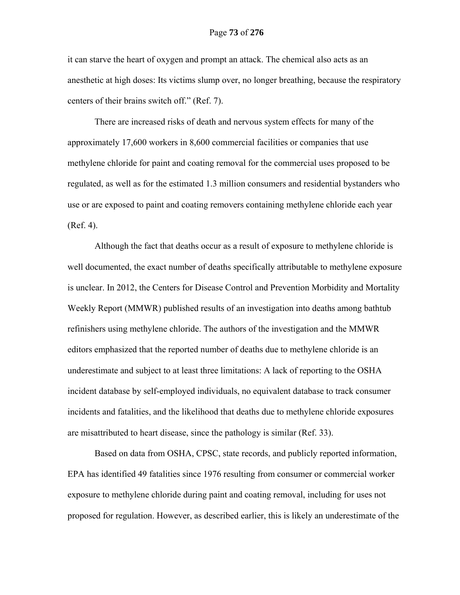it can starve the heart of oxygen and prompt an attack. The chemical also acts as an anesthetic at high doses: Its victims slump over, no longer breathing, because the respiratory centers of their brains switch off." (Ref. 7).

There are increased risks of death and nervous system effects for many of the approximately 17,600 workers in 8,600 commercial facilities or companies that use methylene chloride for paint and coating removal for the commercial uses proposed to be regulated, as well as for the estimated 1.3 million consumers and residential bystanders who use or are exposed to paint and coating removers containing methylene chloride each year (Ref. 4).

Although the fact that deaths occur as a result of exposure to methylene chloride is well documented, the exact number of deaths specifically attributable to methylene exposure is unclear. In 2012, the Centers for Disease Control and Prevention Morbidity and Mortality Weekly Report (MMWR) published results of an investigation into deaths among bathtub refinishers using methylene chloride. The authors of the investigation and the MMWR editors emphasized that the reported number of deaths due to methylene chloride is an underestimate and subject to at least three limitations: A lack of reporting to the OSHA incident database by self-employed individuals, no equivalent database to track consumer incidents and fatalities, and the likelihood that deaths due to methylene chloride exposures are misattributed to heart disease, since the pathology is similar (Ref. 33).

Based on data from OSHA, CPSC, state records, and publicly reported information, EPA has identified 49 fatalities since 1976 resulting from consumer or commercial worker exposure to methylene chloride during paint and coating removal, including for uses not proposed for regulation. However, as described earlier, this is likely an underestimate of the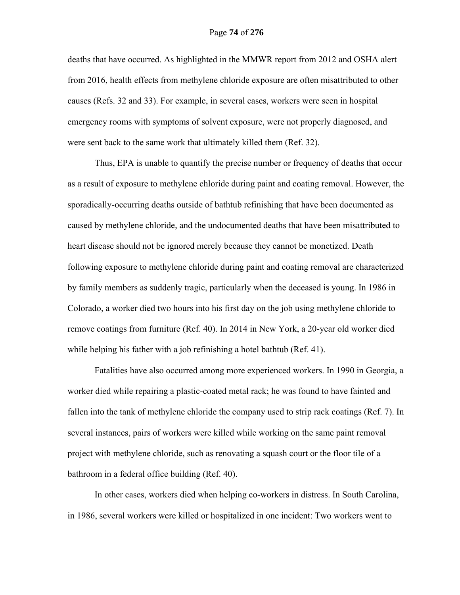deaths that have occurred. As highlighted in the MMWR report from 2012 and OSHA alert from 2016, health effects from methylene chloride exposure are often misattributed to other causes (Refs. 32 and 33). For example, in several cases, workers were seen in hospital emergency rooms with symptoms of solvent exposure, were not properly diagnosed, and were sent back to the same work that ultimately killed them (Ref. 32).

Thus, EPA is unable to quantify the precise number or frequency of deaths that occur as a result of exposure to methylene chloride during paint and coating removal. However, the sporadically-occurring deaths outside of bathtub refinishing that have been documented as caused by methylene chloride, and the undocumented deaths that have been misattributed to heart disease should not be ignored merely because they cannot be monetized. Death following exposure to methylene chloride during paint and coating removal are characterized by family members as suddenly tragic, particularly when the deceased is young. In 1986 in Colorado, a worker died two hours into his first day on the job using methylene chloride to remove coatings from furniture (Ref. 40). In 2014 in New York, a 20-year old worker died while helping his father with a job refinishing a hotel bathtub (Ref. 41).

Fatalities have also occurred among more experienced workers. In 1990 in Georgia, a worker died while repairing a plastic-coated metal rack; he was found to have fainted and fallen into the tank of methylene chloride the company used to strip rack coatings (Ref. 7). In several instances, pairs of workers were killed while working on the same paint removal project with methylene chloride, such as renovating a squash court or the floor tile of a bathroom in a federal office building (Ref. 40).

In other cases, workers died when helping co-workers in distress. In South Carolina, in 1986, several workers were killed or hospitalized in one incident: Two workers went to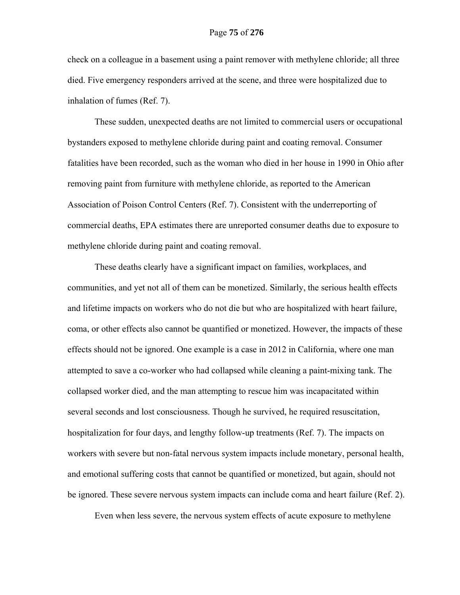check on a colleague in a basement using a paint remover with methylene chloride; all three died. Five emergency responders arrived at the scene, and three were hospitalized due to inhalation of fumes (Ref. 7).

These sudden, unexpected deaths are not limited to commercial users or occupational bystanders exposed to methylene chloride during paint and coating removal. Consumer fatalities have been recorded, such as the woman who died in her house in 1990 in Ohio after removing paint from furniture with methylene chloride, as reported to the American Association of Poison Control Centers (Ref. 7). Consistent with the underreporting of commercial deaths, EPA estimates there are unreported consumer deaths due to exposure to methylene chloride during paint and coating removal.

These deaths clearly have a significant impact on families, workplaces, and communities, and yet not all of them can be monetized. Similarly, the serious health effects and lifetime impacts on workers who do not die but who are hospitalized with heart failure, coma, or other effects also cannot be quantified or monetized. However, the impacts of these effects should not be ignored. One example is a case in 2012 in California, where one man attempted to save a co-worker who had collapsed while cleaning a paint-mixing tank. The collapsed worker died, and the man attempting to rescue him was incapacitated within several seconds and lost consciousness. Though he survived, he required resuscitation, hospitalization for four days, and lengthy follow-up treatments (Ref. 7). The impacts on workers with severe but non-fatal nervous system impacts include monetary, personal health, and emotional suffering costs that cannot be quantified or monetized, but again, should not be ignored. These severe nervous system impacts can include coma and heart failure (Ref. 2).

Even when less severe, the nervous system effects of acute exposure to methylene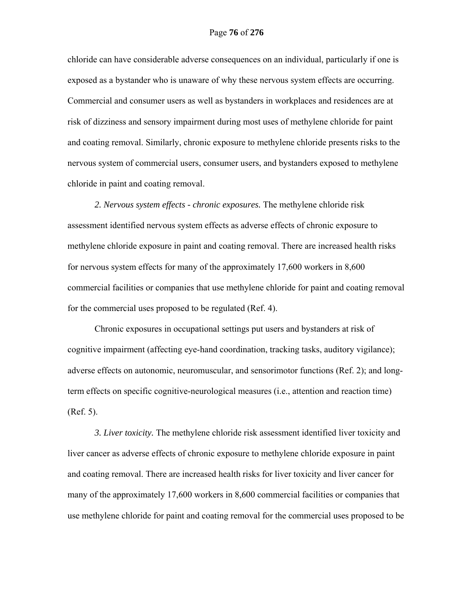chloride can have considerable adverse consequences on an individual, particularly if one is exposed as a bystander who is unaware of why these nervous system effects are occurring. Commercial and consumer users as well as bystanders in workplaces and residences are at risk of dizziness and sensory impairment during most uses of methylene chloride for paint and coating removal. Similarly, chronic exposure to methylene chloride presents risks to the nervous system of commercial users, consumer users, and bystanders exposed to methylene chloride in paint and coating removal.

*2. Nervous system effects - chronic exposures.* The methylene chloride risk assessment identified nervous system effects as adverse effects of chronic exposure to methylene chloride exposure in paint and coating removal. There are increased health risks for nervous system effects for many of the approximately 17,600 workers in 8,600 commercial facilities or companies that use methylene chloride for paint and coating removal for the commercial uses proposed to be regulated (Ref. 4).

Chronic exposures in occupational settings put users and bystanders at risk of cognitive impairment (affecting eye-hand coordination, tracking tasks, auditory vigilance); adverse effects on autonomic, neuromuscular, and sensorimotor functions (Ref. 2); and longterm effects on specific cognitive-neurological measures (i.e., attention and reaction time) (Ref. 5).

 *3. Liver toxicity.* The methylene chloride risk assessment identified liver toxicity and liver cancer as adverse effects of chronic exposure to methylene chloride exposure in paint and coating removal. There are increased health risks for liver toxicity and liver cancer for many of the approximately 17,600 workers in 8,600 commercial facilities or companies that use methylene chloride for paint and coating removal for the commercial uses proposed to be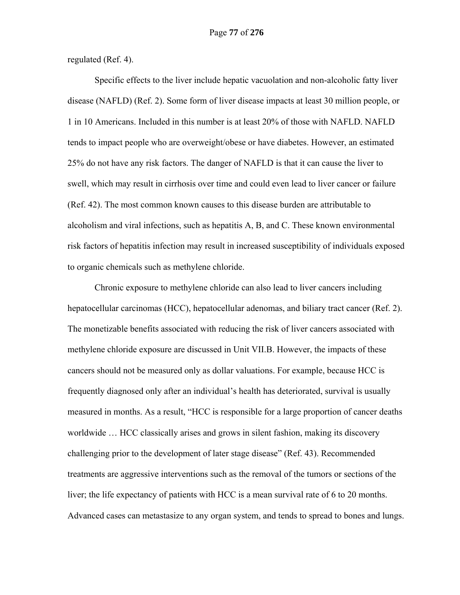regulated (Ref. 4).

Specific effects to the liver include hepatic vacuolation and non-alcoholic fatty liver disease (NAFLD) (Ref. 2). Some form of liver disease impacts at least 30 million people, or 1 in 10 Americans. Included in this number is at least 20% of those with NAFLD. NAFLD tends to impact people who are overweight/obese or have diabetes. However, an estimated 25% do not have any risk factors. The danger of NAFLD is that it can cause the liver to swell, which may result in cirrhosis over time and could even lead to liver cancer or failure (Ref. 42). The most common known causes to this disease burden are attributable to alcoholism and viral infections, such as hepatitis A, B, and C. These known environmental risk factors of hepatitis infection may result in increased susceptibility of individuals exposed to organic chemicals such as methylene chloride.

Chronic exposure to methylene chloride can also lead to liver cancers including hepatocellular carcinomas (HCC), hepatocellular adenomas, and biliary tract cancer (Ref. 2). The monetizable benefits associated with reducing the risk of liver cancers associated with methylene chloride exposure are discussed in Unit VII.B. However, the impacts of these cancers should not be measured only as dollar valuations. For example, because HCC is frequently diagnosed only after an individual's health has deteriorated, survival is usually measured in months. As a result, "HCC is responsible for a large proportion of cancer deaths worldwide … HCC classically arises and grows in silent fashion, making its discovery challenging prior to the development of later stage disease" (Ref. 43). Recommended treatments are aggressive interventions such as the removal of the tumors or sections of the liver; the life expectancy of patients with HCC is a mean survival rate of 6 to 20 months. Advanced cases can metastasize to any organ system, and tends to spread to bones and lungs.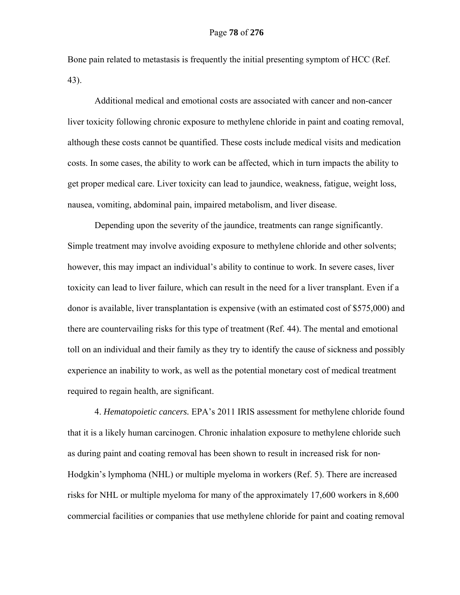Bone pain related to metastasis is frequently the initial presenting symptom of HCC (Ref. 43).

Additional medical and emotional costs are associated with cancer and non-cancer liver toxicity following chronic exposure to methylene chloride in paint and coating removal, although these costs cannot be quantified. These costs include medical visits and medication costs. In some cases, the ability to work can be affected, which in turn impacts the ability to get proper medical care. Liver toxicity can lead to jaundice, weakness, fatigue, weight loss, nausea, vomiting, abdominal pain, impaired metabolism, and liver disease.

Depending upon the severity of the jaundice, treatments can range significantly. Simple treatment may involve avoiding exposure to methylene chloride and other solvents; however, this may impact an individual's ability to continue to work. In severe cases, liver toxicity can lead to liver failure, which can result in the need for a liver transplant. Even if a donor is available, liver transplantation is expensive (with an estimated cost of \$575,000) and there are countervailing risks for this type of treatment (Ref. 44). The mental and emotional toll on an individual and their family as they try to identify the cause of sickness and possibly experience an inability to work, as well as the potential monetary cost of medical treatment required to regain health, are significant.

 4. *Hematopoietic cancers.* EPA's 2011 IRIS assessment for methylene chloride found that it is a likely human carcinogen. Chronic inhalation exposure to methylene chloride such as during paint and coating removal has been shown to result in increased risk for non-Hodgkin's lymphoma (NHL) or multiple myeloma in workers (Ref. 5). There are increased risks for NHL or multiple myeloma for many of the approximately 17,600 workers in 8,600 commercial facilities or companies that use methylene chloride for paint and coating removal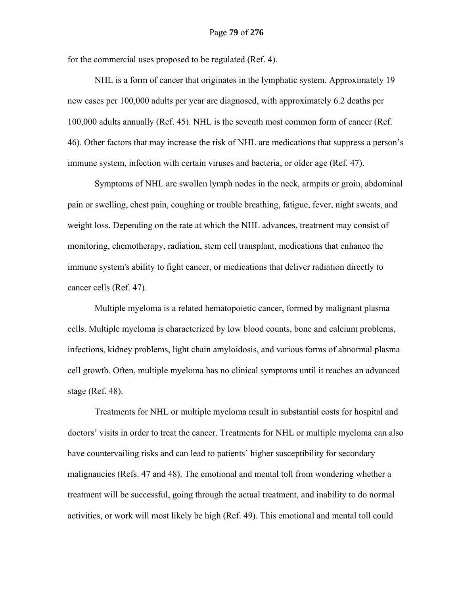for the commercial uses proposed to be regulated (Ref. 4).

NHL is a form of cancer that originates in the lymphatic system. Approximately 19 new cases per 100,000 adults per year are diagnosed, with approximately 6.2 deaths per 100,000 adults annually (Ref. 45). NHL is the seventh most common form of cancer (Ref. 46). Other factors that may increase the risk of NHL are medications that suppress a person's immune system, infection with certain viruses and bacteria, or older age (Ref. 47).

Symptoms of NHL are swollen lymph nodes in the neck, armpits or groin, abdominal pain or swelling, chest pain, coughing or trouble breathing, fatigue, fever, night sweats, and weight loss. Depending on the rate at which the NHL advances, treatment may consist of monitoring, chemotherapy, radiation, stem cell transplant, medications that enhance the immune system's ability to fight cancer, or medications that deliver radiation directly to cancer cells (Ref. 47).

Multiple myeloma is a related hematopoietic cancer, formed by malignant plasma cells. Multiple myeloma is characterized by low blood counts, bone and calcium problems, infections, kidney problems, light chain amyloidosis, and various forms of abnormal plasma cell growth. Often, multiple myeloma has no clinical symptoms until it reaches an advanced stage (Ref. 48).

Treatments for NHL or multiple myeloma result in substantial costs for hospital and doctors' visits in order to treat the cancer. Treatments for NHL or multiple myeloma can also have countervailing risks and can lead to patients' higher susceptibility for secondary malignancies (Refs. 47 and 48). The emotional and mental toll from wondering whether a treatment will be successful, going through the actual treatment, and inability to do normal activities, or work will most likely be high (Ref. 49). This emotional and mental toll could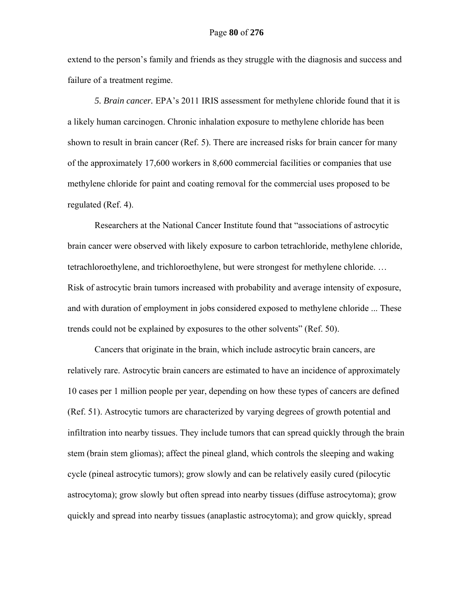extend to the person's family and friends as they struggle with the diagnosis and success and failure of a treatment regime.

 *5. Brain cancer.* EPA's 2011 IRIS assessment for methylene chloride found that it is a likely human carcinogen. Chronic inhalation exposure to methylene chloride has been shown to result in brain cancer (Ref. 5). There are increased risks for brain cancer for many of the approximately 17,600 workers in 8,600 commercial facilities or companies that use methylene chloride for paint and coating removal for the commercial uses proposed to be regulated (Ref. 4).

Researchers at the National Cancer Institute found that "associations of astrocytic brain cancer were observed with likely exposure to carbon tetrachloride, methylene chloride, tetrachloroethylene, and trichloroethylene, but were strongest for methylene chloride. … Risk of astrocytic brain tumors increased with probability and average intensity of exposure, and with duration of employment in jobs considered exposed to methylene chloride ... These trends could not be explained by exposures to the other solvents" (Ref. 50).

Cancers that originate in the brain, which include astrocytic brain cancers, are relatively rare. Astrocytic brain cancers are estimated to have an incidence of approximately 10 cases per 1 million people per year, depending on how these types of cancers are defined (Ref. 51). Astrocytic tumors are characterized by varying degrees of growth potential and infiltration into nearby tissues. They include tumors that can spread quickly through the brain stem (brain stem gliomas); affect the pineal gland, which controls the sleeping and waking cycle (pineal astrocytic tumors); grow slowly and can be relatively easily cured (pilocytic astrocytoma); grow slowly but often spread into nearby tissues (diffuse astrocytoma); grow quickly and spread into nearby tissues (anaplastic astrocytoma); and grow quickly, spread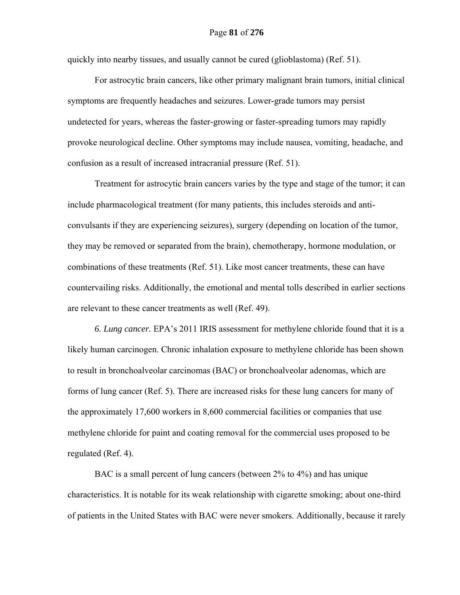quickly into nearby tissues, and usually cannot be cured (glioblastoma) (Ref. 51).

For astrocytic brain cancers, like other primary malignant brain tumors, initial clinical symptoms are frequently headaches and seizures. Lower-grade tumors may persist undetected for years, whereas the faster-growing or faster-spreading tumors may rapidly provoke neurological decline. Other symptoms may include nausea, vomiting, headache, and confusion as a result of increased intracranial pressure (Ref. 51).

Treatment for astrocytic brain cancers varies by the type and stage of the tumor; it can include pharmacological treatment (for many patients, this includes steroids and anticonvulsants if they are experiencing seizures), surgery (depending on location of the tumor, they may be removed or separated from the brain), chemotherapy, hormone modulation, or combinations of these treatments (Ref. 51). Like most cancer treatments, these can have countervailing risks. Additionally, the emotional and mental tolls described in earlier sections are relevant to these cancer treatments as well (Ref. 49).

 *6. Lung cancer.* EPA's 2011 IRIS assessment for methylene chloride found that it is a likely human carcinogen. Chronic inhalation exposure to methylene chloride has been shown to result in bronchoalveolar carcinomas (BAC) or bronchoalveolar adenomas, which are forms of lung cancer (Ref. 5). There are increased risks for these lung cancers for many of the approximately 17,600 workers in 8,600 commercial facilities or companies that use methylene chloride for paint and coating removal for the commercial uses proposed to be regulated (Ref. 4).

BAC is a small percent of lung cancers (between 2% to 4%) and has unique characteristics. It is notable for its weak relationship with cigarette smoking; about one-third of patients in the United States with BAC were never smokers. Additionally, because it rarely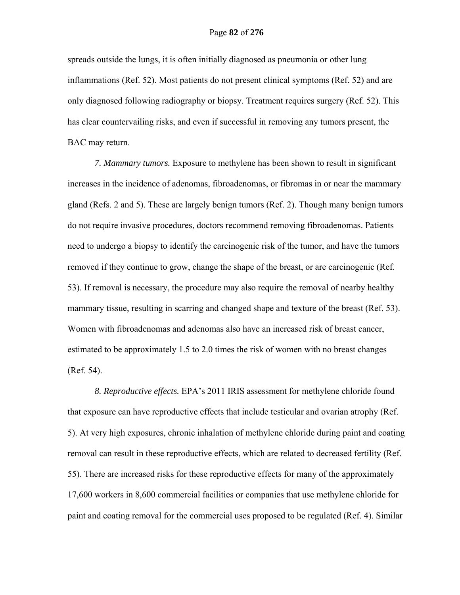spreads outside the lungs, it is often initially diagnosed as pneumonia or other lung inflammations (Ref. 52). Most patients do not present clinical symptoms (Ref. 52) and are only diagnosed following radiography or biopsy. Treatment requires surgery (Ref. 52). This has clear countervailing risks, and even if successful in removing any tumors present, the BAC may return.

 *7. Mammary tumors.* Exposure to methylene has been shown to result in significant increases in the incidence of adenomas, fibroadenomas, or fibromas in or near the mammary gland (Refs. 2 and 5). These are largely benign tumors (Ref. 2). Though many benign tumors do not require invasive procedures, doctors recommend removing fibroadenomas. Patients need to undergo a biopsy to identify the carcinogenic risk of the tumor, and have the tumors removed if they continue to grow, change the shape of the breast, or are carcinogenic (Ref. 53). If removal is necessary, the procedure may also require the removal of nearby healthy mammary tissue, resulting in scarring and changed shape and texture of the breast (Ref. 53). Women with fibroadenomas and adenomas also have an increased risk of breast cancer, estimated to be approximately 1.5 to 2.0 times the risk of women with no breast changes (Ref. 54).

 *8. Reproductive effects.* EPA's 2011 IRIS assessment for methylene chloride found that exposure can have reproductive effects that include testicular and ovarian atrophy (Ref. 5). At very high exposures, chronic inhalation of methylene chloride during paint and coating removal can result in these reproductive effects, which are related to decreased fertility (Ref. 55). There are increased risks for these reproductive effects for many of the approximately 17,600 workers in 8,600 commercial facilities or companies that use methylene chloride for paint and coating removal for the commercial uses proposed to be regulated (Ref. 4). Similar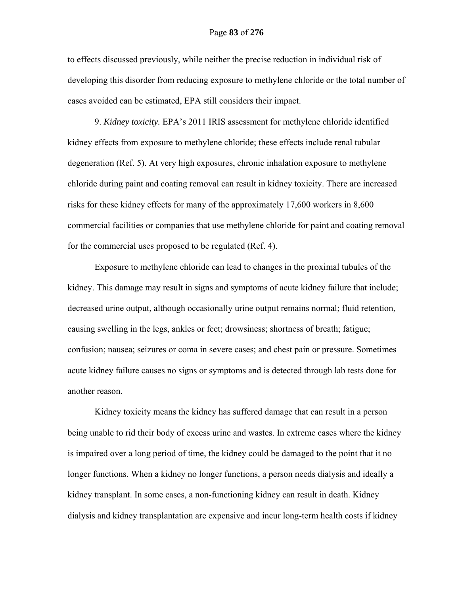to effects discussed previously, while neither the precise reduction in individual risk of developing this disorder from reducing exposure to methylene chloride or the total number of cases avoided can be estimated, EPA still considers their impact.

 9. *Kidney toxicity.* EPA's 2011 IRIS assessment for methylene chloride identified kidney effects from exposure to methylene chloride; these effects include renal tubular degeneration (Ref. 5). At very high exposures, chronic inhalation exposure to methylene chloride during paint and coating removal can result in kidney toxicity. There are increased risks for these kidney effects for many of the approximately 17,600 workers in 8,600 commercial facilities or companies that use methylene chloride for paint and coating removal for the commercial uses proposed to be regulated (Ref. 4).

Exposure to methylene chloride can lead to changes in the proximal tubules of the kidney. This damage may result in signs and symptoms of acute kidney failure that include; decreased urine output, although occasionally urine output remains normal; fluid retention, causing swelling in the legs, ankles or feet; drowsiness; shortness of breath; fatigue; confusion; nausea; seizures or coma in severe cases; and chest pain or pressure. Sometimes acute kidney failure causes no signs or symptoms and is detected through lab tests done for another reason.

Kidney toxicity means the kidney has suffered damage that can result in a person being unable to rid their body of excess urine and wastes. In extreme cases where the kidney is impaired over a long period of time, the kidney could be damaged to the point that it no longer functions. When a kidney no longer functions, a person needs dialysis and ideally a kidney transplant. In some cases, a non-functioning kidney can result in death. Kidney dialysis and kidney transplantation are expensive and incur long-term health costs if kidney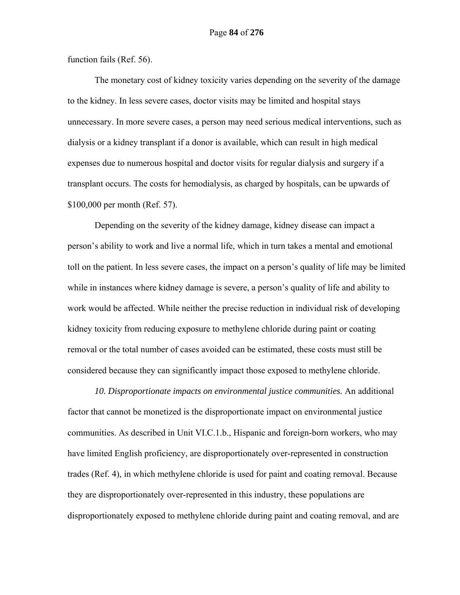function fails (Ref. 56).

The monetary cost of kidney toxicity varies depending on the severity of the damage to the kidney. In less severe cases, doctor visits may be limited and hospital stays unnecessary. In more severe cases, a person may need serious medical interventions, such as dialysis or a kidney transplant if a donor is available, which can result in high medical expenses due to numerous hospital and doctor visits for regular dialysis and surgery if a transplant occurs. The costs for hemodialysis, as charged by hospitals, can be upwards of \$100,000 per month (Ref. 57).

Depending on the severity of the kidney damage, kidney disease can impact a person's ability to work and live a normal life, which in turn takes a mental and emotional toll on the patient. In less severe cases, the impact on a person's quality of life may be limited while in instances where kidney damage is severe, a person's quality of life and ability to work would be affected. While neither the precise reduction in individual risk of developing kidney toxicity from reducing exposure to methylene chloride during paint or coating removal or the total number of cases avoided can be estimated, these costs must still be considered because they can significantly impact those exposed to methylene chloride.

*10. Disproportionate impacts on environmental justice communities.* An additional factor that cannot be monetized is the disproportionate impact on environmental justice communities. As described in Unit VI.C.1.b., Hispanic and foreign-born workers, who may have limited English proficiency, are disproportionately over-represented in construction trades (Ref. 4), in which methylene chloride is used for paint and coating removal. Because they are disproportionately over-represented in this industry, these populations are disproportionately exposed to methylene chloride during paint and coating removal, and are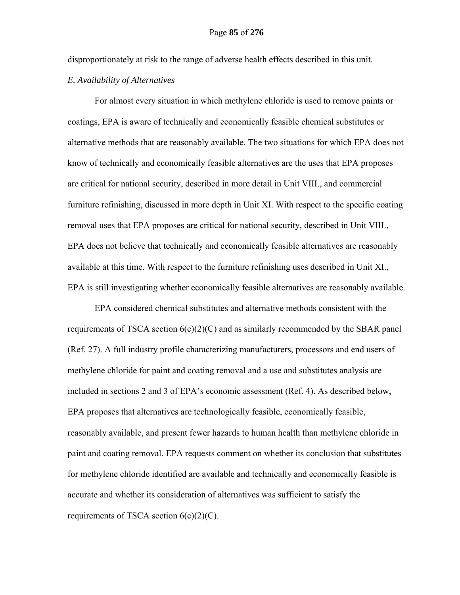disproportionately at risk to the range of adverse health effects described in this unit.

## *E. Availability of Alternatives*

For almost every situation in which methylene chloride is used to remove paints or coatings, EPA is aware of technically and economically feasible chemical substitutes or alternative methods that are reasonably available. The two situations for which EPA does not know of technically and economically feasible alternatives are the uses that EPA proposes are critical for national security, described in more detail in Unit VIII., and commercial furniture refinishing, discussed in more depth in Unit XI. With respect to the specific coating removal uses that EPA proposes are critical for national security, described in Unit VIII., EPA does not believe that technically and economically feasible alternatives are reasonably available at this time. With respect to the furniture refinishing uses described in Unit XI., EPA is still investigating whether economically feasible alternatives are reasonably available.

EPA considered chemical substitutes and alternative methods consistent with the requirements of TSCA section  $6(c)(2)(C)$  and as similarly recommended by the SBAR panel (Ref. 27). A full industry profile characterizing manufacturers, processors and end users of methylene chloride for paint and coating removal and a use and substitutes analysis are included in sections 2 and 3 of EPA's economic assessment (Ref. 4). As described below, EPA proposes that alternatives are technologically feasible, economically feasible, reasonably available, and present fewer hazards to human health than methylene chloride in paint and coating removal. EPA requests comment on whether its conclusion that substitutes for methylene chloride identified are available and technically and economically feasible is accurate and whether its consideration of alternatives was sufficient to satisfy the requirements of TSCA section  $6(c)(2)(C)$ .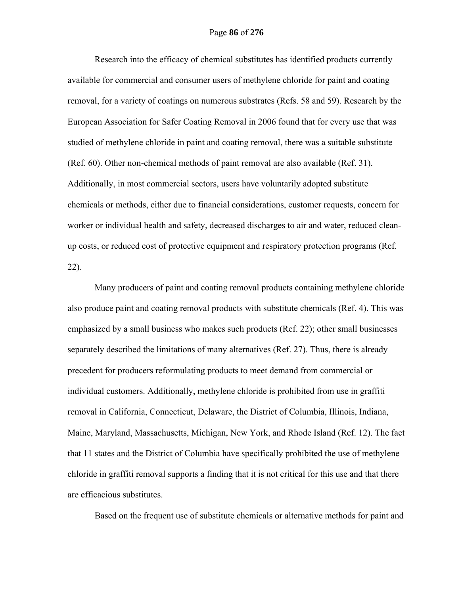Research into the efficacy of chemical substitutes has identified products currently available for commercial and consumer users of methylene chloride for paint and coating removal, for a variety of coatings on numerous substrates (Refs. 58 and 59). Research by the European Association for Safer Coating Removal in 2006 found that for every use that was studied of methylene chloride in paint and coating removal, there was a suitable substitute (Ref. 60). Other non-chemical methods of paint removal are also available (Ref. 31). Additionally, in most commercial sectors, users have voluntarily adopted substitute chemicals or methods, either due to financial considerations, customer requests, concern for worker or individual health and safety, decreased discharges to air and water, reduced cleanup costs, or reduced cost of protective equipment and respiratory protection programs (Ref. 22).

Many producers of paint and coating removal products containing methylene chloride also produce paint and coating removal products with substitute chemicals (Ref. 4). This was emphasized by a small business who makes such products (Ref. 22); other small businesses separately described the limitations of many alternatives (Ref. 27). Thus, there is already precedent for producers reformulating products to meet demand from commercial or individual customers. Additionally, methylene chloride is prohibited from use in graffiti removal in California, Connecticut, Delaware, the District of Columbia, Illinois, Indiana, Maine, Maryland, Massachusetts, Michigan, New York, and Rhode Island (Ref. 12). The fact that 11 states and the District of Columbia have specifically prohibited the use of methylene chloride in graffiti removal supports a finding that it is not critical for this use and that there are efficacious substitutes.

Based on the frequent use of substitute chemicals or alternative methods for paint and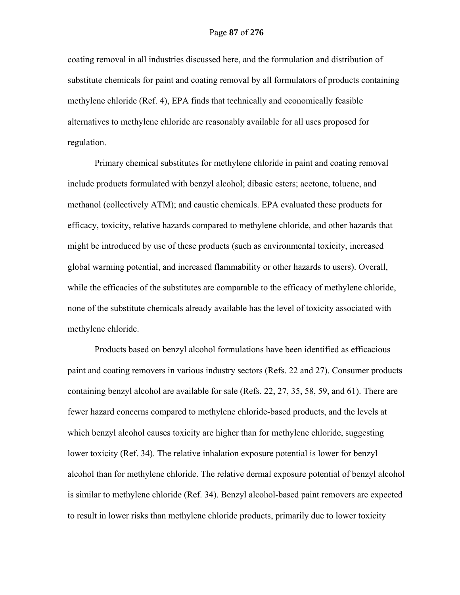coating removal in all industries discussed here, and the formulation and distribution of substitute chemicals for paint and coating removal by all formulators of products containing methylene chloride (Ref. 4), EPA finds that technically and economically feasible alternatives to methylene chloride are reasonably available for all uses proposed for regulation.

Primary chemical substitutes for methylene chloride in paint and coating removal include products formulated with benzyl alcohol; dibasic esters; acetone, toluene, and methanol (collectively ATM); and caustic chemicals. EPA evaluated these products for efficacy, toxicity, relative hazards compared to methylene chloride, and other hazards that might be introduced by use of these products (such as environmental toxicity, increased global warming potential, and increased flammability or other hazards to users). Overall, while the efficacies of the substitutes are comparable to the efficacy of methylene chloride, none of the substitute chemicals already available has the level of toxicity associated with methylene chloride.

Products based on benzyl alcohol formulations have been identified as efficacious paint and coating removers in various industry sectors (Refs. 22 and 27). Consumer products containing benzyl alcohol are available for sale (Refs. 22, 27, 35, 58, 59, and 61). There are fewer hazard concerns compared to methylene chloride-based products, and the levels at which benzyl alcohol causes toxicity are higher than for methylene chloride, suggesting lower toxicity (Ref. 34). The relative inhalation exposure potential is lower for benzyl alcohol than for methylene chloride. The relative dermal exposure potential of benzyl alcohol is similar to methylene chloride (Ref. 34). Benzyl alcohol-based paint removers are expected to result in lower risks than methylene chloride products, primarily due to lower toxicity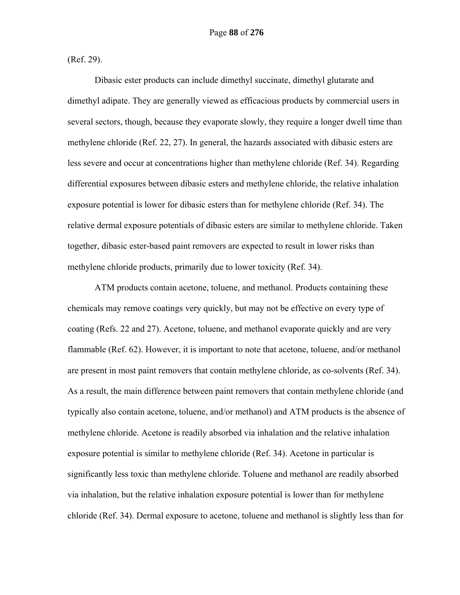(Ref. 29).

Dibasic ester products can include dimethyl succinate, dimethyl glutarate and dimethyl adipate. They are generally viewed as efficacious products by commercial users in several sectors, though, because they evaporate slowly, they require a longer dwell time than methylene chloride (Ref. 22, 27). In general, the hazards associated with dibasic esters are less severe and occur at concentrations higher than methylene chloride (Ref. 34). Regarding differential exposures between dibasic esters and methylene chloride, the relative inhalation exposure potential is lower for dibasic esters than for methylene chloride (Ref. 34). The relative dermal exposure potentials of dibasic esters are similar to methylene chloride. Taken together, dibasic ester-based paint removers are expected to result in lower risks than methylene chloride products, primarily due to lower toxicity (Ref. 34).

ATM products contain acetone, toluene, and methanol. Products containing these chemicals may remove coatings very quickly, but may not be effective on every type of coating (Refs. 22 and 27). Acetone, toluene, and methanol evaporate quickly and are very flammable (Ref. 62). However, it is important to note that acetone, toluene, and/or methanol are present in most paint removers that contain methylene chloride, as co-solvents (Ref. 34). As a result, the main difference between paint removers that contain methylene chloride (and typically also contain acetone, toluene, and/or methanol) and ATM products is the absence of methylene chloride. Acetone is readily absorbed via inhalation and the relative inhalation exposure potential is similar to methylene chloride (Ref. 34). Acetone in particular is significantly less toxic than methylene chloride. Toluene and methanol are readily absorbed via inhalation, but the relative inhalation exposure potential is lower than for methylene chloride (Ref. 34). Dermal exposure to acetone, toluene and methanol is slightly less than for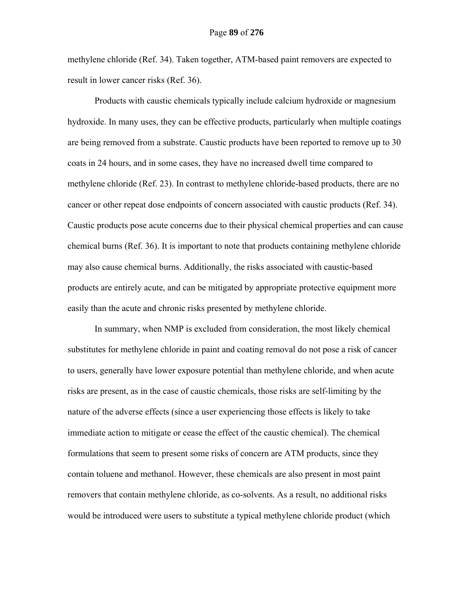methylene chloride (Ref. 34). Taken together, ATM-based paint removers are expected to result in lower cancer risks (Ref. 36).

Products with caustic chemicals typically include calcium hydroxide or magnesium hydroxide. In many uses, they can be effective products, particularly when multiple coatings are being removed from a substrate. Caustic products have been reported to remove up to 30 coats in 24 hours, and in some cases, they have no increased dwell time compared to methylene chloride (Ref. 23). In contrast to methylene chloride-based products, there are no cancer or other repeat dose endpoints of concern associated with caustic products (Ref. 34). Caustic products pose acute concerns due to their physical chemical properties and can cause chemical burns (Ref. 36). It is important to note that products containing methylene chloride may also cause chemical burns. Additionally, the risks associated with caustic-based products are entirely acute, and can be mitigated by appropriate protective equipment more easily than the acute and chronic risks presented by methylene chloride.

In summary, when NMP is excluded from consideration, the most likely chemical substitutes for methylene chloride in paint and coating removal do not pose a risk of cancer to users, generally have lower exposure potential than methylene chloride, and when acute risks are present, as in the case of caustic chemicals, those risks are self-limiting by the nature of the adverse effects (since a user experiencing those effects is likely to take immediate action to mitigate or cease the effect of the caustic chemical). The chemical formulations that seem to present some risks of concern are ATM products, since they contain toluene and methanol. However, these chemicals are also present in most paint removers that contain methylene chloride, as co-solvents. As a result, no additional risks would be introduced were users to substitute a typical methylene chloride product (which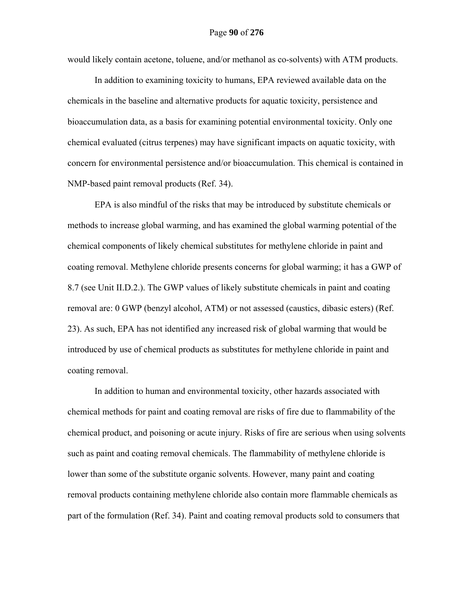would likely contain acetone, toluene, and/or methanol as co-solvents) with ATM products.

In addition to examining toxicity to humans, EPA reviewed available data on the chemicals in the baseline and alternative products for aquatic toxicity, persistence and bioaccumulation data, as a basis for examining potential environmental toxicity. Only one chemical evaluated (citrus terpenes) may have significant impacts on aquatic toxicity, with concern for environmental persistence and/or bioaccumulation. This chemical is contained in NMP-based paint removal products (Ref. 34).

EPA is also mindful of the risks that may be introduced by substitute chemicals or methods to increase global warming, and has examined the global warming potential of the chemical components of likely chemical substitutes for methylene chloride in paint and coating removal. Methylene chloride presents concerns for global warming; it has a GWP of 8.7 (see Unit II.D.2.). The GWP values of likely substitute chemicals in paint and coating removal are: 0 GWP (benzyl alcohol, ATM) or not assessed (caustics, dibasic esters) (Ref. 23). As such, EPA has not identified any increased risk of global warming that would be introduced by use of chemical products as substitutes for methylene chloride in paint and coating removal.

In addition to human and environmental toxicity, other hazards associated with chemical methods for paint and coating removal are risks of fire due to flammability of the chemical product, and poisoning or acute injury. Risks of fire are serious when using solvents such as paint and coating removal chemicals. The flammability of methylene chloride is lower than some of the substitute organic solvents. However, many paint and coating removal products containing methylene chloride also contain more flammable chemicals as part of the formulation (Ref. 34). Paint and coating removal products sold to consumers that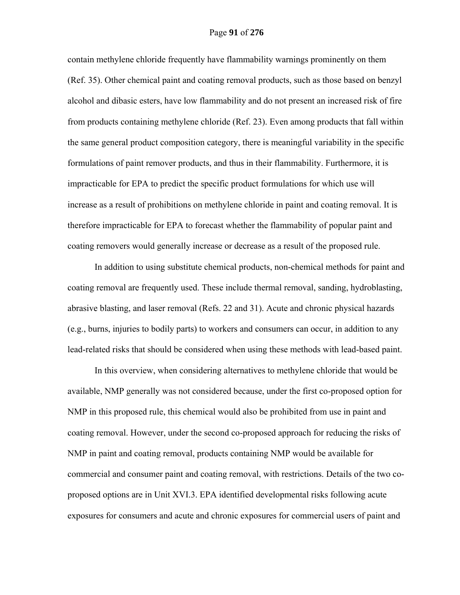#### Page **91** of **276**

contain methylene chloride frequently have flammability warnings prominently on them (Ref. 35). Other chemical paint and coating removal products, such as those based on benzyl alcohol and dibasic esters, have low flammability and do not present an increased risk of fire from products containing methylene chloride (Ref. 23). Even among products that fall within the same general product composition category, there is meaningful variability in the specific formulations of paint remover products, and thus in their flammability. Furthermore, it is impracticable for EPA to predict the specific product formulations for which use will increase as a result of prohibitions on methylene chloride in paint and coating removal. It is therefore impracticable for EPA to forecast whether the flammability of popular paint and coating removers would generally increase or decrease as a result of the proposed rule.

In addition to using substitute chemical products, non-chemical methods for paint and coating removal are frequently used. These include thermal removal, sanding, hydroblasting, abrasive blasting, and laser removal (Refs. 22 and 31). Acute and chronic physical hazards (e.g., burns, injuries to bodily parts) to workers and consumers can occur, in addition to any lead-related risks that should be considered when using these methods with lead-based paint.

In this overview, when considering alternatives to methylene chloride that would be available, NMP generally was not considered because, under the first co-proposed option for NMP in this proposed rule, this chemical would also be prohibited from use in paint and coating removal. However, under the second co-proposed approach for reducing the risks of NMP in paint and coating removal, products containing NMP would be available for commercial and consumer paint and coating removal, with restrictions. Details of the two coproposed options are in Unit XVI.3. EPA identified developmental risks following acute exposures for consumers and acute and chronic exposures for commercial users of paint and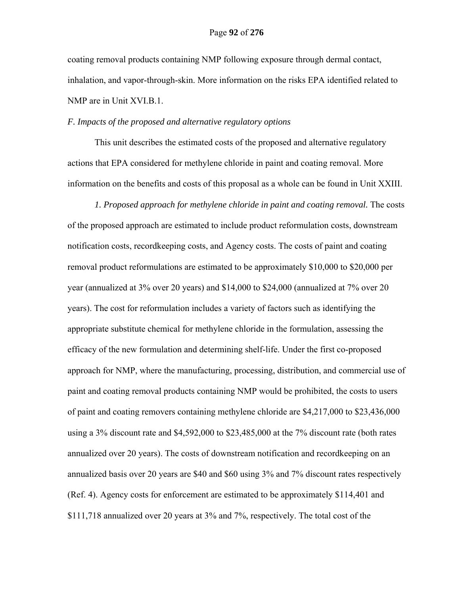coating removal products containing NMP following exposure through dermal contact, inhalation, and vapor-through-skin. More information on the risks EPA identified related to NMP are in Unit XVI.B.1.

### *F. Impacts of the proposed and alternative regulatory options*

This unit describes the estimated costs of the proposed and alternative regulatory actions that EPA considered for methylene chloride in paint and coating removal. More information on the benefits and costs of this proposal as a whole can be found in Unit XXIII.

*1. Proposed approach for methylene chloride in paint and coating removal.* The costs of the proposed approach are estimated to include product reformulation costs, downstream notification costs, recordkeeping costs, and Agency costs. The costs of paint and coating removal product reformulations are estimated to be approximately \$10,000 to \$20,000 per year (annualized at 3% over 20 years) and \$14,000 to \$24,000 (annualized at 7% over 20 years). The cost for reformulation includes a variety of factors such as identifying the appropriate substitute chemical for methylene chloride in the formulation, assessing the efficacy of the new formulation and determining shelf-life. Under the first co-proposed approach for NMP, where the manufacturing, processing, distribution, and commercial use of paint and coating removal products containing NMP would be prohibited, the costs to users of paint and coating removers containing methylene chloride are \$4,217,000 to \$23,436,000 using a 3% discount rate and \$4,592,000 to \$23,485,000 at the 7% discount rate (both rates annualized over 20 years). The costs of downstream notification and recordkeeping on an annualized basis over 20 years are \$40 and \$60 using 3% and 7% discount rates respectively (Ref. 4). Agency costs for enforcement are estimated to be approximately \$114,401 and \$111,718 annualized over 20 years at 3% and 7%, respectively. The total cost of the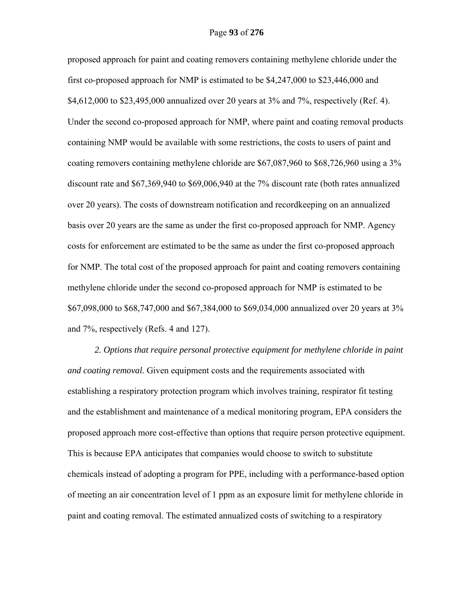proposed approach for paint and coating removers containing methylene chloride under the first co-proposed approach for NMP is estimated to be \$4,247,000 to \$23,446,000 and \$4,612,000 to \$23,495,000 annualized over 20 years at 3% and 7%, respectively (Ref. 4). Under the second co-proposed approach for NMP, where paint and coating removal products containing NMP would be available with some restrictions, the costs to users of paint and coating removers containing methylene chloride are \$67,087,960 to \$68,726,960 using a 3% discount rate and \$67,369,940 to \$69,006,940 at the 7% discount rate (both rates annualized over 20 years). The costs of downstream notification and recordkeeping on an annualized basis over 20 years are the same as under the first co-proposed approach for NMP. Agency costs for enforcement are estimated to be the same as under the first co-proposed approach for NMP. The total cost of the proposed approach for paint and coating removers containing methylene chloride under the second co-proposed approach for NMP is estimated to be \$67,098,000 to \$68,747,000 and \$67,384,000 to \$69,034,000 annualized over 20 years at 3% and 7%, respectively (Refs. 4 and 127).

*2. Options that require personal protective equipment for methylene chloride in paint and coating removal.* Given equipment costs and the requirements associated with establishing a respiratory protection program which involves training, respirator fit testing and the establishment and maintenance of a medical monitoring program, EPA considers the proposed approach more cost-effective than options that require person protective equipment. This is because EPA anticipates that companies would choose to switch to substitute chemicals instead of adopting a program for PPE, including with a performance-based option of meeting an air concentration level of 1 ppm as an exposure limit for methylene chloride in paint and coating removal. The estimated annualized costs of switching to a respiratory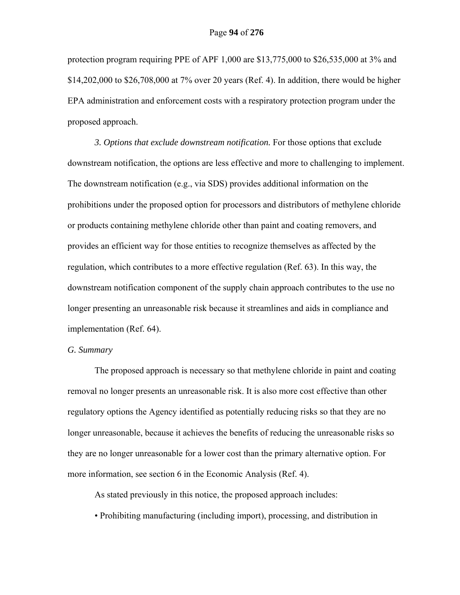protection program requiring PPE of APF 1,000 are \$13,775,000 to \$26,535,000 at 3% and \$14,202,000 to \$26,708,000 at 7% over 20 years (Ref. 4). In addition, there would be higher EPA administration and enforcement costs with a respiratory protection program under the proposed approach.

*3. Options that exclude downstream notification.* For those options that exclude downstream notification, the options are less effective and more to challenging to implement. The downstream notification (e.g., via SDS) provides additional information on the prohibitions under the proposed option for processors and distributors of methylene chloride or products containing methylene chloride other than paint and coating removers, and provides an efficient way for those entities to recognize themselves as affected by the regulation, which contributes to a more effective regulation (Ref. 63). In this way, the downstream notification component of the supply chain approach contributes to the use no longer presenting an unreasonable risk because it streamlines and aids in compliance and implementation (Ref. 64).

## *G. Summary*

The proposed approach is necessary so that methylene chloride in paint and coating removal no longer presents an unreasonable risk. It is also more cost effective than other regulatory options the Agency identified as potentially reducing risks so that they are no longer unreasonable, because it achieves the benefits of reducing the unreasonable risks so they are no longer unreasonable for a lower cost than the primary alternative option. For more information, see section 6 in the Economic Analysis (Ref. 4).

As stated previously in this notice, the proposed approach includes:

• Prohibiting manufacturing (including import), processing, and distribution in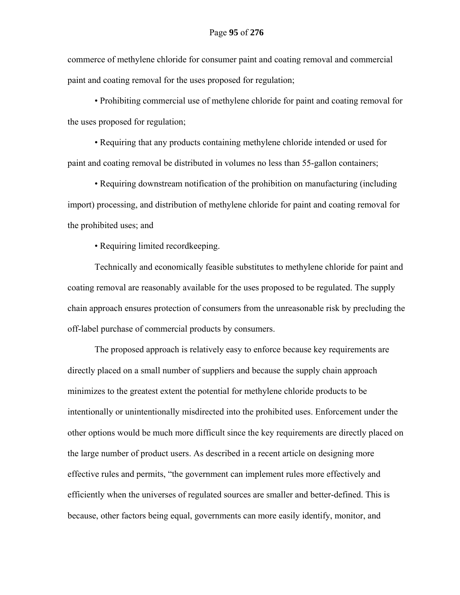commerce of methylene chloride for consumer paint and coating removal and commercial paint and coating removal for the uses proposed for regulation;

• Prohibiting commercial use of methylene chloride for paint and coating removal for the uses proposed for regulation;

• Requiring that any products containing methylene chloride intended or used for paint and coating removal be distributed in volumes no less than 55-gallon containers;

• Requiring downstream notification of the prohibition on manufacturing (including import) processing, and distribution of methylene chloride for paint and coating removal for the prohibited uses; and

• Requiring limited recordkeeping.

Technically and economically feasible substitutes to methylene chloride for paint and coating removal are reasonably available for the uses proposed to be regulated. The supply chain approach ensures protection of consumers from the unreasonable risk by precluding the off-label purchase of commercial products by consumers.

The proposed approach is relatively easy to enforce because key requirements are directly placed on a small number of suppliers and because the supply chain approach minimizes to the greatest extent the potential for methylene chloride products to be intentionally or unintentionally misdirected into the prohibited uses. Enforcement under the other options would be much more difficult since the key requirements are directly placed on the large number of product users. As described in a recent article on designing more effective rules and permits, "the government can implement rules more effectively and efficiently when the universes of regulated sources are smaller and better-defined. This is because, other factors being equal, governments can more easily identify, monitor, and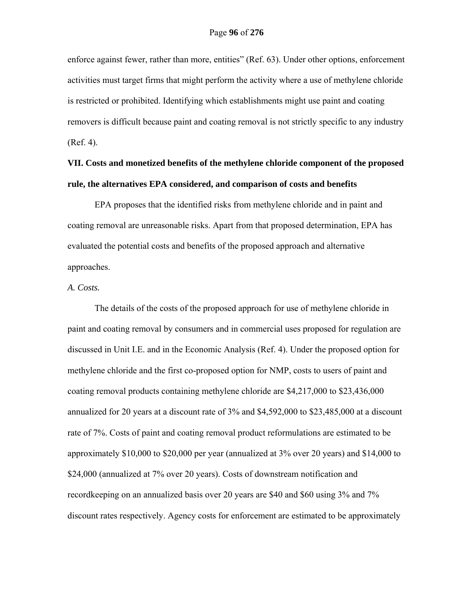enforce against fewer, rather than more, entities" (Ref. 63). Under other options, enforcement activities must target firms that might perform the activity where a use of methylene chloride is restricted or prohibited. Identifying which establishments might use paint and coating removers is difficult because paint and coating removal is not strictly specific to any industry (Ref. 4).

# **VII. Costs and monetized benefits of the methylene chloride component of the proposed rule, the alternatives EPA considered, and comparison of costs and benefits**

EPA proposes that the identified risks from methylene chloride and in paint and coating removal are unreasonable risks. Apart from that proposed determination, EPA has evaluated the potential costs and benefits of the proposed approach and alternative approaches.

### *A. Costs.*

The details of the costs of the proposed approach for use of methylene chloride in paint and coating removal by consumers and in commercial uses proposed for regulation are discussed in Unit I.E. and in the Economic Analysis (Ref. 4). Under the proposed option for methylene chloride and the first co-proposed option for NMP, costs to users of paint and coating removal products containing methylene chloride are \$4,217,000 to \$23,436,000 annualized for 20 years at a discount rate of 3% and \$4,592,000 to \$23,485,000 at a discount rate of 7%. Costs of paint and coating removal product reformulations are estimated to be approximately \$10,000 to \$20,000 per year (annualized at 3% over 20 years) and \$14,000 to \$24,000 (annualized at 7% over 20 years). Costs of downstream notification and recordkeeping on an annualized basis over 20 years are \$40 and \$60 using 3% and 7% discount rates respectively. Agency costs for enforcement are estimated to be approximately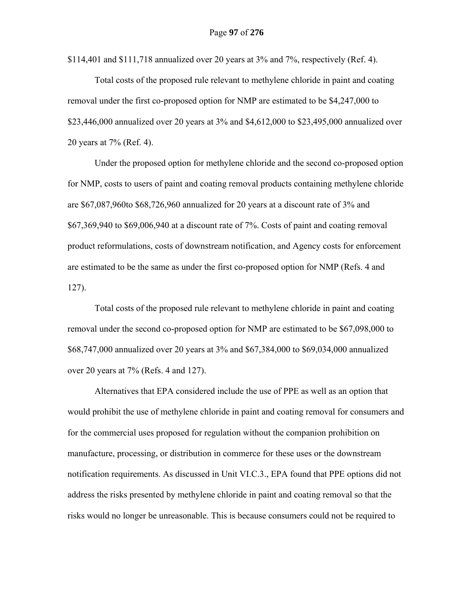\$114,401 and \$111,718 annualized over 20 years at  $3\%$  and  $7\%$ , respectively (Ref. 4).

Total costs of the proposed rule relevant to methylene chloride in paint and coating removal under the first co-proposed option for NMP are estimated to be \$4,247,000 to \$23,446,000 annualized over 20 years at 3% and \$4,612,000 to \$23,495,000 annualized over 20 years at 7% (Ref. 4).

Under the proposed option for methylene chloride and the second co-proposed option for NMP, costs to users of paint and coating removal products containing methylene chloride are \$67,087,960to \$68,726,960 annualized for 20 years at a discount rate of 3% and \$67,369,940 to \$69,006,940 at a discount rate of 7%. Costs of paint and coating removal product reformulations, costs of downstream notification, and Agency costs for enforcement are estimated to be the same as under the first co-proposed option for NMP (Refs. 4 and 127).

Total costs of the proposed rule relevant to methylene chloride in paint and coating removal under the second co-proposed option for NMP are estimated to be \$67,098,000 to \$68,747,000 annualized over 20 years at 3% and \$67,384,000 to \$69,034,000 annualized over 20 years at 7% (Refs. 4 and 127).

Alternatives that EPA considered include the use of PPE as well as an option that would prohibit the use of methylene chloride in paint and coating removal for consumers and for the commercial uses proposed for regulation without the companion prohibition on manufacture, processing, or distribution in commerce for these uses or the downstream notification requirements. As discussed in Unit VI.C.3., EPA found that PPE options did not address the risks presented by methylene chloride in paint and coating removal so that the risks would no longer be unreasonable. This is because consumers could not be required to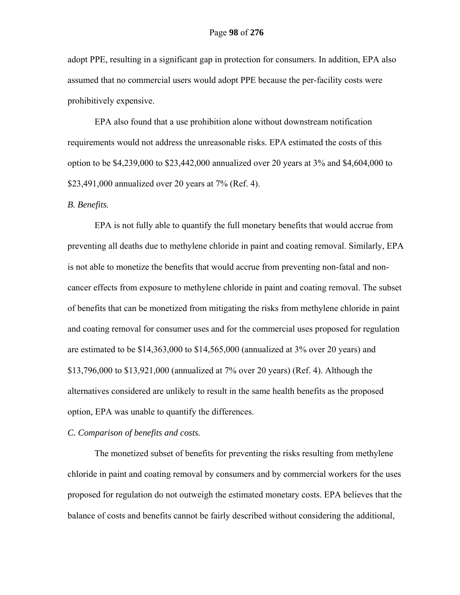adopt PPE, resulting in a significant gap in protection for consumers. In addition, EPA also assumed that no commercial users would adopt PPE because the per-facility costs were prohibitively expensive.

EPA also found that a use prohibition alone without downstream notification requirements would not address the unreasonable risks. EPA estimated the costs of this option to be \$4,239,000 to \$23,442,000 annualized over 20 years at 3% and \$4,604,000 to \$23,491,000 annualized over 20 years at 7% (Ref. 4).

#### *B. Benefits.*

EPA is not fully able to quantify the full monetary benefits that would accrue from preventing all deaths due to methylene chloride in paint and coating removal. Similarly, EPA is not able to monetize the benefits that would accrue from preventing non-fatal and noncancer effects from exposure to methylene chloride in paint and coating removal. The subset of benefits that can be monetized from mitigating the risks from methylene chloride in paint and coating removal for consumer uses and for the commercial uses proposed for regulation are estimated to be \$14,363,000 to \$14,565,000 (annualized at 3% over 20 years) and \$13,796,000 to \$13,921,000 (annualized at 7% over 20 years) (Ref. 4). Although the alternatives considered are unlikely to result in the same health benefits as the proposed option, EPA was unable to quantify the differences.

### *C. Comparison of benefits and costs.*

The monetized subset of benefits for preventing the risks resulting from methylene chloride in paint and coating removal by consumers and by commercial workers for the uses proposed for regulation do not outweigh the estimated monetary costs. EPA believes that the balance of costs and benefits cannot be fairly described without considering the additional,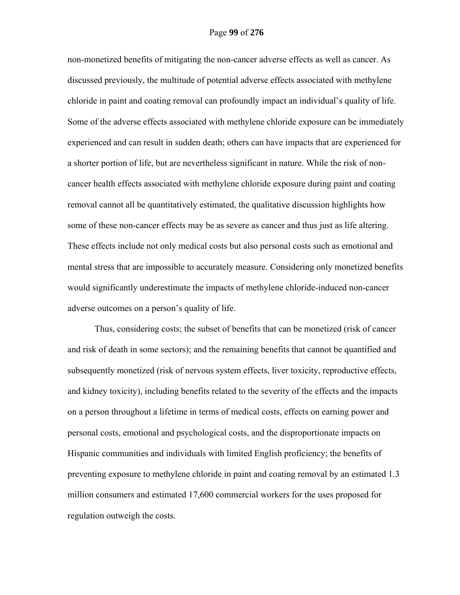non-monetized benefits of mitigating the non-cancer adverse effects as well as cancer. As discussed previously, the multitude of potential adverse effects associated with methylene chloride in paint and coating removal can profoundly impact an individual's quality of life. Some of the adverse effects associated with methylene chloride exposure can be immediately experienced and can result in sudden death; others can have impacts that are experienced for a shorter portion of life, but are nevertheless significant in nature. While the risk of noncancer health effects associated with methylene chloride exposure during paint and coating removal cannot all be quantitatively estimated, the qualitative discussion highlights how some of these non-cancer effects may be as severe as cancer and thus just as life altering. These effects include not only medical costs but also personal costs such as emotional and mental stress that are impossible to accurately measure. Considering only monetized benefits would significantly underestimate the impacts of methylene chloride-induced non-cancer adverse outcomes on a person's quality of life.

Thus, considering costs; the subset of benefits that can be monetized (risk of cancer and risk of death in some sectors); and the remaining benefits that cannot be quantified and subsequently monetized (risk of nervous system effects, liver toxicity, reproductive effects, and kidney toxicity), including benefits related to the severity of the effects and the impacts on a person throughout a lifetime in terms of medical costs, effects on earning power and personal costs, emotional and psychological costs, and the disproportionate impacts on Hispanic communities and individuals with limited English proficiency; the benefits of preventing exposure to methylene chloride in paint and coating removal by an estimated 1.3 million consumers and estimated 17,600 commercial workers for the uses proposed for regulation outweigh the costs.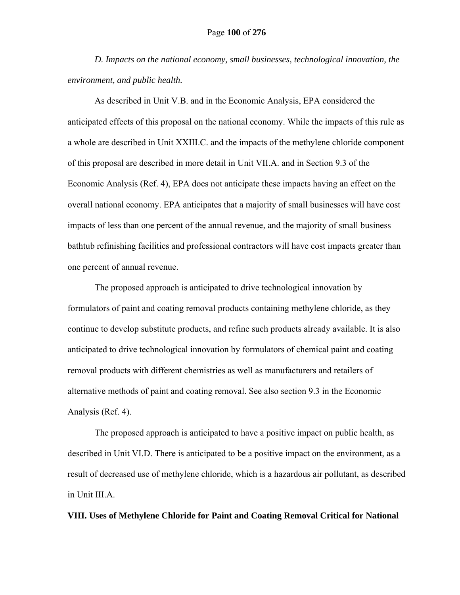*D. Impacts on the national economy, small businesses, technological innovation, the environment, and public health.* 

As described in Unit V.B. and in the Economic Analysis, EPA considered the anticipated effects of this proposal on the national economy. While the impacts of this rule as a whole are described in Unit XXIII.C. and the impacts of the methylene chloride component of this proposal are described in more detail in Unit VII.A. and in Section 9.3 of the Economic Analysis (Ref. 4), EPA does not anticipate these impacts having an effect on the overall national economy. EPA anticipates that a majority of small businesses will have cost impacts of less than one percent of the annual revenue, and the majority of small business bathtub refinishing facilities and professional contractors will have cost impacts greater than one percent of annual revenue.

The proposed approach is anticipated to drive technological innovation by formulators of paint and coating removal products containing methylene chloride, as they continue to develop substitute products, and refine such products already available. It is also anticipated to drive technological innovation by formulators of chemical paint and coating removal products with different chemistries as well as manufacturers and retailers of alternative methods of paint and coating removal. See also section 9.3 in the Economic Analysis (Ref. 4).

The proposed approach is anticipated to have a positive impact on public health, as described in Unit VI.D. There is anticipated to be a positive impact on the environment, as a result of decreased use of methylene chloride, which is a hazardous air pollutant, as described in Unit III.A.

**VIII. Uses of Methylene Chloride for Paint and Coating Removal Critical for National**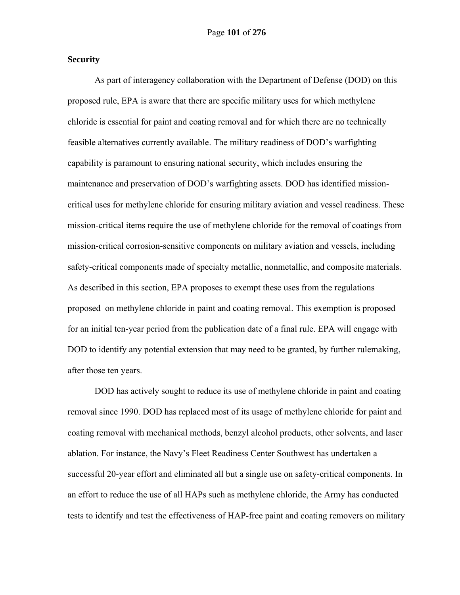## **Security**

As part of interagency collaboration with the Department of Defense (DOD) on this proposed rule, EPA is aware that there are specific military uses for which methylene chloride is essential for paint and coating removal and for which there are no technically feasible alternatives currently available. The military readiness of DOD's warfighting capability is paramount to ensuring national security, which includes ensuring the maintenance and preservation of DOD's warfighting assets. DOD has identified missioncritical uses for methylene chloride for ensuring military aviation and vessel readiness. These mission-critical items require the use of methylene chloride for the removal of coatings from mission-critical corrosion-sensitive components on military aviation and vessels, including safety-critical components made of specialty metallic, nonmetallic, and composite materials. As described in this section, EPA proposes to exempt these uses from the regulations proposed on methylene chloride in paint and coating removal. This exemption is proposed for an initial ten-year period from the publication date of a final rule. EPA will engage with DOD to identify any potential extension that may need to be granted, by further rulemaking, after those ten years.

DOD has actively sought to reduce its use of methylene chloride in paint and coating removal since 1990. DOD has replaced most of its usage of methylene chloride for paint and coating removal with mechanical methods, benzyl alcohol products, other solvents, and laser ablation. For instance, the Navy's Fleet Readiness Center Southwest has undertaken a successful 20-year effort and eliminated all but a single use on safety-critical components. In an effort to reduce the use of all HAPs such as methylene chloride, the Army has conducted tests to identify and test the effectiveness of HAP-free paint and coating removers on military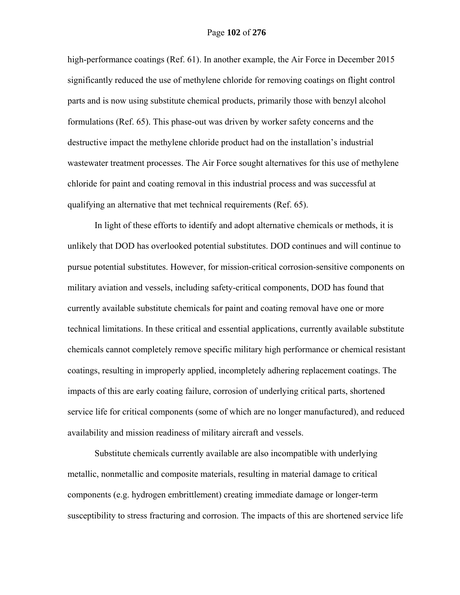high-performance coatings (Ref. 61). In another example, the Air Force in December 2015 significantly reduced the use of methylene chloride for removing coatings on flight control parts and is now using substitute chemical products, primarily those with benzyl alcohol formulations (Ref. 65). This phase-out was driven by worker safety concerns and the destructive impact the methylene chloride product had on the installation's industrial wastewater treatment processes. The Air Force sought alternatives for this use of methylene chloride for paint and coating removal in this industrial process and was successful at qualifying an alternative that met technical requirements (Ref. 65).

In light of these efforts to identify and adopt alternative chemicals or methods, it is unlikely that DOD has overlooked potential substitutes. DOD continues and will continue to pursue potential substitutes. However, for mission-critical corrosion-sensitive components on military aviation and vessels, including safety-critical components, DOD has found that currently available substitute chemicals for paint and coating removal have one or more technical limitations. In these critical and essential applications, currently available substitute chemicals cannot completely remove specific military high performance or chemical resistant coatings, resulting in improperly applied, incompletely adhering replacement coatings. The impacts of this are early coating failure, corrosion of underlying critical parts, shortened service life for critical components (some of which are no longer manufactured), and reduced availability and mission readiness of military aircraft and vessels.

Substitute chemicals currently available are also incompatible with underlying metallic, nonmetallic and composite materials, resulting in material damage to critical components (e.g. hydrogen embrittlement) creating immediate damage or longer-term susceptibility to stress fracturing and corrosion. The impacts of this are shortened service life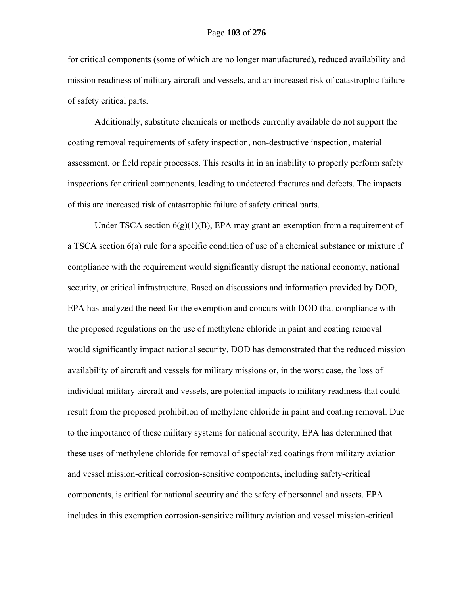for critical components (some of which are no longer manufactured), reduced availability and mission readiness of military aircraft and vessels, and an increased risk of catastrophic failure of safety critical parts.

Additionally, substitute chemicals or methods currently available do not support the coating removal requirements of safety inspection, non-destructive inspection, material assessment, or field repair processes. This results in in an inability to properly perform safety inspections for critical components, leading to undetected fractures and defects. The impacts of this are increased risk of catastrophic failure of safety critical parts.

Under TSCA section  $6(g)(1)(B)$ , EPA may grant an exemption from a requirement of a TSCA section 6(a) rule for a specific condition of use of a chemical substance or mixture if compliance with the requirement would significantly disrupt the national economy, national security, or critical infrastructure. Based on discussions and information provided by DOD, EPA has analyzed the need for the exemption and concurs with DOD that compliance with the proposed regulations on the use of methylene chloride in paint and coating removal would significantly impact national security. DOD has demonstrated that the reduced mission availability of aircraft and vessels for military missions or, in the worst case, the loss of individual military aircraft and vessels, are potential impacts to military readiness that could result from the proposed prohibition of methylene chloride in paint and coating removal. Due to the importance of these military systems for national security, EPA has determined that these uses of methylene chloride for removal of specialized coatings from military aviation and vessel mission-critical corrosion-sensitive components, including safety-critical components, is critical for national security and the safety of personnel and assets. EPA includes in this exemption corrosion-sensitive military aviation and vessel mission-critical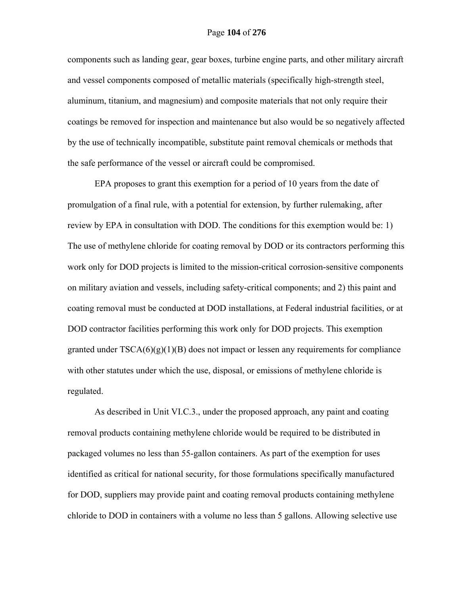components such as landing gear, gear boxes, turbine engine parts, and other military aircraft and vessel components composed of metallic materials (specifically high-strength steel, aluminum, titanium, and magnesium) and composite materials that not only require their coatings be removed for inspection and maintenance but also would be so negatively affected by the use of technically incompatible, substitute paint removal chemicals or methods that the safe performance of the vessel or aircraft could be compromised.

EPA proposes to grant this exemption for a period of 10 years from the date of promulgation of a final rule, with a potential for extension, by further rulemaking, after review by EPA in consultation with DOD. The conditions for this exemption would be: 1) The use of methylene chloride for coating removal by DOD or its contractors performing this work only for DOD projects is limited to the mission-critical corrosion-sensitive components on military aviation and vessels, including safety-critical components; and 2) this paint and coating removal must be conducted at DOD installations, at Federal industrial facilities, or at DOD contractor facilities performing this work only for DOD projects. This exemption granted under  $TSCA(6)(g)(1)(B)$  does not impact or lessen any requirements for compliance with other statutes under which the use, disposal, or emissions of methylene chloride is regulated.

As described in Unit VI.C.3., under the proposed approach, any paint and coating removal products containing methylene chloride would be required to be distributed in packaged volumes no less than 55-gallon containers. As part of the exemption for uses identified as critical for national security, for those formulations specifically manufactured for DOD, suppliers may provide paint and coating removal products containing methylene chloride to DOD in containers with a volume no less than 5 gallons. Allowing selective use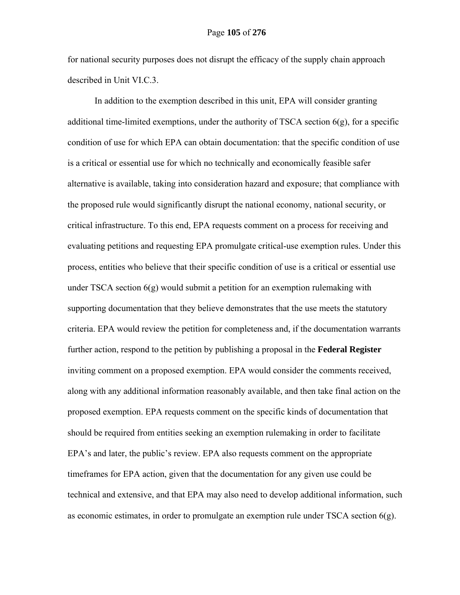for national security purposes does not disrupt the efficacy of the supply chain approach described in Unit VI.C.3.

In addition to the exemption described in this unit, EPA will consider granting additional time-limited exemptions, under the authority of TSCA section  $6(g)$ , for a specific condition of use for which EPA can obtain documentation: that the specific condition of use is a critical or essential use for which no technically and economically feasible safer alternative is available, taking into consideration hazard and exposure; that compliance with the proposed rule would significantly disrupt the national economy, national security, or critical infrastructure. To this end, EPA requests comment on a process for receiving and evaluating petitions and requesting EPA promulgate critical-use exemption rules. Under this process, entities who believe that their specific condition of use is a critical or essential use under TSCA section  $6(g)$  would submit a petition for an exemption rulemaking with supporting documentation that they believe demonstrates that the use meets the statutory criteria. EPA would review the petition for completeness and, if the documentation warrants further action, respond to the petition by publishing a proposal in the **Federal Register** inviting comment on a proposed exemption. EPA would consider the comments received, along with any additional information reasonably available, and then take final action on the proposed exemption. EPA requests comment on the specific kinds of documentation that should be required from entities seeking an exemption rulemaking in order to facilitate EPA's and later, the public's review. EPA also requests comment on the appropriate timeframes for EPA action, given that the documentation for any given use could be technical and extensive, and that EPA may also need to develop additional information, such as economic estimates, in order to promulgate an exemption rule under TSCA section 6(g).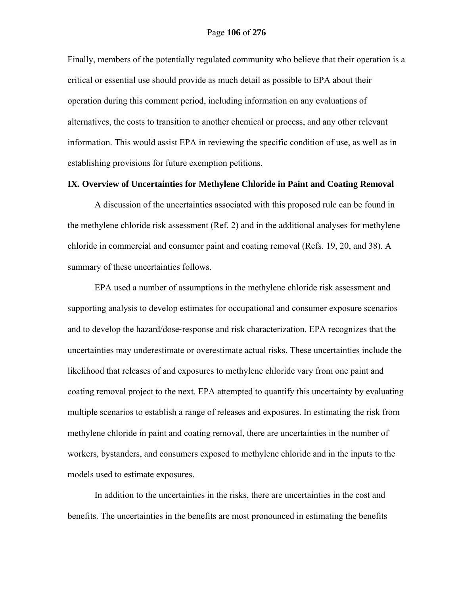Finally, members of the potentially regulated community who believe that their operation is a critical or essential use should provide as much detail as possible to EPA about their operation during this comment period, including information on any evaluations of alternatives, the costs to transition to another chemical or process, and any other relevant information. This would assist EPA in reviewing the specific condition of use, as well as in establishing provisions for future exemption petitions.

# **IX. Overview of Uncertainties for Methylene Chloride in Paint and Coating Removal**

A discussion of the uncertainties associated with this proposed rule can be found in the methylene chloride risk assessment (Ref. 2) and in the additional analyses for methylene chloride in commercial and consumer paint and coating removal (Refs. 19, 20, and 38). A summary of these uncertainties follows.

EPA used a number of assumptions in the methylene chloride risk assessment and supporting analysis to develop estimates for occupational and consumer exposure scenarios and to develop the hazard/dose‐response and risk characterization. EPA recognizes that the uncertainties may underestimate or overestimate actual risks. These uncertainties include the likelihood that releases of and exposures to methylene chloride vary from one paint and coating removal project to the next. EPA attempted to quantify this uncertainty by evaluating multiple scenarios to establish a range of releases and exposures. In estimating the risk from methylene chloride in paint and coating removal, there are uncertainties in the number of workers, bystanders, and consumers exposed to methylene chloride and in the inputs to the models used to estimate exposures.

In addition to the uncertainties in the risks, there are uncertainties in the cost and benefits. The uncertainties in the benefits are most pronounced in estimating the benefits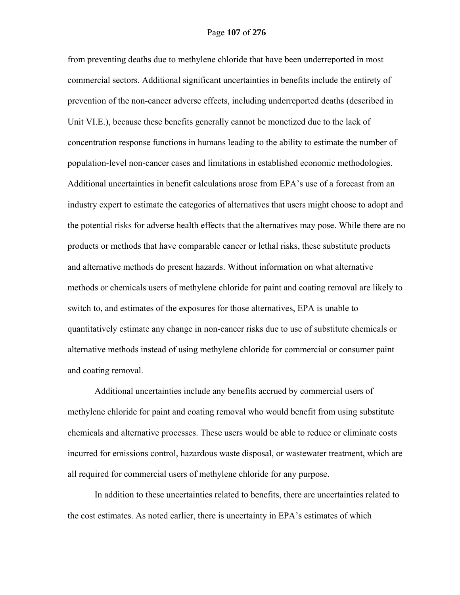from preventing deaths due to methylene chloride that have been underreported in most commercial sectors. Additional significant uncertainties in benefits include the entirety of prevention of the non-cancer adverse effects, including underreported deaths (described in Unit VI.E.), because these benefits generally cannot be monetized due to the lack of concentration response functions in humans leading to the ability to estimate the number of population-level non-cancer cases and limitations in established economic methodologies. Additional uncertainties in benefit calculations arose from EPA's use of a forecast from an industry expert to estimate the categories of alternatives that users might choose to adopt and the potential risks for adverse health effects that the alternatives may pose. While there are no products or methods that have comparable cancer or lethal risks, these substitute products and alternative methods do present hazards. Without information on what alternative methods or chemicals users of methylene chloride for paint and coating removal are likely to switch to, and estimates of the exposures for those alternatives, EPA is unable to quantitatively estimate any change in non-cancer risks due to use of substitute chemicals or alternative methods instead of using methylene chloride for commercial or consumer paint and coating removal.

Additional uncertainties include any benefits accrued by commercial users of methylene chloride for paint and coating removal who would benefit from using substitute chemicals and alternative processes. These users would be able to reduce or eliminate costs incurred for emissions control, hazardous waste disposal, or wastewater treatment, which are all required for commercial users of methylene chloride for any purpose.

In addition to these uncertainties related to benefits, there are uncertainties related to the cost estimates. As noted earlier, there is uncertainty in EPA's estimates of which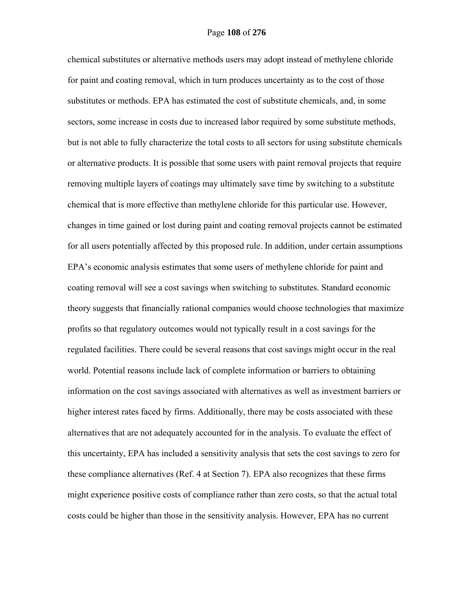chemical substitutes or alternative methods users may adopt instead of methylene chloride for paint and coating removal, which in turn produces uncertainty as to the cost of those substitutes or methods. EPA has estimated the cost of substitute chemicals, and, in some sectors, some increase in costs due to increased labor required by some substitute methods, but is not able to fully characterize the total costs to all sectors for using substitute chemicals or alternative products. It is possible that some users with paint removal projects that require removing multiple layers of coatings may ultimately save time by switching to a substitute chemical that is more effective than methylene chloride for this particular use. However, changes in time gained or lost during paint and coating removal projects cannot be estimated for all users potentially affected by this proposed rule. In addition, under certain assumptions EPA's economic analysis estimates that some users of methylene chloride for paint and coating removal will see a cost savings when switching to substitutes. Standard economic theory suggests that financially rational companies would choose technologies that maximize profits so that regulatory outcomes would not typically result in a cost savings for the regulated facilities. There could be several reasons that cost savings might occur in the real world. Potential reasons include lack of complete information or barriers to obtaining information on the cost savings associated with alternatives as well as investment barriers or higher interest rates faced by firms. Additionally, there may be costs associated with these alternatives that are not adequately accounted for in the analysis. To evaluate the effect of this uncertainty, EPA has included a sensitivity analysis that sets the cost savings to zero for these compliance alternatives (Ref. 4 at Section 7). EPA also recognizes that these firms might experience positive costs of compliance rather than zero costs, so that the actual total costs could be higher than those in the sensitivity analysis. However, EPA has no current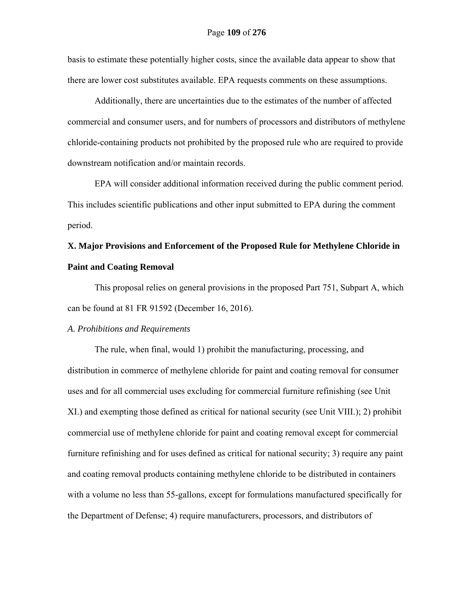basis to estimate these potentially higher costs, since the available data appear to show that there are lower cost substitutes available. EPA requests comments on these assumptions.

Additionally, there are uncertainties due to the estimates of the number of affected commercial and consumer users, and for numbers of processors and distributors of methylene chloride-containing products not prohibited by the proposed rule who are required to provide downstream notification and/or maintain records.

EPA will consider additional information received during the public comment period. This includes scientific publications and other input submitted to EPA during the comment period.

# **X. Major Provisions and Enforcement of the Proposed Rule for Methylene Chloride in Paint and Coating Removal**

This proposal relies on general provisions in the proposed Part 751, Subpart A, which can be found at 81 FR 91592 (December 16, 2016).

# *A. Prohibitions and Requirements*

The rule, when final, would 1) prohibit the manufacturing, processing, and distribution in commerce of methylene chloride for paint and coating removal for consumer uses and for all commercial uses excluding for commercial furniture refinishing (see Unit XI.) and exempting those defined as critical for national security (see Unit VIII.); 2) prohibit commercial use of methylene chloride for paint and coating removal except for commercial furniture refinishing and for uses defined as critical for national security; 3) require any paint and coating removal products containing methylene chloride to be distributed in containers with a volume no less than 55-gallons, except for formulations manufactured specifically for the Department of Defense; 4) require manufacturers, processors, and distributors of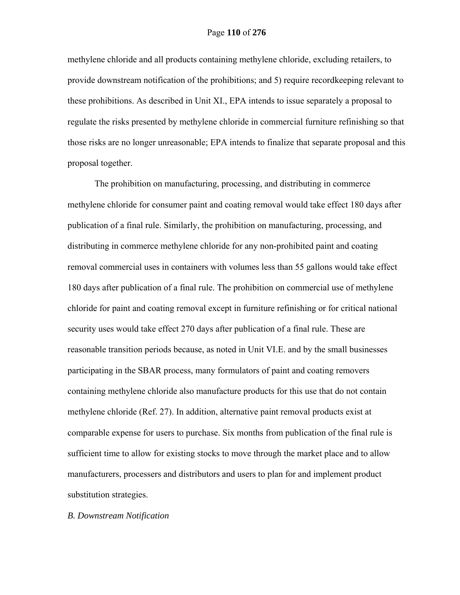#### Page **110** of **276**

methylene chloride and all products containing methylene chloride, excluding retailers, to provide downstream notification of the prohibitions; and 5) require recordkeeping relevant to these prohibitions. As described in Unit XI., EPA intends to issue separately a proposal to regulate the risks presented by methylene chloride in commercial furniture refinishing so that those risks are no longer unreasonable; EPA intends to finalize that separate proposal and this proposal together.

The prohibition on manufacturing, processing, and distributing in commerce methylene chloride for consumer paint and coating removal would take effect 180 days after publication of a final rule. Similarly, the prohibition on manufacturing, processing, and distributing in commerce methylene chloride for any non-prohibited paint and coating removal commercial uses in containers with volumes less than 55 gallons would take effect 180 days after publication of a final rule. The prohibition on commercial use of methylene chloride for paint and coating removal except in furniture refinishing or for critical national security uses would take effect 270 days after publication of a final rule. These are reasonable transition periods because, as noted in Unit VI.E. and by the small businesses participating in the SBAR process, many formulators of paint and coating removers containing methylene chloride also manufacture products for this use that do not contain methylene chloride (Ref. 27). In addition, alternative paint removal products exist at comparable expense for users to purchase. Six months from publication of the final rule is sufficient time to allow for existing stocks to move through the market place and to allow manufacturers, processers and distributors and users to plan for and implement product substitution strategies.

#### *B. Downstream Notification*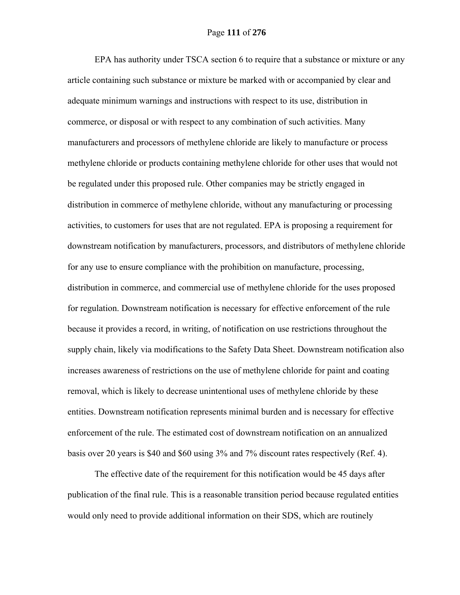EPA has authority under TSCA section 6 to require that a substance or mixture or any article containing such substance or mixture be marked with or accompanied by clear and adequate minimum warnings and instructions with respect to its use, distribution in commerce, or disposal or with respect to any combination of such activities. Many manufacturers and processors of methylene chloride are likely to manufacture or process methylene chloride or products containing methylene chloride for other uses that would not be regulated under this proposed rule. Other companies may be strictly engaged in distribution in commerce of methylene chloride, without any manufacturing or processing activities, to customers for uses that are not regulated. EPA is proposing a requirement for downstream notification by manufacturers, processors, and distributors of methylene chloride for any use to ensure compliance with the prohibition on manufacture, processing, distribution in commerce, and commercial use of methylene chloride for the uses proposed for regulation. Downstream notification is necessary for effective enforcement of the rule because it provides a record, in writing, of notification on use restrictions throughout the supply chain, likely via modifications to the Safety Data Sheet. Downstream notification also increases awareness of restrictions on the use of methylene chloride for paint and coating removal, which is likely to decrease unintentional uses of methylene chloride by these entities. Downstream notification represents minimal burden and is necessary for effective enforcement of the rule. The estimated cost of downstream notification on an annualized basis over 20 years is \$40 and \$60 using 3% and 7% discount rates respectively (Ref. 4).

The effective date of the requirement for this notification would be 45 days after publication of the final rule. This is a reasonable transition period because regulated entities would only need to provide additional information on their SDS, which are routinely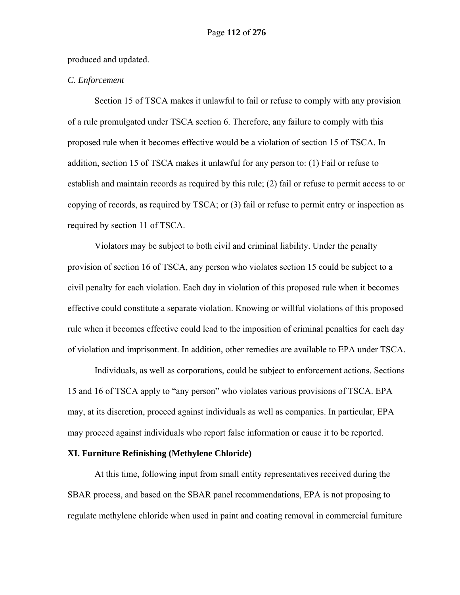produced and updated.

# *C. Enforcement*

Section 15 of TSCA makes it unlawful to fail or refuse to comply with any provision of a rule promulgated under TSCA section 6. Therefore, any failure to comply with this proposed rule when it becomes effective would be a violation of section 15 of TSCA. In addition, section 15 of TSCA makes it unlawful for any person to: (1) Fail or refuse to establish and maintain records as required by this rule; (2) fail or refuse to permit access to or copying of records, as required by TSCA; or (3) fail or refuse to permit entry or inspection as required by section 11 of TSCA.

Violators may be subject to both civil and criminal liability. Under the penalty provision of section 16 of TSCA, any person who violates section 15 could be subject to a civil penalty for each violation. Each day in violation of this proposed rule when it becomes effective could constitute a separate violation. Knowing or willful violations of this proposed rule when it becomes effective could lead to the imposition of criminal penalties for each day of violation and imprisonment. In addition, other remedies are available to EPA under TSCA.

Individuals, as well as corporations, could be subject to enforcement actions. Sections 15 and 16 of TSCA apply to "any person" who violates various provisions of TSCA. EPA may, at its discretion, proceed against individuals as well as companies. In particular, EPA may proceed against individuals who report false information or cause it to be reported.

### **XI. Furniture Refinishing (Methylene Chloride)**

At this time, following input from small entity representatives received during the SBAR process, and based on the SBAR panel recommendations, EPA is not proposing to regulate methylene chloride when used in paint and coating removal in commercial furniture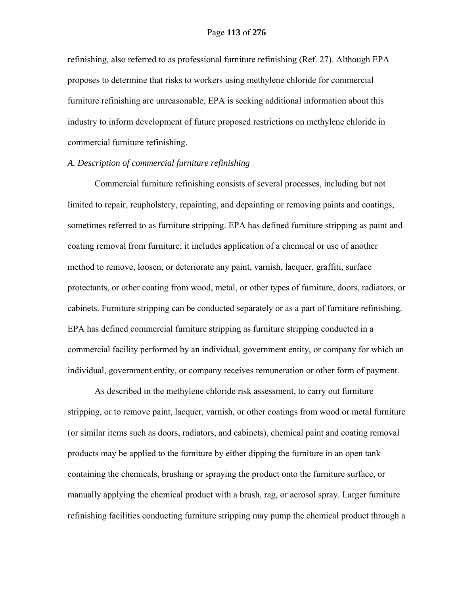refinishing, also referred to as professional furniture refinishing (Ref. 27). Although EPA proposes to determine that risks to workers using methylene chloride for commercial furniture refinishing are unreasonable, EPA is seeking additional information about this industry to inform development of future proposed restrictions on methylene chloride in commercial furniture refinishing.

## *A. Description of commercial furniture refinishing*

Commercial furniture refinishing consists of several processes, including but not limited to repair, reupholstery, repainting, and depainting or removing paints and coatings, sometimes referred to as furniture stripping. EPA has defined furniture stripping as paint and coating removal from furniture; it includes application of a chemical or use of another method to remove, loosen, or deteriorate any paint, varnish, lacquer, graffiti, surface protectants, or other coating from wood, metal, or other types of furniture, doors, radiators, or cabinets. Furniture stripping can be conducted separately or as a part of furniture refinishing. EPA has defined commercial furniture stripping as furniture stripping conducted in a commercial facility performed by an individual, government entity, or company for which an individual, government entity, or company receives remuneration or other form of payment.

As described in the methylene chloride risk assessment, to carry out furniture stripping, or to remove paint, lacquer, varnish, or other coatings from wood or metal furniture (or similar items such as doors, radiators, and cabinets), chemical paint and coating removal products may be applied to the furniture by either dipping the furniture in an open tank containing the chemicals, brushing or spraying the product onto the furniture surface, or manually applying the chemical product with a brush, rag, or aerosol spray. Larger furniture refinishing facilities conducting furniture stripping may pump the chemical product through a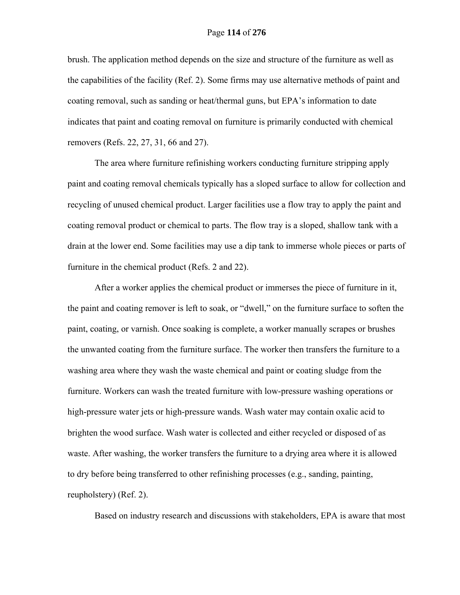brush. The application method depends on the size and structure of the furniture as well as the capabilities of the facility (Ref. 2). Some firms may use alternative methods of paint and coating removal, such as sanding or heat/thermal guns, but EPA's information to date indicates that paint and coating removal on furniture is primarily conducted with chemical removers (Refs. 22, 27, 31, 66 and 27).

The area where furniture refinishing workers conducting furniture stripping apply paint and coating removal chemicals typically has a sloped surface to allow for collection and recycling of unused chemical product. Larger facilities use a flow tray to apply the paint and coating removal product or chemical to parts. The flow tray is a sloped, shallow tank with a drain at the lower end. Some facilities may use a dip tank to immerse whole pieces or parts of furniture in the chemical product (Refs. 2 and 22).

After a worker applies the chemical product or immerses the piece of furniture in it, the paint and coating remover is left to soak, or "dwell," on the furniture surface to soften the paint, coating, or varnish. Once soaking is complete, a worker manually scrapes or brushes the unwanted coating from the furniture surface. The worker then transfers the furniture to a washing area where they wash the waste chemical and paint or coating sludge from the furniture. Workers can wash the treated furniture with low-pressure washing operations or high-pressure water jets or high-pressure wands. Wash water may contain oxalic acid to brighten the wood surface. Wash water is collected and either recycled or disposed of as waste. After washing, the worker transfers the furniture to a drying area where it is allowed to dry before being transferred to other refinishing processes (e.g., sanding, painting, reupholstery) (Ref. 2).

Based on industry research and discussions with stakeholders, EPA is aware that most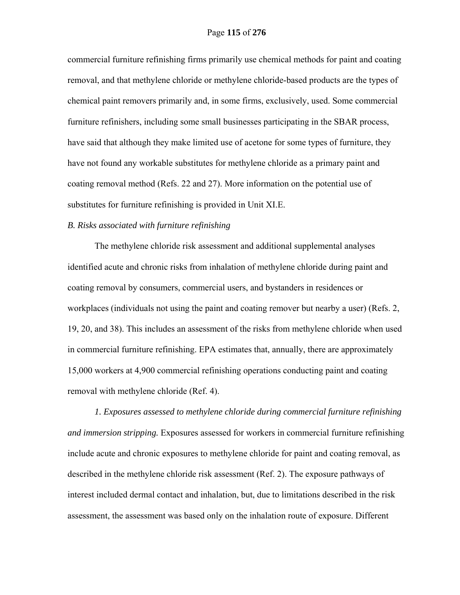commercial furniture refinishing firms primarily use chemical methods for paint and coating removal, and that methylene chloride or methylene chloride-based products are the types of chemical paint removers primarily and, in some firms, exclusively, used. Some commercial furniture refinishers, including some small businesses participating in the SBAR process, have said that although they make limited use of acetone for some types of furniture, they have not found any workable substitutes for methylene chloride as a primary paint and coating removal method (Refs. 22 and 27). More information on the potential use of substitutes for furniture refinishing is provided in Unit XI.E.

#### *B. Risks associated with furniture refinishing*

The methylene chloride risk assessment and additional supplemental analyses identified acute and chronic risks from inhalation of methylene chloride during paint and coating removal by consumers, commercial users, and bystanders in residences or workplaces (individuals not using the paint and coating remover but nearby a user) (Refs. 2, 19, 20, and 38). This includes an assessment of the risks from methylene chloride when used in commercial furniture refinishing. EPA estimates that, annually, there are approximately 15,000 workers at 4,900 commercial refinishing operations conducting paint and coating removal with methylene chloride (Ref. 4).

*1. Exposures assessed to methylene chloride during commercial furniture refinishing and immersion stripping.* Exposures assessed for workers in commercial furniture refinishing include acute and chronic exposures to methylene chloride for paint and coating removal, as described in the methylene chloride risk assessment (Ref. 2). The exposure pathways of interest included dermal contact and inhalation, but, due to limitations described in the risk assessment, the assessment was based only on the inhalation route of exposure. Different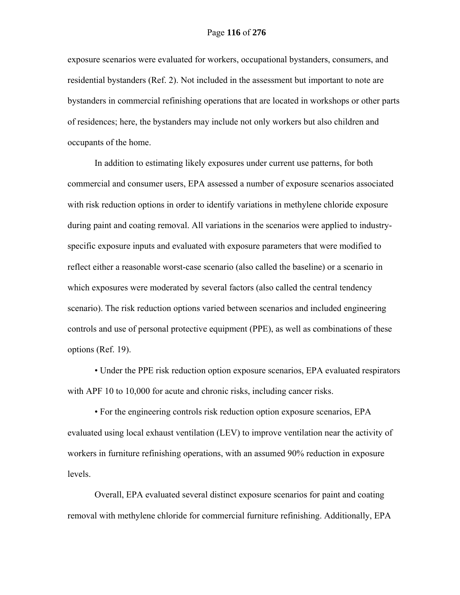exposure scenarios were evaluated for workers, occupational bystanders, consumers, and residential bystanders (Ref. 2). Not included in the assessment but important to note are bystanders in commercial refinishing operations that are located in workshops or other parts of residences; here, the bystanders may include not only workers but also children and occupants of the home.

In addition to estimating likely exposures under current use patterns, for both commercial and consumer users, EPA assessed a number of exposure scenarios associated with risk reduction options in order to identify variations in methylene chloride exposure during paint and coating removal. All variations in the scenarios were applied to industryspecific exposure inputs and evaluated with exposure parameters that were modified to reflect either a reasonable worst-case scenario (also called the baseline) or a scenario in which exposures were moderated by several factors (also called the central tendency scenario). The risk reduction options varied between scenarios and included engineering controls and use of personal protective equipment (PPE), as well as combinations of these options (Ref. 19).

 • Under the PPE risk reduction option exposure scenarios, EPA evaluated respirators with APF 10 to 10,000 for acute and chronic risks, including cancer risks.

 • For the engineering controls risk reduction option exposure scenarios, EPA evaluated using local exhaust ventilation (LEV) to improve ventilation near the activity of workers in furniture refinishing operations, with an assumed 90% reduction in exposure levels.

Overall, EPA evaluated several distinct exposure scenarios for paint and coating removal with methylene chloride for commercial furniture refinishing. Additionally, EPA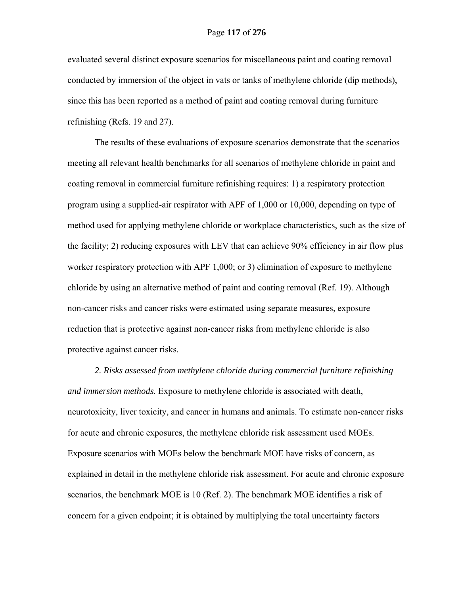evaluated several distinct exposure scenarios for miscellaneous paint and coating removal conducted by immersion of the object in vats or tanks of methylene chloride (dip methods), since this has been reported as a method of paint and coating removal during furniture refinishing (Refs. 19 and 27).

The results of these evaluations of exposure scenarios demonstrate that the scenarios meeting all relevant health benchmarks for all scenarios of methylene chloride in paint and coating removal in commercial furniture refinishing requires: 1) a respiratory protection program using a supplied-air respirator with APF of 1,000 or 10,000, depending on type of method used for applying methylene chloride or workplace characteristics, such as the size of the facility; 2) reducing exposures with LEV that can achieve 90% efficiency in air flow plus worker respiratory protection with APF 1,000; or 3) elimination of exposure to methylene chloride by using an alternative method of paint and coating removal (Ref. 19). Although non-cancer risks and cancer risks were estimated using separate measures, exposure reduction that is protective against non-cancer risks from methylene chloride is also protective against cancer risks.

*2. Risks assessed from methylene chloride during commercial furniture refinishing and immersion methods.* Exposure to methylene chloride is associated with death, neurotoxicity, liver toxicity, and cancer in humans and animals. To estimate non-cancer risks for acute and chronic exposures, the methylene chloride risk assessment used MOEs. Exposure scenarios with MOEs below the benchmark MOE have risks of concern, as explained in detail in the methylene chloride risk assessment. For acute and chronic exposure scenarios, the benchmark MOE is 10 (Ref. 2). The benchmark MOE identifies a risk of concern for a given endpoint; it is obtained by multiplying the total uncertainty factors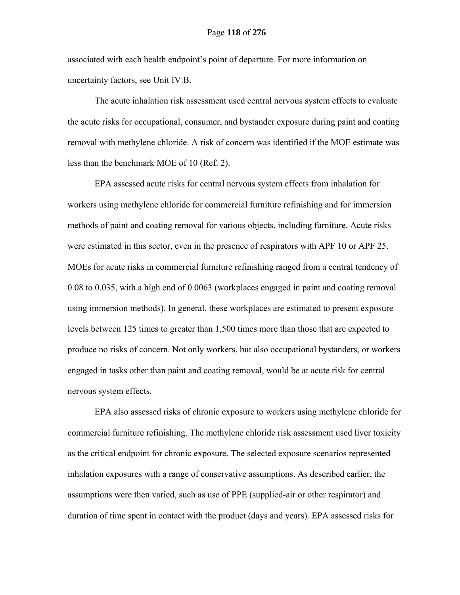associated with each health endpoint's point of departure. For more information on uncertainty factors, see Unit IV.B.

The acute inhalation risk assessment used central nervous system effects to evaluate the acute risks for occupational, consumer, and bystander exposure during paint and coating removal with methylene chloride. A risk of concern was identified if the MOE estimate was less than the benchmark MOE of 10 (Ref. 2).

EPA assessed acute risks for central nervous system effects from inhalation for workers using methylene chloride for commercial furniture refinishing and for immersion methods of paint and coating removal for various objects, including furniture. Acute risks were estimated in this sector, even in the presence of respirators with APF 10 or APF 25. MOEs for acute risks in commercial furniture refinishing ranged from a central tendency of 0.08 to 0.035, with a high end of 0.0063 (workplaces engaged in paint and coating removal using immersion methods). In general, these workplaces are estimated to present exposure levels between 125 times to greater than 1,500 times more than those that are expected to produce no risks of concern. Not only workers, but also occupational bystanders, or workers engaged in tasks other than paint and coating removal, would be at acute risk for central nervous system effects.

EPA also assessed risks of chronic exposure to workers using methylene chloride for commercial furniture refinishing. The methylene chloride risk assessment used liver toxicity as the critical endpoint for chronic exposure. The selected exposure scenarios represented inhalation exposures with a range of conservative assumptions. As described earlier, the assumptions were then varied, such as use of PPE (supplied-air or other respirator) and duration of time spent in contact with the product (days and years). EPA assessed risks for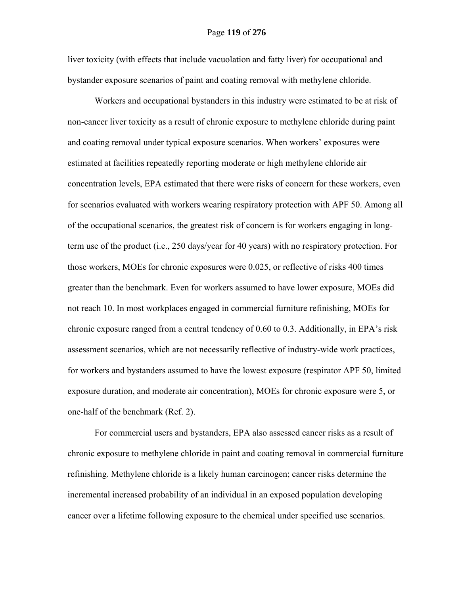liver toxicity (with effects that include vacuolation and fatty liver) for occupational and bystander exposure scenarios of paint and coating removal with methylene chloride.

Workers and occupational bystanders in this industry were estimated to be at risk of non-cancer liver toxicity as a result of chronic exposure to methylene chloride during paint and coating removal under typical exposure scenarios. When workers' exposures were estimated at facilities repeatedly reporting moderate or high methylene chloride air concentration levels, EPA estimated that there were risks of concern for these workers, even for scenarios evaluated with workers wearing respiratory protection with APF 50. Among all of the occupational scenarios, the greatest risk of concern is for workers engaging in longterm use of the product (i.e., 250 days/year for 40 years) with no respiratory protection. For those workers, MOEs for chronic exposures were 0.025, or reflective of risks 400 times greater than the benchmark. Even for workers assumed to have lower exposure, MOEs did not reach 10. In most workplaces engaged in commercial furniture refinishing, MOEs for chronic exposure ranged from a central tendency of 0.60 to 0.3. Additionally, in EPA's risk assessment scenarios, which are not necessarily reflective of industry-wide work practices, for workers and bystanders assumed to have the lowest exposure (respirator APF 50, limited exposure duration, and moderate air concentration), MOEs for chronic exposure were 5, or one-half of the benchmark (Ref. 2).

For commercial users and bystanders, EPA also assessed cancer risks as a result of chronic exposure to methylene chloride in paint and coating removal in commercial furniture refinishing. Methylene chloride is a likely human carcinogen; cancer risks determine the incremental increased probability of an individual in an exposed population developing cancer over a lifetime following exposure to the chemical under specified use scenarios.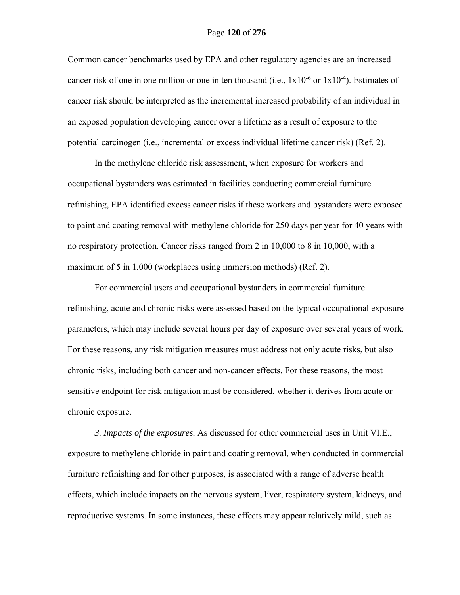#### Page **120** of **276**

Common cancer benchmarks used by EPA and other regulatory agencies are an increased cancer risk of one in one million or one in ten thousand (i.e.,  $1x10^{-6}$  or  $1x10^{-4}$ ). Estimates of cancer risk should be interpreted as the incremental increased probability of an individual in an exposed population developing cancer over a lifetime as a result of exposure to the potential carcinogen (i.e., incremental or excess individual lifetime cancer risk) (Ref. 2).

In the methylene chloride risk assessment, when exposure for workers and occupational bystanders was estimated in facilities conducting commercial furniture refinishing, EPA identified excess cancer risks if these workers and bystanders were exposed to paint and coating removal with methylene chloride for 250 days per year for 40 years with no respiratory protection. Cancer risks ranged from 2 in 10,000 to 8 in 10,000, with a maximum of 5 in 1,000 (workplaces using immersion methods) (Ref. 2).

For commercial users and occupational bystanders in commercial furniture refinishing, acute and chronic risks were assessed based on the typical occupational exposure parameters, which may include several hours per day of exposure over several years of work. For these reasons, any risk mitigation measures must address not only acute risks, but also chronic risks, including both cancer and non-cancer effects. For these reasons, the most sensitive endpoint for risk mitigation must be considered, whether it derives from acute or chronic exposure.

*3. Impacts of the exposures.* As discussed for other commercial uses in Unit VI.E., exposure to methylene chloride in paint and coating removal, when conducted in commercial furniture refinishing and for other purposes, is associated with a range of adverse health effects, which include impacts on the nervous system, liver, respiratory system, kidneys, and reproductive systems. In some instances, these effects may appear relatively mild, such as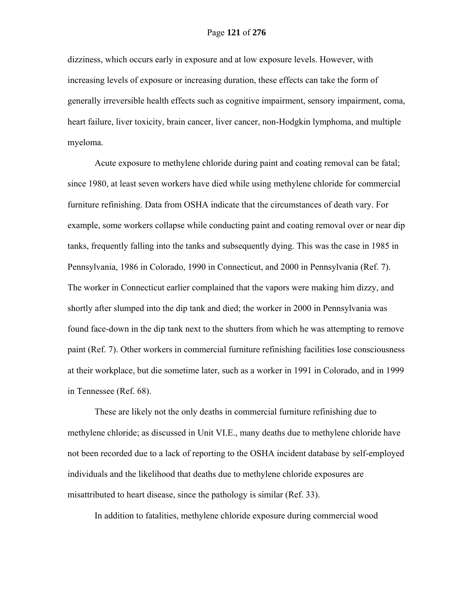dizziness, which occurs early in exposure and at low exposure levels. However, with increasing levels of exposure or increasing duration, these effects can take the form of generally irreversible health effects such as cognitive impairment, sensory impairment, coma, heart failure, liver toxicity, brain cancer, liver cancer, non-Hodgkin lymphoma, and multiple myeloma.

Acute exposure to methylene chloride during paint and coating removal can be fatal; since 1980, at least seven workers have died while using methylene chloride for commercial furniture refinishing. Data from OSHA indicate that the circumstances of death vary. For example, some workers collapse while conducting paint and coating removal over or near dip tanks, frequently falling into the tanks and subsequently dying. This was the case in 1985 in Pennsylvania, 1986 in Colorado, 1990 in Connecticut, and 2000 in Pennsylvania (Ref. 7). The worker in Connecticut earlier complained that the vapors were making him dizzy, and shortly after slumped into the dip tank and died; the worker in 2000 in Pennsylvania was found face-down in the dip tank next to the shutters from which he was attempting to remove paint (Ref. 7). Other workers in commercial furniture refinishing facilities lose consciousness at their workplace, but die sometime later, such as a worker in 1991 in Colorado, and in 1999 in Tennessee (Ref. 68).

These are likely not the only deaths in commercial furniture refinishing due to methylene chloride; as discussed in Unit VI.E., many deaths due to methylene chloride have not been recorded due to a lack of reporting to the OSHA incident database by self-employed individuals and the likelihood that deaths due to methylene chloride exposures are misattributed to heart disease, since the pathology is similar (Ref. 33).

In addition to fatalities, methylene chloride exposure during commercial wood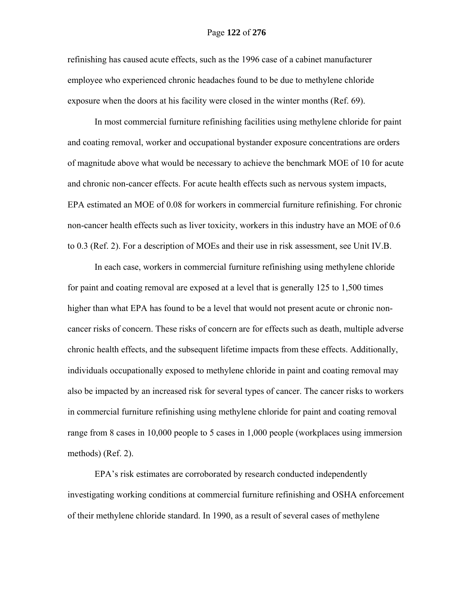refinishing has caused acute effects, such as the 1996 case of a cabinet manufacturer employee who experienced chronic headaches found to be due to methylene chloride exposure when the doors at his facility were closed in the winter months (Ref. 69).

In most commercial furniture refinishing facilities using methylene chloride for paint and coating removal, worker and occupational bystander exposure concentrations are orders of magnitude above what would be necessary to achieve the benchmark MOE of 10 for acute and chronic non-cancer effects. For acute health effects such as nervous system impacts, EPA estimated an MOE of 0.08 for workers in commercial furniture refinishing. For chronic non-cancer health effects such as liver toxicity, workers in this industry have an MOE of 0.6 to 0.3 (Ref. 2). For a description of MOEs and their use in risk assessment, see Unit IV.B.

In each case, workers in commercial furniture refinishing using methylene chloride for paint and coating removal are exposed at a level that is generally 125 to 1,500 times higher than what EPA has found to be a level that would not present acute or chronic noncancer risks of concern. These risks of concern are for effects such as death, multiple adverse chronic health effects, and the subsequent lifetime impacts from these effects. Additionally, individuals occupationally exposed to methylene chloride in paint and coating removal may also be impacted by an increased risk for several types of cancer. The cancer risks to workers in commercial furniture refinishing using methylene chloride for paint and coating removal range from 8 cases in 10,000 people to 5 cases in 1,000 people (workplaces using immersion methods) (Ref. 2).

EPA's risk estimates are corroborated by research conducted independently investigating working conditions at commercial furniture refinishing and OSHA enforcement of their methylene chloride standard. In 1990, as a result of several cases of methylene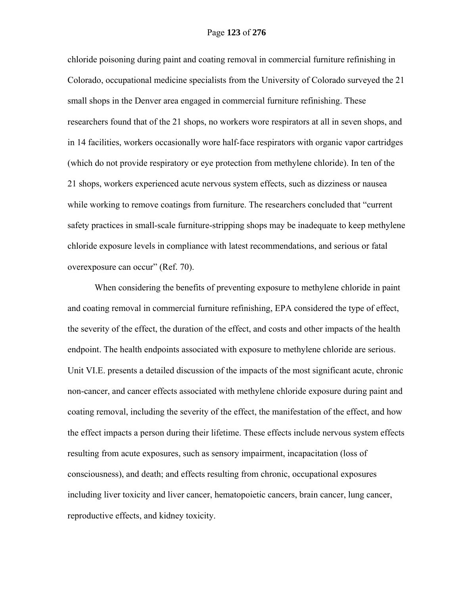chloride poisoning during paint and coating removal in commercial furniture refinishing in Colorado, occupational medicine specialists from the University of Colorado surveyed the 21 small shops in the Denver area engaged in commercial furniture refinishing. These researchers found that of the 21 shops, no workers wore respirators at all in seven shops, and in 14 facilities, workers occasionally wore half-face respirators with organic vapor cartridges (which do not provide respiratory or eye protection from methylene chloride). In ten of the 21 shops, workers experienced acute nervous system effects, such as dizziness or nausea while working to remove coatings from furniture. The researchers concluded that "current" safety practices in small-scale furniture-stripping shops may be inadequate to keep methylene chloride exposure levels in compliance with latest recommendations, and serious or fatal overexposure can occur" (Ref. 70).

When considering the benefits of preventing exposure to methylene chloride in paint and coating removal in commercial furniture refinishing, EPA considered the type of effect, the severity of the effect, the duration of the effect, and costs and other impacts of the health endpoint. The health endpoints associated with exposure to methylene chloride are serious. Unit VI.E. presents a detailed discussion of the impacts of the most significant acute, chronic non-cancer, and cancer effects associated with methylene chloride exposure during paint and coating removal, including the severity of the effect, the manifestation of the effect, and how the effect impacts a person during their lifetime. These effects include nervous system effects resulting from acute exposures, such as sensory impairment, incapacitation (loss of consciousness), and death; and effects resulting from chronic, occupational exposures including liver toxicity and liver cancer, hematopoietic cancers, brain cancer, lung cancer, reproductive effects, and kidney toxicity.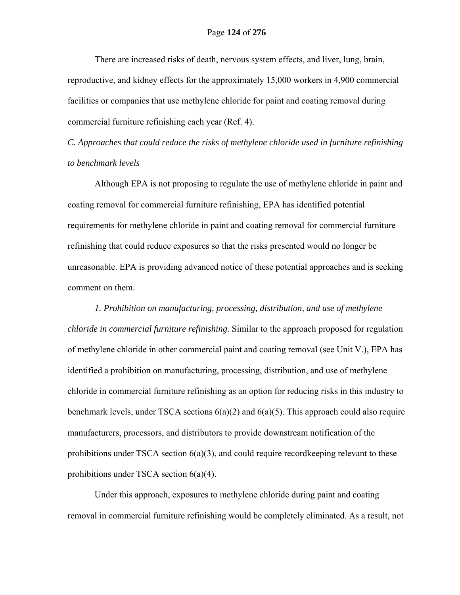There are increased risks of death, nervous system effects, and liver, lung, brain, reproductive, and kidney effects for the approximately 15,000 workers in 4,900 commercial facilities or companies that use methylene chloride for paint and coating removal during commercial furniture refinishing each year (Ref. 4).

*C. Approaches that could reduce the risks of methylene chloride used in furniture refinishing to benchmark levels* 

Although EPA is not proposing to regulate the use of methylene chloride in paint and coating removal for commercial furniture refinishing, EPA has identified potential requirements for methylene chloride in paint and coating removal for commercial furniture refinishing that could reduce exposures so that the risks presented would no longer be unreasonable. EPA is providing advanced notice of these potential approaches and is seeking comment on them.

*1. Prohibition on manufacturing, processing, distribution, and use of methylene chloride in commercial furniture refinishing.* Similar to the approach proposed for regulation of methylene chloride in other commercial paint and coating removal (see Unit V.), EPA has identified a prohibition on manufacturing, processing, distribution, and use of methylene chloride in commercial furniture refinishing as an option for reducing risks in this industry to benchmark levels, under TSCA sections 6(a)(2) and 6(a)(5). This approach could also require manufacturers, processors, and distributors to provide downstream notification of the prohibitions under TSCA section  $6(a)(3)$ , and could require record keeping relevant to these prohibitions under TSCA section 6(a)(4).

Under this approach, exposures to methylene chloride during paint and coating removal in commercial furniture refinishing would be completely eliminated. As a result, not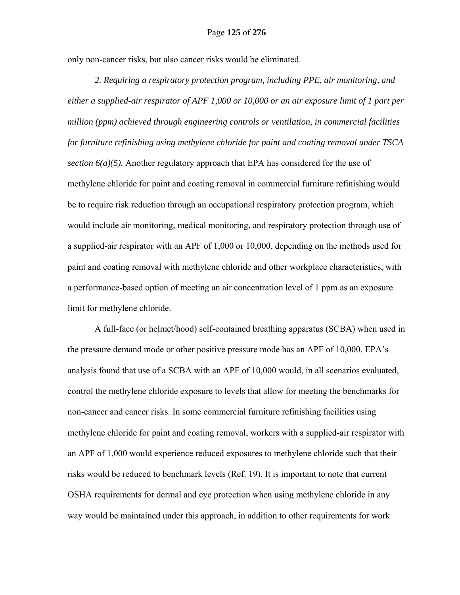#### Page **125** of **276**

only non-cancer risks, but also cancer risks would be eliminated.

*2. Requiring a respiratory protection program, including PPE, air monitoring, and either a supplied-air respirator of APF 1,000 or 10,000 or an air exposure limit of 1 part per million (ppm) achieved through engineering controls or ventilation, in commercial facilities for furniture refinishing using methylene chloride for paint and coating removal under TSCA section 6(a)(5).* Another regulatory approach that EPA has considered for the use of methylene chloride for paint and coating removal in commercial furniture refinishing would be to require risk reduction through an occupational respiratory protection program, which would include air monitoring, medical monitoring, and respiratory protection through use of a supplied-air respirator with an APF of 1,000 or 10,000, depending on the methods used for paint and coating removal with methylene chloride and other workplace characteristics, with a performance-based option of meeting an air concentration level of 1 ppm as an exposure limit for methylene chloride.

A full-face (or helmet/hood) self-contained breathing apparatus (SCBA) when used in the pressure demand mode or other positive pressure mode has an APF of 10,000. EPA's analysis found that use of a SCBA with an APF of 10,000 would, in all scenarios evaluated, control the methylene chloride exposure to levels that allow for meeting the benchmarks for non-cancer and cancer risks. In some commercial furniture refinishing facilities using methylene chloride for paint and coating removal, workers with a supplied-air respirator with an APF of 1,000 would experience reduced exposures to methylene chloride such that their risks would be reduced to benchmark levels (Ref. 19). It is important to note that current OSHA requirements for dermal and eye protection when using methylene chloride in any way would be maintained under this approach, in addition to other requirements for work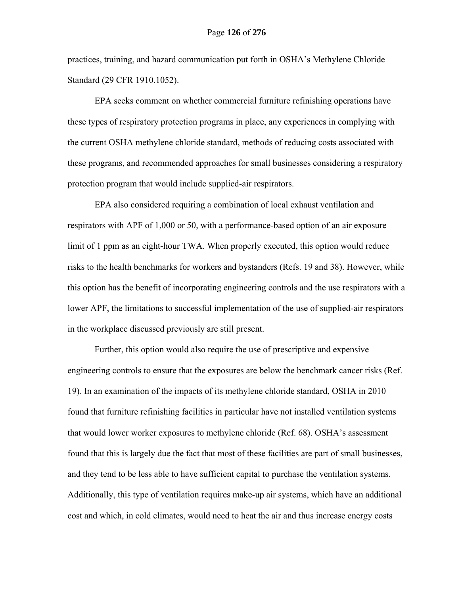practices, training, and hazard communication put forth in OSHA's Methylene Chloride Standard (29 CFR 1910.1052).

EPA seeks comment on whether commercial furniture refinishing operations have these types of respiratory protection programs in place, any experiences in complying with the current OSHA methylene chloride standard, methods of reducing costs associated with these programs, and recommended approaches for small businesses considering a respiratory protection program that would include supplied-air respirators.

EPA also considered requiring a combination of local exhaust ventilation and respirators with APF of 1,000 or 50, with a performance-based option of an air exposure limit of 1 ppm as an eight-hour TWA. When properly executed, this option would reduce risks to the health benchmarks for workers and bystanders (Refs. 19 and 38). However, while this option has the benefit of incorporating engineering controls and the use respirators with a lower APF, the limitations to successful implementation of the use of supplied-air respirators in the workplace discussed previously are still present.

Further, this option would also require the use of prescriptive and expensive engineering controls to ensure that the exposures are below the benchmark cancer risks (Ref. 19). In an examination of the impacts of its methylene chloride standard, OSHA in 2010 found that furniture refinishing facilities in particular have not installed ventilation systems that would lower worker exposures to methylene chloride (Ref. 68). OSHA's assessment found that this is largely due the fact that most of these facilities are part of small businesses, and they tend to be less able to have sufficient capital to purchase the ventilation systems. Additionally, this type of ventilation requires make-up air systems, which have an additional cost and which, in cold climates, would need to heat the air and thus increase energy costs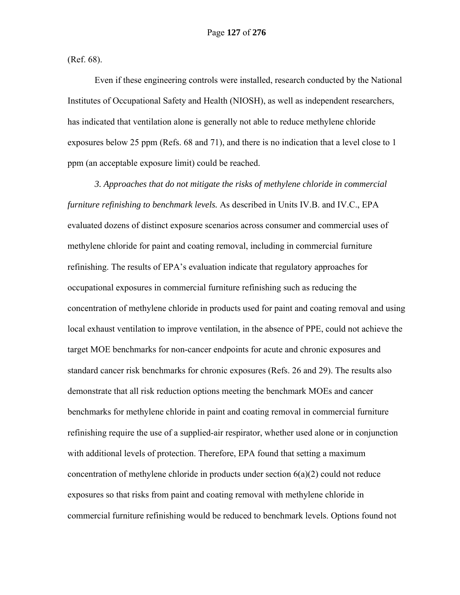(Ref. 68).

Even if these engineering controls were installed, research conducted by the National Institutes of Occupational Safety and Health (NIOSH), as well as independent researchers, has indicated that ventilation alone is generally not able to reduce methylene chloride exposures below 25 ppm (Refs. 68 and 71), and there is no indication that a level close to 1 ppm (an acceptable exposure limit) could be reached.

*3. Approaches that do not mitigate the risks of methylene chloride in commercial furniture refinishing to benchmark levels.* As described in Units IV.B. and IV.C., EPA evaluated dozens of distinct exposure scenarios across consumer and commercial uses of methylene chloride for paint and coating removal, including in commercial furniture refinishing. The results of EPA's evaluation indicate that regulatory approaches for occupational exposures in commercial furniture refinishing such as reducing the concentration of methylene chloride in products used for paint and coating removal and using local exhaust ventilation to improve ventilation, in the absence of PPE, could not achieve the target MOE benchmarks for non-cancer endpoints for acute and chronic exposures and standard cancer risk benchmarks for chronic exposures (Refs. 26 and 29). The results also demonstrate that all risk reduction options meeting the benchmark MOEs and cancer benchmarks for methylene chloride in paint and coating removal in commercial furniture refinishing require the use of a supplied-air respirator, whether used alone or in conjunction with additional levels of protection. Therefore, EPA found that setting a maximum concentration of methylene chloride in products under section  $6(a)(2)$  could not reduce exposures so that risks from paint and coating removal with methylene chloride in commercial furniture refinishing would be reduced to benchmark levels. Options found not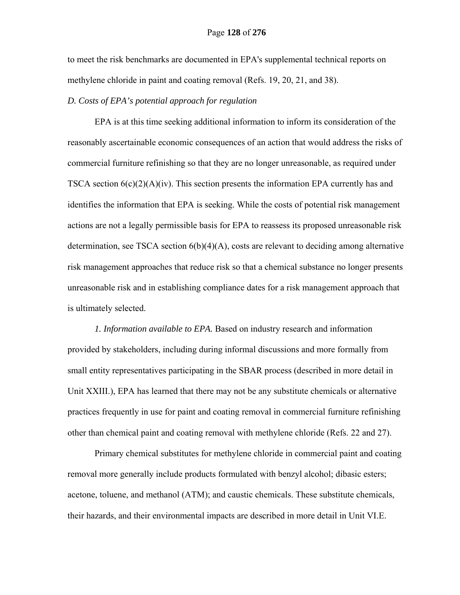to meet the risk benchmarks are documented in EPA's supplemental technical reports on methylene chloride in paint and coating removal (Refs. 19, 20, 21, and 38).

#### *D. Costs of EPA's potential approach for regulation*

EPA is at this time seeking additional information to inform its consideration of the reasonably ascertainable economic consequences of an action that would address the risks of commercial furniture refinishing so that they are no longer unreasonable, as required under TSCA section  $6(c)(2)(A)(iv)$ . This section presents the information EPA currently has and identifies the information that EPA is seeking. While the costs of potential risk management actions are not a legally permissible basis for EPA to reassess its proposed unreasonable risk determination, see TSCA section 6(b)(4)(A), costs are relevant to deciding among alternative risk management approaches that reduce risk so that a chemical substance no longer presents unreasonable risk and in establishing compliance dates for a risk management approach that is ultimately selected.

*1. Information available to EPA.* Based on industry research and information provided by stakeholders, including during informal discussions and more formally from small entity representatives participating in the SBAR process (described in more detail in Unit XXIII.), EPA has learned that there may not be any substitute chemicals or alternative practices frequently in use for paint and coating removal in commercial furniture refinishing other than chemical paint and coating removal with methylene chloride (Refs. 22 and 27).

Primary chemical substitutes for methylene chloride in commercial paint and coating removal more generally include products formulated with benzyl alcohol; dibasic esters; acetone, toluene, and methanol (ATM); and caustic chemicals. These substitute chemicals, their hazards, and their environmental impacts are described in more detail in Unit VI.E.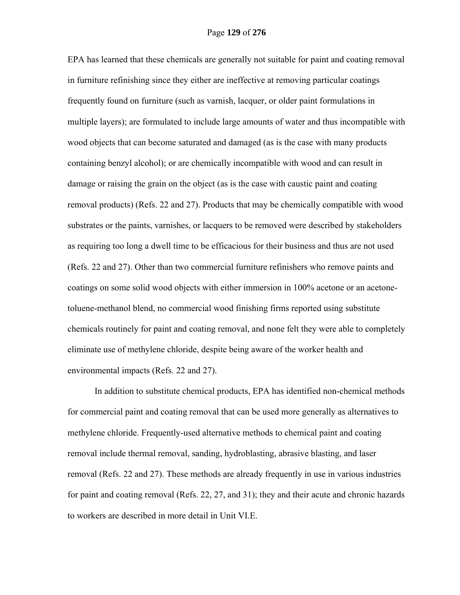EPA has learned that these chemicals are generally not suitable for paint and coating removal in furniture refinishing since they either are ineffective at removing particular coatings frequently found on furniture (such as varnish, lacquer, or older paint formulations in multiple layers); are formulated to include large amounts of water and thus incompatible with wood objects that can become saturated and damaged (as is the case with many products containing benzyl alcohol); or are chemically incompatible with wood and can result in damage or raising the grain on the object (as is the case with caustic paint and coating removal products) (Refs. 22 and 27). Products that may be chemically compatible with wood substrates or the paints, varnishes, or lacquers to be removed were described by stakeholders as requiring too long a dwell time to be efficacious for their business and thus are not used (Refs. 22 and 27). Other than two commercial furniture refinishers who remove paints and coatings on some solid wood objects with either immersion in 100% acetone or an acetonetoluene-methanol blend, no commercial wood finishing firms reported using substitute chemicals routinely for paint and coating removal, and none felt they were able to completely eliminate use of methylene chloride, despite being aware of the worker health and environmental impacts (Refs. 22 and 27).

In addition to substitute chemical products, EPA has identified non-chemical methods for commercial paint and coating removal that can be used more generally as alternatives to methylene chloride. Frequently-used alternative methods to chemical paint and coating removal include thermal removal, sanding, hydroblasting, abrasive blasting, and laser removal (Refs. 22 and 27). These methods are already frequently in use in various industries for paint and coating removal (Refs. 22, 27, and 31); they and their acute and chronic hazards to workers are described in more detail in Unit VI.E.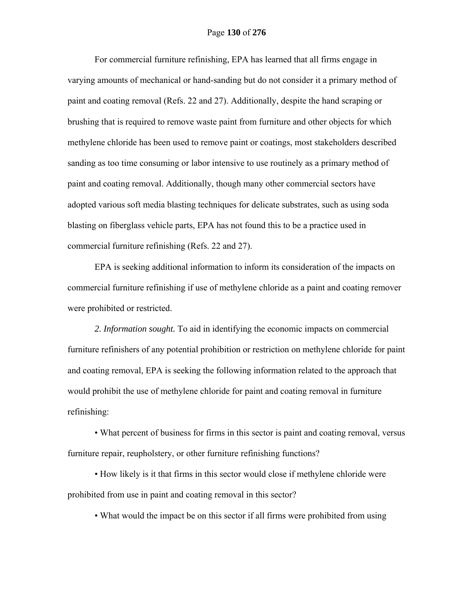For commercial furniture refinishing, EPA has learned that all firms engage in varying amounts of mechanical or hand-sanding but do not consider it a primary method of paint and coating removal (Refs. 22 and 27). Additionally, despite the hand scraping or brushing that is required to remove waste paint from furniture and other objects for which methylene chloride has been used to remove paint or coatings, most stakeholders described sanding as too time consuming or labor intensive to use routinely as a primary method of paint and coating removal. Additionally, though many other commercial sectors have adopted various soft media blasting techniques for delicate substrates, such as using soda blasting on fiberglass vehicle parts, EPA has not found this to be a practice used in commercial furniture refinishing (Refs. 22 and 27).

EPA is seeking additional information to inform its consideration of the impacts on commercial furniture refinishing if use of methylene chloride as a paint and coating remover were prohibited or restricted.

*2. Information sought.* To aid in identifying the economic impacts on commercial furniture refinishers of any potential prohibition or restriction on methylene chloride for paint and coating removal, EPA is seeking the following information related to the approach that would prohibit the use of methylene chloride for paint and coating removal in furniture refinishing:

• What percent of business for firms in this sector is paint and coating removal, versus furniture repair, reupholstery, or other furniture refinishing functions?

• How likely is it that firms in this sector would close if methylene chloride were prohibited from use in paint and coating removal in this sector?

• What would the impact be on this sector if all firms were prohibited from using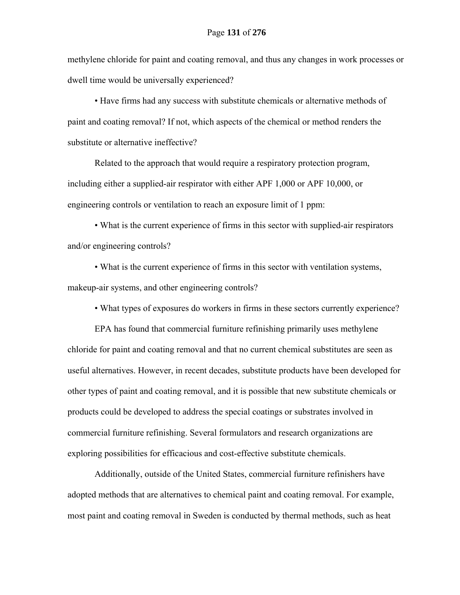methylene chloride for paint and coating removal, and thus any changes in work processes or dwell time would be universally experienced?

• Have firms had any success with substitute chemicals or alternative methods of paint and coating removal? If not, which aspects of the chemical or method renders the substitute or alternative ineffective?

Related to the approach that would require a respiratory protection program, including either a supplied-air respirator with either APF 1,000 or APF 10,000, or engineering controls or ventilation to reach an exposure limit of 1 ppm:

• What is the current experience of firms in this sector with supplied-air respirators and/or engineering controls?

• What is the current experience of firms in this sector with ventilation systems, makeup-air systems, and other engineering controls?

• What types of exposures do workers in firms in these sectors currently experience?

EPA has found that commercial furniture refinishing primarily uses methylene chloride for paint and coating removal and that no current chemical substitutes are seen as useful alternatives. However, in recent decades, substitute products have been developed for other types of paint and coating removal, and it is possible that new substitute chemicals or products could be developed to address the special coatings or substrates involved in commercial furniture refinishing. Several formulators and research organizations are exploring possibilities for efficacious and cost-effective substitute chemicals.

Additionally, outside of the United States, commercial furniture refinishers have adopted methods that are alternatives to chemical paint and coating removal. For example, most paint and coating removal in Sweden is conducted by thermal methods, such as heat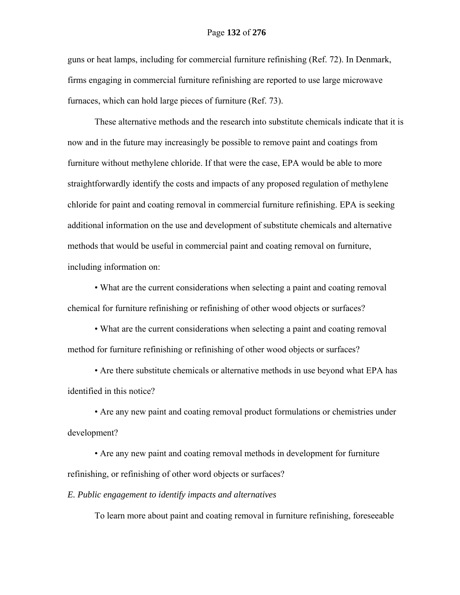guns or heat lamps, including for commercial furniture refinishing (Ref. 72). In Denmark, firms engaging in commercial furniture refinishing are reported to use large microwave furnaces, which can hold large pieces of furniture (Ref. 73).

These alternative methods and the research into substitute chemicals indicate that it is now and in the future may increasingly be possible to remove paint and coatings from furniture without methylene chloride. If that were the case, EPA would be able to more straightforwardly identify the costs and impacts of any proposed regulation of methylene chloride for paint and coating removal in commercial furniture refinishing. EPA is seeking additional information on the use and development of substitute chemicals and alternative methods that would be useful in commercial paint and coating removal on furniture, including information on:

• What are the current considerations when selecting a paint and coating removal chemical for furniture refinishing or refinishing of other wood objects or surfaces?

• What are the current considerations when selecting a paint and coating removal method for furniture refinishing or refinishing of other wood objects or surfaces?

• Are there substitute chemicals or alternative methods in use beyond what EPA has identified in this notice?

• Are any new paint and coating removal product formulations or chemistries under development?

• Are any new paint and coating removal methods in development for furniture refinishing, or refinishing of other word objects or surfaces?

*E. Public engagement to identify impacts and alternatives* 

To learn more about paint and coating removal in furniture refinishing, foreseeable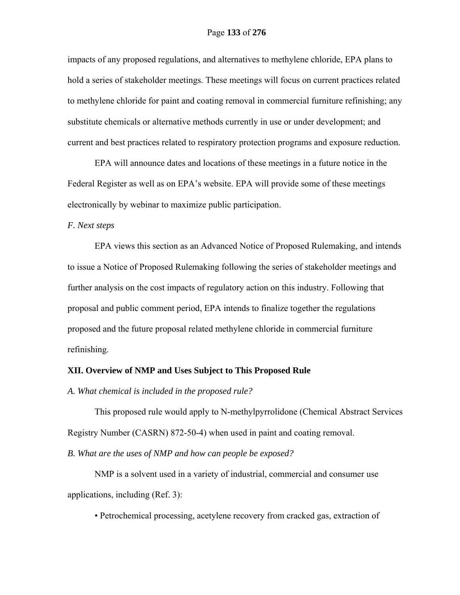impacts of any proposed regulations, and alternatives to methylene chloride, EPA plans to hold a series of stakeholder meetings. These meetings will focus on current practices related to methylene chloride for paint and coating removal in commercial furniture refinishing; any substitute chemicals or alternative methods currently in use or under development; and current and best practices related to respiratory protection programs and exposure reduction.

EPA will announce dates and locations of these meetings in a future notice in the Federal Register as well as on EPA's website. EPA will provide some of these meetings electronically by webinar to maximize public participation.

#### *F. Next steps*

EPA views this section as an Advanced Notice of Proposed Rulemaking, and intends to issue a Notice of Proposed Rulemaking following the series of stakeholder meetings and further analysis on the cost impacts of regulatory action on this industry. Following that proposal and public comment period, EPA intends to finalize together the regulations proposed and the future proposal related methylene chloride in commercial furniture refinishing.

#### **XII. Overview of NMP and Uses Subject to This Proposed Rule**

*A. What chemical is included in the proposed rule?* 

This proposed rule would apply to N-methylpyrrolidone (Chemical Abstract Services Registry Number (CASRN) 872-50-4) when used in paint and coating removal.

*B. What are the uses of NMP and how can people be exposed?* 

NMP is a solvent used in a variety of industrial, commercial and consumer use applications, including (Ref. 3):

• Petrochemical processing, acetylene recovery from cracked gas, extraction of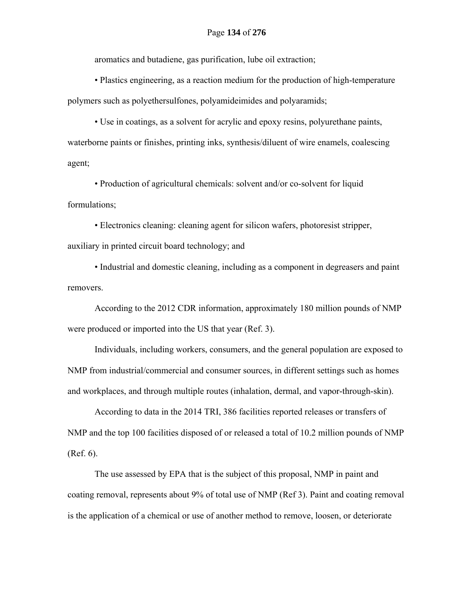aromatics and butadiene, gas purification, lube oil extraction;

 • Plastics engineering, as a reaction medium for the production of high-temperature polymers such as polyethersulfones, polyamideimides and polyaramids;

 • Use in coatings, as a solvent for acrylic and epoxy resins, polyurethane paints, waterborne paints or finishes, printing inks, synthesis/diluent of wire enamels, coalescing agent;

 • Production of agricultural chemicals: solvent and/or co-solvent for liquid formulations;

 • Electronics cleaning: cleaning agent for silicon wafers, photoresist stripper, auxiliary in printed circuit board technology; and

 • Industrial and domestic cleaning, including as a component in degreasers and paint removers.

According to the 2012 CDR information, approximately 180 million pounds of NMP were produced or imported into the US that year (Ref. 3).

Individuals, including workers, consumers, and the general population are exposed to NMP from industrial/commercial and consumer sources, in different settings such as homes and workplaces, and through multiple routes (inhalation, dermal, and vapor-through-skin).

According to data in the 2014 TRI, 386 facilities reported releases or transfers of NMP and the top 100 facilities disposed of or released a total of 10.2 million pounds of NMP (Ref. 6).

The use assessed by EPA that is the subject of this proposal, NMP in paint and coating removal, represents about 9% of total use of NMP (Ref 3). Paint and coating removal is the application of a chemical or use of another method to remove, loosen, or deteriorate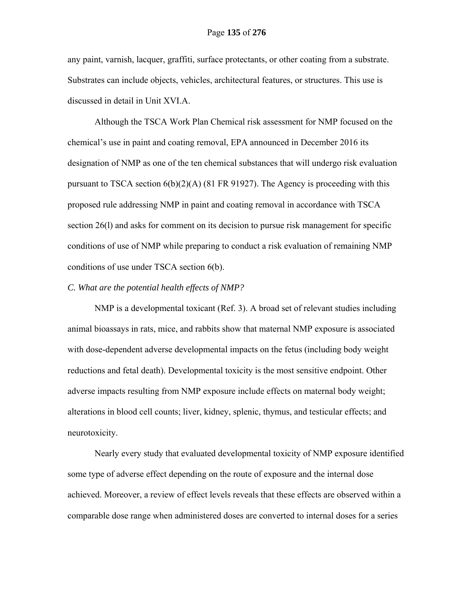any paint, varnish, lacquer, graffiti, surface protectants, or other coating from a substrate. Substrates can include objects, vehicles, architectural features, or structures. This use is discussed in detail in Unit XVI.A.

Although the TSCA Work Plan Chemical risk assessment for NMP focused on the chemical's use in paint and coating removal, EPA announced in December 2016 its designation of NMP as one of the ten chemical substances that will undergo risk evaluation pursuant to TSCA section 6(b)(2)(A) (81 FR 91927). The Agency is proceeding with this proposed rule addressing NMP in paint and coating removal in accordance with TSCA section 26(l) and asks for comment on its decision to pursue risk management for specific conditions of use of NMP while preparing to conduct a risk evaluation of remaining NMP conditions of use under TSCA section 6(b).

#### *C. What are the potential health effects of NMP?*

NMP is a developmental toxicant (Ref. 3). A broad set of relevant studies including animal bioassays in rats, mice, and rabbits show that maternal NMP exposure is associated with dose-dependent adverse developmental impacts on the fetus (including body weight reductions and fetal death). Developmental toxicity is the most sensitive endpoint. Other adverse impacts resulting from NMP exposure include effects on maternal body weight; alterations in blood cell counts; liver, kidney, splenic, thymus, and testicular effects; and neurotoxicity.

Nearly every study that evaluated developmental toxicity of NMP exposure identified some type of adverse effect depending on the route of exposure and the internal dose achieved. Moreover, a review of effect levels reveals that these effects are observed within a comparable dose range when administered doses are converted to internal doses for a series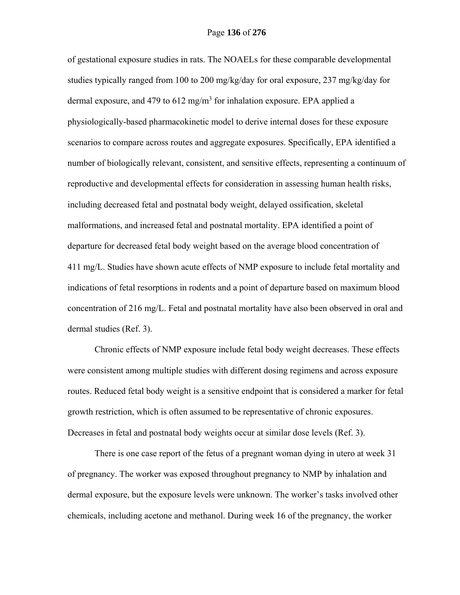of gestational exposure studies in rats. The NOAELs for these comparable developmental studies typically ranged from 100 to 200 mg/kg/day for oral exposure, 237 mg/kg/day for dermal exposure, and 479 to 612 mg/m<sup>3</sup> for inhalation exposure. EPA applied a physiologically-based pharmacokinetic model to derive internal doses for these exposure scenarios to compare across routes and aggregate exposures. Specifically, EPA identified a number of biologically relevant, consistent, and sensitive effects, representing a continuum of reproductive and developmental effects for consideration in assessing human health risks, including decreased fetal and postnatal body weight, delayed ossification, skeletal malformations, and increased fetal and postnatal mortality. EPA identified a point of departure for decreased fetal body weight based on the average blood concentration of 411 mg/L. Studies have shown acute effects of NMP exposure to include fetal mortality and indications of fetal resorptions in rodents and a point of departure based on maximum blood concentration of 216 mg/L. Fetal and postnatal mortality have also been observed in oral and dermal studies (Ref. 3).

Chronic effects of NMP exposure include fetal body weight decreases. These effects were consistent among multiple studies with different dosing regimens and across exposure routes. Reduced fetal body weight is a sensitive endpoint that is considered a marker for fetal growth restriction, which is often assumed to be representative of chronic exposures. Decreases in fetal and postnatal body weights occur at similar dose levels (Ref. 3).

There is one case report of the fetus of a pregnant woman dying in utero at week 31 of pregnancy. The worker was exposed throughout pregnancy to NMP by inhalation and dermal exposure, but the exposure levels were unknown. The worker's tasks involved other chemicals, including acetone and methanol. During week 16 of the pregnancy, the worker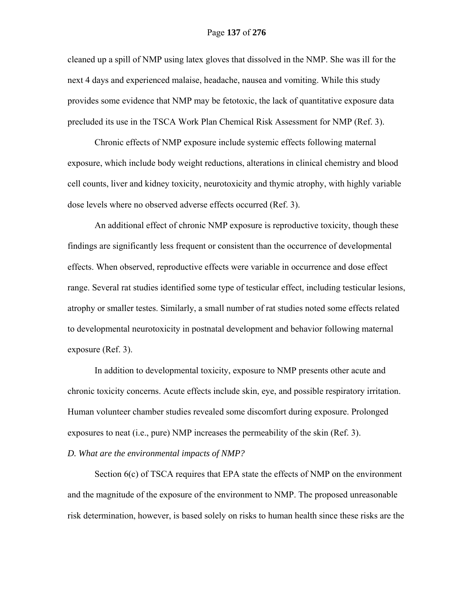cleaned up a spill of NMP using latex gloves that dissolved in the NMP. She was ill for the next 4 days and experienced malaise, headache, nausea and vomiting. While this study provides some evidence that NMP may be fetotoxic, the lack of quantitative exposure data precluded its use in the TSCA Work Plan Chemical Risk Assessment for NMP (Ref. 3).

Chronic effects of NMP exposure include systemic effects following maternal exposure, which include body weight reductions, alterations in clinical chemistry and blood cell counts, liver and kidney toxicity, neurotoxicity and thymic atrophy, with highly variable dose levels where no observed adverse effects occurred (Ref. 3).

An additional effect of chronic NMP exposure is reproductive toxicity, though these findings are significantly less frequent or consistent than the occurrence of developmental effects. When observed, reproductive effects were variable in occurrence and dose effect range. Several rat studies identified some type of testicular effect, including testicular lesions, atrophy or smaller testes. Similarly, a small number of rat studies noted some effects related to developmental neurotoxicity in postnatal development and behavior following maternal exposure (Ref. 3).

In addition to developmental toxicity, exposure to NMP presents other acute and chronic toxicity concerns. Acute effects include skin, eye, and possible respiratory irritation. Human volunteer chamber studies revealed some discomfort during exposure. Prolonged exposures to neat (i.e., pure) NMP increases the permeability of the skin (Ref. 3).

*D. What are the environmental impacts of NMP?* 

Section  $6(c)$  of TSCA requires that EPA state the effects of NMP on the environment and the magnitude of the exposure of the environment to NMP. The proposed unreasonable risk determination, however, is based solely on risks to human health since these risks are the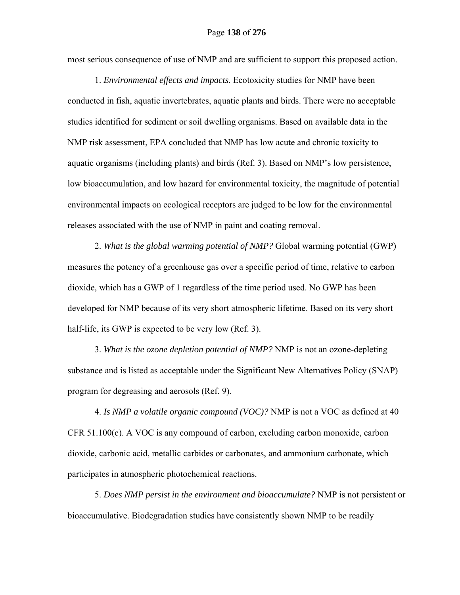most serious consequence of use of NMP and are sufficient to support this proposed action.

1. *Environmental effects and impacts.* Ecotoxicity studies for NMP have been conducted in fish, aquatic invertebrates, aquatic plants and birds. There were no acceptable studies identified for sediment or soil dwelling organisms. Based on available data in the NMP risk assessment, EPA concluded that NMP has low acute and chronic toxicity to aquatic organisms (including plants) and birds (Ref. 3). Based on NMP's low persistence, low bioaccumulation, and low hazard for environmental toxicity, the magnitude of potential environmental impacts on ecological receptors are judged to be low for the environmental releases associated with the use of NMP in paint and coating removal.

2. *What is the global warming potential of NMP?* Global warming potential (GWP) measures the potency of a greenhouse gas over a specific period of time, relative to carbon dioxide, which has a GWP of 1 regardless of the time period used. No GWP has been developed for NMP because of its very short atmospheric lifetime. Based on its very short half-life, its GWP is expected to be very low (Ref. 3).

3. *What is the ozone depletion potential of NMP?* NMP is not an ozone-depleting substance and is listed as acceptable under the Significant New Alternatives Policy (SNAP) program for degreasing and aerosols (Ref. 9).

4. *Is NMP a volatile organic compound (VOC)?* NMP is not a VOC as defined at 40 CFR 51.100(c). A VOC is any compound of carbon, excluding carbon monoxide, carbon dioxide, carbonic acid, metallic carbides or carbonates, and ammonium carbonate, which participates in atmospheric photochemical reactions.

5. *Does NMP persist in the environment and bioaccumulate?* NMP is not persistent or bioaccumulative. Biodegradation studies have consistently shown NMP to be readily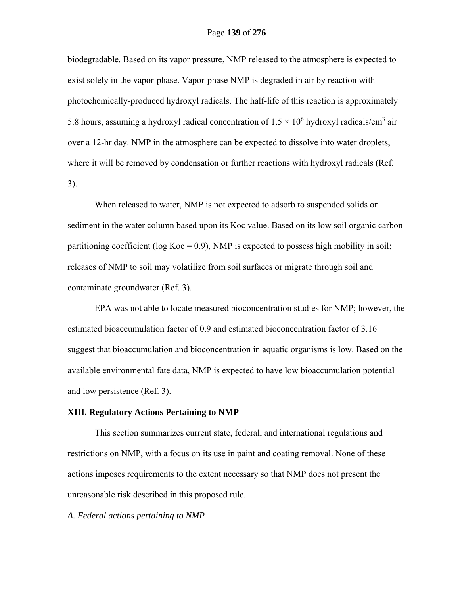biodegradable. Based on its vapor pressure, NMP released to the atmosphere is expected to exist solely in the vapor-phase. Vapor-phase NMP is degraded in air by reaction with photochemically-produced hydroxyl radicals. The half-life of this reaction is approximately 5.8 hours, assuming a hydroxyl radical concentration of  $1.5 \times 10^6$  hydroxyl radicals/cm<sup>3</sup> air over a 12-hr day. NMP in the atmosphere can be expected to dissolve into water droplets, where it will be removed by condensation or further reactions with hydroxyl radicals (Ref. 3).

When released to water, NMP is not expected to adsorb to suspended solids or sediment in the water column based upon its Koc value. Based on its low soil organic carbon partitioning coefficient ( $log Koc = 0.9$ ), NMP is expected to possess high mobility in soil; releases of NMP to soil may volatilize from soil surfaces or migrate through soil and contaminate groundwater (Ref. 3).

EPA was not able to locate measured bioconcentration studies for NMP; however, the estimated bioaccumulation factor of 0.9 and estimated bioconcentration factor of 3.16 suggest that bioaccumulation and bioconcentration in aquatic organisms is low. Based on the available environmental fate data, NMP is expected to have low bioaccumulation potential and low persistence (Ref. 3).

#### **XIII. Regulatory Actions Pertaining to NMP**

 This section summarizes current state, federal, and international regulations and restrictions on NMP, with a focus on its use in paint and coating removal. None of these actions imposes requirements to the extent necessary so that NMP does not present the unreasonable risk described in this proposed rule.

*A. Federal actions pertaining to NMP*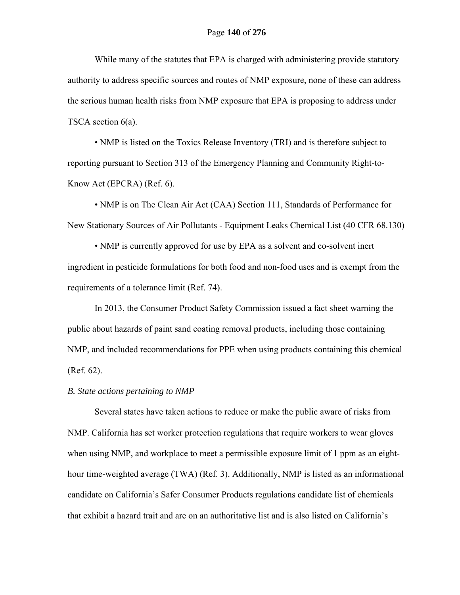While many of the statutes that EPA is charged with administering provide statutory authority to address specific sources and routes of NMP exposure, none of these can address the serious human health risks from NMP exposure that EPA is proposing to address under TSCA section 6(a).

 • NMP is listed on the Toxics Release Inventory (TRI) and is therefore subject to reporting pursuant to Section 313 of the Emergency Planning and Community Right-to-Know Act (EPCRA) (Ref. 6).

 • NMP is on The Clean Air Act (CAA) Section 111, Standards of Performance for New Stationary Sources of Air Pollutants - Equipment Leaks Chemical List (40 CFR 68.130)

 • NMP is currently approved for use by EPA as a solvent and co-solvent inert ingredient in pesticide formulations for both food and non-food uses and is exempt from the requirements of a tolerance limit (Ref. 74).

In 2013, the Consumer Product Safety Commission issued a fact sheet warning the public about hazards of paint sand coating removal products, including those containing NMP, and included recommendations for PPE when using products containing this chemical (Ref. 62).

## *B. State actions pertaining to NMP*

 Several states have taken actions to reduce or make the public aware of risks from NMP. California has set worker protection regulations that require workers to wear gloves when using NMP, and workplace to meet a permissible exposure limit of 1 ppm as an eighthour time-weighted average (TWA) (Ref. 3). Additionally, NMP is listed as an informational candidate on California's Safer Consumer Products regulations candidate list of chemicals that exhibit a hazard trait and are on an authoritative list and is also listed on California's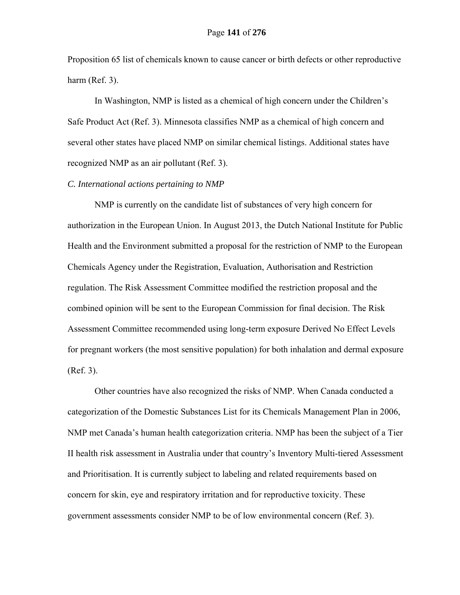Proposition 65 list of chemicals known to cause cancer or birth defects or other reproductive harm (Ref. 3).

In Washington, NMP is listed as a chemical of high concern under the Children's Safe Product Act (Ref. 3). Minnesota classifies NMP as a chemical of high concern and several other states have placed NMP on similar chemical listings. Additional states have recognized NMP as an air pollutant (Ref. 3).

#### *C. International actions pertaining to NMP*

NMP is currently on the candidate list of substances of very high concern for authorization in the European Union. In August 2013, the Dutch National Institute for Public Health and the Environment submitted a proposal for the restriction of NMP to the European Chemicals Agency under the Registration, Evaluation, Authorisation and Restriction regulation. The Risk Assessment Committee modified the restriction proposal and the combined opinion will be sent to the European Commission for final decision. The Risk Assessment Committee recommended using long-term exposure Derived No Effect Levels for pregnant workers (the most sensitive population) for both inhalation and dermal exposure (Ref. 3).

Other countries have also recognized the risks of NMP. When Canada conducted a categorization of the Domestic Substances List for its Chemicals Management Plan in 2006, NMP met Canada's human health categorization criteria. NMP has been the subject of a Tier II health risk assessment in Australia under that country's Inventory Multi-tiered Assessment and Prioritisation. It is currently subject to labeling and related requirements based on concern for skin, eye and respiratory irritation and for reproductive toxicity. These government assessments consider NMP to be of low environmental concern (Ref. 3).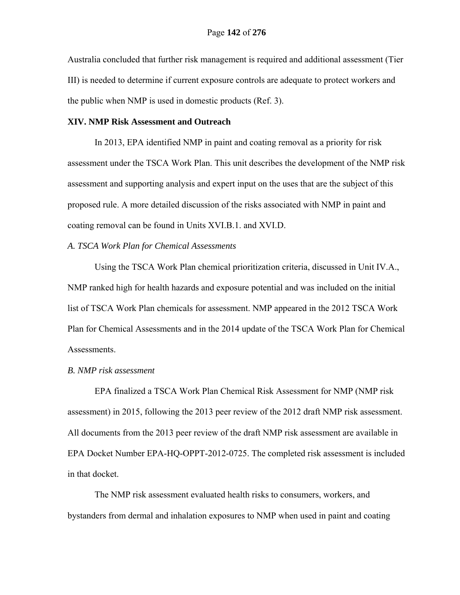Australia concluded that further risk management is required and additional assessment (Tier III) is needed to determine if current exposure controls are adequate to protect workers and the public when NMP is used in domestic products (Ref. 3).

#### **XIV. NMP Risk Assessment and Outreach**

In 2013, EPA identified NMP in paint and coating removal as a priority for risk assessment under the TSCA Work Plan. This unit describes the development of the NMP risk assessment and supporting analysis and expert input on the uses that are the subject of this proposed rule. A more detailed discussion of the risks associated with NMP in paint and coating removal can be found in Units XVI.B.1. and XVI.D.

## *A. TSCA Work Plan for Chemical Assessments*

Using the TSCA Work Plan chemical prioritization criteria, discussed in Unit IV.A., NMP ranked high for health hazards and exposure potential and was included on the initial list of TSCA Work Plan chemicals for assessment. NMP appeared in the 2012 TSCA Work Plan for Chemical Assessments and in the 2014 update of the TSCA Work Plan for Chemical Assessments.

#### *B. NMP risk assessment*

EPA finalized a TSCA Work Plan Chemical Risk Assessment for NMP (NMP risk assessment) in 2015, following the 2013 peer review of the 2012 draft NMP risk assessment. All documents from the 2013 peer review of the draft NMP risk assessment are available in EPA Docket Number EPA-HQ-OPPT-2012-0725. The completed risk assessment is included in that docket.

The NMP risk assessment evaluated health risks to consumers, workers, and bystanders from dermal and inhalation exposures to NMP when used in paint and coating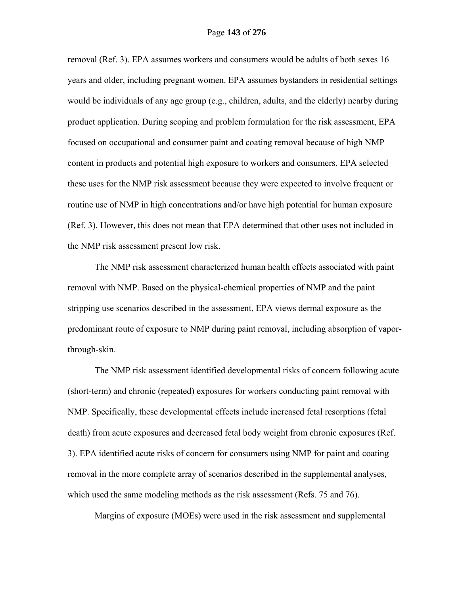removal (Ref. 3). EPA assumes workers and consumers would be adults of both sexes 16 years and older, including pregnant women. EPA assumes bystanders in residential settings would be individuals of any age group (e.g., children, adults, and the elderly) nearby during product application. During scoping and problem formulation for the risk assessment, EPA focused on occupational and consumer paint and coating removal because of high NMP content in products and potential high exposure to workers and consumers. EPA selected these uses for the NMP risk assessment because they were expected to involve frequent or routine use of NMP in high concentrations and/or have high potential for human exposure (Ref. 3). However, this does not mean that EPA determined that other uses not included in the NMP risk assessment present low risk.

The NMP risk assessment characterized human health effects associated with paint removal with NMP. Based on the physical-chemical properties of NMP and the paint stripping use scenarios described in the assessment, EPA views dermal exposure as the predominant route of exposure to NMP during paint removal, including absorption of vaporthrough-skin.

The NMP risk assessment identified developmental risks of concern following acute (short-term) and chronic (repeated) exposures for workers conducting paint removal with NMP. Specifically, these developmental effects include increased fetal resorptions (fetal death) from acute exposures and decreased fetal body weight from chronic exposures (Ref. 3). EPA identified acute risks of concern for consumers using NMP for paint and coating removal in the more complete array of scenarios described in the supplemental analyses, which used the same modeling methods as the risk assessment (Refs. 75 and 76).

Margins of exposure (MOEs) were used in the risk assessment and supplemental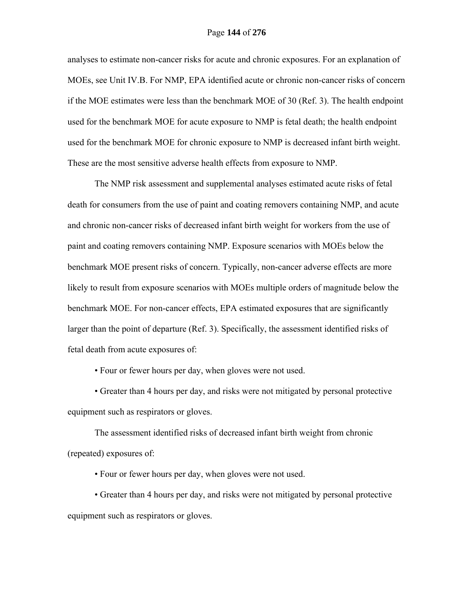## Page **144** of **276**

analyses to estimate non-cancer risks for acute and chronic exposures. For an explanation of MOEs, see Unit IV.B. For NMP, EPA identified acute or chronic non-cancer risks of concern if the MOE estimates were less than the benchmark MOE of 30 (Ref. 3). The health endpoint used for the benchmark MOE for acute exposure to NMP is fetal death; the health endpoint used for the benchmark MOE for chronic exposure to NMP is decreased infant birth weight. These are the most sensitive adverse health effects from exposure to NMP.

The NMP risk assessment and supplemental analyses estimated acute risks of fetal death for consumers from the use of paint and coating removers containing NMP, and acute and chronic non-cancer risks of decreased infant birth weight for workers from the use of paint and coating removers containing NMP. Exposure scenarios with MOEs below the benchmark MOE present risks of concern. Typically, non-cancer adverse effects are more likely to result from exposure scenarios with MOEs multiple orders of magnitude below the benchmark MOE. For non-cancer effects, EPA estimated exposures that are significantly larger than the point of departure (Ref. 3). Specifically, the assessment identified risks of fetal death from acute exposures of:

• Four or fewer hours per day, when gloves were not used.

 • Greater than 4 hours per day, and risks were not mitigated by personal protective equipment such as respirators or gloves.

The assessment identified risks of decreased infant birth weight from chronic (repeated) exposures of:

• Four or fewer hours per day, when gloves were not used.

 • Greater than 4 hours per day, and risks were not mitigated by personal protective equipment such as respirators or gloves.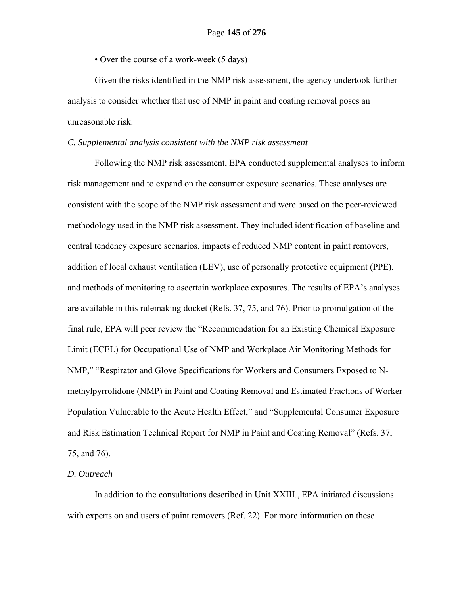• Over the course of a work-week (5 days)

Given the risks identified in the NMP risk assessment, the agency undertook further analysis to consider whether that use of NMP in paint and coating removal poses an unreasonable risk.

## *C. Supplemental analysis consistent with the NMP risk assessment*

Following the NMP risk assessment, EPA conducted supplemental analyses to inform risk management and to expand on the consumer exposure scenarios. These analyses are consistent with the scope of the NMP risk assessment and were based on the peer-reviewed methodology used in the NMP risk assessment. They included identification of baseline and central tendency exposure scenarios, impacts of reduced NMP content in paint removers, addition of local exhaust ventilation (LEV), use of personally protective equipment (PPE), and methods of monitoring to ascertain workplace exposures. The results of EPA's analyses are available in this rulemaking docket (Refs. 37, 75, and 76). Prior to promulgation of the final rule, EPA will peer review the "Recommendation for an Existing Chemical Exposure Limit (ECEL) for Occupational Use of NMP and Workplace Air Monitoring Methods for NMP," "Respirator and Glove Specifications for Workers and Consumers Exposed to Nmethylpyrrolidone (NMP) in Paint and Coating Removal and Estimated Fractions of Worker Population Vulnerable to the Acute Health Effect," and "Supplemental Consumer Exposure and Risk Estimation Technical Report for NMP in Paint and Coating Removal" (Refs. 37, 75, and 76).

# *D. Outreach*

In addition to the consultations described in Unit XXIII., EPA initiated discussions with experts on and users of paint removers (Ref. 22). For more information on these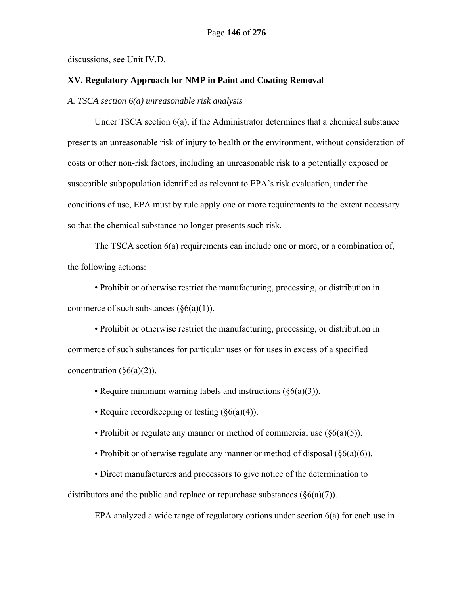discussions, see Unit IV.D.

### **XV. Regulatory Approach for NMP in Paint and Coating Removal**

*A. TSCA section 6(a) unreasonable risk analysis* 

Under TSCA section 6(a), if the Administrator determines that a chemical substance presents an unreasonable risk of injury to health or the environment, without consideration of costs or other non-risk factors, including an unreasonable risk to a potentially exposed or susceptible subpopulation identified as relevant to EPA's risk evaluation, under the conditions of use, EPA must by rule apply one or more requirements to the extent necessary so that the chemical substance no longer presents such risk.

The TSCA section 6(a) requirements can include one or more, or a combination of, the following actions:

• Prohibit or otherwise restrict the manufacturing, processing, or distribution in commerce of such substances  $(\S6(a)(1))$ .

• Prohibit or otherwise restrict the manufacturing, processing, or distribution in commerce of such substances for particular uses or for uses in excess of a specified concentration  $(\S6(a)(2))$ .

• Require minimum warning labels and instructions (§6(a)(3)).

• Require record keeping or testing  $(\S6(a)(4))$ .

• Prohibit or regulate any manner or method of commercial use  $(\S6(a)(5))$ .

• Prohibit or otherwise regulate any manner or method of disposal  $(\S6(a)(6))$ .

• Direct manufacturers and processors to give notice of the determination to

distributors and the public and replace or repurchase substances  $(\S6(a)(7))$ .

EPA analyzed a wide range of regulatory options under section 6(a) for each use in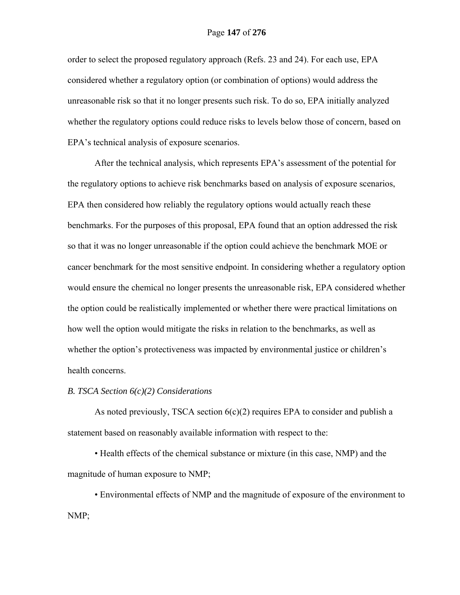order to select the proposed regulatory approach (Refs. 23 and 24). For each use, EPA considered whether a regulatory option (or combination of options) would address the unreasonable risk so that it no longer presents such risk. To do so, EPA initially analyzed whether the regulatory options could reduce risks to levels below those of concern, based on EPA's technical analysis of exposure scenarios.

After the technical analysis, which represents EPA's assessment of the potential for the regulatory options to achieve risk benchmarks based on analysis of exposure scenarios, EPA then considered how reliably the regulatory options would actually reach these benchmarks. For the purposes of this proposal, EPA found that an option addressed the risk so that it was no longer unreasonable if the option could achieve the benchmark MOE or cancer benchmark for the most sensitive endpoint. In considering whether a regulatory option would ensure the chemical no longer presents the unreasonable risk, EPA considered whether the option could be realistically implemented or whether there were practical limitations on how well the option would mitigate the risks in relation to the benchmarks, as well as whether the option's protectiveness was impacted by environmental justice or children's health concerns.

# *B. TSCA Section 6(c)(2) Considerations*

As noted previously, TSCA section  $6(c)(2)$  requires EPA to consider and publish a statement based on reasonably available information with respect to the:

• Health effects of the chemical substance or mixture (in this case, NMP) and the magnitude of human exposure to NMP;

• Environmental effects of NMP and the magnitude of exposure of the environment to NMP;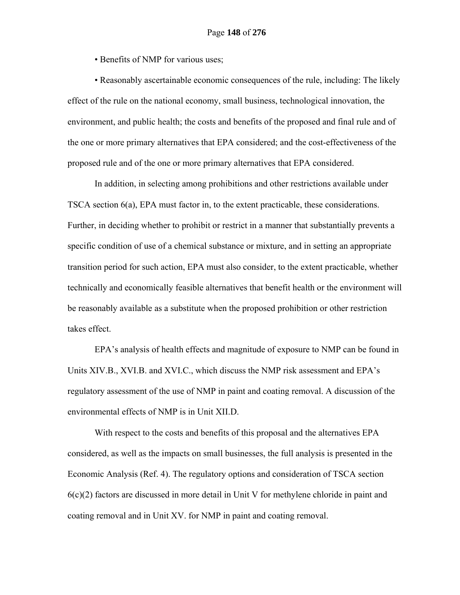• Benefits of NMP for various uses;

• Reasonably ascertainable economic consequences of the rule, including: The likely effect of the rule on the national economy, small business, technological innovation, the environment, and public health; the costs and benefits of the proposed and final rule and of the one or more primary alternatives that EPA considered; and the cost-effectiveness of the proposed rule and of the one or more primary alternatives that EPA considered.

In addition, in selecting among prohibitions and other restrictions available under TSCA section 6(a), EPA must factor in, to the extent practicable, these considerations. Further, in deciding whether to prohibit or restrict in a manner that substantially prevents a specific condition of use of a chemical substance or mixture, and in setting an appropriate transition period for such action, EPA must also consider, to the extent practicable, whether technically and economically feasible alternatives that benefit health or the environment will be reasonably available as a substitute when the proposed prohibition or other restriction takes effect.

EPA's analysis of health effects and magnitude of exposure to NMP can be found in Units XIV.B., XVI.B. and XVI.C., which discuss the NMP risk assessment and EPA's regulatory assessment of the use of NMP in paint and coating removal. A discussion of the environmental effects of NMP is in Unit XII.D.

With respect to the costs and benefits of this proposal and the alternatives EPA considered, as well as the impacts on small businesses, the full analysis is presented in the Economic Analysis (Ref. 4). The regulatory options and consideration of TSCA section 6(c)(2) factors are discussed in more detail in Unit V for methylene chloride in paint and coating removal and in Unit XV. for NMP in paint and coating removal.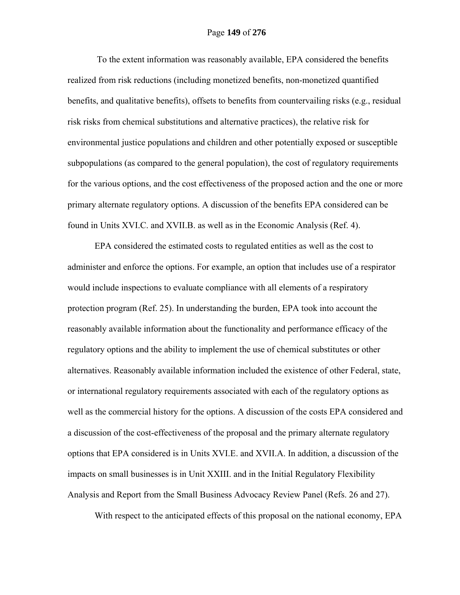To the extent information was reasonably available, EPA considered the benefits realized from risk reductions (including monetized benefits, non-monetized quantified benefits, and qualitative benefits), offsets to benefits from countervailing risks (e.g., residual risk risks from chemical substitutions and alternative practices), the relative risk for environmental justice populations and children and other potentially exposed or susceptible subpopulations (as compared to the general population), the cost of regulatory requirements for the various options, and the cost effectiveness of the proposed action and the one or more primary alternate regulatory options. A discussion of the benefits EPA considered can be found in Units XVI.C. and XVII.B. as well as in the Economic Analysis (Ref. 4).

EPA considered the estimated costs to regulated entities as well as the cost to administer and enforce the options. For example, an option that includes use of a respirator would include inspections to evaluate compliance with all elements of a respiratory protection program (Ref. 25). In understanding the burden, EPA took into account the reasonably available information about the functionality and performance efficacy of the regulatory options and the ability to implement the use of chemical substitutes or other alternatives. Reasonably available information included the existence of other Federal, state, or international regulatory requirements associated with each of the regulatory options as well as the commercial history for the options. A discussion of the costs EPA considered and a discussion of the cost-effectiveness of the proposal and the primary alternate regulatory options that EPA considered is in Units XVI.E. and XVII.A. In addition, a discussion of the impacts on small businesses is in Unit XXIII. and in the Initial Regulatory Flexibility Analysis and Report from the Small Business Advocacy Review Panel (Refs. 26 and 27).

With respect to the anticipated effects of this proposal on the national economy, EPA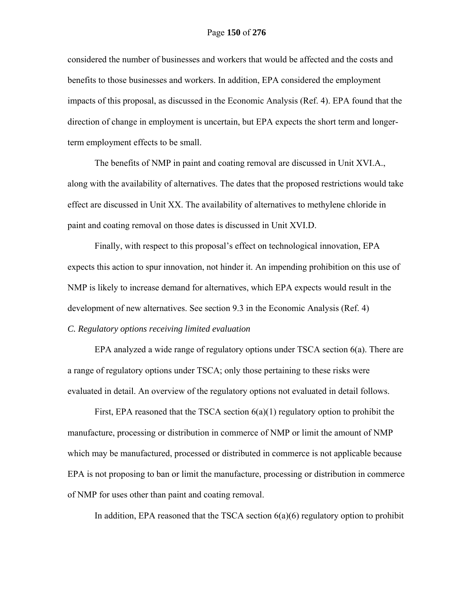considered the number of businesses and workers that would be affected and the costs and benefits to those businesses and workers. In addition, EPA considered the employment impacts of this proposal, as discussed in the Economic Analysis (Ref. 4). EPA found that the direction of change in employment is uncertain, but EPA expects the short term and longerterm employment effects to be small.

The benefits of NMP in paint and coating removal are discussed in Unit XVI.A., along with the availability of alternatives. The dates that the proposed restrictions would take effect are discussed in Unit XX. The availability of alternatives to methylene chloride in paint and coating removal on those dates is discussed in Unit XVI.D.

Finally, with respect to this proposal's effect on technological innovation, EPA expects this action to spur innovation, not hinder it. An impending prohibition on this use of NMP is likely to increase demand for alternatives, which EPA expects would result in the development of new alternatives. See section 9.3 in the Economic Analysis (Ref. 4)

# *C. Regulatory options receiving limited evaluation*

EPA analyzed a wide range of regulatory options under TSCA section 6(a). There are a range of regulatory options under TSCA; only those pertaining to these risks were evaluated in detail. An overview of the regulatory options not evaluated in detail follows.

First, EPA reasoned that the TSCA section 6(a)(1) regulatory option to prohibit the manufacture, processing or distribution in commerce of NMP or limit the amount of NMP which may be manufactured, processed or distributed in commerce is not applicable because EPA is not proposing to ban or limit the manufacture, processing or distribution in commerce of NMP for uses other than paint and coating removal.

In addition, EPA reasoned that the TSCA section  $6(a)(6)$  regulatory option to prohibit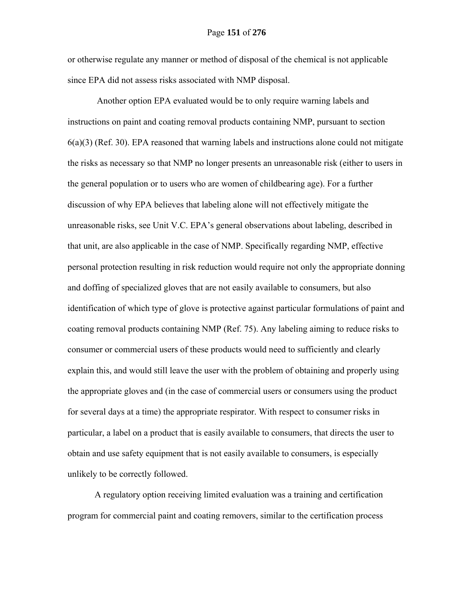or otherwise regulate any manner or method of disposal of the chemical is not applicable since EPA did not assess risks associated with NMP disposal.

 Another option EPA evaluated would be to only require warning labels and instructions on paint and coating removal products containing NMP, pursuant to section  $6(a)(3)$  (Ref. 30). EPA reasoned that warning labels and instructions alone could not mitigate the risks as necessary so that NMP no longer presents an unreasonable risk (either to users in the general population or to users who are women of childbearing age). For a further discussion of why EPA believes that labeling alone will not effectively mitigate the unreasonable risks, see Unit V.C. EPA's general observations about labeling, described in that unit, are also applicable in the case of NMP. Specifically regarding NMP, effective personal protection resulting in risk reduction would require not only the appropriate donning and doffing of specialized gloves that are not easily available to consumers, but also identification of which type of glove is protective against particular formulations of paint and coating removal products containing NMP (Ref. 75). Any labeling aiming to reduce risks to consumer or commercial users of these products would need to sufficiently and clearly explain this, and would still leave the user with the problem of obtaining and properly using the appropriate gloves and (in the case of commercial users or consumers using the product for several days at a time) the appropriate respirator. With respect to consumer risks in particular, a label on a product that is easily available to consumers, that directs the user to obtain and use safety equipment that is not easily available to consumers, is especially unlikely to be correctly followed.

A regulatory option receiving limited evaluation was a training and certification program for commercial paint and coating removers, similar to the certification process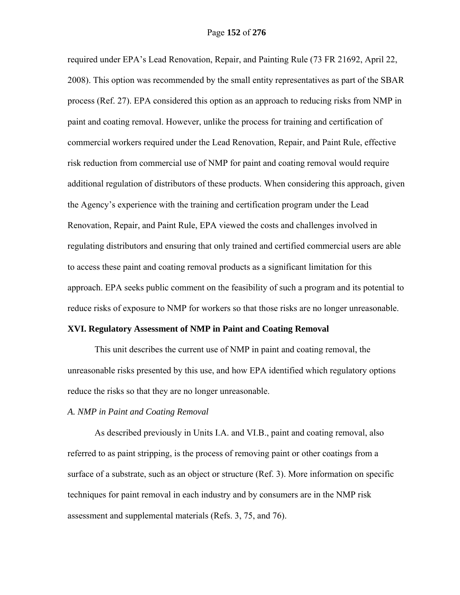required under EPA's Lead Renovation, Repair, and Painting Rule (73 FR 21692, April 22, 2008). This option was recommended by the small entity representatives as part of the SBAR process (Ref. 27). EPA considered this option as an approach to reducing risks from NMP in paint and coating removal. However, unlike the process for training and certification of commercial workers required under the Lead Renovation, Repair, and Paint Rule, effective risk reduction from commercial use of NMP for paint and coating removal would require additional regulation of distributors of these products. When considering this approach, given the Agency's experience with the training and certification program under the Lead Renovation, Repair, and Paint Rule, EPA viewed the costs and challenges involved in regulating distributors and ensuring that only trained and certified commercial users are able to access these paint and coating removal products as a significant limitation for this approach. EPA seeks public comment on the feasibility of such a program and its potential to reduce risks of exposure to NMP for workers so that those risks are no longer unreasonable.

#### **XVI. Regulatory Assessment of NMP in Paint and Coating Removal**

This unit describes the current use of NMP in paint and coating removal, the unreasonable risks presented by this use, and how EPA identified which regulatory options reduce the risks so that they are no longer unreasonable.

## *A. NMP in Paint and Coating Removal*

As described previously in Units I.A. and VI.B., paint and coating removal, also referred to as paint stripping, is the process of removing paint or other coatings from a surface of a substrate, such as an object or structure (Ref. 3). More information on specific techniques for paint removal in each industry and by consumers are in the NMP risk assessment and supplemental materials (Refs. 3, 75, and 76).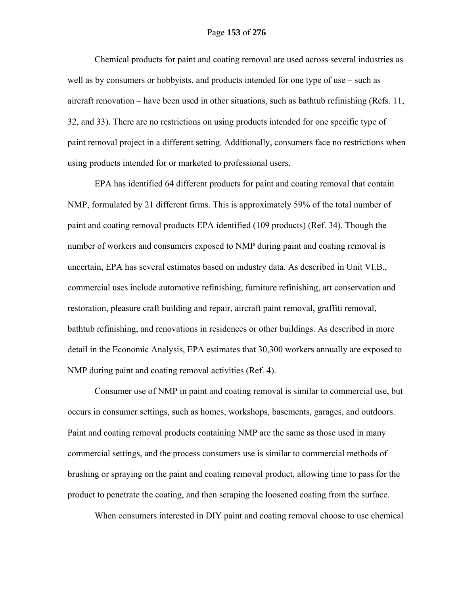Chemical products for paint and coating removal are used across several industries as well as by consumers or hobbyists, and products intended for one type of use – such as aircraft renovation – have been used in other situations, such as bathtub refinishing (Refs. 11, 32, and 33). There are no restrictions on using products intended for one specific type of paint removal project in a different setting. Additionally, consumers face no restrictions when using products intended for or marketed to professional users.

EPA has identified 64 different products for paint and coating removal that contain NMP, formulated by 21 different firms. This is approximately 59% of the total number of paint and coating removal products EPA identified (109 products) (Ref. 34). Though the number of workers and consumers exposed to NMP during paint and coating removal is uncertain, EPA has several estimates based on industry data. As described in Unit VI.B., commercial uses include automotive refinishing, furniture refinishing, art conservation and restoration, pleasure craft building and repair, aircraft paint removal, graffiti removal, bathtub refinishing, and renovations in residences or other buildings. As described in more detail in the Economic Analysis, EPA estimates that 30,300 workers annually are exposed to NMP during paint and coating removal activities (Ref. 4).

Consumer use of NMP in paint and coating removal is similar to commercial use, but occurs in consumer settings, such as homes, workshops, basements, garages, and outdoors. Paint and coating removal products containing NMP are the same as those used in many commercial settings, and the process consumers use is similar to commercial methods of brushing or spraying on the paint and coating removal product, allowing time to pass for the product to penetrate the coating, and then scraping the loosened coating from the surface.

When consumers interested in DIY paint and coating removal choose to use chemical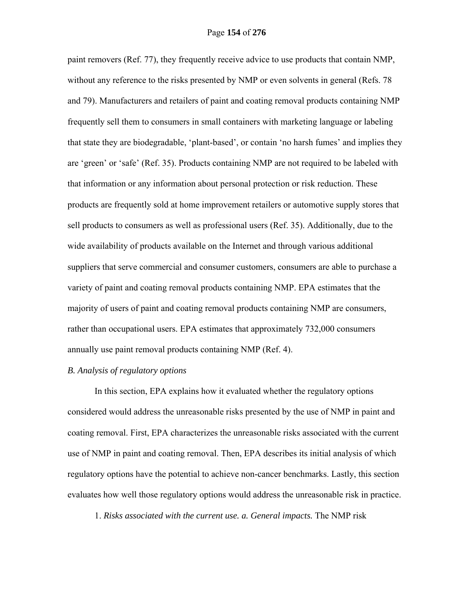paint removers (Ref. 77), they frequently receive advice to use products that contain NMP, without any reference to the risks presented by NMP or even solvents in general (Refs. 78 and 79). Manufacturers and retailers of paint and coating removal products containing NMP frequently sell them to consumers in small containers with marketing language or labeling that state they are biodegradable, 'plant-based', or contain 'no harsh fumes' and implies they are 'green' or 'safe' (Ref. 35). Products containing NMP are not required to be labeled with that information or any information about personal protection or risk reduction. These products are frequently sold at home improvement retailers or automotive supply stores that sell products to consumers as well as professional users (Ref. 35). Additionally, due to the wide availability of products available on the Internet and through various additional suppliers that serve commercial and consumer customers, consumers are able to purchase a variety of paint and coating removal products containing NMP. EPA estimates that the majority of users of paint and coating removal products containing NMP are consumers, rather than occupational users. EPA estimates that approximately 732,000 consumers annually use paint removal products containing NMP (Ref. 4).

# *B. Analysis of regulatory options*

In this section, EPA explains how it evaluated whether the regulatory options considered would address the unreasonable risks presented by the use of NMP in paint and coating removal. First, EPA characterizes the unreasonable risks associated with the current use of NMP in paint and coating removal. Then, EPA describes its initial analysis of which regulatory options have the potential to achieve non-cancer benchmarks. Lastly, this section evaluates how well those regulatory options would address the unreasonable risk in practice.

1. *Risks associated with the current use. a. General impacts.* The NMP risk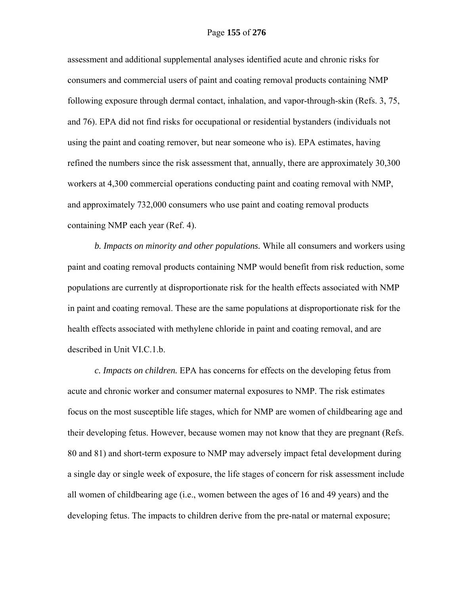assessment and additional supplemental analyses identified acute and chronic risks for consumers and commercial users of paint and coating removal products containing NMP following exposure through dermal contact, inhalation, and vapor-through-skin (Refs. 3, 75, and 76). EPA did not find risks for occupational or residential bystanders (individuals not using the paint and coating remover, but near someone who is). EPA estimates, having refined the numbers since the risk assessment that, annually, there are approximately 30,300 workers at 4,300 commercial operations conducting paint and coating removal with NMP, and approximately 732,000 consumers who use paint and coating removal products containing NMP each year (Ref. 4).

 *b. Impacts on minority and other populations.* While all consumers and workers using paint and coating removal products containing NMP would benefit from risk reduction, some populations are currently at disproportionate risk for the health effects associated with NMP in paint and coating removal. These are the same populations at disproportionate risk for the health effects associated with methylene chloride in paint and coating removal, and are described in Unit VI.C.1.b.

*c. Impacts on children.* EPA has concerns for effects on the developing fetus from acute and chronic worker and consumer maternal exposures to NMP. The risk estimates focus on the most susceptible life stages, which for NMP are women of childbearing age and their developing fetus. However, because women may not know that they are pregnant (Refs. 80 and 81) and short-term exposure to NMP may adversely impact fetal development during a single day or single week of exposure, the life stages of concern for risk assessment include all women of childbearing age (i.e., women between the ages of 16 and 49 years) and the developing fetus. The impacts to children derive from the pre-natal or maternal exposure;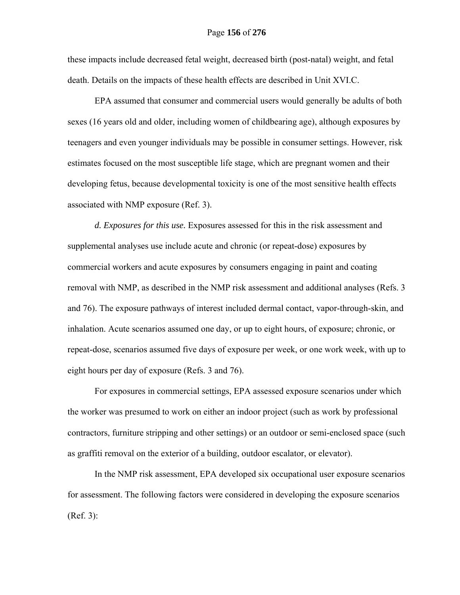these impacts include decreased fetal weight, decreased birth (post-natal) weight, and fetal death. Details on the impacts of these health effects are described in Unit XVI.C.

EPA assumed that consumer and commercial users would generally be adults of both sexes (16 years old and older, including women of childbearing age), although exposures by teenagers and even younger individuals may be possible in consumer settings. However, risk estimates focused on the most susceptible life stage, which are pregnant women and their developing fetus, because developmental toxicity is one of the most sensitive health effects associated with NMP exposure (Ref. 3).

*d. Exposures for this use.* Exposures assessed for this in the risk assessment and supplemental analyses use include acute and chronic (or repeat-dose) exposures by commercial workers and acute exposures by consumers engaging in paint and coating removal with NMP, as described in the NMP risk assessment and additional analyses (Refs. 3 and 76). The exposure pathways of interest included dermal contact, vapor-through-skin, and inhalation. Acute scenarios assumed one day, or up to eight hours, of exposure; chronic, or repeat-dose, scenarios assumed five days of exposure per week, or one work week, with up to eight hours per day of exposure (Refs. 3 and 76).

For exposures in commercial settings, EPA assessed exposure scenarios under which the worker was presumed to work on either an indoor project (such as work by professional contractors, furniture stripping and other settings) or an outdoor or semi-enclosed space (such as graffiti removal on the exterior of a building, outdoor escalator, or elevator).

In the NMP risk assessment, EPA developed six occupational user exposure scenarios for assessment. The following factors were considered in developing the exposure scenarios (Ref. 3):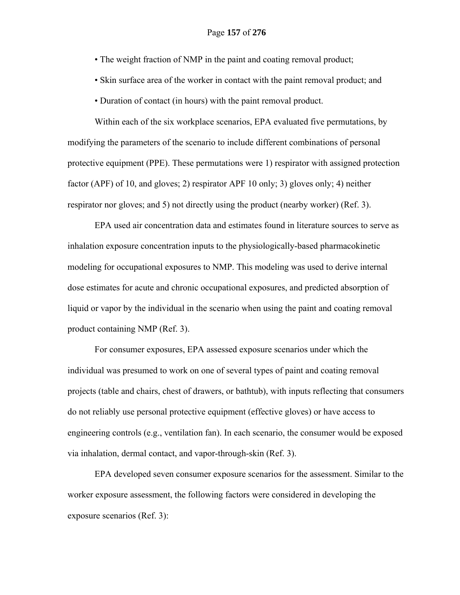• The weight fraction of NMP in the paint and coating removal product;

• Skin surface area of the worker in contact with the paint removal product; and

• Duration of contact (in hours) with the paint removal product.

Within each of the six workplace scenarios, EPA evaluated five permutations, by modifying the parameters of the scenario to include different combinations of personal protective equipment (PPE). These permutations were 1) respirator with assigned protection factor (APF) of 10, and gloves; 2) respirator APF 10 only; 3) gloves only; 4) neither respirator nor gloves; and 5) not directly using the product (nearby worker) (Ref. 3).

EPA used air concentration data and estimates found in literature sources to serve as inhalation exposure concentration inputs to the physiologically-based pharmacokinetic modeling for occupational exposures to NMP. This modeling was used to derive internal dose estimates for acute and chronic occupational exposures, and predicted absorption of liquid or vapor by the individual in the scenario when using the paint and coating removal product containing NMP (Ref. 3).

For consumer exposures, EPA assessed exposure scenarios under which the individual was presumed to work on one of several types of paint and coating removal projects (table and chairs, chest of drawers, or bathtub), with inputs reflecting that consumers do not reliably use personal protective equipment (effective gloves) or have access to engineering controls (e.g., ventilation fan). In each scenario, the consumer would be exposed via inhalation, dermal contact, and vapor-through-skin (Ref. 3).

EPA developed seven consumer exposure scenarios for the assessment. Similar to the worker exposure assessment, the following factors were considered in developing the exposure scenarios (Ref. 3):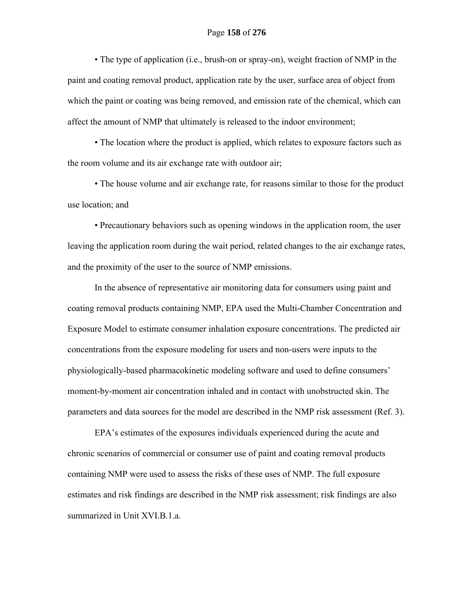• The type of application (i.e., brush-on or spray-on), weight fraction of NMP in the paint and coating removal product, application rate by the user, surface area of object from which the paint or coating was being removed, and emission rate of the chemical, which can affect the amount of NMP that ultimately is released to the indoor environment;

 • The location where the product is applied, which relates to exposure factors such as the room volume and its air exchange rate with outdoor air;

 • The house volume and air exchange rate, for reasons similar to those for the product use location; and

 • Precautionary behaviors such as opening windows in the application room, the user leaving the application room during the wait period, related changes to the air exchange rates, and the proximity of the user to the source of NMP emissions.

In the absence of representative air monitoring data for consumers using paint and coating removal products containing NMP, EPA used the Multi-Chamber Concentration and Exposure Model to estimate consumer inhalation exposure concentrations. The predicted air concentrations from the exposure modeling for users and non-users were inputs to the physiologically-based pharmacokinetic modeling software and used to define consumers' moment-by-moment air concentration inhaled and in contact with unobstructed skin. The parameters and data sources for the model are described in the NMP risk assessment (Ref. 3).

EPA's estimates of the exposures individuals experienced during the acute and chronic scenarios of commercial or consumer use of paint and coating removal products containing NMP were used to assess the risks of these uses of NMP. The full exposure estimates and risk findings are described in the NMP risk assessment; risk findings are also summarized in Unit XVI.B.1.a.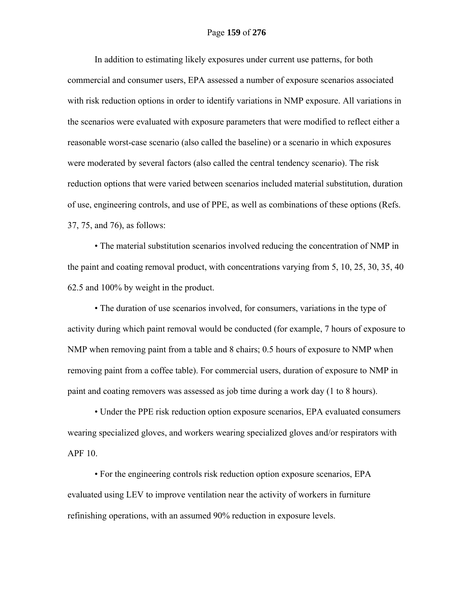In addition to estimating likely exposures under current use patterns, for both commercial and consumer users, EPA assessed a number of exposure scenarios associated with risk reduction options in order to identify variations in NMP exposure. All variations in the scenarios were evaluated with exposure parameters that were modified to reflect either a reasonable worst-case scenario (also called the baseline) or a scenario in which exposures were moderated by several factors (also called the central tendency scenario). The risk reduction options that were varied between scenarios included material substitution, duration of use, engineering controls, and use of PPE, as well as combinations of these options (Refs. 37, 75, and 76), as follows:

 • The material substitution scenarios involved reducing the concentration of NMP in the paint and coating removal product, with concentrations varying from 5, 10, 25, 30, 35, 40 62.5 and 100% by weight in the product.

 • The duration of use scenarios involved, for consumers, variations in the type of activity during which paint removal would be conducted (for example, 7 hours of exposure to NMP when removing paint from a table and 8 chairs; 0.5 hours of exposure to NMP when removing paint from a coffee table). For commercial users, duration of exposure to NMP in paint and coating removers was assessed as job time during a work day (1 to 8 hours).

 • Under the PPE risk reduction option exposure scenarios, EPA evaluated consumers wearing specialized gloves, and workers wearing specialized gloves and/or respirators with APF 10.

 • For the engineering controls risk reduction option exposure scenarios, EPA evaluated using LEV to improve ventilation near the activity of workers in furniture refinishing operations, with an assumed 90% reduction in exposure levels.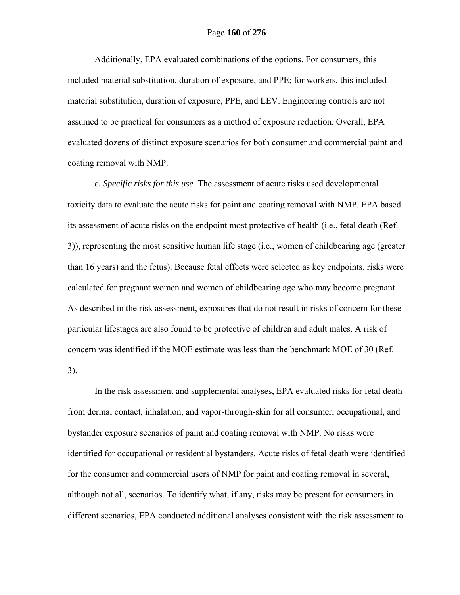## Page **160** of **276**

Additionally, EPA evaluated combinations of the options. For consumers, this included material substitution, duration of exposure, and PPE; for workers, this included material substitution, duration of exposure, PPE, and LEV. Engineering controls are not assumed to be practical for consumers as a method of exposure reduction. Overall, EPA evaluated dozens of distinct exposure scenarios for both consumer and commercial paint and coating removal with NMP.

*e. Specific risks for this use.* The assessment of acute risks used developmental toxicity data to evaluate the acute risks for paint and coating removal with NMP. EPA based its assessment of acute risks on the endpoint most protective of health (i.e., fetal death (Ref. 3)), representing the most sensitive human life stage (i.e., women of childbearing age (greater than 16 years) and the fetus). Because fetal effects were selected as key endpoints, risks were calculated for pregnant women and women of childbearing age who may become pregnant. As described in the risk assessment, exposures that do not result in risks of concern for these particular lifestages are also found to be protective of children and adult males. A risk of concern was identified if the MOE estimate was less than the benchmark MOE of 30 (Ref.

3).

In the risk assessment and supplemental analyses, EPA evaluated risks for fetal death from dermal contact, inhalation, and vapor-through-skin for all consumer, occupational, and bystander exposure scenarios of paint and coating removal with NMP. No risks were identified for occupational or residential bystanders. Acute risks of fetal death were identified for the consumer and commercial users of NMP for paint and coating removal in several, although not all, scenarios. To identify what, if any, risks may be present for consumers in different scenarios, EPA conducted additional analyses consistent with the risk assessment to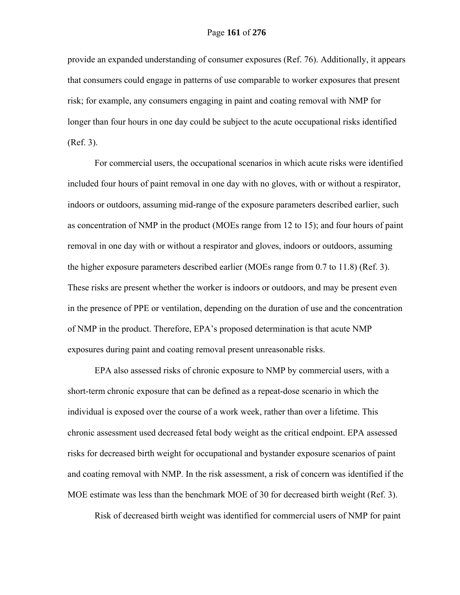provide an expanded understanding of consumer exposures (Ref. 76). Additionally, it appears that consumers could engage in patterns of use comparable to worker exposures that present risk; for example, any consumers engaging in paint and coating removal with NMP for longer than four hours in one day could be subject to the acute occupational risks identified (Ref. 3).

For commercial users, the occupational scenarios in which acute risks were identified included four hours of paint removal in one day with no gloves, with or without a respirator, indoors or outdoors, assuming mid-range of the exposure parameters described earlier, such as concentration of NMP in the product (MOEs range from 12 to 15); and four hours of paint removal in one day with or without a respirator and gloves, indoors or outdoors, assuming the higher exposure parameters described earlier (MOEs range from 0.7 to 11.8) (Ref. 3). These risks are present whether the worker is indoors or outdoors, and may be present even in the presence of PPE or ventilation, depending on the duration of use and the concentration of NMP in the product. Therefore, EPA's proposed determination is that acute NMP exposures during paint and coating removal present unreasonable risks.

EPA also assessed risks of chronic exposure to NMP by commercial users, with a short-term chronic exposure that can be defined as a repeat-dose scenario in which the individual is exposed over the course of a work week, rather than over a lifetime. This chronic assessment used decreased fetal body weight as the critical endpoint. EPA assessed risks for decreased birth weight for occupational and bystander exposure scenarios of paint and coating removal with NMP. In the risk assessment, a risk of concern was identified if the MOE estimate was less than the benchmark MOE of 30 for decreased birth weight (Ref. 3).

Risk of decreased birth weight was identified for commercial users of NMP for paint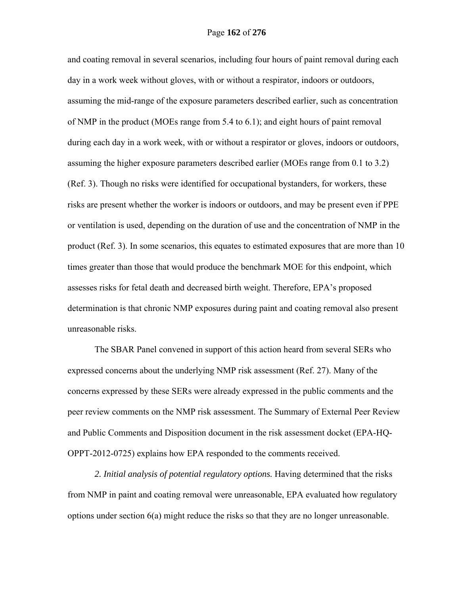and coating removal in several scenarios, including four hours of paint removal during each day in a work week without gloves, with or without a respirator, indoors or outdoors, assuming the mid-range of the exposure parameters described earlier, such as concentration of NMP in the product (MOEs range from 5.4 to 6.1); and eight hours of paint removal during each day in a work week, with or without a respirator or gloves, indoors or outdoors, assuming the higher exposure parameters described earlier (MOEs range from 0.1 to 3.2) (Ref. 3). Though no risks were identified for occupational bystanders, for workers, these risks are present whether the worker is indoors or outdoors, and may be present even if PPE or ventilation is used, depending on the duration of use and the concentration of NMP in the product (Ref. 3). In some scenarios, this equates to estimated exposures that are more than 10 times greater than those that would produce the benchmark MOE for this endpoint, which assesses risks for fetal death and decreased birth weight. Therefore, EPA's proposed determination is that chronic NMP exposures during paint and coating removal also present unreasonable risks.

The SBAR Panel convened in support of this action heard from several SERs who expressed concerns about the underlying NMP risk assessment (Ref. 27). Many of the concerns expressed by these SERs were already expressed in the public comments and the peer review comments on the NMP risk assessment. The Summary of External Peer Review and Public Comments and Disposition document in the risk assessment docket (EPA-HQ-OPPT-2012-0725) explains how EPA responded to the comments received.

*2. Initial analysis of potential regulatory options.* Having determined that the risks from NMP in paint and coating removal were unreasonable, EPA evaluated how regulatory options under section 6(a) might reduce the risks so that they are no longer unreasonable.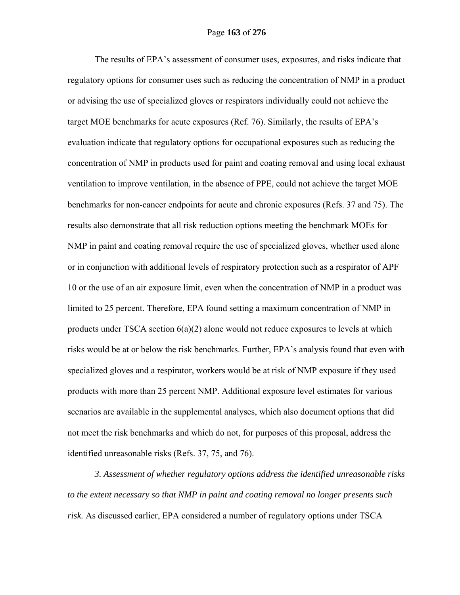The results of EPA's assessment of consumer uses, exposures, and risks indicate that regulatory options for consumer uses such as reducing the concentration of NMP in a product or advising the use of specialized gloves or respirators individually could not achieve the target MOE benchmarks for acute exposures (Ref. 76). Similarly, the results of EPA's evaluation indicate that regulatory options for occupational exposures such as reducing the concentration of NMP in products used for paint and coating removal and using local exhaust ventilation to improve ventilation, in the absence of PPE, could not achieve the target MOE benchmarks for non-cancer endpoints for acute and chronic exposures (Refs. 37 and 75). The results also demonstrate that all risk reduction options meeting the benchmark MOEs for NMP in paint and coating removal require the use of specialized gloves, whether used alone or in conjunction with additional levels of respiratory protection such as a respirator of APF 10 or the use of an air exposure limit, even when the concentration of NMP in a product was limited to 25 percent. Therefore, EPA found setting a maximum concentration of NMP in products under TSCA section  $6(a)(2)$  alone would not reduce exposures to levels at which risks would be at or below the risk benchmarks. Further, EPA's analysis found that even with specialized gloves and a respirator, workers would be at risk of NMP exposure if they used products with more than 25 percent NMP. Additional exposure level estimates for various scenarios are available in the supplemental analyses, which also document options that did not meet the risk benchmarks and which do not, for purposes of this proposal, address the identified unreasonable risks (Refs. 37, 75, and 76).

*3. Assessment of whether regulatory options address the identified unreasonable risks to the extent necessary so that NMP in paint and coating removal no longer presents such risk.* As discussed earlier, EPA considered a number of regulatory options under TSCA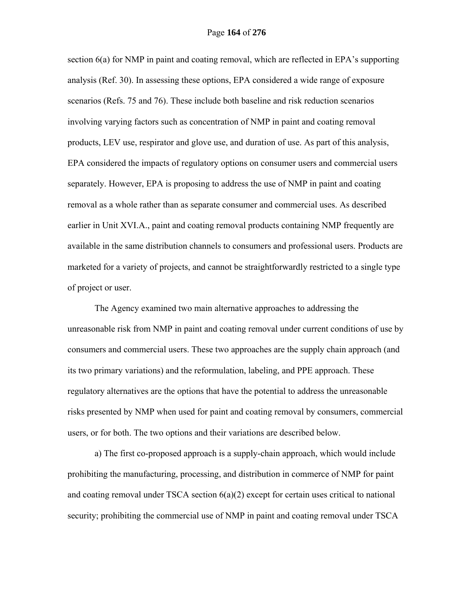section 6(a) for NMP in paint and coating removal, which are reflected in EPA's supporting analysis (Ref. 30). In assessing these options, EPA considered a wide range of exposure scenarios (Refs. 75 and 76). These include both baseline and risk reduction scenarios involving varying factors such as concentration of NMP in paint and coating removal products, LEV use, respirator and glove use, and duration of use. As part of this analysis, EPA considered the impacts of regulatory options on consumer users and commercial users separately. However, EPA is proposing to address the use of NMP in paint and coating removal as a whole rather than as separate consumer and commercial uses. As described earlier in Unit XVI.A., paint and coating removal products containing NMP frequently are available in the same distribution channels to consumers and professional users. Products are marketed for a variety of projects, and cannot be straightforwardly restricted to a single type of project or user.

The Agency examined two main alternative approaches to addressing the unreasonable risk from NMP in paint and coating removal under current conditions of use by consumers and commercial users. These two approaches are the supply chain approach (and its two primary variations) and the reformulation, labeling, and PPE approach. These regulatory alternatives are the options that have the potential to address the unreasonable risks presented by NMP when used for paint and coating removal by consumers, commercial users, or for both. The two options and their variations are described below.

a) The first co-proposed approach is a supply-chain approach, which would include prohibiting the manufacturing, processing, and distribution in commerce of NMP for paint and coating removal under TSCA section 6(a)(2) except for certain uses critical to national security; prohibiting the commercial use of NMP in paint and coating removal under TSCA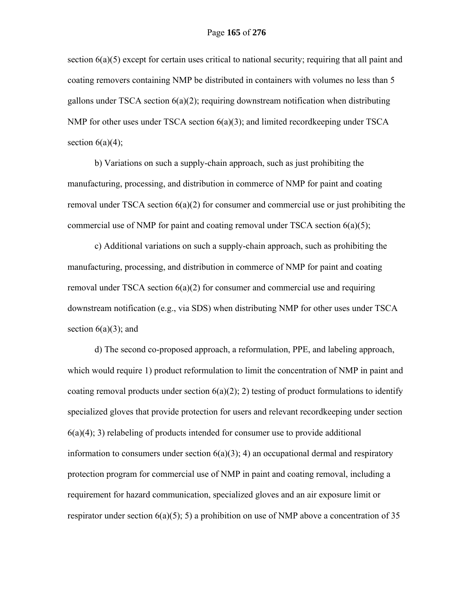section  $6(a)(5)$  except for certain uses critical to national security; requiring that all paint and coating removers containing NMP be distributed in containers with volumes no less than 5 gallons under TSCA section  $6(a)(2)$ ; requiring downstream notification when distributing NMP for other uses under TSCA section  $6(a)(3)$ ; and limited record keeping under TSCA section  $6(a)(4)$ ;

b) Variations on such a supply-chain approach, such as just prohibiting the manufacturing, processing, and distribution in commerce of NMP for paint and coating removal under TSCA section 6(a)(2) for consumer and commercial use or just prohibiting the commercial use of NMP for paint and coating removal under TSCA section 6(a)(5);

c) Additional variations on such a supply-chain approach, such as prohibiting the manufacturing, processing, and distribution in commerce of NMP for paint and coating removal under TSCA section  $6(a)(2)$  for consumer and commercial use and requiring downstream notification (e.g., via SDS) when distributing NMP for other uses under TSCA section  $6(a)(3)$ ; and

d) The second co-proposed approach, a reformulation, PPE, and labeling approach, which would require 1) product reformulation to limit the concentration of NMP in paint and coating removal products under section  $6(a)(2)$ ; 2) testing of product formulations to identify specialized gloves that provide protection for users and relevant recordkeeping under section  $6(a)(4)$ ; 3) relabeling of products intended for consumer use to provide additional information to consumers under section  $6(a)(3)$ ; 4) an occupational dermal and respiratory protection program for commercial use of NMP in paint and coating removal, including a requirement for hazard communication, specialized gloves and an air exposure limit or respirator under section  $6(a)(5)$ ; 5) a prohibition on use of NMP above a concentration of 35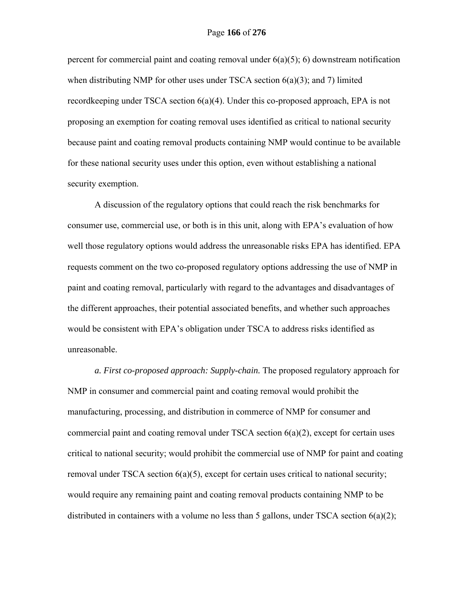percent for commercial paint and coating removal under  $6(a)(5)$ ; 6) downstream notification when distributing NMP for other uses under TSCA section 6(a)(3); and 7) limited recordkeeping under TSCA section 6(a)(4). Under this co-proposed approach, EPA is not proposing an exemption for coating removal uses identified as critical to national security because paint and coating removal products containing NMP would continue to be available for these national security uses under this option, even without establishing a national security exemption.

A discussion of the regulatory options that could reach the risk benchmarks for consumer use, commercial use, or both is in this unit, along with EPA's evaluation of how well those regulatory options would address the unreasonable risks EPA has identified. EPA requests comment on the two co-proposed regulatory options addressing the use of NMP in paint and coating removal, particularly with regard to the advantages and disadvantages of the different approaches, their potential associated benefits, and whether such approaches would be consistent with EPA's obligation under TSCA to address risks identified as unreasonable.

*a. First co-proposed approach: Supply-chain.* The proposed regulatory approach for NMP in consumer and commercial paint and coating removal would prohibit the manufacturing, processing, and distribution in commerce of NMP for consumer and commercial paint and coating removal under TSCA section  $6(a)(2)$ , except for certain uses critical to national security; would prohibit the commercial use of NMP for paint and coating removal under TSCA section  $6(a)(5)$ , except for certain uses critical to national security; would require any remaining paint and coating removal products containing NMP to be distributed in containers with a volume no less than 5 gallons, under TSCA section 6(a)(2);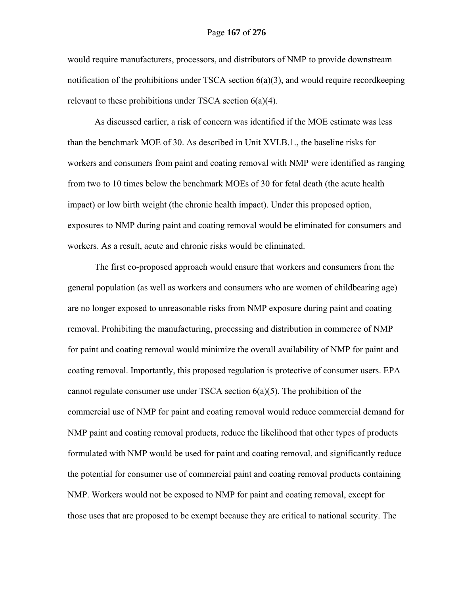would require manufacturers, processors, and distributors of NMP to provide downstream notification of the prohibitions under TSCA section 6(a)(3), and would require recordkeeping relevant to these prohibitions under TSCA section 6(a)(4).

As discussed earlier, a risk of concern was identified if the MOE estimate was less than the benchmark MOE of 30. As described in Unit XVI.B.1., the baseline risks for workers and consumers from paint and coating removal with NMP were identified as ranging from two to 10 times below the benchmark MOEs of 30 for fetal death (the acute health impact) or low birth weight (the chronic health impact). Under this proposed option, exposures to NMP during paint and coating removal would be eliminated for consumers and workers. As a result, acute and chronic risks would be eliminated.

The first co-proposed approach would ensure that workers and consumers from the general population (as well as workers and consumers who are women of childbearing age) are no longer exposed to unreasonable risks from NMP exposure during paint and coating removal. Prohibiting the manufacturing, processing and distribution in commerce of NMP for paint and coating removal would minimize the overall availability of NMP for paint and coating removal. Importantly, this proposed regulation is protective of consumer users. EPA cannot regulate consumer use under TSCA section  $6(a)(5)$ . The prohibition of the commercial use of NMP for paint and coating removal would reduce commercial demand for NMP paint and coating removal products, reduce the likelihood that other types of products formulated with NMP would be used for paint and coating removal, and significantly reduce the potential for consumer use of commercial paint and coating removal products containing NMP. Workers would not be exposed to NMP for paint and coating removal, except for those uses that are proposed to be exempt because they are critical to national security. The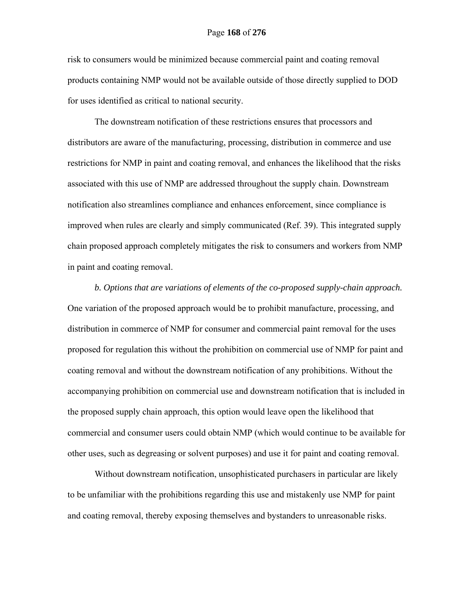risk to consumers would be minimized because commercial paint and coating removal products containing NMP would not be available outside of those directly supplied to DOD for uses identified as critical to national security.

The downstream notification of these restrictions ensures that processors and distributors are aware of the manufacturing, processing, distribution in commerce and use restrictions for NMP in paint and coating removal, and enhances the likelihood that the risks associated with this use of NMP are addressed throughout the supply chain. Downstream notification also streamlines compliance and enhances enforcement, since compliance is improved when rules are clearly and simply communicated (Ref. 39). This integrated supply chain proposed approach completely mitigates the risk to consumers and workers from NMP in paint and coating removal.

*b. Options that are variations of elements of the co-proposed supply-chain approach.*  One variation of the proposed approach would be to prohibit manufacture, processing, and distribution in commerce of NMP for consumer and commercial paint removal for the uses proposed for regulation this without the prohibition on commercial use of NMP for paint and coating removal and without the downstream notification of any prohibitions. Without the accompanying prohibition on commercial use and downstream notification that is included in the proposed supply chain approach, this option would leave open the likelihood that commercial and consumer users could obtain NMP (which would continue to be available for other uses, such as degreasing or solvent purposes) and use it for paint and coating removal.

Without downstream notification, unsophisticated purchasers in particular are likely to be unfamiliar with the prohibitions regarding this use and mistakenly use NMP for paint and coating removal, thereby exposing themselves and bystanders to unreasonable risks.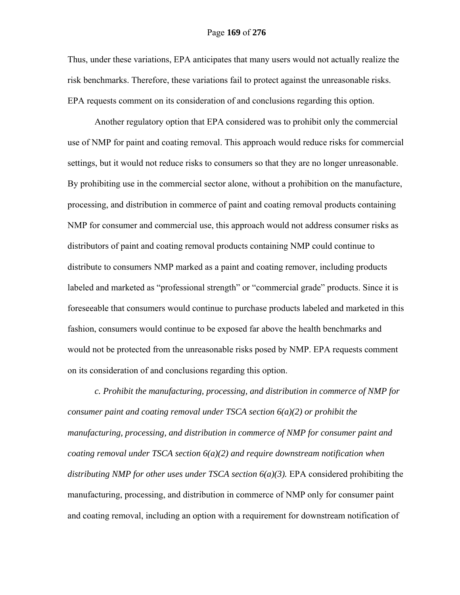### Page **169** of **276**

Thus, under these variations, EPA anticipates that many users would not actually realize the risk benchmarks. Therefore, these variations fail to protect against the unreasonable risks. EPA requests comment on its consideration of and conclusions regarding this option.

Another regulatory option that EPA considered was to prohibit only the commercial use of NMP for paint and coating removal. This approach would reduce risks for commercial settings, but it would not reduce risks to consumers so that they are no longer unreasonable. By prohibiting use in the commercial sector alone, without a prohibition on the manufacture, processing, and distribution in commerce of paint and coating removal products containing NMP for consumer and commercial use, this approach would not address consumer risks as distributors of paint and coating removal products containing NMP could continue to distribute to consumers NMP marked as a paint and coating remover, including products labeled and marketed as "professional strength" or "commercial grade" products. Since it is foreseeable that consumers would continue to purchase products labeled and marketed in this fashion, consumers would continue to be exposed far above the health benchmarks and would not be protected from the unreasonable risks posed by NMP. EPA requests comment on its consideration of and conclusions regarding this option.

*c. Prohibit the manufacturing, processing, and distribution in commerce of NMP for consumer paint and coating removal under TSCA section 6(a)(2) or prohibit the manufacturing, processing, and distribution in commerce of NMP for consumer paint and coating removal under TSCA section 6(a)(2) and require downstream notification when distributing NMP for other uses under TSCA section 6(a)(3).* EPA considered prohibiting the manufacturing, processing, and distribution in commerce of NMP only for consumer paint and coating removal, including an option with a requirement for downstream notification of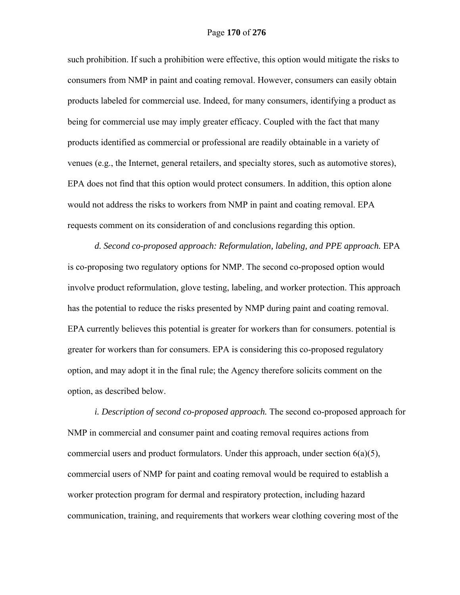such prohibition. If such a prohibition were effective, this option would mitigate the risks to consumers from NMP in paint and coating removal. However, consumers can easily obtain products labeled for commercial use. Indeed, for many consumers, identifying a product as being for commercial use may imply greater efficacy. Coupled with the fact that many products identified as commercial or professional are readily obtainable in a variety of venues (e.g., the Internet, general retailers, and specialty stores, such as automotive stores), EPA does not find that this option would protect consumers. In addition, this option alone would not address the risks to workers from NMP in paint and coating removal. EPA requests comment on its consideration of and conclusions regarding this option.

*d. Second co-proposed approach: Reformulation, labeling, and PPE approach.* EPA is co-proposing two regulatory options for NMP. The second co-proposed option would involve product reformulation, glove testing, labeling, and worker protection. This approach has the potential to reduce the risks presented by NMP during paint and coating removal. EPA currently believes this potential is greater for workers than for consumers. potential is greater for workers than for consumers. EPA is considering this co-proposed regulatory option, and may adopt it in the final rule; the Agency therefore solicits comment on the option, as described below.

*i. Description of second co-proposed approach.* The second co-proposed approach for NMP in commercial and consumer paint and coating removal requires actions from commercial users and product formulators. Under this approach, under section  $6(a)(5)$ , commercial users of NMP for paint and coating removal would be required to establish a worker protection program for dermal and respiratory protection, including hazard communication, training, and requirements that workers wear clothing covering most of the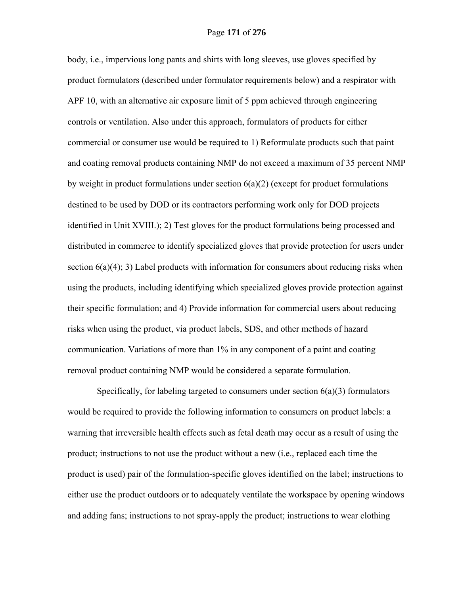body, i.e., impervious long pants and shirts with long sleeves, use gloves specified by product formulators (described under formulator requirements below) and a respirator with APF 10, with an alternative air exposure limit of 5 ppm achieved through engineering controls or ventilation. Also under this approach, formulators of products for either commercial or consumer use would be required to 1) Reformulate products such that paint and coating removal products containing NMP do not exceed a maximum of 35 percent NMP by weight in product formulations under section  $6(a)(2)$  (except for product formulations destined to be used by DOD or its contractors performing work only for DOD projects identified in Unit XVIII.); 2) Test gloves for the product formulations being processed and distributed in commerce to identify specialized gloves that provide protection for users under section  $6(a)(4)$ ; 3) Label products with information for consumers about reducing risks when using the products, including identifying which specialized gloves provide protection against their specific formulation; and 4) Provide information for commercial users about reducing risks when using the product, via product labels, SDS, and other methods of hazard communication. Variations of more than 1% in any component of a paint and coating removal product containing NMP would be considered a separate formulation.

Specifically, for labeling targeted to consumers under section  $6(a)(3)$  formulators would be required to provide the following information to consumers on product labels: a warning that irreversible health effects such as fetal death may occur as a result of using the product; instructions to not use the product without a new (i.e., replaced each time the product is used) pair of the formulation-specific gloves identified on the label; instructions to either use the product outdoors or to adequately ventilate the workspace by opening windows and adding fans; instructions to not spray-apply the product; instructions to wear clothing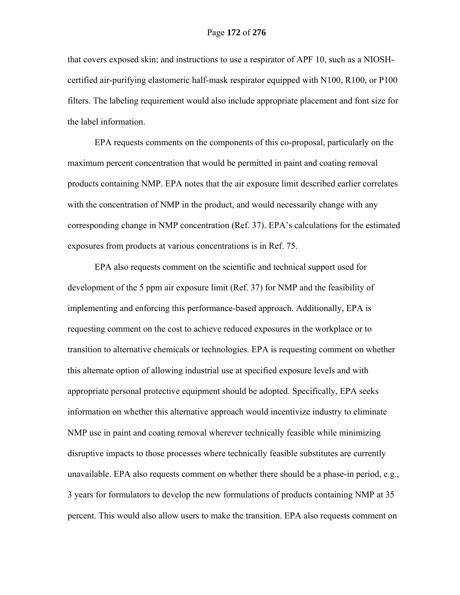that covers exposed skin; and instructions to use a respirator of APF 10, such as a NIOSHcertified air-purifying elastomeric half-mask respirator equipped with N100, R100, or P100 filters. The labeling requirement would also include appropriate placement and font size for the label information.

EPA requests comments on the components of this co-proposal, particularly on the maximum percent concentration that would be permitted in paint and coating removal products containing NMP. EPA notes that the air exposure limit described earlier correlates with the concentration of NMP in the product, and would necessarily change with any corresponding change in NMP concentration (Ref. 37). EPA's calculations for the estimated exposures from products at various concentrations is in Ref. 75.

EPA also requests comment on the scientific and technical support used for development of the 5 ppm air exposure limit (Ref. 37) for NMP and the feasibility of implementing and enforcing this performance-based approach. Additionally, EPA is requesting comment on the cost to achieve reduced exposures in the workplace or to transition to alternative chemicals or technologies. EPA is requesting comment on whether this alternate option of allowing industrial use at specified exposure levels and with appropriate personal protective equipment should be adopted. Specifically, EPA seeks information on whether this alternative approach would incentivize industry to eliminate NMP use in paint and coating removal wherever technically feasible while minimizing disruptive impacts to those processes where technically feasible substitutes are currently unavailable. EPA also requests comment on whether there should be a phase-in period, e.g., 3 years for formulators to develop the new formulations of products containing NMP at 35 percent. This would also allow users to make the transition. EPA also requests comment on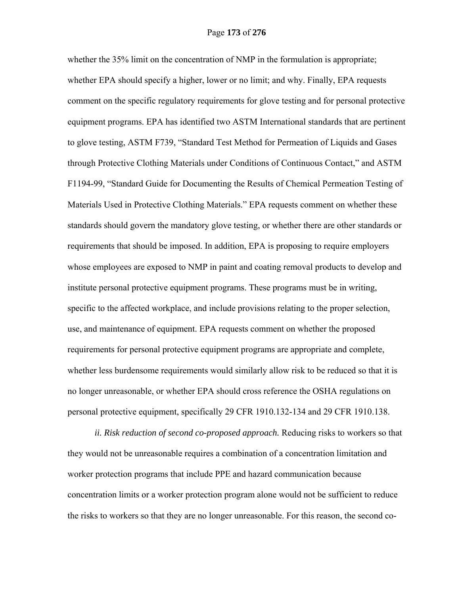whether the 35% limit on the concentration of NMP in the formulation is appropriate; whether EPA should specify a higher, lower or no limit; and why. Finally, EPA requests comment on the specific regulatory requirements for glove testing and for personal protective equipment programs. EPA has identified two ASTM International standards that are pertinent to glove testing, ASTM F739, "Standard Test Method for Permeation of Liquids and Gases through Protective Clothing Materials under Conditions of Continuous Contact," and ASTM F1194-99, "Standard Guide for Documenting the Results of Chemical Permeation Testing of Materials Used in Protective Clothing Materials." EPA requests comment on whether these standards should govern the mandatory glove testing, or whether there are other standards or requirements that should be imposed. In addition, EPA is proposing to require employers whose employees are exposed to NMP in paint and coating removal products to develop and institute personal protective equipment programs. These programs must be in writing, specific to the affected workplace, and include provisions relating to the proper selection, use, and maintenance of equipment. EPA requests comment on whether the proposed requirements for personal protective equipment programs are appropriate and complete, whether less burdensome requirements would similarly allow risk to be reduced so that it is no longer unreasonable, or whether EPA should cross reference the OSHA regulations on personal protective equipment, specifically 29 CFR 1910.132-134 and 29 CFR 1910.138.

*ii. Risk reduction of second co-proposed approach.* Reducing risks to workers so that they would not be unreasonable requires a combination of a concentration limitation and worker protection programs that include PPE and hazard communication because concentration limits or a worker protection program alone would not be sufficient to reduce the risks to workers so that they are no longer unreasonable. For this reason, the second co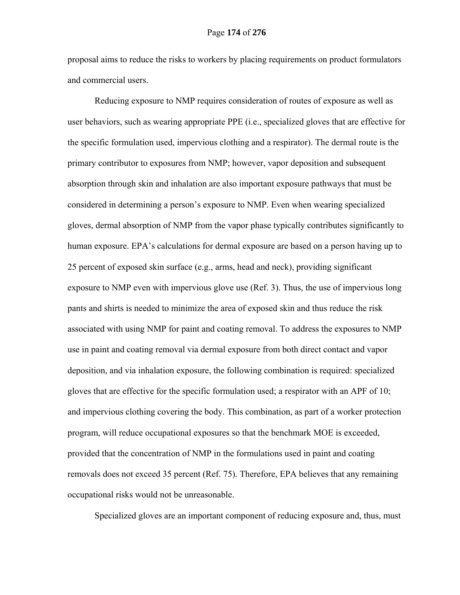proposal aims to reduce the risks to workers by placing requirements on product formulators and commercial users.

Reducing exposure to NMP requires consideration of routes of exposure as well as user behaviors, such as wearing appropriate PPE (i.e., specialized gloves that are effective for the specific formulation used, impervious clothing and a respirator). The dermal route is the primary contributor to exposures from NMP; however, vapor deposition and subsequent absorption through skin and inhalation are also important exposure pathways that must be considered in determining a person's exposure to NMP. Even when wearing specialized gloves, dermal absorption of NMP from the vapor phase typically contributes significantly to human exposure. EPA's calculations for dermal exposure are based on a person having up to 25 percent of exposed skin surface (e.g., arms, head and neck), providing significant exposure to NMP even with impervious glove use (Ref. 3). Thus, the use of impervious long pants and shirts is needed to minimize the area of exposed skin and thus reduce the risk associated with using NMP for paint and coating removal. To address the exposures to NMP use in paint and coating removal via dermal exposure from both direct contact and vapor deposition, and via inhalation exposure, the following combination is required: specialized gloves that are effective for the specific formulation used; a respirator with an APF of 10; and impervious clothing covering the body. This combination, as part of a worker protection program, will reduce occupational exposures so that the benchmark MOE is exceeded, provided that the concentration of NMP in the formulations used in paint and coating removals does not exceed 35 percent (Ref. 75). Therefore, EPA believes that any remaining occupational risks would not be unreasonable.

Specialized gloves are an important component of reducing exposure and, thus, must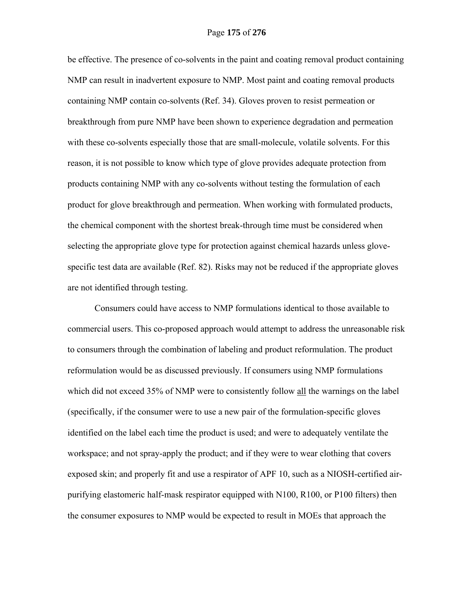be effective. The presence of co-solvents in the paint and coating removal product containing NMP can result in inadvertent exposure to NMP. Most paint and coating removal products containing NMP contain co-solvents (Ref. 34). Gloves proven to resist permeation or breakthrough from pure NMP have been shown to experience degradation and permeation with these co-solvents especially those that are small-molecule, volatile solvents. For this reason, it is not possible to know which type of glove provides adequate protection from products containing NMP with any co-solvents without testing the formulation of each product for glove breakthrough and permeation. When working with formulated products, the chemical component with the shortest break-through time must be considered when selecting the appropriate glove type for protection against chemical hazards unless glovespecific test data are available (Ref. 82). Risks may not be reduced if the appropriate gloves are not identified through testing.

Consumers could have access to NMP formulations identical to those available to commercial users. This co-proposed approach would attempt to address the unreasonable risk to consumers through the combination of labeling and product reformulation. The product reformulation would be as discussed previously. If consumers using NMP formulations which did not exceed 35% of NMP were to consistently follow all the warnings on the label (specifically, if the consumer were to use a new pair of the formulation-specific gloves identified on the label each time the product is used; and were to adequately ventilate the workspace; and not spray-apply the product; and if they were to wear clothing that covers exposed skin; and properly fit and use a respirator of APF 10, such as a NIOSH-certified airpurifying elastomeric half-mask respirator equipped with N100, R100, or P100 filters) then the consumer exposures to NMP would be expected to result in MOEs that approach the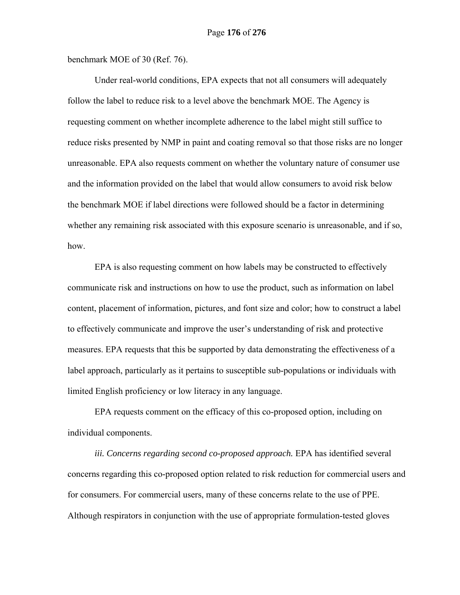benchmark MOE of 30 (Ref. 76).

Under real-world conditions, EPA expects that not all consumers will adequately follow the label to reduce risk to a level above the benchmark MOE. The Agency is requesting comment on whether incomplete adherence to the label might still suffice to reduce risks presented by NMP in paint and coating removal so that those risks are no longer unreasonable. EPA also requests comment on whether the voluntary nature of consumer use and the information provided on the label that would allow consumers to avoid risk below the benchmark MOE if label directions were followed should be a factor in determining whether any remaining risk associated with this exposure scenario is unreasonable, and if so, how.

EPA is also requesting comment on how labels may be constructed to effectively communicate risk and instructions on how to use the product, such as information on label content, placement of information, pictures, and font size and color; how to construct a label to effectively communicate and improve the user's understanding of risk and protective measures. EPA requests that this be supported by data demonstrating the effectiveness of a label approach, particularly as it pertains to susceptible sub-populations or individuals with limited English proficiency or low literacy in any language.

EPA requests comment on the efficacy of this co-proposed option, including on individual components.

iii. Concerns regarding second co-proposed approach. EPA has identified several concerns regarding this co-proposed option related to risk reduction for commercial users and for consumers. For commercial users, many of these concerns relate to the use of PPE. Although respirators in conjunction with the use of appropriate formulation-tested gloves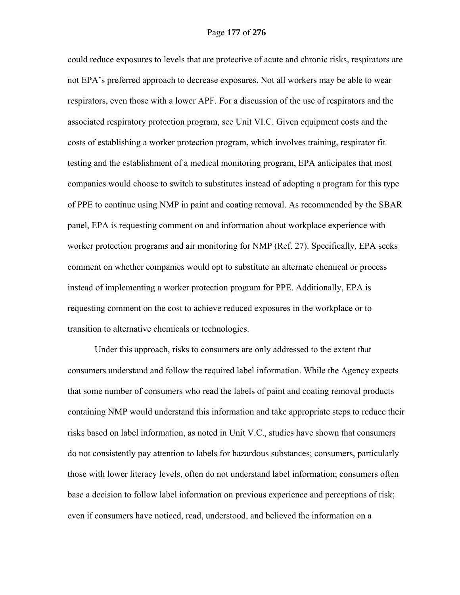could reduce exposures to levels that are protective of acute and chronic risks, respirators are not EPA's preferred approach to decrease exposures. Not all workers may be able to wear respirators, even those with a lower APF. For a discussion of the use of respirators and the associated respiratory protection program, see Unit VI.C. Given equipment costs and the costs of establishing a worker protection program, which involves training, respirator fit testing and the establishment of a medical monitoring program, EPA anticipates that most companies would choose to switch to substitutes instead of adopting a program for this type of PPE to continue using NMP in paint and coating removal. As recommended by the SBAR panel, EPA is requesting comment on and information about workplace experience with worker protection programs and air monitoring for NMP (Ref. 27). Specifically, EPA seeks comment on whether companies would opt to substitute an alternate chemical or process instead of implementing a worker protection program for PPE. Additionally, EPA is requesting comment on the cost to achieve reduced exposures in the workplace or to transition to alternative chemicals or technologies.

Under this approach, risks to consumers are only addressed to the extent that consumers understand and follow the required label information. While the Agency expects that some number of consumers who read the labels of paint and coating removal products containing NMP would understand this information and take appropriate steps to reduce their risks based on label information, as noted in Unit V.C., studies have shown that consumers do not consistently pay attention to labels for hazardous substances; consumers, particularly those with lower literacy levels, often do not understand label information; consumers often base a decision to follow label information on previous experience and perceptions of risk; even if consumers have noticed, read, understood, and believed the information on a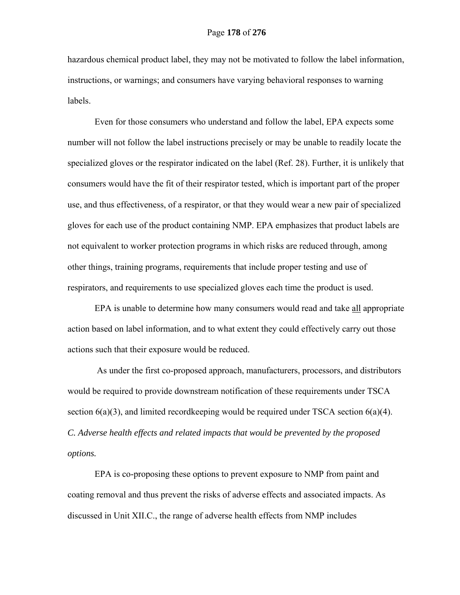hazardous chemical product label, they may not be motivated to follow the label information, instructions, or warnings; and consumers have varying behavioral responses to warning labels.

Even for those consumers who understand and follow the label, EPA expects some number will not follow the label instructions precisely or may be unable to readily locate the specialized gloves or the respirator indicated on the label (Ref. 28). Further, it is unlikely that consumers would have the fit of their respirator tested, which is important part of the proper use, and thus effectiveness, of a respirator, or that they would wear a new pair of specialized gloves for each use of the product containing NMP. EPA emphasizes that product labels are not equivalent to worker protection programs in which risks are reduced through, among other things, training programs, requirements that include proper testing and use of respirators, and requirements to use specialized gloves each time the product is used.

EPA is unable to determine how many consumers would read and take all appropriate action based on label information, and to what extent they could effectively carry out those actions such that their exposure would be reduced.

 As under the first co-proposed approach, manufacturers, processors, and distributors would be required to provide downstream notification of these requirements under TSCA section  $6(a)(3)$ , and limited recordkeeping would be required under TSCA section  $6(a)(4)$ . *C. Adverse health effects and related impacts that would be prevented by the proposed options.* 

EPA is co-proposing these options to prevent exposure to NMP from paint and coating removal and thus prevent the risks of adverse effects and associated impacts. As discussed in Unit XII.C., the range of adverse health effects from NMP includes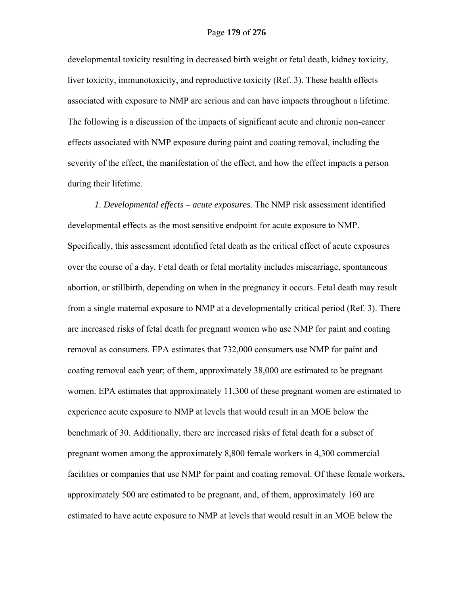developmental toxicity resulting in decreased birth weight or fetal death, kidney toxicity, liver toxicity, immunotoxicity, and reproductive toxicity (Ref. 3). These health effects associated with exposure to NMP are serious and can have impacts throughout a lifetime. The following is a discussion of the impacts of significant acute and chronic non-cancer effects associated with NMP exposure during paint and coating removal, including the severity of the effect, the manifestation of the effect, and how the effect impacts a person during their lifetime.

*1. Developmental effects – acute exposures.* The NMP risk assessment identified developmental effects as the most sensitive endpoint for acute exposure to NMP. Specifically, this assessment identified fetal death as the critical effect of acute exposures over the course of a day*.* Fetal death or fetal mortality includes miscarriage, spontaneous abortion, or stillbirth, depending on when in the pregnancy it occurs. Fetal death may result from a single maternal exposure to NMP at a developmentally critical period (Ref. 3). There are increased risks of fetal death for pregnant women who use NMP for paint and coating removal as consumers. EPA estimates that 732,000 consumers use NMP for paint and coating removal each year; of them, approximately 38,000 are estimated to be pregnant women. EPA estimates that approximately 11,300 of these pregnant women are estimated to experience acute exposure to NMP at levels that would result in an MOE below the benchmark of 30. Additionally, there are increased risks of fetal death for a subset of pregnant women among the approximately 8,800 female workers in 4,300 commercial facilities or companies that use NMP for paint and coating removal. Of these female workers, approximately 500 are estimated to be pregnant, and, of them, approximately 160 are estimated to have acute exposure to NMP at levels that would result in an MOE below the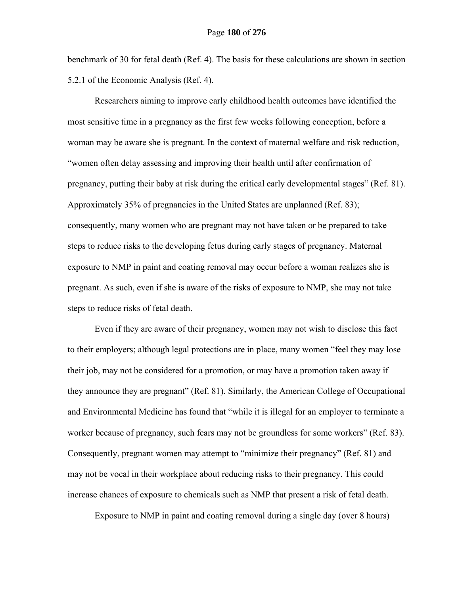benchmark of 30 for fetal death (Ref. 4). The basis for these calculations are shown in section 5.2.1 of the Economic Analysis (Ref. 4).

Researchers aiming to improve early childhood health outcomes have identified the most sensitive time in a pregnancy as the first few weeks following conception, before a woman may be aware she is pregnant. In the context of maternal welfare and risk reduction, "women often delay assessing and improving their health until after confirmation of pregnancy, putting their baby at risk during the critical early developmental stages" (Ref. 81). Approximately 35% of pregnancies in the United States are unplanned (Ref. 83); consequently, many women who are pregnant may not have taken or be prepared to take steps to reduce risks to the developing fetus during early stages of pregnancy. Maternal exposure to NMP in paint and coating removal may occur before a woman realizes she is pregnant. As such, even if she is aware of the risks of exposure to NMP, she may not take steps to reduce risks of fetal death.

Even if they are aware of their pregnancy, women may not wish to disclose this fact to their employers; although legal protections are in place, many women "feel they may lose their job, may not be considered for a promotion, or may have a promotion taken away if they announce they are pregnant" (Ref. 81). Similarly, the American College of Occupational and Environmental Medicine has found that "while it is illegal for an employer to terminate a worker because of pregnancy, such fears may not be groundless for some workers" (Ref. 83). Consequently, pregnant women may attempt to "minimize their pregnancy" (Ref. 81) and may not be vocal in their workplace about reducing risks to their pregnancy. This could increase chances of exposure to chemicals such as NMP that present a risk of fetal death.

Exposure to NMP in paint and coating removal during a single day (over 8 hours)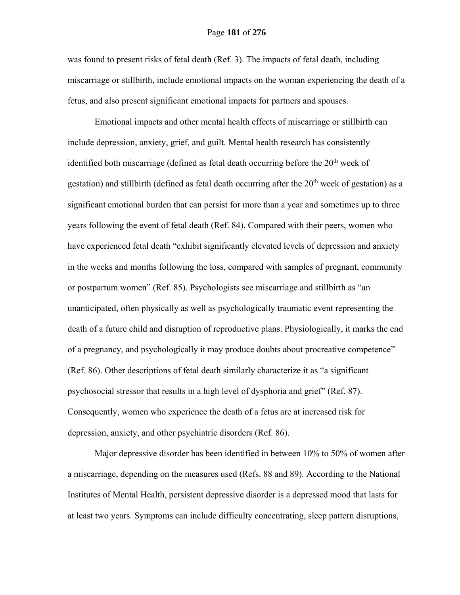#### Page **181** of **276**

was found to present risks of fetal death (Ref. 3). The impacts of fetal death, including miscarriage or stillbirth, include emotional impacts on the woman experiencing the death of a fetus, and also present significant emotional impacts for partners and spouses.

Emotional impacts and other mental health effects of miscarriage or stillbirth can include depression, anxiety, grief, and guilt. Mental health research has consistently identified both miscarriage (defined as fetal death occurring before the  $20<sup>th</sup>$  week of gestation) and stillbirth (defined as fetal death occurring after the  $20<sup>th</sup>$  week of gestation) as a significant emotional burden that can persist for more than a year and sometimes up to three years following the event of fetal death (Ref. 84). Compared with their peers, women who have experienced fetal death "exhibit significantly elevated levels of depression and anxiety in the weeks and months following the loss, compared with samples of pregnant, community or postpartum women" (Ref. 85). Psychologists see miscarriage and stillbirth as "an unanticipated, often physically as well as psychologically traumatic event representing the death of a future child and disruption of reproductive plans. Physiologically, it marks the end of a pregnancy, and psychologically it may produce doubts about procreative competence" (Ref. 86). Other descriptions of fetal death similarly characterize it as "a significant psychosocial stressor that results in a high level of dysphoria and grief" (Ref. 87). Consequently, women who experience the death of a fetus are at increased risk for depression, anxiety, and other psychiatric disorders (Ref. 86).

Major depressive disorder has been identified in between 10% to 50% of women after a miscarriage, depending on the measures used (Refs. 88 and 89). According to the National Institutes of Mental Health, persistent depressive disorder is a depressed mood that lasts for at least two years. Symptoms can include difficulty concentrating, sleep pattern disruptions,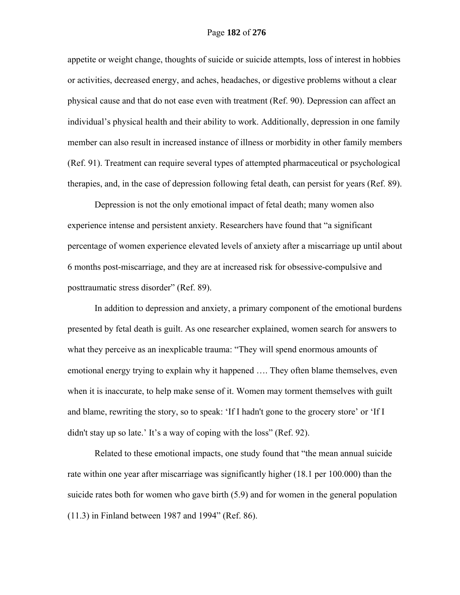appetite or weight change, thoughts of suicide or suicide attempts, loss of interest in hobbies or activities, decreased energy, and aches, headaches, or digestive problems without a clear physical cause and that do not ease even with treatment (Ref. 90). Depression can affect an individual's physical health and their ability to work. Additionally, depression in one family member can also result in increased instance of illness or morbidity in other family members (Ref. 91). Treatment can require several types of attempted pharmaceutical or psychological therapies, and, in the case of depression following fetal death, can persist for years (Ref. 89).

Depression is not the only emotional impact of fetal death; many women also experience intense and persistent anxiety. Researchers have found that "a significant percentage of women experience elevated levels of anxiety after a miscarriage up until about 6 months post-miscarriage, and they are at increased risk for obsessive-compulsive and posttraumatic stress disorder" (Ref. 89).

 In addition to depression and anxiety, a primary component of the emotional burdens presented by fetal death is guilt. As one researcher explained, women search for answers to what they perceive as an inexplicable trauma: "They will spend enormous amounts of emotional energy trying to explain why it happened …. They often blame themselves, even when it is inaccurate, to help make sense of it. Women may torment themselves with guilt and blame, rewriting the story, so to speak: 'If I hadn't gone to the grocery store' or 'If I didn't stay up so late.' It's a way of coping with the loss" (Ref. 92).

Related to these emotional impacts, one study found that "the mean annual suicide rate within one year after miscarriage was significantly higher (18.1 per 100.000) than the suicide rates both for women who gave birth (5.9) and for women in the general population (11.3) in Finland between 1987 and 1994" (Ref. 86).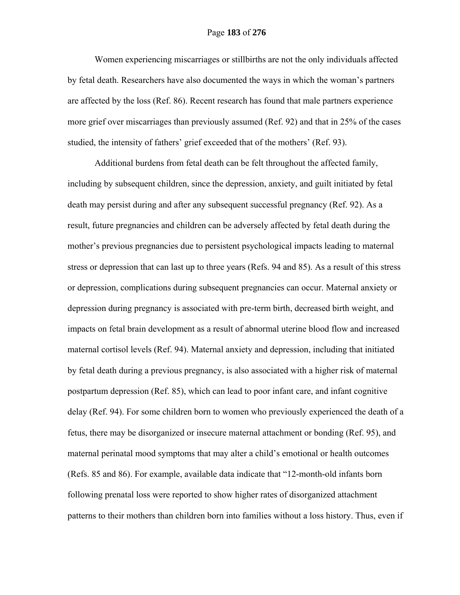## Page **183** of **276**

Women experiencing miscarriages or stillbirths are not the only individuals affected by fetal death. Researchers have also documented the ways in which the woman's partners are affected by the loss (Ref. 86). Recent research has found that male partners experience more grief over miscarriages than previously assumed (Ref. 92) and that in 25% of the cases studied, the intensity of fathers' grief exceeded that of the mothers' (Ref. 93).

Additional burdens from fetal death can be felt throughout the affected family, including by subsequent children, since the depression, anxiety, and guilt initiated by fetal death may persist during and after any subsequent successful pregnancy (Ref. 92). As a result, future pregnancies and children can be adversely affected by fetal death during the mother's previous pregnancies due to persistent psychological impacts leading to maternal stress or depression that can last up to three years (Refs. 94 and 85). As a result of this stress or depression, complications during subsequent pregnancies can occur. Maternal anxiety or depression during pregnancy is associated with pre-term birth, decreased birth weight, and impacts on fetal brain development as a result of abnormal uterine blood flow and increased maternal cortisol levels (Ref. 94). Maternal anxiety and depression, including that initiated by fetal death during a previous pregnancy, is also associated with a higher risk of maternal postpartum depression (Ref. 85), which can lead to poor infant care, and infant cognitive delay (Ref. 94). For some children born to women who previously experienced the death of a fetus, there may be disorganized or insecure maternal attachment or bonding (Ref. 95), and maternal perinatal mood symptoms that may alter a child's emotional or health outcomes (Refs. 85 and 86). For example, available data indicate that "12-month-old infants born following prenatal loss were reported to show higher rates of disorganized attachment patterns to their mothers than children born into families without a loss history. Thus, even if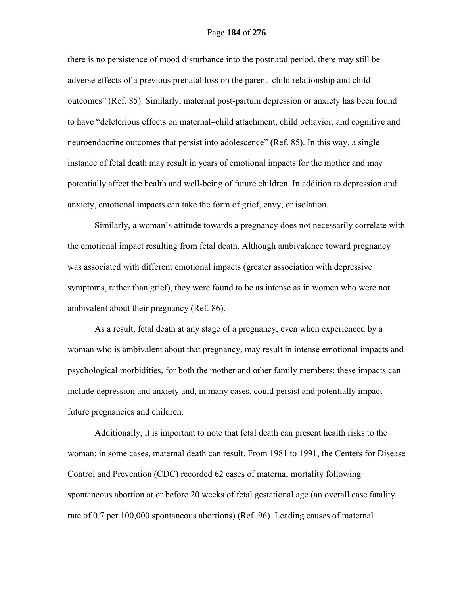there is no persistence of mood disturbance into the postnatal period, there may still be adverse effects of a previous prenatal loss on the parent–child relationship and child outcomes" (Ref. 85). Similarly, maternal post-partum depression or anxiety has been found to have "deleterious effects on maternal–child attachment, child behavior, and cognitive and neuroendocrine outcomes that persist into adolescence" (Ref. 85). In this way, a single instance of fetal death may result in years of emotional impacts for the mother and may potentially affect the health and well-being of future children. In addition to depression and anxiety, emotional impacts can take the form of grief, envy, or isolation.

 Similarly, a woman's attitude towards a pregnancy does not necessarily correlate with the emotional impact resulting from fetal death. Although ambivalence toward pregnancy was associated with different emotional impacts (greater association with depressive symptoms, rather than grief), they were found to be as intense as in women who were not ambivalent about their pregnancy (Ref. 86).

 As a result, fetal death at any stage of a pregnancy, even when experienced by a woman who is ambivalent about that pregnancy, may result in intense emotional impacts and psychological morbidities, for both the mother and other family members; these impacts can include depression and anxiety and, in many cases, could persist and potentially impact future pregnancies and children.

Additionally, it is important to note that fetal death can present health risks to the woman; in some cases, maternal death can result. From 1981 to 1991, the Centers for Disease Control and Prevention (CDC) recorded 62 cases of maternal mortality following spontaneous abortion at or before 20 weeks of fetal gestational age (an overall case fatality rate of 0.7 per 100,000 spontaneous abortions) (Ref. 96). Leading causes of maternal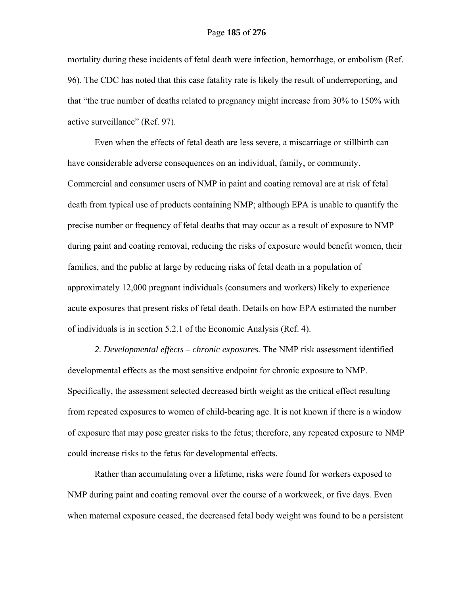mortality during these incidents of fetal death were infection, hemorrhage, or embolism (Ref. 96). The CDC has noted that this case fatality rate is likely the result of underreporting, and that "the true number of deaths related to pregnancy might increase from 30% to 150% with active surveillance" (Ref. 97).

Even when the effects of fetal death are less severe, a miscarriage or stillbirth can have considerable adverse consequences on an individual, family, or community. Commercial and consumer users of NMP in paint and coating removal are at risk of fetal death from typical use of products containing NMP; although EPA is unable to quantify the precise number or frequency of fetal deaths that may occur as a result of exposure to NMP during paint and coating removal, reducing the risks of exposure would benefit women, their families, and the public at large by reducing risks of fetal death in a population of approximately 12,000 pregnant individuals (consumers and workers) likely to experience acute exposures that present risks of fetal death. Details on how EPA estimated the number of individuals is in section 5.2.1 of the Economic Analysis (Ref. 4).

*2. Developmental effects – chronic exposures.* The NMP risk assessment identified developmental effects as the most sensitive endpoint for chronic exposure to NMP. Specifically, the assessment selected decreased birth weight as the critical effect resulting from repeated exposures to women of child-bearing age. It is not known if there is a window of exposure that may pose greater risks to the fetus; therefore, any repeated exposure to NMP could increase risks to the fetus for developmental effects.

Rather than accumulating over a lifetime, risks were found for workers exposed to NMP during paint and coating removal over the course of a workweek, or five days. Even when maternal exposure ceased, the decreased fetal body weight was found to be a persistent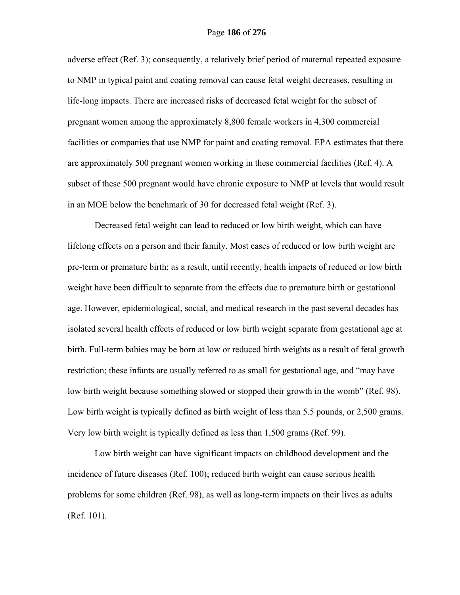adverse effect (Ref. 3); consequently, a relatively brief period of maternal repeated exposure to NMP in typical paint and coating removal can cause fetal weight decreases, resulting in life-long impacts. There are increased risks of decreased fetal weight for the subset of pregnant women among the approximately 8,800 female workers in 4,300 commercial facilities or companies that use NMP for paint and coating removal. EPA estimates that there are approximately 500 pregnant women working in these commercial facilities (Ref. 4). A subset of these 500 pregnant would have chronic exposure to NMP at levels that would result in an MOE below the benchmark of 30 for decreased fetal weight (Ref. 3).

Decreased fetal weight can lead to reduced or low birth weight, which can have lifelong effects on a person and their family. Most cases of reduced or low birth weight are pre-term or premature birth; as a result, until recently, health impacts of reduced or low birth weight have been difficult to separate from the effects due to premature birth or gestational age. However, epidemiological, social, and medical research in the past several decades has isolated several health effects of reduced or low birth weight separate from gestational age at birth. Full-term babies may be born at low or reduced birth weights as a result of fetal growth restriction; these infants are usually referred to as small for gestational age, and "may have low birth weight because something slowed or stopped their growth in the womb" (Ref. 98). Low birth weight is typically defined as birth weight of less than 5.5 pounds, or 2,500 grams. Very low birth weight is typically defined as less than 1,500 grams (Ref. 99).

Low birth weight can have significant impacts on childhood development and the incidence of future diseases (Ref. 100); reduced birth weight can cause serious health problems for some children (Ref. 98), as well as long-term impacts on their lives as adults (Ref. 101).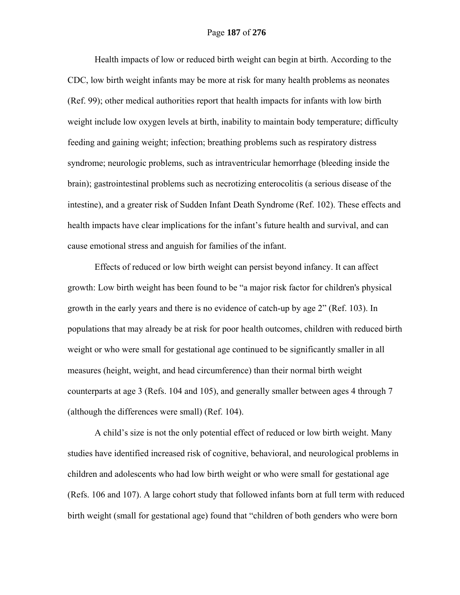Health impacts of low or reduced birth weight can begin at birth. According to the CDC, low birth weight infants may be more at risk for many health problems as neonates (Ref. 99); other medical authorities report that health impacts for infants with low birth weight include low oxygen levels at birth, inability to maintain body temperature; difficulty feeding and gaining weight; infection; breathing problems such as respiratory distress syndrome; neurologic problems, such as intraventricular hemorrhage (bleeding inside the brain); gastrointestinal problems such as necrotizing enterocolitis (a serious disease of the intestine), and a greater risk of Sudden Infant Death Syndrome (Ref. 102). These effects and health impacts have clear implications for the infant's future health and survival, and can cause emotional stress and anguish for families of the infant.

Effects of reduced or low birth weight can persist beyond infancy. It can affect growth: Low birth weight has been found to be "a major risk factor for children's physical growth in the early years and there is no evidence of catch-up by age 2" (Ref. 103). In populations that may already be at risk for poor health outcomes, children with reduced birth weight or who were small for gestational age continued to be significantly smaller in all measures (height, weight, and head circumference) than their normal birth weight counterparts at age 3 (Refs. 104 and 105), and generally smaller between ages 4 through 7 (although the differences were small) (Ref. 104).

A child's size is not the only potential effect of reduced or low birth weight. Many studies have identified increased risk of cognitive, behavioral, and neurological problems in children and adolescents who had low birth weight or who were small for gestational age (Refs. 106 and 107). A large cohort study that followed infants born at full term with reduced birth weight (small for gestational age) found that "children of both genders who were born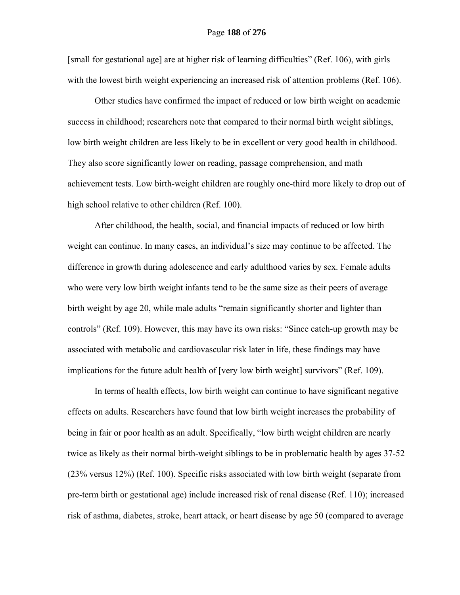[small for gestational age] are at higher risk of learning difficulties" (Ref. 106), with girls with the lowest birth weight experiencing an increased risk of attention problems (Ref. 106).

Other studies have confirmed the impact of reduced or low birth weight on academic success in childhood; researchers note that compared to their normal birth weight siblings, low birth weight children are less likely to be in excellent or very good health in childhood. They also score significantly lower on reading, passage comprehension, and math achievement tests. Low birth-weight children are roughly one-third more likely to drop out of high school relative to other children (Ref. 100).

After childhood, the health, social, and financial impacts of reduced or low birth weight can continue. In many cases, an individual's size may continue to be affected. The difference in growth during adolescence and early adulthood varies by sex. Female adults who were very low birth weight infants tend to be the same size as their peers of average birth weight by age 20, while male adults "remain significantly shorter and lighter than controls" (Ref. 109). However, this may have its own risks: "Since catch-up growth may be associated with metabolic and cardiovascular risk later in life, these findings may have implications for the future adult health of [very low birth weight] survivors" (Ref. 109).

In terms of health effects, low birth weight can continue to have significant negative effects on adults. Researchers have found that low birth weight increases the probability of being in fair or poor health as an adult. Specifically, "low birth weight children are nearly twice as likely as their normal birth-weight siblings to be in problematic health by ages 37-52 (23% versus 12%) (Ref. 100). Specific risks associated with low birth weight (separate from pre-term birth or gestational age) include increased risk of renal disease (Ref. 110); increased risk of asthma, diabetes, stroke, heart attack, or heart disease by age 50 (compared to average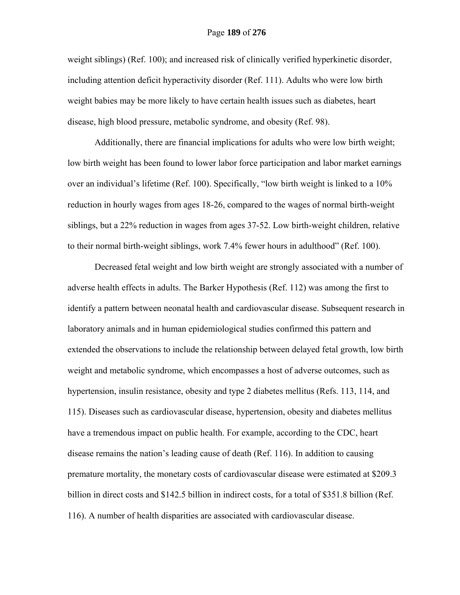weight siblings) (Ref. 100); and increased risk of clinically verified hyperkinetic disorder, including attention deficit hyperactivity disorder (Ref. 111). Adults who were low birth weight babies may be more likely to have certain health issues such as diabetes, heart disease, high blood pressure, metabolic syndrome, and obesity (Ref. 98).

Additionally, there are financial implications for adults who were low birth weight; low birth weight has been found to lower labor force participation and labor market earnings over an individual's lifetime (Ref. 100). Specifically, "low birth weight is linked to a 10% reduction in hourly wages from ages 18-26, compared to the wages of normal birth-weight siblings, but a 22% reduction in wages from ages 37-52. Low birth-weight children, relative to their normal birth-weight siblings, work 7.4% fewer hours in adulthood" (Ref. 100).

Decreased fetal weight and low birth weight are strongly associated with a number of adverse health effects in adults. The Barker Hypothesis (Ref. 112) was among the first to identify a pattern between neonatal health and cardiovascular disease. Subsequent research in laboratory animals and in human epidemiological studies confirmed this pattern and extended the observations to include the relationship between delayed fetal growth, low birth weight and metabolic syndrome, which encompasses a host of adverse outcomes, such as hypertension, insulin resistance, obesity and type 2 diabetes mellitus (Refs. 113, 114, and 115). Diseases such as cardiovascular disease, hypertension, obesity and diabetes mellitus have a tremendous impact on public health. For example, according to the CDC, heart disease remains the nation's leading cause of death (Ref. 116). In addition to causing premature mortality, the monetary costs of cardiovascular disease were estimated at \$209.3 billion in direct costs and \$142.5 billion in indirect costs, for a total of \$351.8 billion (Ref. 116). A number of health disparities are associated with cardiovascular disease.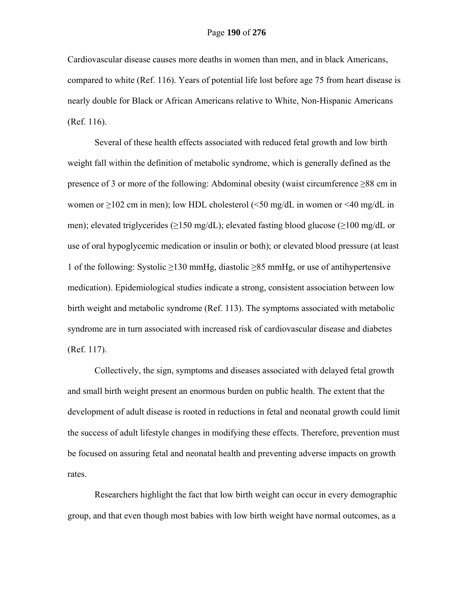Cardiovascular disease causes more deaths in women than men, and in black Americans, compared to white (Ref. 116). Years of potential life lost before age 75 from heart disease is nearly double for Black or African Americans relative to White, Non-Hispanic Americans (Ref. 116).

Several of these health effects associated with reduced fetal growth and low birth weight fall within the definition of metabolic syndrome, which is generally defined as the presence of 3 or more of the following: Abdominal obesity (waist circumference ≥88 cm in women or  $\geq$ 102 cm in men); low HDL cholesterol (<50 mg/dL in women or <40 mg/dL in men); elevated triglycerides (≥150 mg/dL); elevated fasting blood glucose (≥100 mg/dL or use of oral hypoglycemic medication or insulin or both); or elevated blood pressure (at least 1 of the following: Systolic ≥130 mmHg, diastolic ≥85 mmHg, or use of antihypertensive medication). Epidemiological studies indicate a strong, consistent association between low birth weight and metabolic syndrome (Ref. 113). The symptoms associated with metabolic syndrome are in turn associated with increased risk of cardiovascular disease and diabetes (Ref. 117).

Collectively, the sign, symptoms and diseases associated with delayed fetal growth and small birth weight present an enormous burden on public health. The extent that the development of adult disease is rooted in reductions in fetal and neonatal growth could limit the success of adult lifestyle changes in modifying these effects. Therefore, prevention must be focused on assuring fetal and neonatal health and preventing adverse impacts on growth rates.

Researchers highlight the fact that low birth weight can occur in every demographic group, and that even though most babies with low birth weight have normal outcomes, as a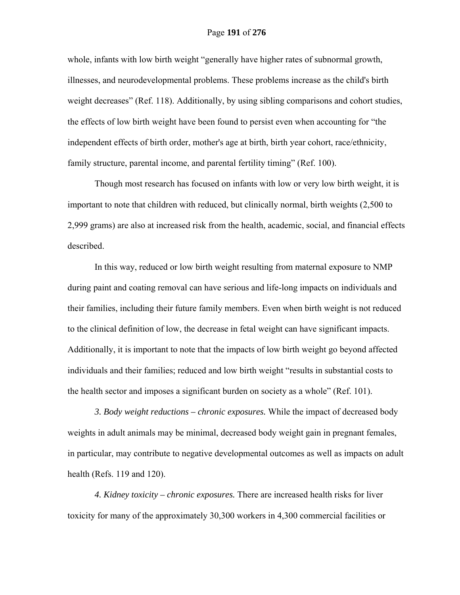### Page **191** of **276**

whole, infants with low birth weight "generally have higher rates of subnormal growth, illnesses, and neurodevelopmental problems. These problems increase as the child's birth weight decreases" (Ref. 118). Additionally, by using sibling comparisons and cohort studies, the effects of low birth weight have been found to persist even when accounting for "the independent effects of birth order, mother's age at birth, birth year cohort, race/ethnicity, family structure, parental income, and parental fertility timing" (Ref. 100).

Though most research has focused on infants with low or very low birth weight, it is important to note that children with reduced, but clinically normal, birth weights (2,500 to 2,999 grams) are also at increased risk from the health, academic, social, and financial effects described.

In this way, reduced or low birth weight resulting from maternal exposure to NMP during paint and coating removal can have serious and life-long impacts on individuals and their families, including their future family members. Even when birth weight is not reduced to the clinical definition of low, the decrease in fetal weight can have significant impacts. Additionally, it is important to note that the impacts of low birth weight go beyond affected individuals and their families; reduced and low birth weight "results in substantial costs to the health sector and imposes a significant burden on society as a whole" (Ref. 101).

*3. Body weight reductions – chronic exposures.* While the impact of decreased body weights in adult animals may be minimal, decreased body weight gain in pregnant females, in particular, may contribute to negative developmental outcomes as well as impacts on adult health (Refs. 119 and 120).

*4. Kidney toxicity – chronic exposures.* There are increased health risks for liver toxicity for many of the approximately 30,300 workers in 4,300 commercial facilities or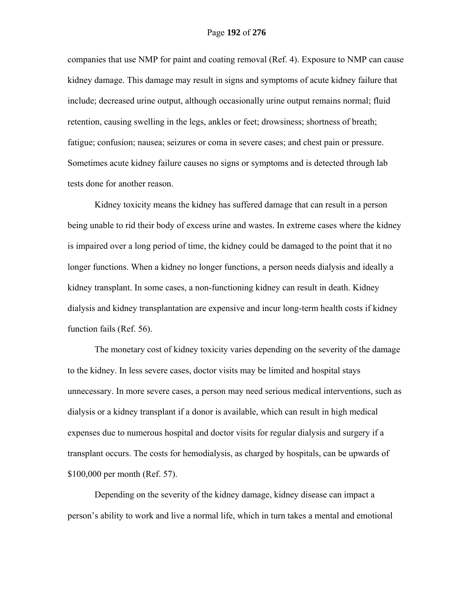companies that use NMP for paint and coating removal (Ref. 4). Exposure to NMP can cause kidney damage. This damage may result in signs and symptoms of acute kidney failure that include; decreased urine output, although occasionally urine output remains normal; fluid retention, causing swelling in the legs, ankles or feet; drowsiness; shortness of breath; fatigue; confusion; nausea; seizures or coma in severe cases; and chest pain or pressure. Sometimes acute kidney failure causes no signs or symptoms and is detected through lab tests done for another reason.

Kidney toxicity means the kidney has suffered damage that can result in a person being unable to rid their body of excess urine and wastes. In extreme cases where the kidney is impaired over a long period of time, the kidney could be damaged to the point that it no longer functions. When a kidney no longer functions, a person needs dialysis and ideally a kidney transplant. In some cases, a non-functioning kidney can result in death. Kidney dialysis and kidney transplantation are expensive and incur long-term health costs if kidney function fails (Ref. 56).

 The monetary cost of kidney toxicity varies depending on the severity of the damage to the kidney. In less severe cases, doctor visits may be limited and hospital stays unnecessary. In more severe cases, a person may need serious medical interventions, such as dialysis or a kidney transplant if a donor is available, which can result in high medical expenses due to numerous hospital and doctor visits for regular dialysis and surgery if a transplant occurs. The costs for hemodialysis, as charged by hospitals, can be upwards of \$100,000 per month (Ref. 57).

 Depending on the severity of the kidney damage, kidney disease can impact a person's ability to work and live a normal life, which in turn takes a mental and emotional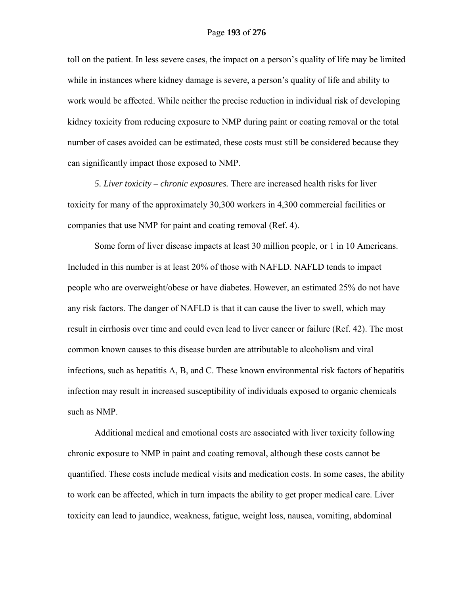toll on the patient. In less severe cases, the impact on a person's quality of life may be limited while in instances where kidney damage is severe, a person's quality of life and ability to work would be affected. While neither the precise reduction in individual risk of developing kidney toxicity from reducing exposure to NMP during paint or coating removal or the total number of cases avoided can be estimated, these costs must still be considered because they can significantly impact those exposed to NMP.

*5. Liver toxicity – chronic exposures.* There are increased health risks for liver toxicity for many of the approximately 30,300 workers in 4,300 commercial facilities or companies that use NMP for paint and coating removal (Ref. 4).

Some form of liver disease impacts at least 30 million people, or 1 in 10 Americans. Included in this number is at least 20% of those with NAFLD. NAFLD tends to impact people who are overweight/obese or have diabetes. However, an estimated 25% do not have any risk factors. The danger of NAFLD is that it can cause the liver to swell, which may result in cirrhosis over time and could even lead to liver cancer or failure (Ref. 42). The most common known causes to this disease burden are attributable to alcoholism and viral infections, such as hepatitis A, B, and C. These known environmental risk factors of hepatitis infection may result in increased susceptibility of individuals exposed to organic chemicals such as NMP.

Additional medical and emotional costs are associated with liver toxicity following chronic exposure to NMP in paint and coating removal, although these costs cannot be quantified. These costs include medical visits and medication costs. In some cases, the ability to work can be affected, which in turn impacts the ability to get proper medical care. Liver toxicity can lead to jaundice, weakness, fatigue, weight loss, nausea, vomiting, abdominal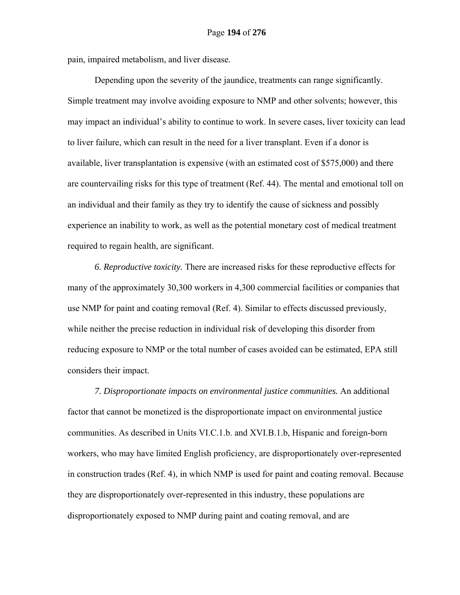pain, impaired metabolism, and liver disease.

Depending upon the severity of the jaundice, treatments can range significantly. Simple treatment may involve avoiding exposure to NMP and other solvents; however, this may impact an individual's ability to continue to work. In severe cases, liver toxicity can lead to liver failure, which can result in the need for a liver transplant. Even if a donor is available, liver transplantation is expensive (with an estimated cost of \$575,000) and there are countervailing risks for this type of treatment (Ref. 44). The mental and emotional toll on an individual and their family as they try to identify the cause of sickness and possibly experience an inability to work, as well as the potential monetary cost of medical treatment required to regain health, are significant.

*6. Reproductive toxicity.* There are increased risks for these reproductive effects for many of the approximately 30,300 workers in 4,300 commercial facilities or companies that use NMP for paint and coating removal (Ref. 4). Similar to effects discussed previously, while neither the precise reduction in individual risk of developing this disorder from reducing exposure to NMP or the total number of cases avoided can be estimated, EPA still considers their impact.

*7. Disproportionate impacts on environmental justice communities.* An additional factor that cannot be monetized is the disproportionate impact on environmental justice communities. As described in Units VI.C.1.b. and XVI.B.1.b, Hispanic and foreign-born workers, who may have limited English proficiency, are disproportionately over-represented in construction trades (Ref. 4), in which NMP is used for paint and coating removal. Because they are disproportionately over-represented in this industry, these populations are disproportionately exposed to NMP during paint and coating removal, and are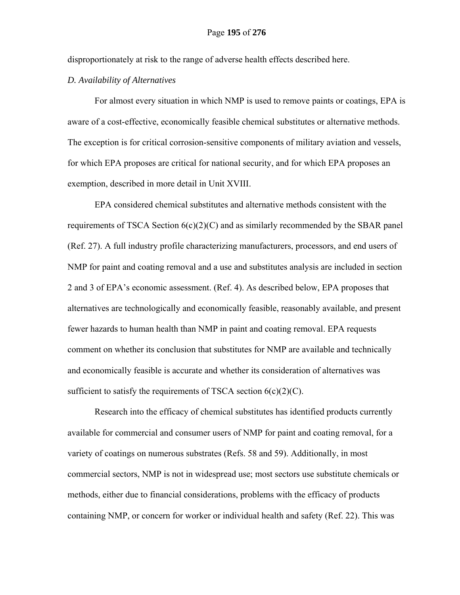disproportionately at risk to the range of adverse health effects described here.

## *D. Availability of Alternatives*

For almost every situation in which NMP is used to remove paints or coatings, EPA is aware of a cost-effective, economically feasible chemical substitutes or alternative methods. The exception is for critical corrosion-sensitive components of military aviation and vessels, for which EPA proposes are critical for national security, and for which EPA proposes an exemption, described in more detail in Unit XVIII.

EPA considered chemical substitutes and alternative methods consistent with the requirements of TSCA Section  $6(c)(2)(C)$  and as similarly recommended by the SBAR panel (Ref. 27). A full industry profile characterizing manufacturers, processors, and end users of NMP for paint and coating removal and a use and substitutes analysis are included in section 2 and 3 of EPA's economic assessment. (Ref. 4). As described below, EPA proposes that alternatives are technologically and economically feasible, reasonably available, and present fewer hazards to human health than NMP in paint and coating removal. EPA requests comment on whether its conclusion that substitutes for NMP are available and technically and economically feasible is accurate and whether its consideration of alternatives was sufficient to satisfy the requirements of TSCA section  $6(c)(2)(C)$ .

Research into the efficacy of chemical substitutes has identified products currently available for commercial and consumer users of NMP for paint and coating removal, for a variety of coatings on numerous substrates (Refs. 58 and 59). Additionally, in most commercial sectors, NMP is not in widespread use; most sectors use substitute chemicals or methods, either due to financial considerations, problems with the efficacy of products containing NMP, or concern for worker or individual health and safety (Ref. 22). This was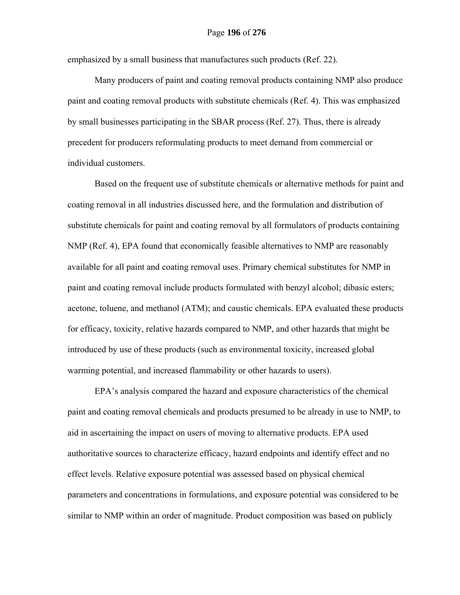emphasized by a small business that manufactures such products (Ref. 22).

Many producers of paint and coating removal products containing NMP also produce paint and coating removal products with substitute chemicals (Ref. 4). This was emphasized by small businesses participating in the SBAR process (Ref. 27). Thus, there is already precedent for producers reformulating products to meet demand from commercial or individual customers.

Based on the frequent use of substitute chemicals or alternative methods for paint and coating removal in all industries discussed here, and the formulation and distribution of substitute chemicals for paint and coating removal by all formulators of products containing NMP (Ref. 4), EPA found that economically feasible alternatives to NMP are reasonably available for all paint and coating removal uses. Primary chemical substitutes for NMP in paint and coating removal include products formulated with benzyl alcohol; dibasic esters; acetone, toluene, and methanol (ATM); and caustic chemicals. EPA evaluated these products for efficacy, toxicity, relative hazards compared to NMP, and other hazards that might be introduced by use of these products (such as environmental toxicity, increased global warming potential, and increased flammability or other hazards to users).

EPA's analysis compared the hazard and exposure characteristics of the chemical paint and coating removal chemicals and products presumed to be already in use to NMP, to aid in ascertaining the impact on users of moving to alternative products. EPA used authoritative sources to characterize efficacy, hazard endpoints and identify effect and no effect levels. Relative exposure potential was assessed based on physical chemical parameters and concentrations in formulations, and exposure potential was considered to be similar to NMP within an order of magnitude. Product composition was based on publicly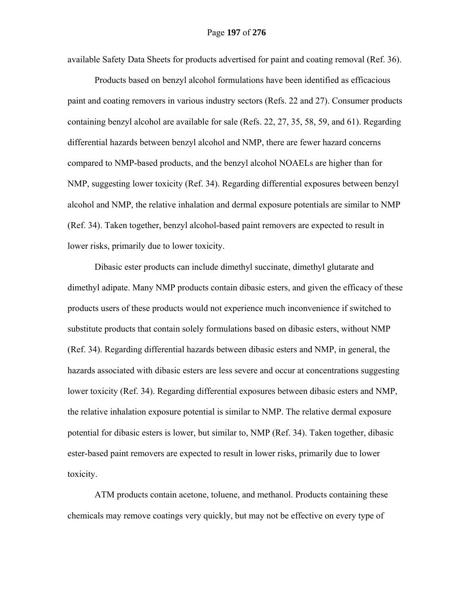available Safety Data Sheets for products advertised for paint and coating removal (Ref. 36).

Products based on benzyl alcohol formulations have been identified as efficacious paint and coating removers in various industry sectors (Refs. 22 and 27). Consumer products containing benzyl alcohol are available for sale (Refs. 22, 27, 35, 58, 59, and 61). Regarding differential hazards between benzyl alcohol and NMP, there are fewer hazard concerns compared to NMP-based products, and the benzyl alcohol NOAELs are higher than for NMP, suggesting lower toxicity (Ref. 34). Regarding differential exposures between benzyl alcohol and NMP, the relative inhalation and dermal exposure potentials are similar to NMP (Ref. 34). Taken together, benzyl alcohol-based paint removers are expected to result in lower risks, primarily due to lower toxicity.

Dibasic ester products can include dimethyl succinate, dimethyl glutarate and dimethyl adipate. Many NMP products contain dibasic esters, and given the efficacy of these products users of these products would not experience much inconvenience if switched to substitute products that contain solely formulations based on dibasic esters, without NMP (Ref. 34). Regarding differential hazards between dibasic esters and NMP, in general, the hazards associated with dibasic esters are less severe and occur at concentrations suggesting lower toxicity (Ref. 34). Regarding differential exposures between dibasic esters and NMP, the relative inhalation exposure potential is similar to NMP. The relative dermal exposure potential for dibasic esters is lower, but similar to, NMP (Ref. 34). Taken together, dibasic ester-based paint removers are expected to result in lower risks, primarily due to lower toxicity.

ATM products contain acetone, toluene, and methanol. Products containing these chemicals may remove coatings very quickly, but may not be effective on every type of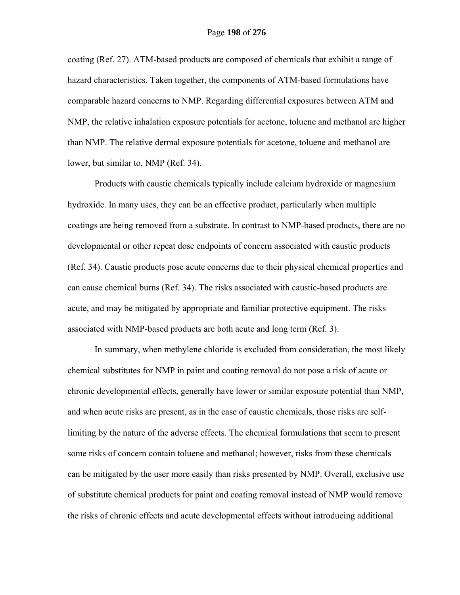coating (Ref. 27). ATM-based products are composed of chemicals that exhibit a range of hazard characteristics. Taken together, the components of ATM-based formulations have comparable hazard concerns to NMP. Regarding differential exposures between ATM and NMP, the relative inhalation exposure potentials for acetone, toluene and methanol are higher than NMP. The relative dermal exposure potentials for acetone, toluene and methanol are lower, but similar to, NMP (Ref. 34).

Products with caustic chemicals typically include calcium hydroxide or magnesium hydroxide. In many uses, they can be an effective product, particularly when multiple coatings are being removed from a substrate. In contrast to NMP-based products, there are no developmental or other repeat dose endpoints of concern associated with caustic products (Ref. 34). Caustic products pose acute concerns due to their physical chemical properties and can cause chemical burns (Ref. 34). The risks associated with caustic-based products are acute, and may be mitigated by appropriate and familiar protective equipment. The risks associated with NMP-based products are both acute and long term (Ref. 3).

In summary, when methylene chloride is excluded from consideration, the most likely chemical substitutes for NMP in paint and coating removal do not pose a risk of acute or chronic developmental effects, generally have lower or similar exposure potential than NMP, and when acute risks are present, as in the case of caustic chemicals, those risks are selflimiting by the nature of the adverse effects. The chemical formulations that seem to present some risks of concern contain toluene and methanol; however, risks from these chemicals can be mitigated by the user more easily than risks presented by NMP. Overall, exclusive use of substitute chemical products for paint and coating removal instead of NMP would remove the risks of chronic effects and acute developmental effects without introducing additional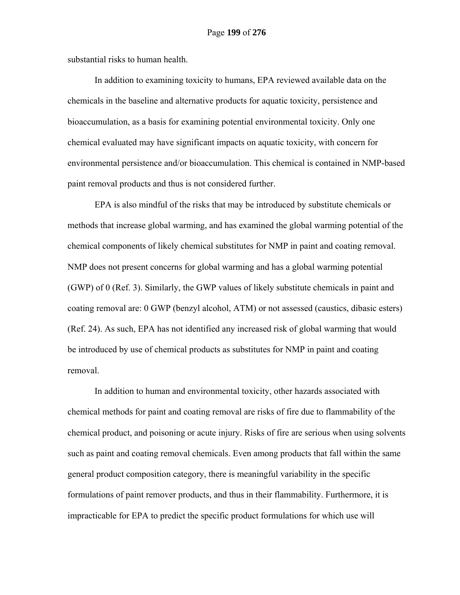substantial risks to human health.

In addition to examining toxicity to humans, EPA reviewed available data on the chemicals in the baseline and alternative products for aquatic toxicity, persistence and bioaccumulation, as a basis for examining potential environmental toxicity. Only one chemical evaluated may have significant impacts on aquatic toxicity, with concern for environmental persistence and/or bioaccumulation. This chemical is contained in NMP-based paint removal products and thus is not considered further.

EPA is also mindful of the risks that may be introduced by substitute chemicals or methods that increase global warming, and has examined the global warming potential of the chemical components of likely chemical substitutes for NMP in paint and coating removal. NMP does not present concerns for global warming and has a global warming potential (GWP) of 0 (Ref. 3). Similarly, the GWP values of likely substitute chemicals in paint and coating removal are: 0 GWP (benzyl alcohol, ATM) or not assessed (caustics, dibasic esters) (Ref. 24). As such, EPA has not identified any increased risk of global warming that would be introduced by use of chemical products as substitutes for NMP in paint and coating removal.

In addition to human and environmental toxicity, other hazards associated with chemical methods for paint and coating removal are risks of fire due to flammability of the chemical product, and poisoning or acute injury. Risks of fire are serious when using solvents such as paint and coating removal chemicals. Even among products that fall within the same general product composition category, there is meaningful variability in the specific formulations of paint remover products, and thus in their flammability. Furthermore, it is impracticable for EPA to predict the specific product formulations for which use will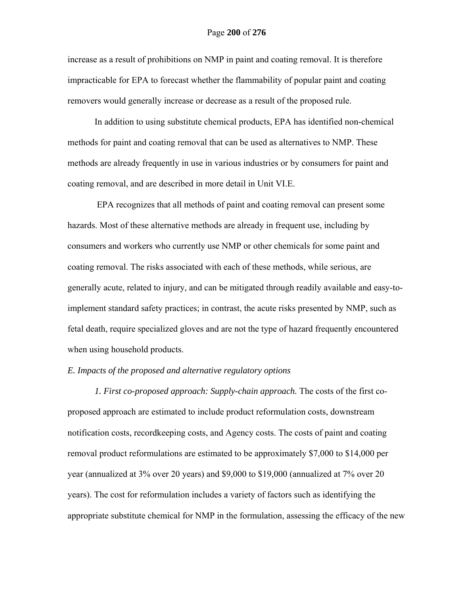increase as a result of prohibitions on NMP in paint and coating removal. It is therefore impracticable for EPA to forecast whether the flammability of popular paint and coating removers would generally increase or decrease as a result of the proposed rule.

In addition to using substitute chemical products, EPA has identified non-chemical methods for paint and coating removal that can be used as alternatives to NMP. These methods are already frequently in use in various industries or by consumers for paint and coating removal, and are described in more detail in Unit VI.E.

 EPA recognizes that all methods of paint and coating removal can present some hazards. Most of these alternative methods are already in frequent use, including by consumers and workers who currently use NMP or other chemicals for some paint and coating removal. The risks associated with each of these methods, while serious, are generally acute, related to injury, and can be mitigated through readily available and easy-toimplement standard safety practices; in contrast, the acute risks presented by NMP, such as fetal death, require specialized gloves and are not the type of hazard frequently encountered when using household products.

## *E. Impacts of the proposed and alternative regulatory options*

*1. First co-proposed approach: Supply-chain approach.* The costs of the first coproposed approach are estimated to include product reformulation costs, downstream notification costs, recordkeeping costs, and Agency costs. The costs of paint and coating removal product reformulations are estimated to be approximately \$7,000 to \$14,000 per year (annualized at 3% over 20 years) and \$9,000 to \$19,000 (annualized at 7% over 20 years). The cost for reformulation includes a variety of factors such as identifying the appropriate substitute chemical for NMP in the formulation, assessing the efficacy of the new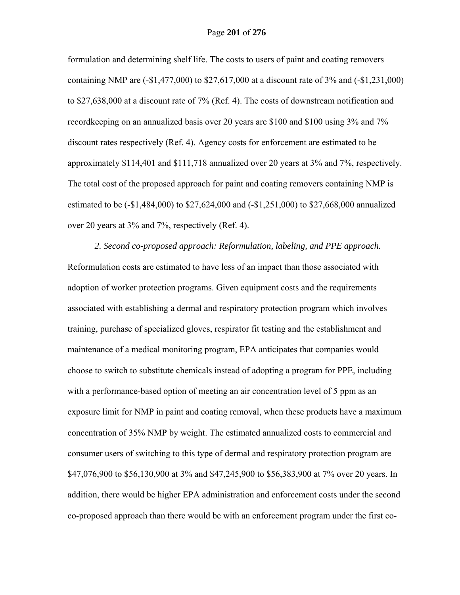formulation and determining shelf life. The costs to users of paint and coating removers containing NMP are (-\$1,477,000) to \$27,617,000 at a discount rate of 3% and (-\$1,231,000) to \$27,638,000 at a discount rate of 7% (Ref. 4). The costs of downstream notification and recordkeeping on an annualized basis over 20 years are \$100 and \$100 using 3% and 7% discount rates respectively (Ref. 4). Agency costs for enforcement are estimated to be approximately \$114,401 and \$111,718 annualized over 20 years at 3% and 7%, respectively. The total cost of the proposed approach for paint and coating removers containing NMP is estimated to be (-\$1,484,000) to \$27,624,000 and (-\$1,251,000) to \$27,668,000 annualized over 20 years at 3% and 7%, respectively (Ref. 4).

 *2. Second co-proposed approach: Reformulation, labeling, and PPE approach.*  Reformulation costs are estimated to have less of an impact than those associated with adoption of worker protection programs. Given equipment costs and the requirements associated with establishing a dermal and respiratory protection program which involves training, purchase of specialized gloves, respirator fit testing and the establishment and maintenance of a medical monitoring program, EPA anticipates that companies would choose to switch to substitute chemicals instead of adopting a program for PPE, including with a performance-based option of meeting an air concentration level of 5 ppm as an exposure limit for NMP in paint and coating removal, when these products have a maximum concentration of 35% NMP by weight. The estimated annualized costs to commercial and consumer users of switching to this type of dermal and respiratory protection program are \$47,076,900 to \$56,130,900 at 3% and \$47,245,900 to \$56,383,900 at 7% over 20 years. In addition, there would be higher EPA administration and enforcement costs under the second co-proposed approach than there would be with an enforcement program under the first co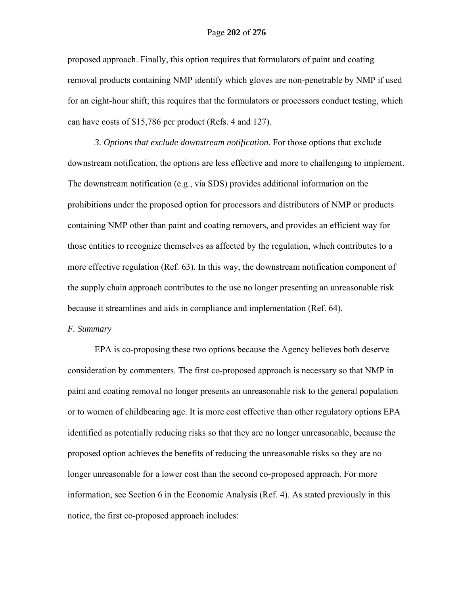proposed approach. Finally, this option requires that formulators of paint and coating removal products containing NMP identify which gloves are non-penetrable by NMP if used for an eight-hour shift; this requires that the formulators or processors conduct testing, which can have costs of \$15,786 per product (Refs. 4 and 127).

*3. Options that exclude downstream notification.* For those options that exclude downstream notification, the options are less effective and more to challenging to implement. The downstream notification (e.g., via SDS) provides additional information on the prohibitions under the proposed option for processors and distributors of NMP or products containing NMP other than paint and coating removers, and provides an efficient way for those entities to recognize themselves as affected by the regulation, which contributes to a more effective regulation (Ref. 63). In this way, the downstream notification component of the supply chain approach contributes to the use no longer presenting an unreasonable risk because it streamlines and aids in compliance and implementation (Ref. 64).

#### *F. Summary*

EPA is co-proposing these two options because the Agency believes both deserve consideration by commenters. The first co-proposed approach is necessary so that NMP in paint and coating removal no longer presents an unreasonable risk to the general population or to women of childbearing age. It is more cost effective than other regulatory options EPA identified as potentially reducing risks so that they are no longer unreasonable, because the proposed option achieves the benefits of reducing the unreasonable risks so they are no longer unreasonable for a lower cost than the second co-proposed approach. For more information, see Section 6 in the Economic Analysis (Ref. 4). As stated previously in this notice, the first co-proposed approach includes: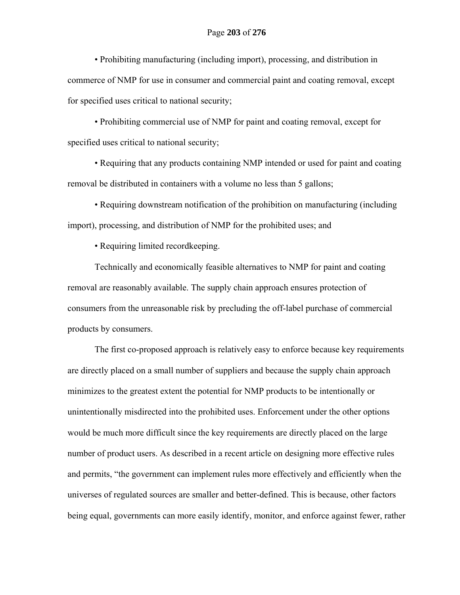• Prohibiting manufacturing (including import), processing, and distribution in commerce of NMP for use in consumer and commercial paint and coating removal, except for specified uses critical to national security;

• Prohibiting commercial use of NMP for paint and coating removal, except for specified uses critical to national security;

• Requiring that any products containing NMP intended or used for paint and coating removal be distributed in containers with a volume no less than 5 gallons;

• Requiring downstream notification of the prohibition on manufacturing (including import), processing, and distribution of NMP for the prohibited uses; and

• Requiring limited recordkeeping.

Technically and economically feasible alternatives to NMP for paint and coating removal are reasonably available. The supply chain approach ensures protection of consumers from the unreasonable risk by precluding the off-label purchase of commercial products by consumers.

The first co-proposed approach is relatively easy to enforce because key requirements are directly placed on a small number of suppliers and because the supply chain approach minimizes to the greatest extent the potential for NMP products to be intentionally or unintentionally misdirected into the prohibited uses. Enforcement under the other options would be much more difficult since the key requirements are directly placed on the large number of product users. As described in a recent article on designing more effective rules and permits, "the government can implement rules more effectively and efficiently when the universes of regulated sources are smaller and better-defined. This is because, other factors being equal, governments can more easily identify, monitor, and enforce against fewer, rather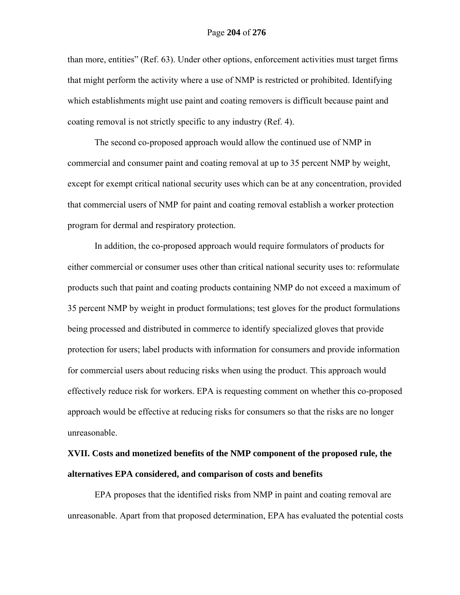than more, entities" (Ref. 63). Under other options, enforcement activities must target firms that might perform the activity where a use of NMP is restricted or prohibited. Identifying which establishments might use paint and coating removers is difficult because paint and coating removal is not strictly specific to any industry (Ref. 4).

The second co-proposed approach would allow the continued use of NMP in commercial and consumer paint and coating removal at up to 35 percent NMP by weight, except for exempt critical national security uses which can be at any concentration, provided that commercial users of NMP for paint and coating removal establish a worker protection program for dermal and respiratory protection.

In addition, the co-proposed approach would require formulators of products for either commercial or consumer uses other than critical national security uses to: reformulate products such that paint and coating products containing NMP do not exceed a maximum of 35 percent NMP by weight in product formulations; test gloves for the product formulations being processed and distributed in commerce to identify specialized gloves that provide protection for users; label products with information for consumers and provide information for commercial users about reducing risks when using the product. This approach would effectively reduce risk for workers. EPA is requesting comment on whether this co-proposed approach would be effective at reducing risks for consumers so that the risks are no longer unreasonable.

## **XVII. Costs and monetized benefits of the NMP component of the proposed rule, the alternatives EPA considered, and comparison of costs and benefits**

EPA proposes that the identified risks from NMP in paint and coating removal are unreasonable. Apart from that proposed determination, EPA has evaluated the potential costs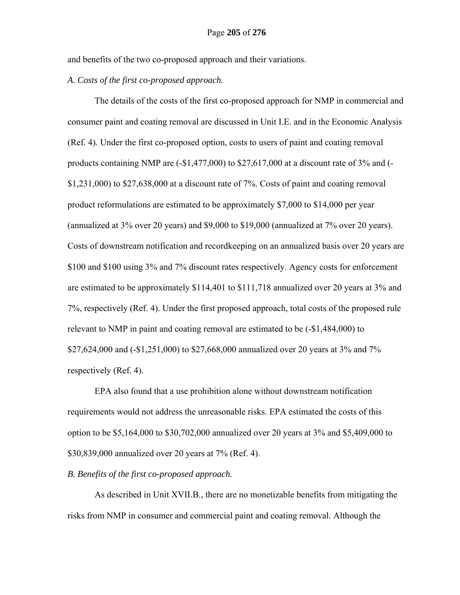and benefits of the two co-proposed approach and their variations.

## *A. Costs of the first co-proposed approach.*

The details of the costs of the first co-proposed approach for NMP in commercial and consumer paint and coating removal are discussed in Unit I.E. and in the Economic Analysis (Ref. 4). Under the first co-proposed option, costs to users of paint and coating removal products containing NMP are (-\$1,477,000) to \$27,617,000 at a discount rate of 3% and (- \$1,231,000) to \$27,638,000 at a discount rate of 7%. Costs of paint and coating removal product reformulations are estimated to be approximately \$7,000 to \$14,000 per year (annualized at 3% over 20 years) and \$9,000 to \$19,000 (annualized at 7% over 20 years). Costs of downstream notification and recordkeeping on an annualized basis over 20 years are \$100 and \$100 using 3% and 7% discount rates respectively. Agency costs for enforcement are estimated to be approximately \$114,401 to \$111,718 annualized over 20 years at 3% and 7%, respectively (Ref. 4). Under the first proposed approach, total costs of the proposed rule relevant to NMP in paint and coating removal are estimated to be (-\$1,484,000) to \$27,624,000 and (-\$1,251,000) to \$27,668,000 annualized over 20 years at 3% and 7% respectively (Ref. 4).

EPA also found that a use prohibition alone without downstream notification requirements would not address the unreasonable risks. EPA estimated the costs of this option to be \$5,164,000 to \$30,702,000 annualized over 20 years at 3% and \$5,409,000 to \$30,839,000 annualized over 20 years at 7% (Ref. 4).

## *B. Benefits of the first co-proposed approach.*

As described in Unit XVII.B., there are no monetizable benefits from mitigating the risks from NMP in consumer and commercial paint and coating removal. Although the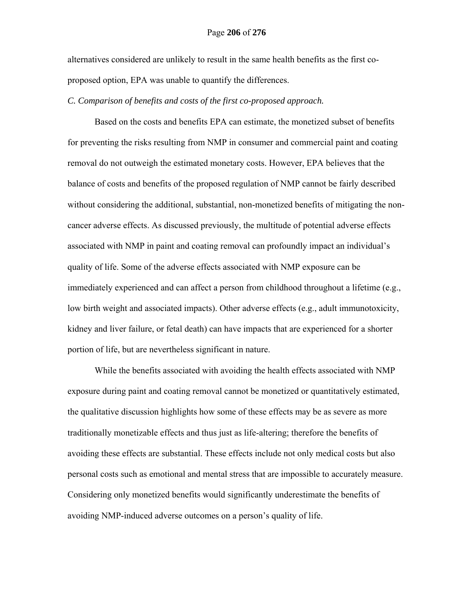#### Page **206** of **276**

alternatives considered are unlikely to result in the same health benefits as the first coproposed option, EPA was unable to quantify the differences.

*C. Comparison of benefits and costs of the first co-proposed approach.* 

Based on the costs and benefits EPA can estimate, the monetized subset of benefits for preventing the risks resulting from NMP in consumer and commercial paint and coating removal do not outweigh the estimated monetary costs. However, EPA believes that the balance of costs and benefits of the proposed regulation of NMP cannot be fairly described without considering the additional, substantial, non-monetized benefits of mitigating the noncancer adverse effects. As discussed previously, the multitude of potential adverse effects associated with NMP in paint and coating removal can profoundly impact an individual's quality of life. Some of the adverse effects associated with NMP exposure can be immediately experienced and can affect a person from childhood throughout a lifetime (e.g., low birth weight and associated impacts). Other adverse effects (e.g., adult immunotoxicity, kidney and liver failure, or fetal death) can have impacts that are experienced for a shorter portion of life, but are nevertheless significant in nature.

While the benefits associated with avoiding the health effects associated with NMP exposure during paint and coating removal cannot be monetized or quantitatively estimated, the qualitative discussion highlights how some of these effects may be as severe as more traditionally monetizable effects and thus just as life-altering; therefore the benefits of avoiding these effects are substantial. These effects include not only medical costs but also personal costs such as emotional and mental stress that are impossible to accurately measure. Considering only monetized benefits would significantly underestimate the benefits of avoiding NMP-induced adverse outcomes on a person's quality of life.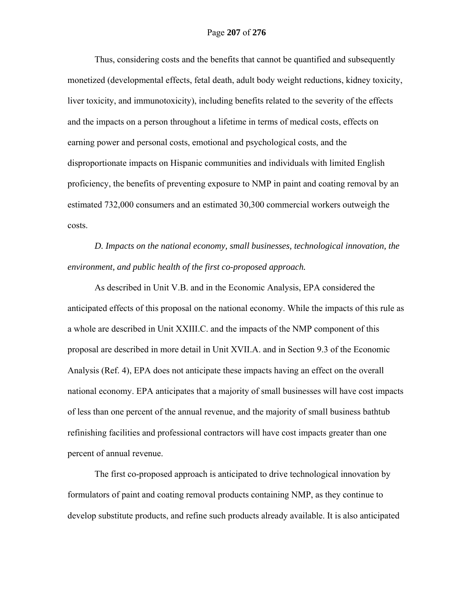## Page **207** of **276**

Thus, considering costs and the benefits that cannot be quantified and subsequently monetized (developmental effects, fetal death, adult body weight reductions, kidney toxicity, liver toxicity, and immunotoxicity), including benefits related to the severity of the effects and the impacts on a person throughout a lifetime in terms of medical costs, effects on earning power and personal costs, emotional and psychological costs, and the disproportionate impacts on Hispanic communities and individuals with limited English proficiency, the benefits of preventing exposure to NMP in paint and coating removal by an estimated 732,000 consumers and an estimated 30,300 commercial workers outweigh the costs.

*D. Impacts on the national economy, small businesses, technological innovation, the environment, and public health of the first co-proposed approach.* 

As described in Unit V.B. and in the Economic Analysis, EPA considered the anticipated effects of this proposal on the national economy. While the impacts of this rule as a whole are described in Unit XXIII.C. and the impacts of the NMP component of this proposal are described in more detail in Unit XVII.A. and in Section 9.3 of the Economic Analysis (Ref. 4), EPA does not anticipate these impacts having an effect on the overall national economy. EPA anticipates that a majority of small businesses will have cost impacts of less than one percent of the annual revenue, and the majority of small business bathtub refinishing facilities and professional contractors will have cost impacts greater than one percent of annual revenue.

The first co-proposed approach is anticipated to drive technological innovation by formulators of paint and coating removal products containing NMP, as they continue to develop substitute products, and refine such products already available. It is also anticipated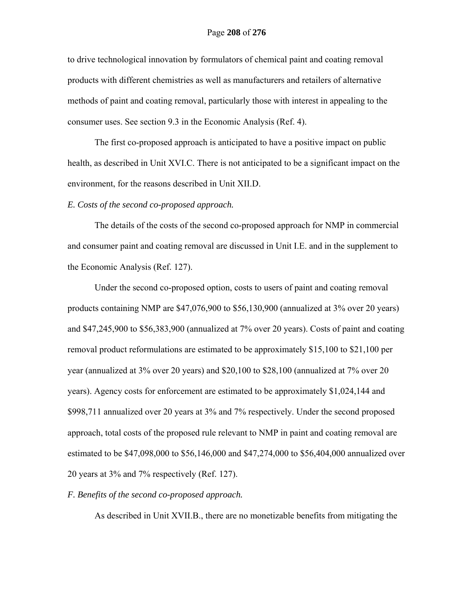to drive technological innovation by formulators of chemical paint and coating removal products with different chemistries as well as manufacturers and retailers of alternative methods of paint and coating removal, particularly those with interest in appealing to the consumer uses. See section 9.3 in the Economic Analysis (Ref. 4).

The first co-proposed approach is anticipated to have a positive impact on public health, as described in Unit XVI.C. There is not anticipated to be a significant impact on the environment, for the reasons described in Unit XII.D.

## *E. Costs of the second co-proposed approach.*

The details of the costs of the second co-proposed approach for NMP in commercial and consumer paint and coating removal are discussed in Unit I.E. and in the supplement to the Economic Analysis (Ref. 127).

Under the second co-proposed option, costs to users of paint and coating removal products containing NMP are \$47,076,900 to \$56,130,900 (annualized at 3% over 20 years) and \$47,245,900 to \$56,383,900 (annualized at 7% over 20 years). Costs of paint and coating removal product reformulations are estimated to be approximately \$15,100 to \$21,100 per year (annualized at 3% over 20 years) and \$20,100 to \$28,100 (annualized at 7% over 20 years). Agency costs for enforcement are estimated to be approximately \$1,024,144 and \$998,711 annualized over 20 years at 3% and 7% respectively. Under the second proposed approach, total costs of the proposed rule relevant to NMP in paint and coating removal are estimated to be \$47,098,000 to \$56,146,000 and \$47,274,000 to \$56,404,000 annualized over 20 years at 3% and 7% respectively (Ref. 127).

## *F. Benefits of the second co-proposed approach.*

As described in Unit XVII.B., there are no monetizable benefits from mitigating the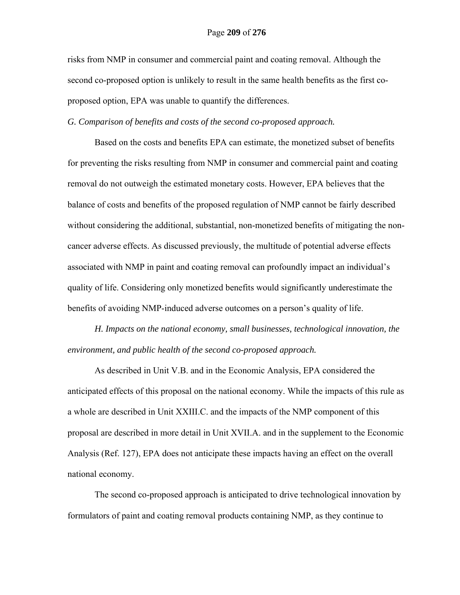risks from NMP in consumer and commercial paint and coating removal. Although the second co-proposed option is unlikely to result in the same health benefits as the first coproposed option, EPA was unable to quantify the differences.

*G. Comparison of benefits and costs of the second co-proposed approach.* 

Based on the costs and benefits EPA can estimate, the monetized subset of benefits for preventing the risks resulting from NMP in consumer and commercial paint and coating removal do not outweigh the estimated monetary costs. However, EPA believes that the balance of costs and benefits of the proposed regulation of NMP cannot be fairly described without considering the additional, substantial, non-monetized benefits of mitigating the noncancer adverse effects. As discussed previously, the multitude of potential adverse effects associated with NMP in paint and coating removal can profoundly impact an individual's quality of life. Considering only monetized benefits would significantly underestimate the benefits of avoiding NMP-induced adverse outcomes on a person's quality of life.

*H. Impacts on the national economy, small businesses, technological innovation, the environment, and public health of the second co-proposed approach.* 

As described in Unit V.B. and in the Economic Analysis, EPA considered the anticipated effects of this proposal on the national economy. While the impacts of this rule as a whole are described in Unit XXIII.C. and the impacts of the NMP component of this proposal are described in more detail in Unit XVII.A. and in the supplement to the Economic Analysis (Ref. 127), EPA does not anticipate these impacts having an effect on the overall national economy.

The second co-proposed approach is anticipated to drive technological innovation by formulators of paint and coating removal products containing NMP, as they continue to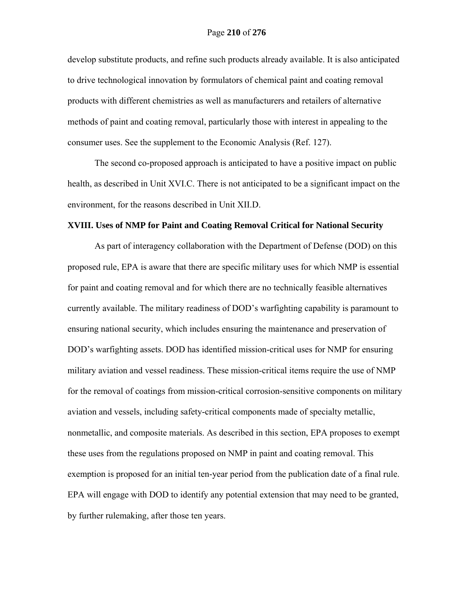develop substitute products, and refine such products already available. It is also anticipated to drive technological innovation by formulators of chemical paint and coating removal products with different chemistries as well as manufacturers and retailers of alternative methods of paint and coating removal, particularly those with interest in appealing to the consumer uses. See the supplement to the Economic Analysis (Ref. 127).

The second co-proposed approach is anticipated to have a positive impact on public health, as described in Unit XVI.C. There is not anticipated to be a significant impact on the environment, for the reasons described in Unit XII.D.

### **XVIII. Uses of NMP for Paint and Coating Removal Critical for National Security**

As part of interagency collaboration with the Department of Defense (DOD) on this proposed rule, EPA is aware that there are specific military uses for which NMP is essential for paint and coating removal and for which there are no technically feasible alternatives currently available. The military readiness of DOD's warfighting capability is paramount to ensuring national security, which includes ensuring the maintenance and preservation of DOD's warfighting assets. DOD has identified mission-critical uses for NMP for ensuring military aviation and vessel readiness. These mission-critical items require the use of NMP for the removal of coatings from mission-critical corrosion-sensitive components on military aviation and vessels, including safety-critical components made of specialty metallic, nonmetallic, and composite materials. As described in this section, EPA proposes to exempt these uses from the regulations proposed on NMP in paint and coating removal. This exemption is proposed for an initial ten-year period from the publication date of a final rule. EPA will engage with DOD to identify any potential extension that may need to be granted, by further rulemaking, after those ten years.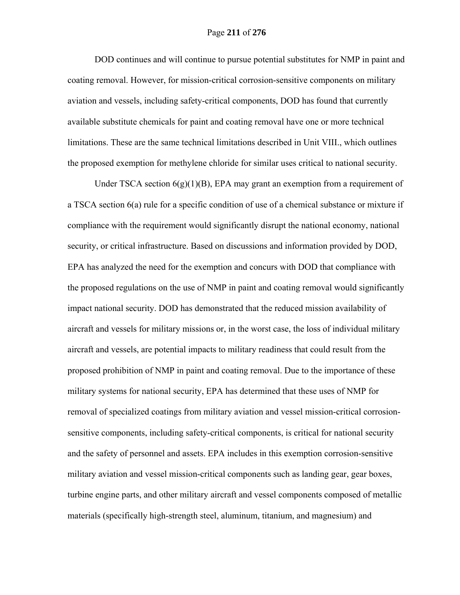DOD continues and will continue to pursue potential substitutes for NMP in paint and coating removal. However, for mission-critical corrosion-sensitive components on military aviation and vessels, including safety-critical components, DOD has found that currently available substitute chemicals for paint and coating removal have one or more technical limitations. These are the same technical limitations described in Unit VIII., which outlines the proposed exemption for methylene chloride for similar uses critical to national security.

Under TSCA section  $6(g)(1)(B)$ , EPA may grant an exemption from a requirement of a TSCA section 6(a) rule for a specific condition of use of a chemical substance or mixture if compliance with the requirement would significantly disrupt the national economy, national security, or critical infrastructure. Based on discussions and information provided by DOD, EPA has analyzed the need for the exemption and concurs with DOD that compliance with the proposed regulations on the use of NMP in paint and coating removal would significantly impact national security. DOD has demonstrated that the reduced mission availability of aircraft and vessels for military missions or, in the worst case, the loss of individual military aircraft and vessels, are potential impacts to military readiness that could result from the proposed prohibition of NMP in paint and coating removal. Due to the importance of these military systems for national security, EPA has determined that these uses of NMP for removal of specialized coatings from military aviation and vessel mission-critical corrosionsensitive components, including safety-critical components, is critical for national security and the safety of personnel and assets. EPA includes in this exemption corrosion-sensitive military aviation and vessel mission-critical components such as landing gear, gear boxes, turbine engine parts, and other military aircraft and vessel components composed of metallic materials (specifically high-strength steel, aluminum, titanium, and magnesium) and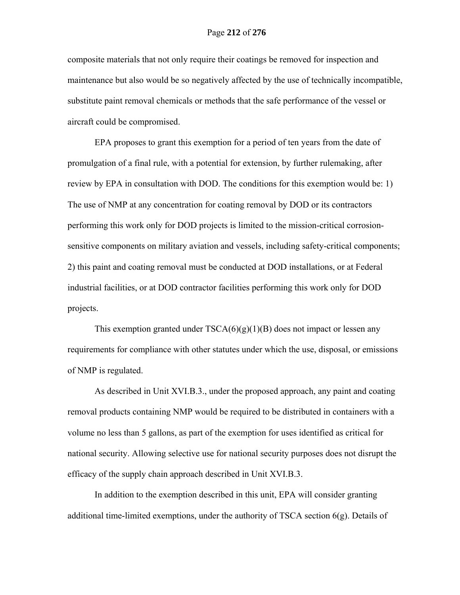composite materials that not only require their coatings be removed for inspection and maintenance but also would be so negatively affected by the use of technically incompatible, substitute paint removal chemicals or methods that the safe performance of the vessel or aircraft could be compromised.

EPA proposes to grant this exemption for a period of ten years from the date of promulgation of a final rule, with a potential for extension, by further rulemaking, after review by EPA in consultation with DOD. The conditions for this exemption would be: 1) The use of NMP at any concentration for coating removal by DOD or its contractors performing this work only for DOD projects is limited to the mission-critical corrosionsensitive components on military aviation and vessels, including safety-critical components; 2) this paint and coating removal must be conducted at DOD installations, or at Federal industrial facilities, or at DOD contractor facilities performing this work only for DOD projects.

This exemption granted under  $TSCA(6)(g)(1)(B)$  does not impact or lessen any requirements for compliance with other statutes under which the use, disposal, or emissions of NMP is regulated.

As described in Unit XVI.B.3., under the proposed approach, any paint and coating removal products containing NMP would be required to be distributed in containers with a volume no less than 5 gallons, as part of the exemption for uses identified as critical for national security. Allowing selective use for national security purposes does not disrupt the efficacy of the supply chain approach described in Unit XVI.B.3.

In addition to the exemption described in this unit, EPA will consider granting additional time-limited exemptions, under the authority of TSCA section 6(g). Details of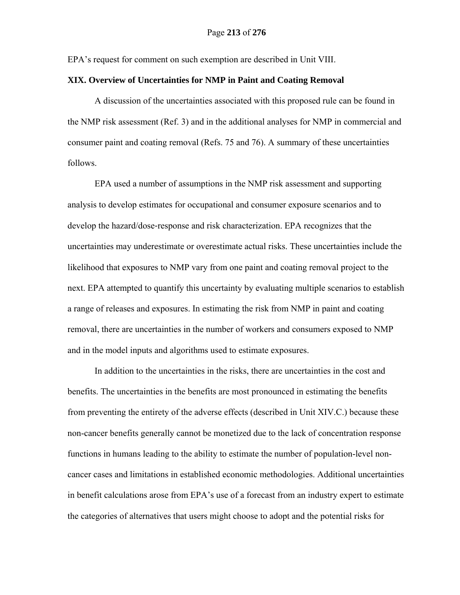EPA's request for comment on such exemption are described in Unit VIII.

## **XIX. Overview of Uncertainties for NMP in Paint and Coating Removal**

A discussion of the uncertainties associated with this proposed rule can be found in the NMP risk assessment (Ref. 3) and in the additional analyses for NMP in commercial and consumer paint and coating removal (Refs. 75 and 76). A summary of these uncertainties follows.

EPA used a number of assumptions in the NMP risk assessment and supporting analysis to develop estimates for occupational and consumer exposure scenarios and to develop the hazard/dose‐response and risk characterization. EPA recognizes that the uncertainties may underestimate or overestimate actual risks. These uncertainties include the likelihood that exposures to NMP vary from one paint and coating removal project to the next. EPA attempted to quantify this uncertainty by evaluating multiple scenarios to establish a range of releases and exposures. In estimating the risk from NMP in paint and coating removal, there are uncertainties in the number of workers and consumers exposed to NMP and in the model inputs and algorithms used to estimate exposures.

In addition to the uncertainties in the risks, there are uncertainties in the cost and benefits. The uncertainties in the benefits are most pronounced in estimating the benefits from preventing the entirety of the adverse effects (described in Unit XIV.C.) because these non-cancer benefits generally cannot be monetized due to the lack of concentration response functions in humans leading to the ability to estimate the number of population-level noncancer cases and limitations in established economic methodologies. Additional uncertainties in benefit calculations arose from EPA's use of a forecast from an industry expert to estimate the categories of alternatives that users might choose to adopt and the potential risks for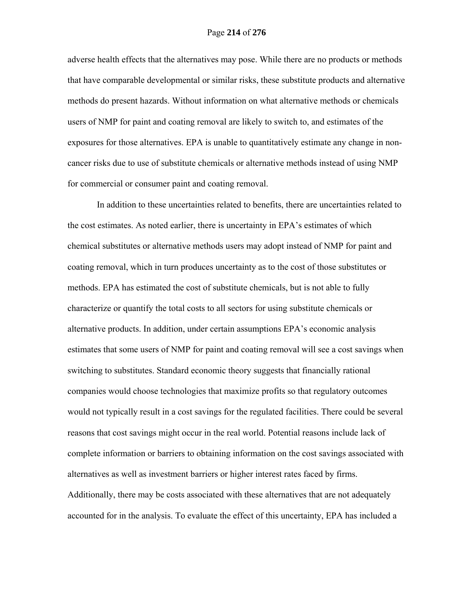adverse health effects that the alternatives may pose. While there are no products or methods that have comparable developmental or similar risks, these substitute products and alternative methods do present hazards. Without information on what alternative methods or chemicals users of NMP for paint and coating removal are likely to switch to, and estimates of the exposures for those alternatives. EPA is unable to quantitatively estimate any change in noncancer risks due to use of substitute chemicals or alternative methods instead of using NMP for commercial or consumer paint and coating removal.

 In addition to these uncertainties related to benefits, there are uncertainties related to the cost estimates. As noted earlier, there is uncertainty in EPA's estimates of which chemical substitutes or alternative methods users may adopt instead of NMP for paint and coating removal, which in turn produces uncertainty as to the cost of those substitutes or methods. EPA has estimated the cost of substitute chemicals, but is not able to fully characterize or quantify the total costs to all sectors for using substitute chemicals or alternative products. In addition, under certain assumptions EPA's economic analysis estimates that some users of NMP for paint and coating removal will see a cost savings when switching to substitutes. Standard economic theory suggests that financially rational companies would choose technologies that maximize profits so that regulatory outcomes would not typically result in a cost savings for the regulated facilities. There could be several reasons that cost savings might occur in the real world. Potential reasons include lack of complete information or barriers to obtaining information on the cost savings associated with alternatives as well as investment barriers or higher interest rates faced by firms. Additionally, there may be costs associated with these alternatives that are not adequately accounted for in the analysis. To evaluate the effect of this uncertainty, EPA has included a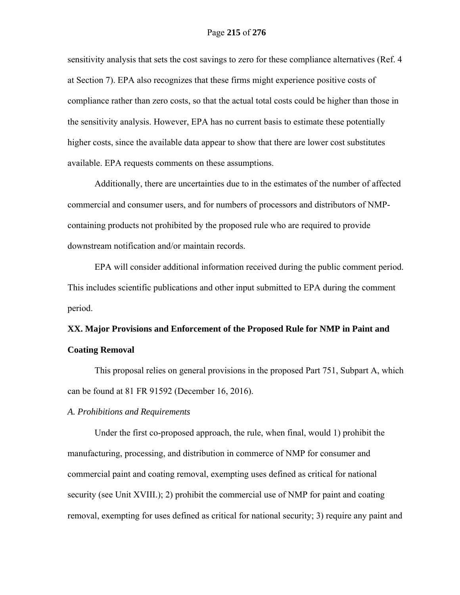sensitivity analysis that sets the cost savings to zero for these compliance alternatives (Ref. 4 at Section 7). EPA also recognizes that these firms might experience positive costs of compliance rather than zero costs, so that the actual total costs could be higher than those in the sensitivity analysis. However, EPA has no current basis to estimate these potentially higher costs, since the available data appear to show that there are lower cost substitutes available. EPA requests comments on these assumptions.

Additionally, there are uncertainties due to in the estimates of the number of affected commercial and consumer users, and for numbers of processors and distributors of NMPcontaining products not prohibited by the proposed rule who are required to provide downstream notification and/or maintain records.

EPA will consider additional information received during the public comment period. This includes scientific publications and other input submitted to EPA during the comment period.

# **XX. Major Provisions and Enforcement of the Proposed Rule for NMP in Paint and Coating Removal**

This proposal relies on general provisions in the proposed Part 751, Subpart A, which can be found at 81 FR 91592 (December 16, 2016).

## *A. Prohibitions and Requirements*

Under the first co-proposed approach, the rule, when final, would 1) prohibit the manufacturing, processing, and distribution in commerce of NMP for consumer and commercial paint and coating removal, exempting uses defined as critical for national security (see Unit XVIII.); 2) prohibit the commercial use of NMP for paint and coating removal, exempting for uses defined as critical for national security; 3) require any paint and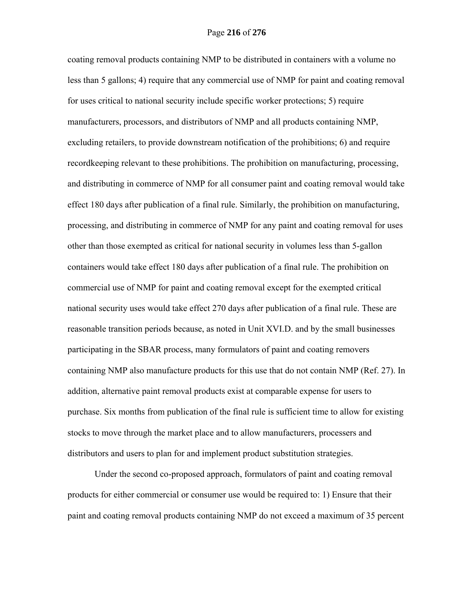coating removal products containing NMP to be distributed in containers with a volume no less than 5 gallons; 4) require that any commercial use of NMP for paint and coating removal for uses critical to national security include specific worker protections; 5) require manufacturers, processors, and distributors of NMP and all products containing NMP, excluding retailers, to provide downstream notification of the prohibitions; 6) and require recordkeeping relevant to these prohibitions. The prohibition on manufacturing, processing, and distributing in commerce of NMP for all consumer paint and coating removal would take effect 180 days after publication of a final rule. Similarly, the prohibition on manufacturing, processing, and distributing in commerce of NMP for any paint and coating removal for uses other than those exempted as critical for national security in volumes less than 5-gallon containers would take effect 180 days after publication of a final rule. The prohibition on commercial use of NMP for paint and coating removal except for the exempted critical national security uses would take effect 270 days after publication of a final rule. These are reasonable transition periods because, as noted in Unit XVI.D. and by the small businesses participating in the SBAR process, many formulators of paint and coating removers containing NMP also manufacture products for this use that do not contain NMP (Ref. 27). In addition, alternative paint removal products exist at comparable expense for users to purchase. Six months from publication of the final rule is sufficient time to allow for existing stocks to move through the market place and to allow manufacturers, processers and distributors and users to plan for and implement product substitution strategies.

Under the second co-proposed approach, formulators of paint and coating removal products for either commercial or consumer use would be required to: 1) Ensure that their paint and coating removal products containing NMP do not exceed a maximum of 35 percent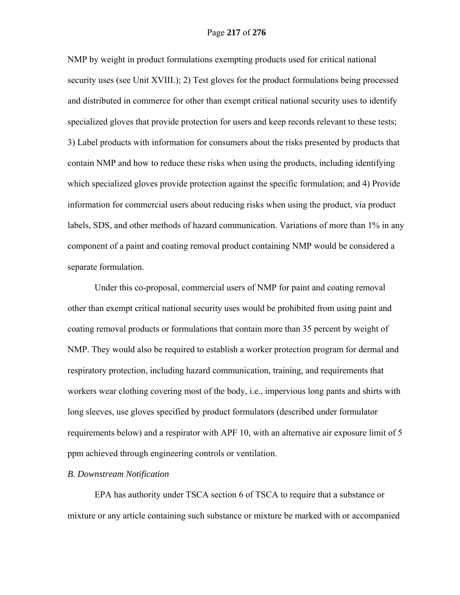NMP by weight in product formulations exempting products used for critical national security uses (see Unit XVIII.); 2) Test gloves for the product formulations being processed and distributed in commerce for other than exempt critical national security uses to identify specialized gloves that provide protection for users and keep records relevant to these tests; 3) Label products with information for consumers about the risks presented by products that contain NMP and how to reduce these risks when using the products, including identifying which specialized gloves provide protection against the specific formulation; and 4) Provide information for commercial users about reducing risks when using the product, via product labels, SDS, and other methods of hazard communication. Variations of more than 1% in any component of a paint and coating removal product containing NMP would be considered a separate formulation.

Under this co-proposal, commercial users of NMP for paint and coating removal other than exempt critical national security uses would be prohibited from using paint and coating removal products or formulations that contain more than 35 percent by weight of NMP. They would also be required to establish a worker protection program for dermal and respiratory protection, including hazard communication, training, and requirements that workers wear clothing covering most of the body, i.e., impervious long pants and shirts with long sleeves, use gloves specified by product formulators (described under formulator requirements below) and a respirator with APF 10, with an alternative air exposure limit of 5 ppm achieved through engineering controls or ventilation.

## *B. Downstream Notification*

EPA has authority under TSCA section 6 of TSCA to require that a substance or mixture or any article containing such substance or mixture be marked with or accompanied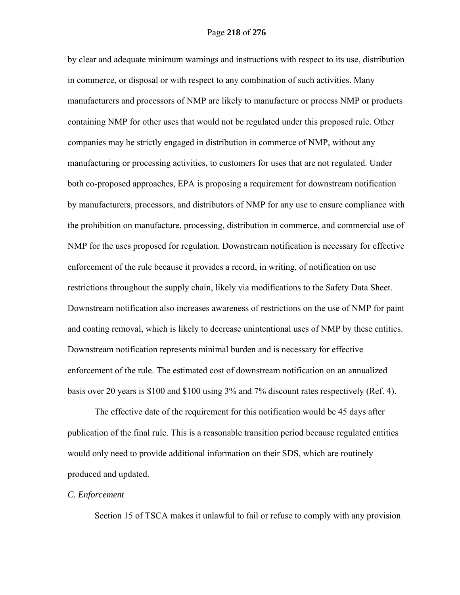by clear and adequate minimum warnings and instructions with respect to its use, distribution in commerce, or disposal or with respect to any combination of such activities. Many manufacturers and processors of NMP are likely to manufacture or process NMP or products containing NMP for other uses that would not be regulated under this proposed rule. Other companies may be strictly engaged in distribution in commerce of NMP, without any manufacturing or processing activities, to customers for uses that are not regulated. Under both co-proposed approaches, EPA is proposing a requirement for downstream notification by manufacturers, processors, and distributors of NMP for any use to ensure compliance with the prohibition on manufacture, processing, distribution in commerce, and commercial use of NMP for the uses proposed for regulation. Downstream notification is necessary for effective enforcement of the rule because it provides a record, in writing, of notification on use restrictions throughout the supply chain, likely via modifications to the Safety Data Sheet. Downstream notification also increases awareness of restrictions on the use of NMP for paint and coating removal, which is likely to decrease unintentional uses of NMP by these entities. Downstream notification represents minimal burden and is necessary for effective enforcement of the rule. The estimated cost of downstream notification on an annualized basis over 20 years is \$100 and \$100 using 3% and 7% discount rates respectively (Ref. 4).

The effective date of the requirement for this notification would be 45 days after publication of the final rule. This is a reasonable transition period because regulated entities would only need to provide additional information on their SDS, which are routinely produced and updated.

### *C. Enforcement*

Section 15 of TSCA makes it unlawful to fail or refuse to comply with any provision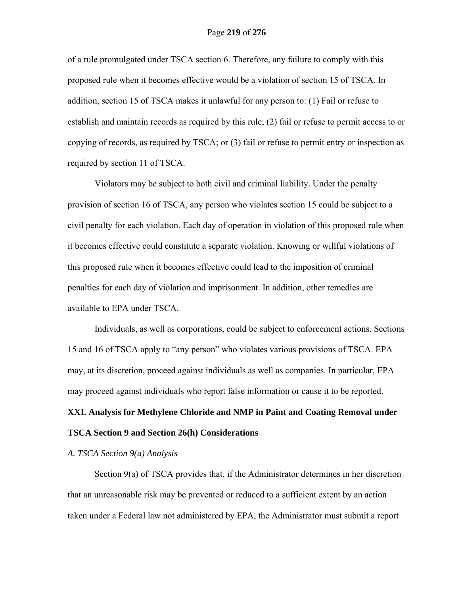of a rule promulgated under TSCA section 6. Therefore, any failure to comply with this proposed rule when it becomes effective would be a violation of section 15 of TSCA. In addition, section 15 of TSCA makes it unlawful for any person to: (1) Fail or refuse to establish and maintain records as required by this rule; (2) fail or refuse to permit access to or copying of records, as required by TSCA; or (3) fail or refuse to permit entry or inspection as required by section 11 of TSCA.

Violators may be subject to both civil and criminal liability. Under the penalty provision of section 16 of TSCA, any person who violates section 15 could be subject to a civil penalty for each violation. Each day of operation in violation of this proposed rule when it becomes effective could constitute a separate violation. Knowing or willful violations of this proposed rule when it becomes effective could lead to the imposition of criminal penalties for each day of violation and imprisonment. In addition, other remedies are available to EPA under TSCA.

Individuals, as well as corporations, could be subject to enforcement actions. Sections 15 and 16 of TSCA apply to "any person" who violates various provisions of TSCA. EPA may, at its discretion, proceed against individuals as well as companies. In particular, EPA may proceed against individuals who report false information or cause it to be reported.

# **XXI. Analysis for Methylene Chloride and NMP in Paint and Coating Removal under TSCA Section 9 and Section 26(h) Considerations**

## *A. TSCA Section 9(a) Analysis*

Section 9(a) of TSCA provides that, if the Administrator determines in her discretion that an unreasonable risk may be prevented or reduced to a sufficient extent by an action taken under a Federal law not administered by EPA, the Administrator must submit a report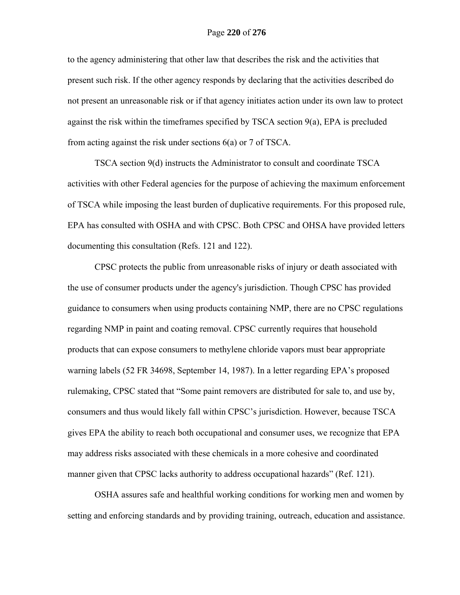to the agency administering that other law that describes the risk and the activities that present such risk. If the other agency responds by declaring that the activities described do not present an unreasonable risk or if that agency initiates action under its own law to protect against the risk within the timeframes specified by TSCA section 9(a), EPA is precluded from acting against the risk under sections 6(a) or 7 of TSCA.

TSCA section 9(d) instructs the Administrator to consult and coordinate TSCA activities with other Federal agencies for the purpose of achieving the maximum enforcement of TSCA while imposing the least burden of duplicative requirements. For this proposed rule, EPA has consulted with OSHA and with CPSC. Both CPSC and OHSA have provided letters documenting this consultation (Refs. 121 and 122).

 CPSC protects the public from unreasonable risks of injury or death associated with the use of consumer products under the agency's jurisdiction. Though CPSC has provided guidance to consumers when using products containing NMP, there are no CPSC regulations regarding NMP in paint and coating removal. CPSC currently requires that household products that can expose consumers to methylene chloride vapors must bear appropriate warning labels (52 FR 34698, September 14, 1987). In a letter regarding EPA's proposed rulemaking, CPSC stated that "Some paint removers are distributed for sale to, and use by, consumers and thus would likely fall within CPSC's jurisdiction. However, because TSCA gives EPA the ability to reach both occupational and consumer uses, we recognize that EPA may address risks associated with these chemicals in a more cohesive and coordinated manner given that CPSC lacks authority to address occupational hazards" (Ref. 121).

OSHA assures safe and healthful working conditions for working men and women by setting and enforcing standards and by providing training, outreach, education and assistance.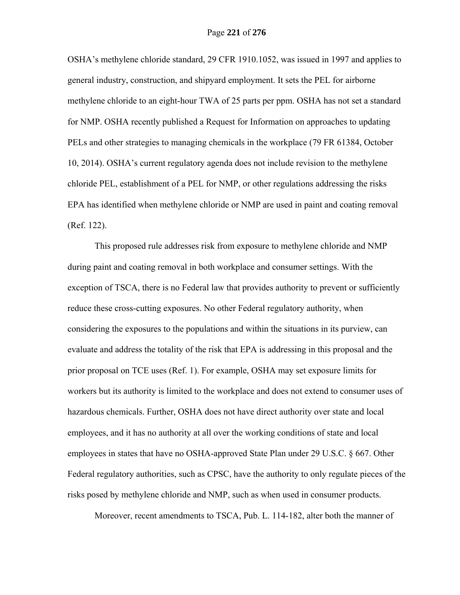OSHA's methylene chloride standard, 29 CFR 1910.1052, was issued in 1997 and applies to general industry, construction, and shipyard employment. It sets the PEL for airborne methylene chloride to an eight-hour TWA of 25 parts per ppm. OSHA has not set a standard for NMP. OSHA recently published a Request for Information on approaches to updating PELs and other strategies to managing chemicals in the workplace (79 FR 61384, October 10, 2014). OSHA's current regulatory agenda does not include revision to the methylene chloride PEL, establishment of a PEL for NMP, or other regulations addressing the risks EPA has identified when methylene chloride or NMP are used in paint and coating removal (Ref. 122).

This proposed rule addresses risk from exposure to methylene chloride and NMP during paint and coating removal in both workplace and consumer settings. With the exception of TSCA, there is no Federal law that provides authority to prevent or sufficiently reduce these cross-cutting exposures. No other Federal regulatory authority, when considering the exposures to the populations and within the situations in its purview, can evaluate and address the totality of the risk that EPA is addressing in this proposal and the prior proposal on TCE uses (Ref. 1). For example, OSHA may set exposure limits for workers but its authority is limited to the workplace and does not extend to consumer uses of hazardous chemicals. Further, OSHA does not have direct authority over state and local employees, and it has no authority at all over the working conditions of state and local employees in states that have no OSHA-approved State Plan under 29 U.S.C. § 667. Other Federal regulatory authorities, such as CPSC, have the authority to only regulate pieces of the risks posed by methylene chloride and NMP, such as when used in consumer products.

Moreover, recent amendments to TSCA, Pub. L. 114-182, alter both the manner of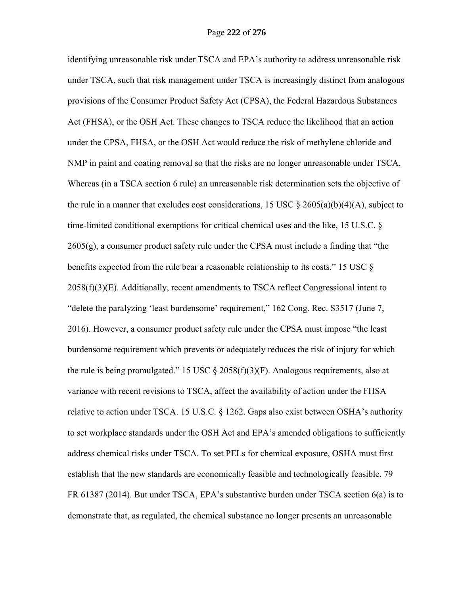identifying unreasonable risk under TSCA and EPA's authority to address unreasonable risk under TSCA, such that risk management under TSCA is increasingly distinct from analogous provisions of the Consumer Product Safety Act (CPSA), the Federal Hazardous Substances Act (FHSA), or the OSH Act. These changes to TSCA reduce the likelihood that an action under the CPSA, FHSA, or the OSH Act would reduce the risk of methylene chloride and NMP in paint and coating removal so that the risks are no longer unreasonable under TSCA. Whereas (in a TSCA section 6 rule) an unreasonable risk determination sets the objective of the rule in a manner that excludes cost considerations, 15 USC  $\S$  2605(a)(b)(4)(A), subject to time-limited conditional exemptions for critical chemical uses and the like, 15 U.S.C. § 2605(g), a consumer product safety rule under the CPSA must include a finding that "the benefits expected from the rule bear a reasonable relationship to its costs." 15 USC §  $2058(f)(3)(E)$ . Additionally, recent amendments to TSCA reflect Congressional intent to "delete the paralyzing 'least burdensome' requirement," 162 Cong. Rec. S3517 (June 7, 2016). However, a consumer product safety rule under the CPSA must impose "the least burdensome requirement which prevents or adequately reduces the risk of injury for which the rule is being promulgated." 15 USC  $\S$  2058(f)(3)(F). Analogous requirements, also at variance with recent revisions to TSCA, affect the availability of action under the FHSA relative to action under TSCA. 15 U.S.C. § 1262. Gaps also exist between OSHA's authority to set workplace standards under the OSH Act and EPA's amended obligations to sufficiently address chemical risks under TSCA. To set PELs for chemical exposure, OSHA must first establish that the new standards are economically feasible and technologically feasible. 79 FR 61387 (2014). But under TSCA, EPA's substantive burden under TSCA section 6(a) is to demonstrate that, as regulated, the chemical substance no longer presents an unreasonable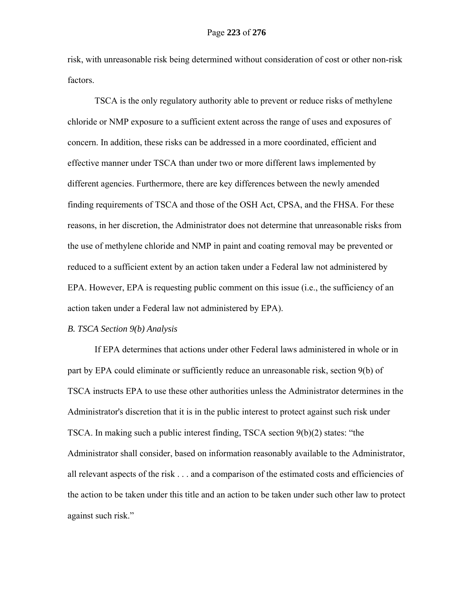risk, with unreasonable risk being determined without consideration of cost or other non-risk factors.

TSCA is the only regulatory authority able to prevent or reduce risks of methylene chloride or NMP exposure to a sufficient extent across the range of uses and exposures of concern. In addition, these risks can be addressed in a more coordinated, efficient and effective manner under TSCA than under two or more different laws implemented by different agencies. Furthermore, there are key differences between the newly amended finding requirements of TSCA and those of the OSH Act, CPSA, and the FHSA. For these reasons, in her discretion, the Administrator does not determine that unreasonable risks from the use of methylene chloride and NMP in paint and coating removal may be prevented or reduced to a sufficient extent by an action taken under a Federal law not administered by EPA. However, EPA is requesting public comment on this issue (i.e., the sufficiency of an action taken under a Federal law not administered by EPA).

#### *B. TSCA Section 9(b) Analysis*

If EPA determines that actions under other Federal laws administered in whole or in part by EPA could eliminate or sufficiently reduce an unreasonable risk, section 9(b) of TSCA instructs EPA to use these other authorities unless the Administrator determines in the Administrator's discretion that it is in the public interest to protect against such risk under TSCA. In making such a public interest finding, TSCA section 9(b)(2) states: "the Administrator shall consider, based on information reasonably available to the Administrator, all relevant aspects of the risk . . . and a comparison of the estimated costs and efficiencies of the action to be taken under this title and an action to be taken under such other law to protect against such risk."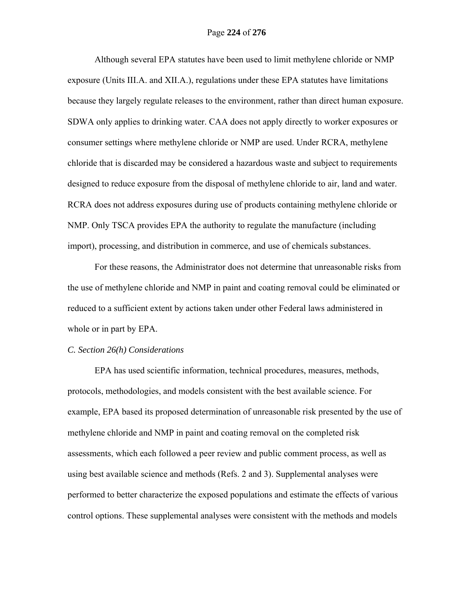## Page **224** of **276**

Although several EPA statutes have been used to limit methylene chloride or NMP exposure (Units III.A. and XII.A.), regulations under these EPA statutes have limitations because they largely regulate releases to the environment, rather than direct human exposure. SDWA only applies to drinking water. CAA does not apply directly to worker exposures or consumer settings where methylene chloride or NMP are used. Under RCRA, methylene chloride that is discarded may be considered a hazardous waste and subject to requirements designed to reduce exposure from the disposal of methylene chloride to air, land and water. RCRA does not address exposures during use of products containing methylene chloride or NMP. Only TSCA provides EPA the authority to regulate the manufacture (including import), processing, and distribution in commerce, and use of chemicals substances.

For these reasons, the Administrator does not determine that unreasonable risks from the use of methylene chloride and NMP in paint and coating removal could be eliminated or reduced to a sufficient extent by actions taken under other Federal laws administered in whole or in part by EPA.

#### *C. Section 26(h) Considerations*

EPA has used scientific information, technical procedures, measures, methods, protocols, methodologies, and models consistent with the best available science. For example, EPA based its proposed determination of unreasonable risk presented by the use of methylene chloride and NMP in paint and coating removal on the completed risk assessments, which each followed a peer review and public comment process, as well as using best available science and methods (Refs. 2 and 3). Supplemental analyses were performed to better characterize the exposed populations and estimate the effects of various control options. These supplemental analyses were consistent with the methods and models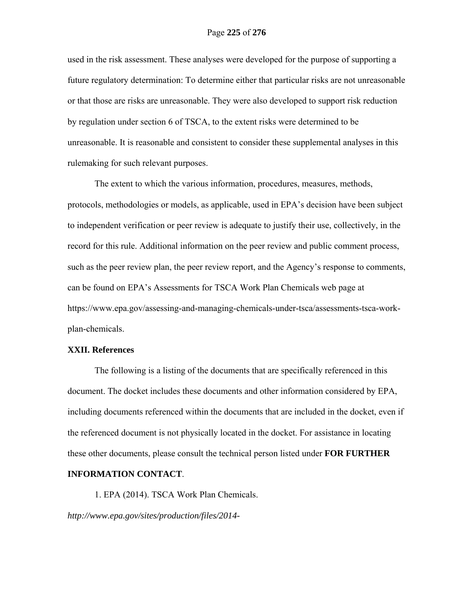used in the risk assessment. These analyses were developed for the purpose of supporting a future regulatory determination: To determine either that particular risks are not unreasonable or that those are risks are unreasonable. They were also developed to support risk reduction by regulation under section 6 of TSCA, to the extent risks were determined to be unreasonable. It is reasonable and consistent to consider these supplemental analyses in this rulemaking for such relevant purposes.

The extent to which the various information, procedures, measures, methods, protocols, methodologies or models, as applicable, used in EPA's decision have been subject to independent verification or peer review is adequate to justify their use, collectively, in the record for this rule. Additional information on the peer review and public comment process, such as the peer review plan, the peer review report, and the Agency's response to comments, can be found on EPA's Assessments for TSCA Work Plan Chemicals web page at https://www.epa.gov/assessing-and-managing-chemicals-under-tsca/assessments-tsca-workplan-chemicals.

## **XXII. References**

 The following is a listing of the documents that are specifically referenced in this document. The docket includes these documents and other information considered by EPA, including documents referenced within the documents that are included in the docket, even if the referenced document is not physically located in the docket. For assistance in locating these other documents, please consult the technical person listed under **FOR FURTHER** 

## **INFORMATION CONTACT**.

1. EPA (2014). TSCA Work Plan Chemicals. *http://www.epa.gov/sites/production/files/2014-*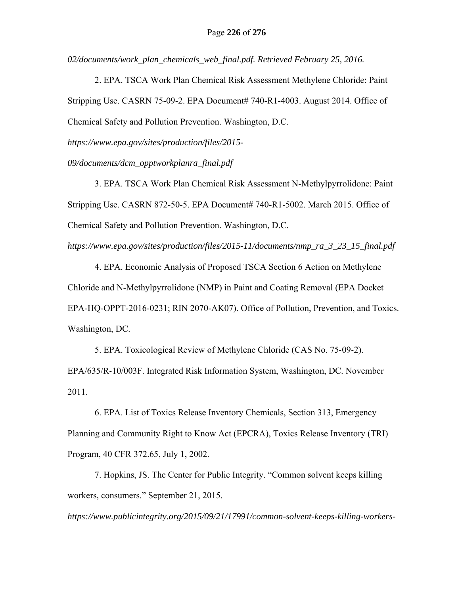*02/documents/work\_plan\_chemicals\_web\_final.pdf. Retrieved February 25, 2016.*

2. EPA. TSCA Work Plan Chemical Risk Assessment Methylene Chloride: Paint Stripping Use. CASRN 75-09-2. EPA Document# 740-R1-4003. August 2014. Office of Chemical Safety and Pollution Prevention. Washington, D.C.

*https://www.epa.gov/sites/production/files/2015-*

*09/documents/dcm\_opptworkplanra\_final.pdf*

3. EPA. TSCA Work Plan Chemical Risk Assessment N-Methylpyrrolidone: Paint Stripping Use. CASRN 872-50-5. EPA Document# 740-R1-5002. March 2015. Office of Chemical Safety and Pollution Prevention. Washington, D.C.

*https://www.epa.gov/sites/production/files/2015-11/documents/nmp\_ra\_3\_23\_15\_final.pdf*

4. EPA. Economic Analysis of Proposed TSCA Section 6 Action on Methylene Chloride and N-Methylpyrrolidone (NMP) in Paint and Coating Removal (EPA Docket EPA-HQ-OPPT-2016-0231; RIN 2070-AK07). Office of Pollution, Prevention, and Toxics. Washington, DC.

5. EPA. Toxicological Review of Methylene Chloride (CAS No. 75‐09‐2). EPA/635/R‐10/003F. Integrated Risk Information System, Washington, DC. November 2011.

6. EPA. List of Toxics Release Inventory Chemicals, Section 313, Emergency Planning and Community Right to Know Act (EPCRA), Toxics Release Inventory (TRI) Program, 40 CFR 372.65, July 1, 2002.

7. Hopkins, JS. The Center for Public Integrity. "Common solvent keeps killing workers, consumers." September 21, 2015.

*https://www.publicintegrity.org/2015/09/21/17991/common-solvent-keeps-killing-workers-*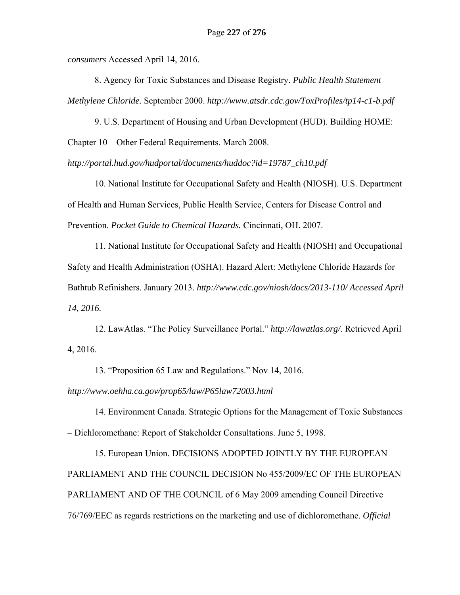*consumers* Accessed April 14, 2016.

8. Agency for Toxic Substances and Disease Registry. *Public Health Statement Methylene Chloride.* September 2000. *http://www.atsdr.cdc.gov/ToxProfiles/tp14-c1-b.pdf*

9. U.S. Department of Housing and Urban Development (HUD). Building HOME: Chapter 10 – Other Federal Requirements. March 2008.

*http://portal.hud.gov/hudportal/documents/huddoc?id=19787\_ch10.pdf* 

10. National Institute for Occupational Safety and Health (NIOSH). U.S. Department of Health and Human Services, Public Health Service, Centers for Disease Control and Prevention. *Pocket Guide to Chemical Hazards.* Cincinnati, OH. 2007.

11. National Institute for Occupational Safety and Health (NIOSH) and Occupational Safety and Health Administration (OSHA). Hazard Alert: Methylene Chloride Hazards for Bathtub Refinishers. January 2013. *http://www.cdc.gov/niosh/docs/2013-110/ Accessed April 14, 2016.* 

12. LawAtlas. "The Policy Surveillance Portal." *http://lawatlas.org/*. Retrieved April 4, 2016.

13. "Proposition 65 Law and Regulations." Nov 14, 2016.

*http://www.oehha.ca.gov/prop65/law/P65law72003.html*

14. Environment Canada. Strategic Options for the Management of Toxic Substances – Dichloromethane: Report of Stakeholder Consultations. June 5, 1998.

15. European Union. DECISIONS ADOPTED JOINTLY BY THE EUROPEAN PARLIAMENT AND THE COUNCIL DECISION No 455/2009/EC OF THE EUROPEAN PARLIAMENT AND OF THE COUNCIL of 6 May 2009 amending Council Directive 76/769/EEC as regards restrictions on the marketing and use of dichloromethane. *Official*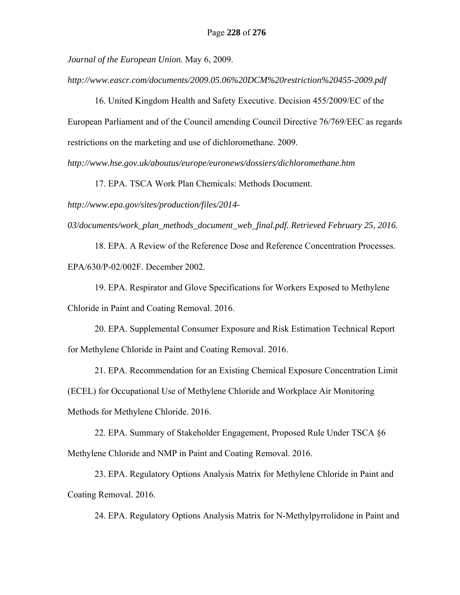*Journal of the European Union.* May 6, 2009.

*http://www.eascr.com/documents/2009.05.06%20DCM%20restriction%20455-2009.pdf*

16. United Kingdom Health and Safety Executive. Decision 455/2009/EC of the European Parliament and of the Council amending Council Directive 76/769/EEC as regards restrictions on the marketing and use of dichloromethane. 2009.

*http://www.hse.gov.uk/aboutus/europe/euronews/dossiers/dichloromethane.htm*

17. EPA. TSCA Work Plan Chemicals: Methods Document.

*http://www.epa.gov/sites/production/files/2014-*

*03/documents/work\_plan\_methods\_document\_web\_final.pdf. Retrieved February 25, 2016.*

18. EPA. A Review of the Reference Dose and Reference Concentration Processes. EPA/630/P-02/002F. December 2002.

19. EPA. Respirator and Glove Specifications for Workers Exposed to Methylene Chloride in Paint and Coating Removal. 2016.

20. EPA. Supplemental Consumer Exposure and Risk Estimation Technical Report for Methylene Chloride in Paint and Coating Removal. 2016.

21. EPA. Recommendation for an Existing Chemical Exposure Concentration Limit (ECEL) for Occupational Use of Methylene Chloride and Workplace Air Monitoring Methods for Methylene Chloride. 2016.

22. EPA. Summary of Stakeholder Engagement, Proposed Rule Under TSCA §6 Methylene Chloride and NMP in Paint and Coating Removal. 2016.

23. EPA. Regulatory Options Analysis Matrix for Methylene Chloride in Paint and Coating Removal. 2016.

24. EPA. Regulatory Options Analysis Matrix for N-Methylpyrrolidone in Paint and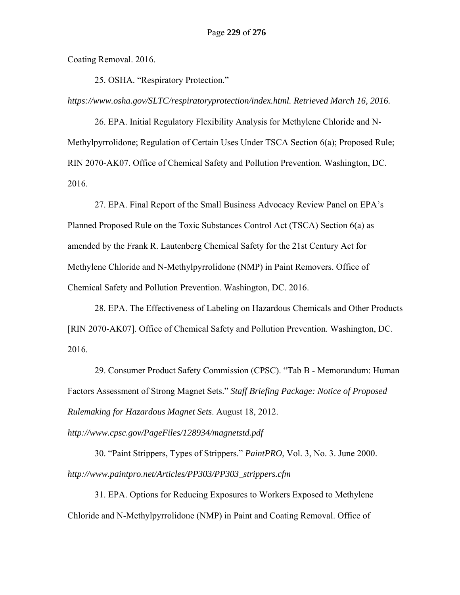Coating Removal. 2016.

25. OSHA. "Respiratory Protection."

*https://www.osha.gov/SLTC/respiratoryprotection/index.html. Retrieved March 16, 2016.*

26. EPA. Initial Regulatory Flexibility Analysis for Methylene Chloride and N-Methylpyrrolidone; Regulation of Certain Uses Under TSCA Section 6(a); Proposed Rule; RIN 2070-AK07. Office of Chemical Safety and Pollution Prevention. Washington, DC. 2016.

27. EPA. Final Report of the Small Business Advocacy Review Panel on EPA's Planned Proposed Rule on the Toxic Substances Control Act (TSCA) Section 6(a) as amended by the Frank R. Lautenberg Chemical Safety for the 21st Century Act for Methylene Chloride and N-Methylpyrrolidone (NMP) in Paint Removers. Office of Chemical Safety and Pollution Prevention. Washington, DC. 2016.

28. EPA. The Effectiveness of Labeling on Hazardous Chemicals and Other Products [RIN 2070-AK07]. Office of Chemical Safety and Pollution Prevention. Washington, DC. 2016.

29. Consumer Product Safety Commission (CPSC). "Tab B - Memorandum: Human Factors Assessment of Strong Magnet Sets." *Staff Briefing Package: Notice of Proposed Rulemaking for Hazardous Magnet Sets*. August 18, 2012.

*http://www.cpsc.gov/PageFiles/128934/magnetstd.pdf* 

30. "Paint Strippers, Types of Strippers." *PaintPRO*, Vol. 3, No. 3. June 2000. *http://www.paintpro.net/Articles/PP303/PP303\_strippers.cfm*

31. EPA. Options for Reducing Exposures to Workers Exposed to Methylene Chloride and N-Methylpyrrolidone (NMP) in Paint and Coating Removal. Office of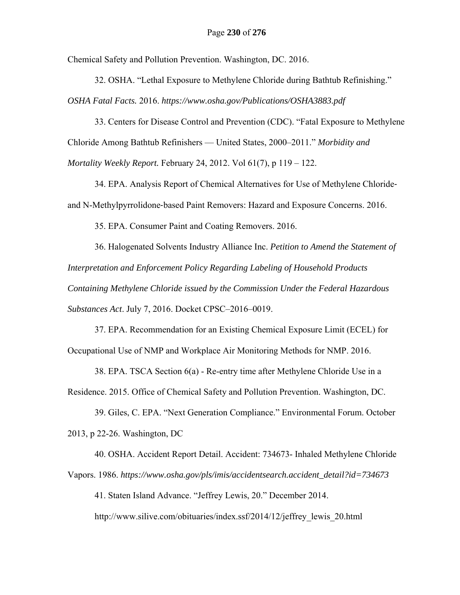Chemical Safety and Pollution Prevention. Washington, DC. 2016.

32. OSHA. "Lethal Exposure to Methylene Chloride during Bathtub Refinishing." *OSHA Fatal Facts.* 2016. *https://www.osha.gov/Publications/OSHA3883.pdf*

33. Centers for Disease Control and Prevention (CDC). "Fatal Exposure to Methylene Chloride Among Bathtub Refinishers — United States, 2000–2011." *Morbidity and Mortality Weekly Report.* February 24, 2012. Vol 61(7), p 119 – 122.

34. EPA. Analysis Report of Chemical Alternatives for Use of Methylene Chloride‐ and N-Methylpyrrolidone‐based Paint Removers: Hazard and Exposure Concerns. 2016.

35. EPA. Consumer Paint and Coating Removers. 2016.

36. Halogenated Solvents Industry Alliance Inc. *Petition to Amend the Statement of Interpretation and Enforcement Policy Regarding Labeling of Household Products Containing Methylene Chloride issued by the Commission Under the Federal Hazardous Substances Act*. July 7, 2016. Docket CPSC–2016–0019.

37. EPA. Recommendation for an Existing Chemical Exposure Limit (ECEL) for Occupational Use of NMP and Workplace Air Monitoring Methods for NMP. 2016.

38. EPA. TSCA Section 6(a) - Re-entry time after Methylene Chloride Use in a Residence. 2015. Office of Chemical Safety and Pollution Prevention. Washington, DC.

39. Giles, C. EPA. "Next Generation Compliance." Environmental Forum. October 2013, p 22-26. Washington, DC

40. OSHA. Accident Report Detail. Accident: 734673- Inhaled Methylene Chloride Vapors. 1986. *https://www.osha.gov/pls/imis/accidentsearch.accident\_detail?id=734673* 

41. Staten Island Advance. "Jeffrey Lewis, 20." December 2014.

http://www.silive.com/obituaries/index.ssf/2014/12/jeffrey\_lewis\_20.html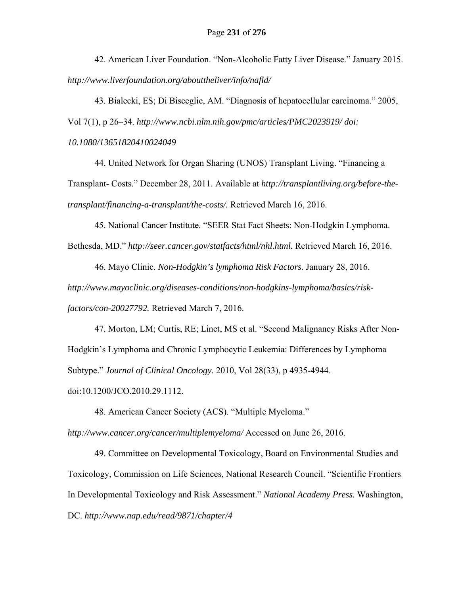42. American Liver Foundation. "Non-Alcoholic Fatty Liver Disease." January 2015. *http://www.liverfoundation.org/abouttheliver/info/nafld/*

43. Bialecki, ES; Di Bisceglie, AM. "Diagnosis of hepatocellular carcinoma." 2005, Vol 7(1), p 26–34. *http://www.ncbi.nlm.nih.gov/pmc/articles/PMC2023919/ doi: 10.1080/13651820410024049*

44. United Network for Organ Sharing (UNOS) Transplant Living. "Financing a Transplant- Costs." December 28, 2011. Available at *http://transplantliving.org/before-thetransplant/financing-a-transplant/the-costs/.* Retrieved March 16, 2016.

45. National Cancer Institute. "SEER Stat Fact Sheets: Non-Hodgkin Lymphoma.

Bethesda, MD." *http://seer.cancer.gov/statfacts/html/nhl.html.* Retrieved March 16, 2016.

46. Mayo Clinic. *Non-Hodgkin's lymphoma Risk Factors.* January 28, 2016. *http://www.mayoclinic.org/diseases-conditions/non-hodgkins-lymphoma/basics/riskfactors/con-20027792.* Retrieved March 7, 2016.

47. Morton, LM; Curtis, RE; Linet, MS et al. "Second Malignancy Risks After Non-Hodgkin's Lymphoma and Chronic Lymphocytic Leukemia: Differences by Lymphoma Subtype." *Journal of Clinical Oncology*. 2010, Vol 28(33), p 4935-4944. doi:10.1200/JCO.2010.29.1112.

48. American Cancer Society (ACS). "Multiple Myeloma." *http://www.cancer.org/cancer/multiplemyeloma/* Accessed on June 26, 2016.

49. Committee on Developmental Toxicology, Board on Environmental Studies and Toxicology, Commission on Life Sciences, National Research Council. "Scientific Frontiers In Developmental Toxicology and Risk Assessment." *National Academy Press.* Washington, DC. *http://www.nap.edu/read/9871/chapter/4*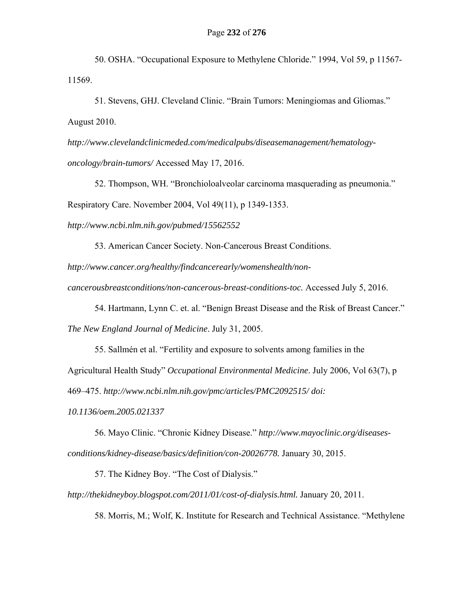50. OSHA. "Occupational Exposure to Methylene Chloride." 1994, Vol 59, p 11567- 11569.

51. Stevens, GHJ. Cleveland Clinic. "Brain Tumors: Meningiomas and Gliomas." August 2010.

*http://www.clevelandclinicmeded.com/medicalpubs/diseasemanagement/hematologyoncology/brain-tumors/* Accessed May 17, 2016.

52. Thompson, WH. "Bronchioloalveolar carcinoma masquerading as pneumonia." Respiratory Care. November 2004, Vol 49(11), p 1349-1353.

*http://www.ncbi.nlm.nih.gov/pubmed/15562552*

53. American Cancer Society. Non-Cancerous Breast Conditions.

*http://www.cancer.org/healthy/findcancerearly/womenshealth/non-*

*cancerousbreastconditions/non-cancerous-breast-conditions-toc.* Accessed July 5, 2016.

54. Hartmann, Lynn C. et. al. "Benign Breast Disease and the Risk of Breast Cancer."

*The New England Journal of Medicine*. July 31, 2005.

55. Sallmén et al. "Fertility and exposure to solvents among families in the Agricultural Health Study" *Occupational Environmental Medicine*. July 2006, Vol 63(7), p 469–475. *http://www.ncbi.nlm.nih.gov/pmc/articles/PMC2092515/ doi:* 

*10.1136/oem.2005.021337*

56. Mayo Clinic. "Chronic Kidney Disease." *http://www.mayoclinic.org/diseasesconditions/kidney-disease/basics/definition/con-20026778.* January 30, 2015.

57. The Kidney Boy. "The Cost of Dialysis."

*http://thekidneyboy.blogspot.com/2011/01/cost-of-dialysis.html.* January 20, 2011.

58. Morris, M.; Wolf, K. Institute for Research and Technical Assistance. "Methylene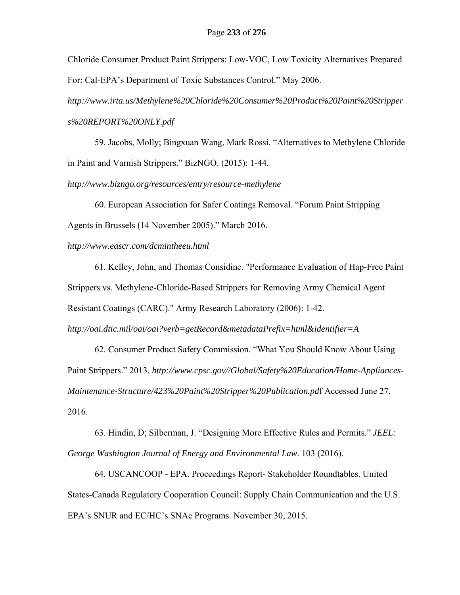Chloride Consumer Product Paint Strippers: Low-VOC, Low Toxicity Alternatives Prepared For: Cal-EPA's Department of Toxic Substances Control." May 2006.

*http://www.irta.us/Methylene%20Chloride%20Consumer%20Product%20Paint%20Stripper s%20REPORT%20ONLY.pdf* 

59. Jacobs, Molly; Bingxuan Wang, Mark Rossi. "Alternatives to Methylene Chloride in Paint and Varnish Strippers." BizNGO. (2015): 1-44.

*http://www.bizngo.org/resources/entry/resource-methylene*

60. European Association for Safer Coatings Removal. "Forum Paint Stripping Agents in Brussels (14 November 2005)." March 2016.

*http://www.eascr.com/dcmintheeu.html*

61. Kelley, John, and Thomas Considine. "Performance Evaluation of Hap-Free Paint Strippers vs. Methylene-Chloride-Based Strippers for Removing Army Chemical Agent Resistant Coatings (CARC)." Army Research Laboratory (2006): 1-42.

*http://oai.dtic.mil/oai/oai?verb=getRecord&metadataPrefix=html&identifier=A*

62. Consumer Product Safety Commission. "What You Should Know About Using Paint Strippers." 2013. *http://www.cpsc.gov//Global/Safety%20Education/Home-Appliances-Maintenance-Structure/423%20Paint%20Stripper%20Publication.pd*f Accessed June 27, 2016.

63. Hindin, D; Silberman, J. "Designing More Effective Rules and Permits." *JEEL: George Washington Journal of Energy and Environmental Law*. 103 (2016).

64. USCANCOOP - EPA. Proceedings Report- Stakeholder Roundtables. United States-Canada Regulatory Cooperation Council: Supply Chain Communication and the U.S. EPA's SNUR and EC/HC's SNAc Programs. November 30, 2015.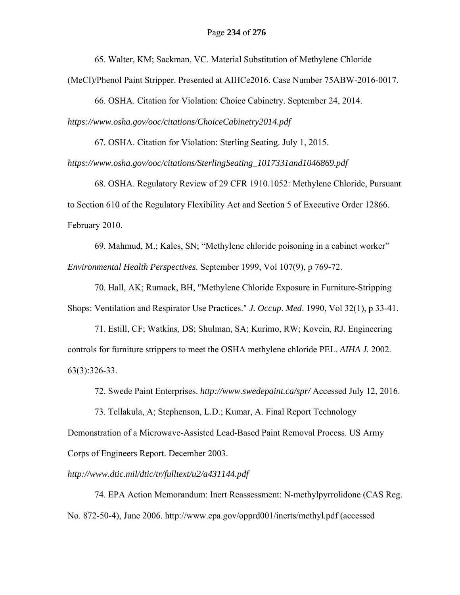65. Walter, KM; Sackman, VC. Material Substitution of Methylene Chloride

(MeCl)/Phenol Paint Stripper. Presented at AIHCe2016. Case Number 75ABW-2016-0017.

66. OSHA. Citation for Violation: Choice Cabinetry. September 24, 2014. *https://www.osha.gov/ooc/citations/ChoiceCabinetry2014.pdf* 

67. OSHA. Citation for Violation: Sterling Seating. July 1, 2015.

*https://www.osha.gov/ooc/citations/SterlingSeating\_1017331and1046869.pdf* 

68. OSHA. Regulatory Review of 29 CFR 1910.1052: Methylene Chloride, Pursuant to Section 610 of the Regulatory Flexibility Act and Section 5 of Executive Order 12866. February 2010.

69. Mahmud, M.; Kales, SN; "Methylene chloride poisoning in a cabinet worker" *Environmental Health Perspectives*. September 1999, Vol 107(9), p 769-72.

70. Hall, AK; Rumack, BH, "Methylene Chloride Exposure in Furniture-Stripping Shops: Ventilation and Respirator Use Practices." *J. Occup*. *Med*. 1990, Vol 32(1), p 33-41.

71. Estill, CF; Watkins, DS; Shulman, SA; Kurimo, RW; Kovein, RJ. Engineering controls for furniture strippers to meet the OSHA methylene chloride PEL. *AIHA J.* 2002. 63(3):326-33.

72. Swede Paint Enterprises. *http://www.swedepaint.ca/spr/* Accessed July 12, 2016.

73. Tellakula, A; Stephenson, L.D.; Kumar, A. Final Report Technology Demonstration of a Microwave-Assisted Lead-Based Paint Removal Process. US Army Corps of Engineers Report. December 2003.

*http://www.dtic.mil/dtic/tr/fulltext/u2/a431144.pdf*

74. EPA Action Memorandum: Inert Reassessment: N-methylpyrrolidone (CAS Reg. No. 872-50-4), June 2006. http://www.epa.gov/opprd001/inerts/methyl.pdf (accessed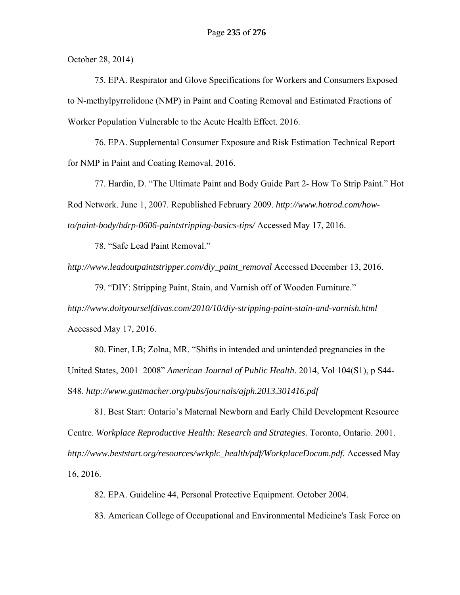October 28, 2014)

75. EPA. Respirator and Glove Specifications for Workers and Consumers Exposed to N-methylpyrrolidone (NMP) in Paint and Coating Removal and Estimated Fractions of Worker Population Vulnerable to the Acute Health Effect. 2016.

76. EPA. Supplemental Consumer Exposure and Risk Estimation Technical Report for NMP in Paint and Coating Removal. 2016.

77. Hardin, D. "The Ultimate Paint and Body Guide Part 2- How To Strip Paint." Hot Rod Network. June 1, 2007. Republished February 2009. *http://www.hotrod.com/howto/paint-body/hdrp-0606-paintstripping-basics-tips/* Accessed May 17, 2016.

78. "Safe Lead Paint Removal."

*http://www.leadoutpaintstripper.com/diy\_paint\_removal* Accessed December 13, 2016.

79. "DIY: Stripping Paint, Stain, and Varnish off of Wooden Furniture." *http://www.doityourselfdivas.com/2010/10/diy-stripping-paint-stain-and-varnish.html*  Accessed May 17, 2016.

80. Finer, LB; Zolna, MR. "Shifts in intended and unintended pregnancies in the United States, 2001–2008" *American Journal of Public Health*. 2014, Vol 104(S1), p S44- S48. *http://www.guttmacher.org/pubs/journals/ajph.2013.301416.pdf*

81. Best Start: Ontario's Maternal Newborn and Early Child Development Resource Centre. *Workplace Reproductive Health: Research and Strategies.* Toronto, Ontario. 2001. *http://www.beststart.org/resources/wrkplc\_health/pdf/WorkplaceDocum.pdf.* Accessed May 16, 2016.

82. EPA. Guideline 44, Personal Protective Equipment. October 2004.

83. American College of Occupational and Environmental Medicine's Task Force on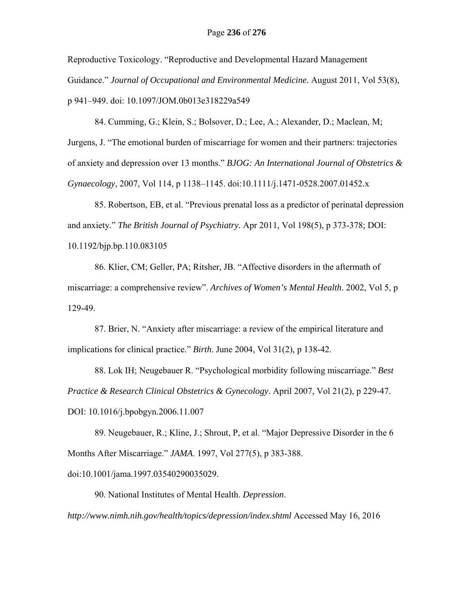Reproductive Toxicology. "Reproductive and Developmental Hazard Management Guidance." *Journal of Occupational and Environmental Medicine.* August 2011, Vol 53(8), p 941–949. doi: 10.1097/JOM.0b013e318229a549

84. Cumming, G.; Klein, S.; Bolsover, D.; Lee, A.; Alexander, D.; Maclean, M; Jurgens, J. "The emotional burden of miscarriage for women and their partners: trajectories of anxiety and depression over 13 months." *BJOG: An International Journal of Obstetrics & Gynaecology*, 2007, Vol 114, p 1138–1145. doi:10.1111/j.1471-0528.2007.01452.x

85. Robertson, EB, et al. "Previous prenatal loss as a predictor of perinatal depression and anxiety." *The British Journal of Psychiatry.* Apr 2011, Vol 198(5), p 373-378; DOI: 10.1192/bjp.bp.110.083105

86. Klier, CM; Geller, PA; Ritsher, JB. "Affective disorders in the aftermath of miscarriage: a comprehensive review". *Archives of Women's Mental Health*. 2002, Vol 5, p 129-49.

87. Brier, N. "Anxiety after miscarriage: a review of the empirical literature and implications for clinical practice." *Birth*. June 2004, Vol 31(2), p 138-42.

88. Lok IH; Neugebauer R. "Psychological morbidity following miscarriage." *Best Practice & Research Clinical Obstetrics & Gynecology*. April 2007, Vol 21(2), p 229-47. DOI: 10.1016/j.bpobgyn.2006.11.007

89. Neugebauer, R.; Kline, J.; Shrout, P, et al. "Major Depressive Disorder in the 6 Months After Miscarriage." *JAMA*. 1997, Vol 277(5), p 383-388.

doi:10.1001/jama.1997.03540290035029.

90. National Institutes of Mental Health. *Depression*.

*http://www.nimh.nih.gov/health/topics/depression/index.shtml* Accessed May 16, 2016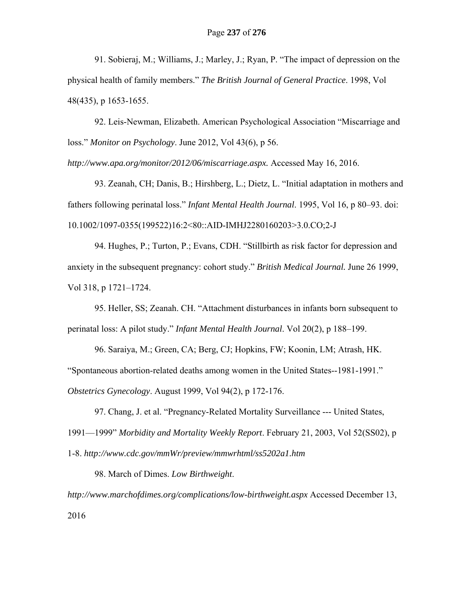91. Sobieraj, M.; Williams, J.; Marley, J.; Ryan, P. "The impact of depression on the physical health of family members." *The British Journal of General Practice*. 1998, Vol 48(435), p 1653-1655.

92. Leis-Newman, Elizabeth. American Psychological Association "Miscarriage and loss." *Monitor on Psychology*. June 2012, Vol 43(6), p 56.

*http://www.apa.org/monitor/2012/06/miscarriage.aspx.* Accessed May 16, 2016.

93. Zeanah, CH; Danis, B.; Hirshberg, L.; Dietz, L. "Initial adaptation in mothers and fathers following perinatal loss." *Infant Mental Health Journal*. 1995, Vol 16, p 80–93. doi: 10.1002/1097-0355(199522)16:2<80::AID-IMHJ2280160203>3.0.CO;2-J

94. Hughes, P.; Turton, P.; Evans, CDH. "Stillbirth as risk factor for depression and anxiety in the subsequent pregnancy: cohort study." *British Medical Journal.* June 26 1999, Vol 318, p 1721–1724.

95. Heller, SS; Zeanah. CH. "Attachment disturbances in infants born subsequent to perinatal loss: A pilot study." *Infant Mental Health Journal*. Vol 20(2), p 188–199.

96. Saraiya, M.; Green, CA; Berg, CJ; Hopkins, FW; Koonin, LM; Atrash, HK. "Spontaneous abortion-related deaths among women in the United States--1981-1991." *Obstetrics Gynecology*. August 1999, Vol 94(2), p 172-176.

97. Chang, J. et al. "Pregnancy-Related Mortality Surveillance --- United States,

1991—1999" *Morbidity and Mortality Weekly Report*. February 21, 2003, Vol 52(SS02), p

1-8. *http://www.cdc.gov/mmWr/preview/mmwrhtml/ss5202a1.htm*

98. March of Dimes. *Low Birthweight*.

*http://www.marchofdimes.org/complications/low-birthweight.aspx* Accessed December 13, 2016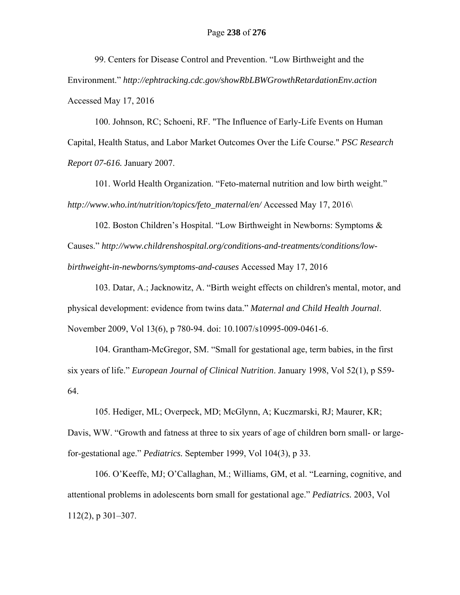99. Centers for Disease Control and Prevention. "Low Birthweight and the Environment." *http://ephtracking.cdc.gov/showRbLBWGrowthRetardationEnv.action*  Accessed May 17, 2016

100. Johnson, RC; Schoeni, RF. "The Influence of Early-Life Events on Human Capital, Health Status, and Labor Market Outcomes Over the Life Course." *PSC Research Report 07-616.* January 2007.

101. World Health Organization. "Feto-maternal nutrition and low birth weight." *http://www.who.int/nutrition/topics/feto\_maternal/en/* Accessed May 17, 2016\

102. Boston Children's Hospital. "Low Birthweight in Newborns: Symptoms & Causes." *http://www.childrenshospital.org/conditions-and-treatments/conditions/lowbirthweight-in-newborns/symptoms-and-causes* Accessed May 17, 2016

103. Datar, A.; Jacknowitz, A. "Birth weight effects on children's mental, motor, and physical development: evidence from twins data." *Maternal and Child Health Journal*. November 2009, Vol 13(6), p 780-94. doi: 10.1007/s10995-009-0461-6.

104. Grantham-McGregor, SM. "Small for gestational age, term babies, in the first six years of life." *European Journal of Clinical Nutrition*. January 1998, Vol 52(1), p S59- 64.

105. Hediger, ML; Overpeck, MD; McGlynn, A; Kuczmarski, RJ; Maurer, KR; Davis, WW. "Growth and fatness at three to six years of age of children born small- or largefor-gestational age." *Pediatrics.* September 1999, Vol 104(3), p 33.

106. O'Keeffe, MJ; O'Callaghan, M.; Williams, GM, et al. "Learning, cognitive, and attentional problems in adolescents born small for gestational age." *Pediatrics.* 2003, Vol 112(2), p 301–307.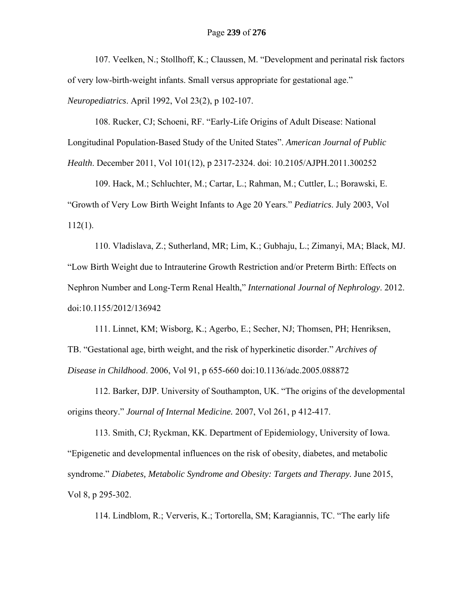107. Veelken, N.; Stollhoff, K.; Claussen, M. "Development and perinatal risk factors of very low-birth-weight infants. Small versus appropriate for gestational age." *Neuropediatrics*. April 1992, Vol 23(2), p 102-107.

108. Rucker, CJ; Schoeni, RF. "Early-Life Origins of Adult Disease: National Longitudinal Population-Based Study of the United States". *American Journal of Public Health*. December 2011, Vol 101(12), p 2317-2324. doi: 10.2105/AJPH.2011.300252

109. Hack, M.; Schluchter, M.; Cartar, L.; Rahman, M.; Cuttler, L.; Borawski, E. "Growth of Very Low Birth Weight Infants to Age 20 Years." *Pediatrics*. July 2003, Vol 112(1).

110. Vladislava, Z.; Sutherland, MR; Lim, K.; Gubhaju, L.; Zimanyi, MA; Black, MJ. "Low Birth Weight due to Intrauterine Growth Restriction and/or Preterm Birth: Effects on Nephron Number and Long-Term Renal Health," *International Journal of Nephrology*. 2012. doi:10.1155/2012/136942

111. Linnet, KM; Wisborg, K.; Agerbo, E.; Secher, NJ; Thomsen, PH; Henriksen, TB. "Gestational age, birth weight, and the risk of hyperkinetic disorder." *Archives of Disease in Childhood*. 2006, Vol 91, p 655-660 doi:10.1136/adc.2005.088872

112. Barker, DJP. University of Southampton, UK. "The origins of the developmental origins theory." *Journal of Internal Medicine.* 2007, Vol 261, p 412-417.

113. Smith, CJ; Ryckman, KK. Department of Epidemiology, University of Iowa. "Epigenetic and developmental influences on the risk of obesity, diabetes, and metabolic syndrome." *Diabetes, Metabolic Syndrome and Obesity: Targets and Therapy.* June 2015, Vol 8, p 295-302.

114. Lindblom, R.; Ververis, K.; Tortorella, SM; Karagiannis, TC. "The early life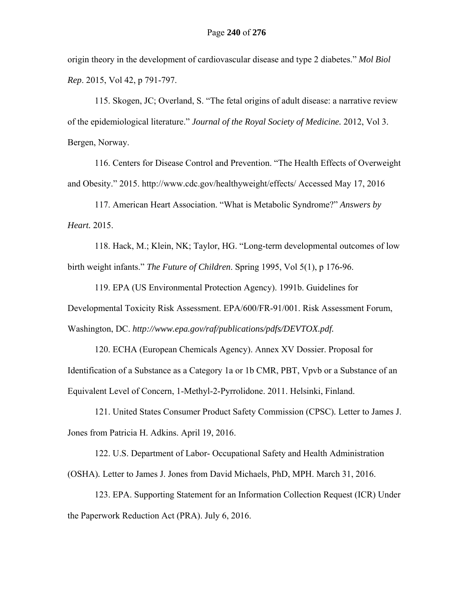origin theory in the development of cardiovascular disease and type 2 diabetes." *Mol Biol Rep*. 2015, Vol 42, p 791-797.

115. Skogen, JC; Overland, S. "The fetal origins of adult disease: a narrative review of the epidemiological literature." *Journal of the Royal Society of Medicine.* 2012, Vol 3. Bergen, Norway.

116. Centers for Disease Control and Prevention. "The Health Effects of Overweight and Obesity." 2015. http://www.cdc.gov/healthyweight/effects/ Accessed May 17, 2016

117. American Heart Association. "What is Metabolic Syndrome?" *Answers by Heart.* 2015.

118. Hack, M.; Klein, NK; Taylor, HG. "Long-term developmental outcomes of low birth weight infants." *The Future of Children*. Spring 1995, Vol 5(1), p 176-96.

119. EPA (US Environmental Protection Agency). 1991b. Guidelines for Developmental Toxicity Risk Assessment. EPA/600/FR-91/001. Risk Assessment Forum, Washington, DC. *http://www.epa.gov/raf/publications/pdfs/DEVTOX.pdf.*

120. ECHA (European Chemicals Agency). Annex XV Dossier. Proposal for Identification of a Substance as a Category 1a or 1b CMR, PBT, Vpvb or a Substance of an Equivalent Level of Concern, 1-Methyl-2-Pyrrolidone. 2011. Helsinki, Finland.

121. United States Consumer Product Safety Commission (CPSC)*.* Letter to James J. Jones from Patricia H. Adkins. April 19, 2016.

122. U.S. Department of Labor- Occupational Safety and Health Administration (OSHA)*.* Letter to James J. Jones from David Michaels, PhD, MPH. March 31, 2016.

123. EPA. Supporting Statement for an Information Collection Request (ICR) Under the Paperwork Reduction Act (PRA). July 6, 2016.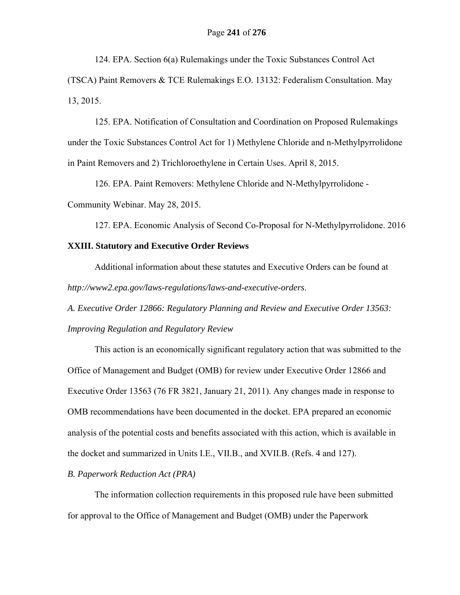124. EPA. Section 6(a) Rulemakings under the Toxic Substances Control Act (TSCA) Paint Removers & TCE Rulemakings E.O. 13132: Federalism Consultation. May 13, 2015.

125. EPA. Notification of Consultation and Coordination on Proposed Rulemakings under the Toxic Substances Control Act for 1) Methylene Chloride and n-Methylpyrrolidone in Paint Removers and 2) Trichloroethylene in Certain Uses. April 8, 2015.

126. EPA. Paint Removers: Methylene Chloride and N-Methylpyrrolidone - Community Webinar. May 28, 2015.

127. EPA. Economic Analysis of Second Co-Proposal for N-Methylpyrrolidone. 2016

## **XXIII. Statutory and Executive Order Reviews**

 Additional information about these statutes and Executive Orders can be found at *http://www2.epa.gov/laws-regulations/laws-and-executive-orders*.

*A. Executive Order 12866: Regulatory Planning and Review and Executive Order 13563: Improving Regulation and Regulatory Review* 

This action is an economically significant regulatory action that was submitted to the Office of Management and Budget (OMB) for review under Executive Order 12866 and Executive Order 13563 (76 FR 3821, January 21, 2011). Any changes made in response to OMB recommendations have been documented in the docket. EPA prepared an economic analysis of the potential costs and benefits associated with this action, which is available in the docket and summarized in Units I.E., VII.B., and XVII.B. (Refs. 4 and 127).

#### *B. Paperwork Reduction Act (PRA)*

The information collection requirements in this proposed rule have been submitted for approval to the Office of Management and Budget (OMB) under the Paperwork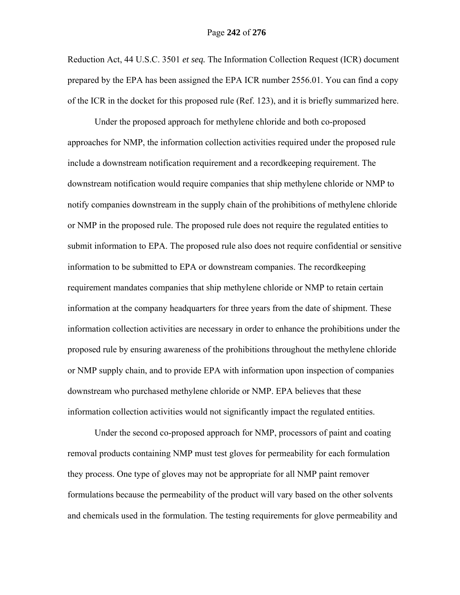#### Page **242** of **276**

Reduction Act, 44 U.S.C. 3501 *et seq.* The Information Collection Request (ICR) document prepared by the EPA has been assigned the EPA ICR number 2556.01. You can find a copy of the ICR in the docket for this proposed rule (Ref. 123), and it is briefly summarized here.

 Under the proposed approach for methylene chloride and both co-proposed approaches for NMP, the information collection activities required under the proposed rule include a downstream notification requirement and a recordkeeping requirement. The downstream notification would require companies that ship methylene chloride or NMP to notify companies downstream in the supply chain of the prohibitions of methylene chloride or NMP in the proposed rule. The proposed rule does not require the regulated entities to submit information to EPA. The proposed rule also does not require confidential or sensitive information to be submitted to EPA or downstream companies. The recordkeeping requirement mandates companies that ship methylene chloride or NMP to retain certain information at the company headquarters for three years from the date of shipment. These information collection activities are necessary in order to enhance the prohibitions under the proposed rule by ensuring awareness of the prohibitions throughout the methylene chloride or NMP supply chain, and to provide EPA with information upon inspection of companies downstream who purchased methylene chloride or NMP. EPA believes that these information collection activities would not significantly impact the regulated entities.

Under the second co-proposed approach for NMP, processors of paint and coating removal products containing NMP must test gloves for permeability for each formulation they process. One type of gloves may not be appropriate for all NMP paint remover formulations because the permeability of the product will vary based on the other solvents and chemicals used in the formulation. The testing requirements for glove permeability and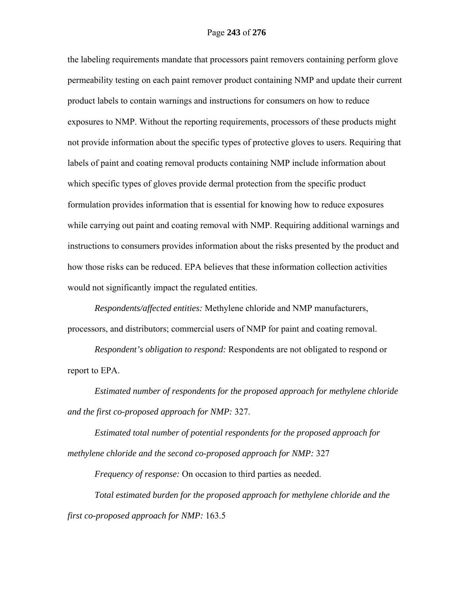the labeling requirements mandate that processors paint removers containing perform glove permeability testing on each paint remover product containing NMP and update their current product labels to contain warnings and instructions for consumers on how to reduce exposures to NMP. Without the reporting requirements, processors of these products might not provide information about the specific types of protective gloves to users. Requiring that labels of paint and coating removal products containing NMP include information about which specific types of gloves provide dermal protection from the specific product formulation provides information that is essential for knowing how to reduce exposures while carrying out paint and coating removal with NMP. Requiring additional warnings and instructions to consumers provides information about the risks presented by the product and how those risks can be reduced. EPA believes that these information collection activities would not significantly impact the regulated entities.

*Respondents/affected entities:* Methylene chloride and NMP manufacturers, processors, and distributors; commercial users of NMP for paint and coating removal.

*Respondent's obligation to respond:* Respondents are not obligated to respond or report to EPA.

*Estimated number of respondents for the proposed approach for methylene chloride and the first co-proposed approach for NMP:* 327.

*Estimated total number of potential respondents for the proposed approach for methylene chloride and the second co-proposed approach for NMP:* 327

*Frequency of response:* On occasion to third parties as needed.

*Total estimated burden for the proposed approach for methylene chloride and the first co-proposed approach for NMP:* 163.5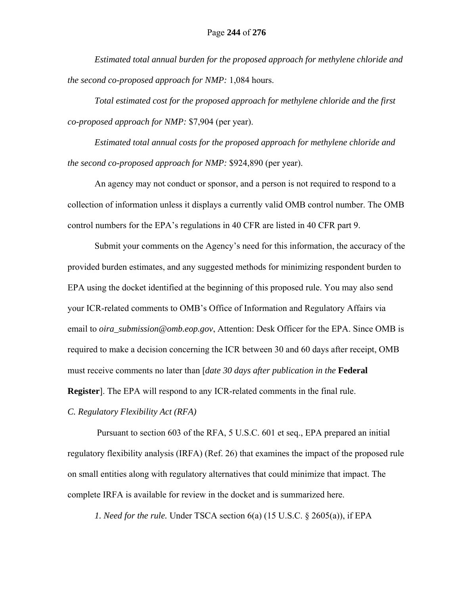*Estimated total annual burden for the proposed approach for methylene chloride and the second co-proposed approach for NMP:* 1,084 hours.

*Total estimated cost for the proposed approach for methylene chloride and the first co-proposed approach for NMP:* \$7,904 (per year).

*Estimated total annual costs for the proposed approach for methylene chloride and the second co-proposed approach for NMP:* \$924,890 (per year).

An agency may not conduct or sponsor, and a person is not required to respond to a collection of information unless it displays a currently valid OMB control number. The OMB control numbers for the EPA's regulations in 40 CFR are listed in 40 CFR part 9.

Submit your comments on the Agency's need for this information, the accuracy of the provided burden estimates, and any suggested methods for minimizing respondent burden to EPA using the docket identified at the beginning of this proposed rule. You may also send your ICR-related comments to OMB's Office of Information and Regulatory Affairs via email to *oira\_submission@omb.eop.gov*, Attention: Desk Officer for the EPA. Since OMB is required to make a decision concerning the ICR between 30 and 60 days after receipt, OMB must receive comments no later than [*date 30 days after publication in the* **Federal Register**]. The EPA will respond to any ICR-related comments in the final rule.

*C. Regulatory Flexibility Act (RFA)* 

 Pursuant to section 603 of the RFA, 5 U.S.C. 601 et seq., EPA prepared an initial regulatory flexibility analysis (IRFA) (Ref. 26) that examines the impact of the proposed rule on small entities along with regulatory alternatives that could minimize that impact. The complete IRFA is available for review in the docket and is summarized here.

*1. Need for the rule.* Under TSCA section 6(a) (15 U.S.C. § 2605(a)), if EPA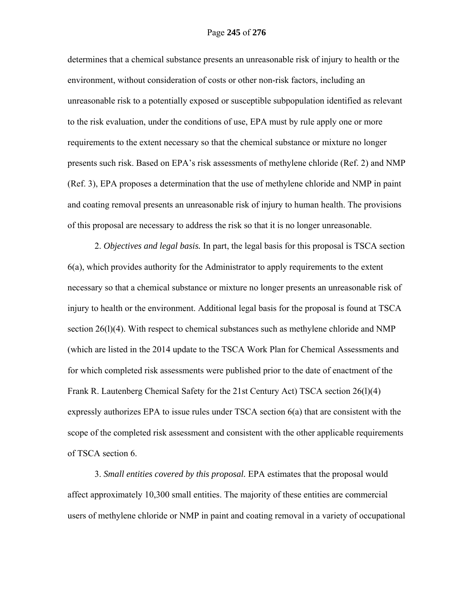determines that a chemical substance presents an unreasonable risk of injury to health or the environment, without consideration of costs or other non-risk factors, including an unreasonable risk to a potentially exposed or susceptible subpopulation identified as relevant to the risk evaluation, under the conditions of use, EPA must by rule apply one or more requirements to the extent necessary so that the chemical substance or mixture no longer presents such risk. Based on EPA's risk assessments of methylene chloride (Ref. 2) and NMP (Ref. 3), EPA proposes a determination that the use of methylene chloride and NMP in paint and coating removal presents an unreasonable risk of injury to human health. The provisions of this proposal are necessary to address the risk so that it is no longer unreasonable.

2. *Objectives and legal basis.* In part, the legal basis for this proposal is TSCA section 6(a), which provides authority for the Administrator to apply requirements to the extent necessary so that a chemical substance or mixture no longer presents an unreasonable risk of injury to health or the environment. Additional legal basis for the proposal is found at TSCA section 26(1)(4). With respect to chemical substances such as methylene chloride and NMP (which are listed in the 2014 update to the TSCA Work Plan for Chemical Assessments and for which completed risk assessments were published prior to the date of enactment of the Frank R. Lautenberg Chemical Safety for the 21st Century Act) TSCA section 26(l)(4) expressly authorizes EPA to issue rules under TSCA section 6(a) that are consistent with the scope of the completed risk assessment and consistent with the other applicable requirements of TSCA section 6.

3. *Small entities covered by this proposal.* EPA estimates that the proposal would affect approximately 10,300 small entities. The majority of these entities are commercial users of methylene chloride or NMP in paint and coating removal in a variety of occupational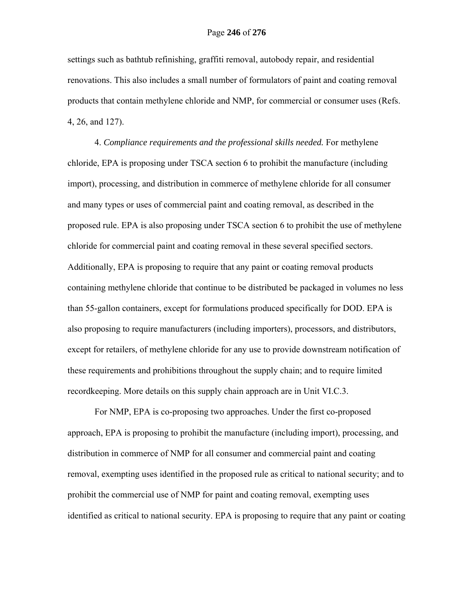settings such as bathtub refinishing, graffiti removal, autobody repair, and residential renovations. This also includes a small number of formulators of paint and coating removal products that contain methylene chloride and NMP, for commercial or consumer uses (Refs. 4, 26, and 127).

4. *Compliance requirements and the professional skills needed.* For methylene chloride, EPA is proposing under TSCA section 6 to prohibit the manufacture (including import), processing, and distribution in commerce of methylene chloride for all consumer and many types or uses of commercial paint and coating removal, as described in the proposed rule. EPA is also proposing under TSCA section 6 to prohibit the use of methylene chloride for commercial paint and coating removal in these several specified sectors. Additionally, EPA is proposing to require that any paint or coating removal products containing methylene chloride that continue to be distributed be packaged in volumes no less than 55-gallon containers, except for formulations produced specifically for DOD. EPA is also proposing to require manufacturers (including importers), processors, and distributors, except for retailers, of methylene chloride for any use to provide downstream notification of these requirements and prohibitions throughout the supply chain; and to require limited recordkeeping. More details on this supply chain approach are in Unit VI.C.3.

For NMP, EPA is co-proposing two approaches. Under the first co-proposed approach, EPA is proposing to prohibit the manufacture (including import), processing, and distribution in commerce of NMP for all consumer and commercial paint and coating removal, exempting uses identified in the proposed rule as critical to national security; and to prohibit the commercial use of NMP for paint and coating removal, exempting uses identified as critical to national security. EPA is proposing to require that any paint or coating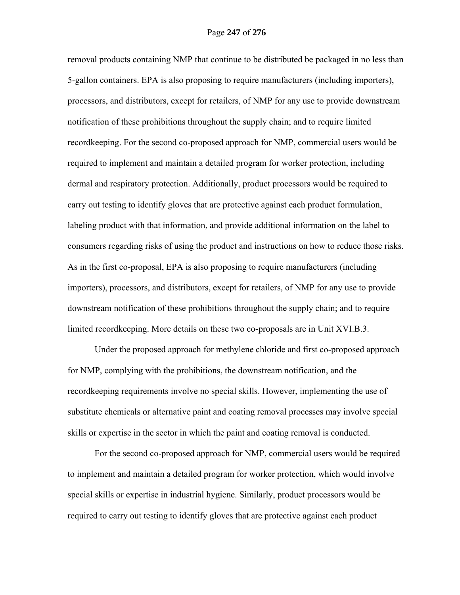removal products containing NMP that continue to be distributed be packaged in no less than 5-gallon containers. EPA is also proposing to require manufacturers (including importers), processors, and distributors, except for retailers, of NMP for any use to provide downstream notification of these prohibitions throughout the supply chain; and to require limited recordkeeping. For the second co-proposed approach for NMP, commercial users would be required to implement and maintain a detailed program for worker protection, including dermal and respiratory protection. Additionally, product processors would be required to carry out testing to identify gloves that are protective against each product formulation, labeling product with that information, and provide additional information on the label to consumers regarding risks of using the product and instructions on how to reduce those risks. As in the first co-proposal, EPA is also proposing to require manufacturers (including importers), processors, and distributors, except for retailers, of NMP for any use to provide downstream notification of these prohibitions throughout the supply chain; and to require limited recordkeeping. More details on these two co-proposals are in Unit XVI.B.3.

Under the proposed approach for methylene chloride and first co-proposed approach for NMP, complying with the prohibitions, the downstream notification, and the recordkeeping requirements involve no special skills. However, implementing the use of substitute chemicals or alternative paint and coating removal processes may involve special skills or expertise in the sector in which the paint and coating removal is conducted.

For the second co-proposed approach for NMP, commercial users would be required to implement and maintain a detailed program for worker protection, which would involve special skills or expertise in industrial hygiene. Similarly, product processors would be required to carry out testing to identify gloves that are protective against each product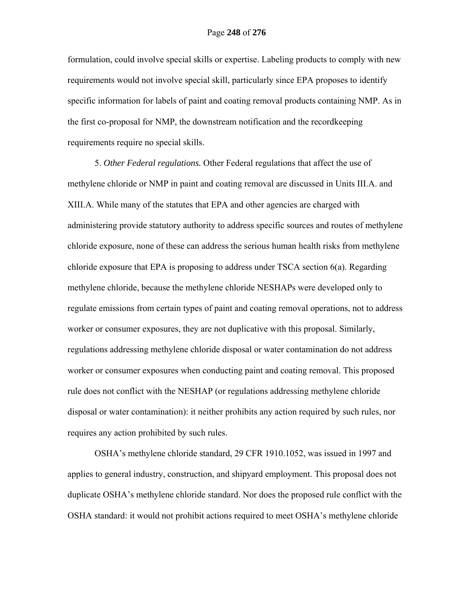formulation, could involve special skills or expertise. Labeling products to comply with new requirements would not involve special skill, particularly since EPA proposes to identify specific information for labels of paint and coating removal products containing NMP. As in the first co-proposal for NMP, the downstream notification and the recordkeeping requirements require no special skills.

5. *Other Federal regulations.* Other Federal regulations that affect the use of methylene chloride or NMP in paint and coating removal are discussed in Units III.A. and XIII.A. While many of the statutes that EPA and other agencies are charged with administering provide statutory authority to address specific sources and routes of methylene chloride exposure, none of these can address the serious human health risks from methylene chloride exposure that EPA is proposing to address under TSCA section 6(a). Regarding methylene chloride, because the methylene chloride NESHAPs were developed only to regulate emissions from certain types of paint and coating removal operations, not to address worker or consumer exposures, they are not duplicative with this proposal. Similarly, regulations addressing methylene chloride disposal or water contamination do not address worker or consumer exposures when conducting paint and coating removal. This proposed rule does not conflict with the NESHAP (or regulations addressing methylene chloride disposal or water contamination): it neither prohibits any action required by such rules, nor requires any action prohibited by such rules.

OSHA's methylene chloride standard, 29 CFR 1910.1052, was issued in 1997 and applies to general industry, construction, and shipyard employment. This proposal does not duplicate OSHA's methylene chloride standard. Nor does the proposed rule conflict with the OSHA standard: it would not prohibit actions required to meet OSHA's methylene chloride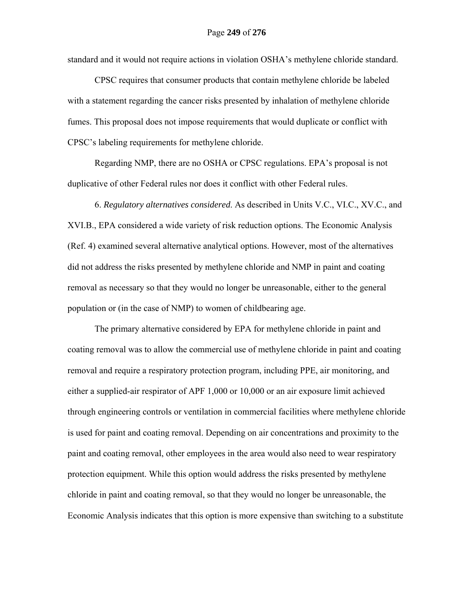standard and it would not require actions in violation OSHA's methylene chloride standard.

CPSC requires that consumer products that contain methylene chloride be labeled with a statement regarding the cancer risks presented by inhalation of methylene chloride fumes. This proposal does not impose requirements that would duplicate or conflict with CPSC's labeling requirements for methylene chloride.

Regarding NMP, there are no OSHA or CPSC regulations. EPA's proposal is not duplicative of other Federal rules nor does it conflict with other Federal rules.

6. *Regulatory alternatives considered*. As described in Units V.C., VI.C., XV.C., and XVI.B., EPA considered a wide variety of risk reduction options. The Economic Analysis (Ref. 4) examined several alternative analytical options. However, most of the alternatives did not address the risks presented by methylene chloride and NMP in paint and coating removal as necessary so that they would no longer be unreasonable, either to the general population or (in the case of NMP) to women of childbearing age.

The primary alternative considered by EPA for methylene chloride in paint and coating removal was to allow the commercial use of methylene chloride in paint and coating removal and require a respiratory protection program, including PPE, air monitoring, and either a supplied-air respirator of APF 1,000 or 10,000 or an air exposure limit achieved through engineering controls or ventilation in commercial facilities where methylene chloride is used for paint and coating removal. Depending on air concentrations and proximity to the paint and coating removal, other employees in the area would also need to wear respiratory protection equipment. While this option would address the risks presented by methylene chloride in paint and coating removal, so that they would no longer be unreasonable, the Economic Analysis indicates that this option is more expensive than switching to a substitute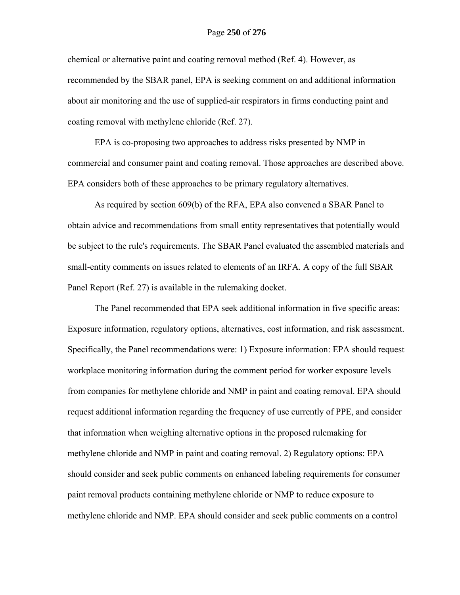#### Page **250** of **276**

chemical or alternative paint and coating removal method (Ref. 4). However, as recommended by the SBAR panel, EPA is seeking comment on and additional information about air monitoring and the use of supplied-air respirators in firms conducting paint and coating removal with methylene chloride (Ref. 27).

EPA is co-proposing two approaches to address risks presented by NMP in commercial and consumer paint and coating removal. Those approaches are described above. EPA considers both of these approaches to be primary regulatory alternatives.

As required by section 609(b) of the RFA, EPA also convened a SBAR Panel to obtain advice and recommendations from small entity representatives that potentially would be subject to the rule's requirements. The SBAR Panel evaluated the assembled materials and small-entity comments on issues related to elements of an IRFA. A copy of the full SBAR Panel Report (Ref. 27) is available in the rulemaking docket.

The Panel recommended that EPA seek additional information in five specific areas: Exposure information, regulatory options, alternatives, cost information, and risk assessment. Specifically, the Panel recommendations were: 1) Exposure information: EPA should request workplace monitoring information during the comment period for worker exposure levels from companies for methylene chloride and NMP in paint and coating removal. EPA should request additional information regarding the frequency of use currently of PPE, and consider that information when weighing alternative options in the proposed rulemaking for methylene chloride and NMP in paint and coating removal. 2) Regulatory options: EPA should consider and seek public comments on enhanced labeling requirements for consumer paint removal products containing methylene chloride or NMP to reduce exposure to methylene chloride and NMP. EPA should consider and seek public comments on a control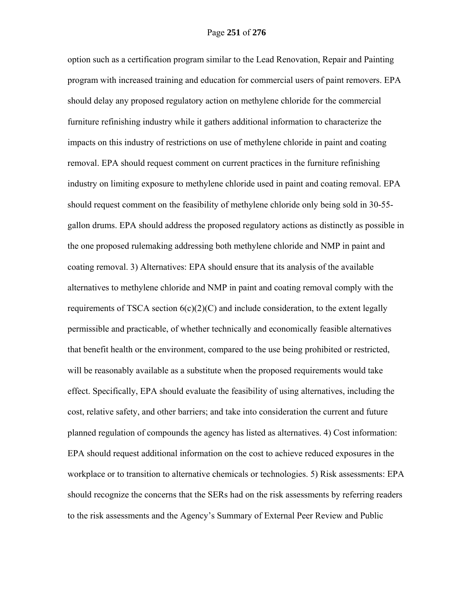option such as a certification program similar to the Lead Renovation, Repair and Painting program with increased training and education for commercial users of paint removers. EPA should delay any proposed regulatory action on methylene chloride for the commercial furniture refinishing industry while it gathers additional information to characterize the impacts on this industry of restrictions on use of methylene chloride in paint and coating removal. EPA should request comment on current practices in the furniture refinishing industry on limiting exposure to methylene chloride used in paint and coating removal. EPA should request comment on the feasibility of methylene chloride only being sold in 30-55 gallon drums. EPA should address the proposed regulatory actions as distinctly as possible in the one proposed rulemaking addressing both methylene chloride and NMP in paint and coating removal. 3) Alternatives: EPA should ensure that its analysis of the available alternatives to methylene chloride and NMP in paint and coating removal comply with the requirements of TSCA section  $6(c)(2)(C)$  and include consideration, to the extent legally permissible and practicable, of whether technically and economically feasible alternatives that benefit health or the environment, compared to the use being prohibited or restricted, will be reasonably available as a substitute when the proposed requirements would take effect. Specifically, EPA should evaluate the feasibility of using alternatives, including the cost, relative safety, and other barriers; and take into consideration the current and future planned regulation of compounds the agency has listed as alternatives. 4) Cost information: EPA should request additional information on the cost to achieve reduced exposures in the workplace or to transition to alternative chemicals or technologies. 5) Risk assessments: EPA should recognize the concerns that the SERs had on the risk assessments by referring readers to the risk assessments and the Agency's Summary of External Peer Review and Public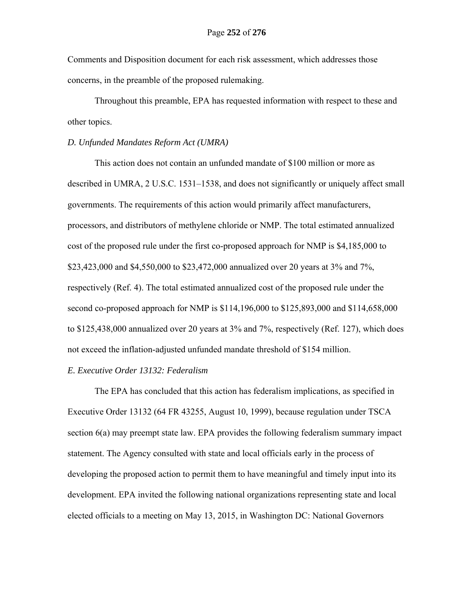Comments and Disposition document for each risk assessment, which addresses those concerns, in the preamble of the proposed rulemaking.

Throughout this preamble, EPA has requested information with respect to these and other topics.

## *D. Unfunded Mandates Reform Act (UMRA)*

This action does not contain an unfunded mandate of \$100 million or more as described in UMRA, 2 U.S.C. 1531–1538, and does not significantly or uniquely affect small governments. The requirements of this action would primarily affect manufacturers, processors, and distributors of methylene chloride or NMP. The total estimated annualized cost of the proposed rule under the first co-proposed approach for NMP is \$4,185,000 to \$23,423,000 and \$4,550,000 to \$23,472,000 annualized over 20 years at 3% and 7%, respectively (Ref. 4). The total estimated annualized cost of the proposed rule under the second co-proposed approach for NMP is \$114,196,000 to \$125,893,000 and \$114,658,000 to \$125,438,000 annualized over 20 years at 3% and 7%, respectively (Ref. 127), which does not exceed the inflation-adjusted unfunded mandate threshold of \$154 million.

#### *E. Executive Order 13132: Federalism*

 The EPA has concluded that this action has federalism implications, as specified in Executive Order 13132 (64 FR 43255, August 10, 1999), because regulation under TSCA section 6(a) may preempt state law. EPA provides the following federalism summary impact statement. The Agency consulted with state and local officials early in the process of developing the proposed action to permit them to have meaningful and timely input into its development. EPA invited the following national organizations representing state and local elected officials to a meeting on May 13, 2015, in Washington DC: National Governors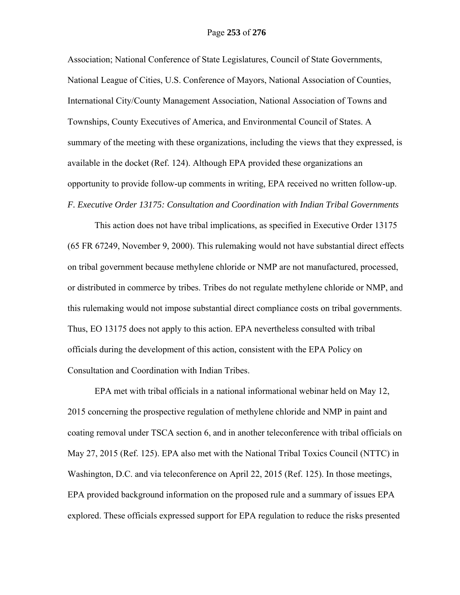Association; National Conference of State Legislatures, Council of State Governments, National League of Cities, U.S. Conference of Mayors, National Association of Counties, International City/County Management Association, National Association of Towns and Townships, County Executives of America, and Environmental Council of States. A summary of the meeting with these organizations, including the views that they expressed, is available in the docket (Ref. 124). Although EPA provided these organizations an opportunity to provide follow-up comments in writing, EPA received no written follow-up. *F. Executive Order 13175: Consultation and Coordination with Indian Tribal Governments* 

 This action does not have tribal implications, as specified in Executive Order 13175 (65 FR 67249, November 9, 2000). This rulemaking would not have substantial direct effects on tribal government because methylene chloride or NMP are not manufactured, processed, or distributed in commerce by tribes. Tribes do not regulate methylene chloride or NMP, and this rulemaking would not impose substantial direct compliance costs on tribal governments. Thus, EO 13175 does not apply to this action. EPA nevertheless consulted with tribal officials during the development of this action, consistent with the EPA Policy on Consultation and Coordination with Indian Tribes.

EPA met with tribal officials in a national informational webinar held on May 12, 2015 concerning the prospective regulation of methylene chloride and NMP in paint and coating removal under TSCA section 6, and in another teleconference with tribal officials on May 27, 2015 (Ref. 125). EPA also met with the National Tribal Toxics Council (NTTC) in Washington, D.C. and via teleconference on April 22, 2015 (Ref. 125). In those meetings, EPA provided background information on the proposed rule and a summary of issues EPA explored. These officials expressed support for EPA regulation to reduce the risks presented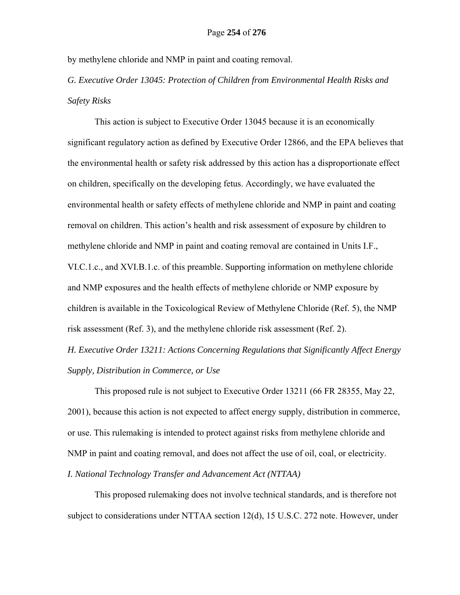by methylene chloride and NMP in paint and coating removal.

*G. Executive Order 13045: Protection of Children from Environmental Health Risks and Safety Risks* 

This action is subject to Executive Order 13045 because it is an economically significant regulatory action as defined by Executive Order 12866, and the EPA believes that the environmental health or safety risk addressed by this action has a disproportionate effect on children, specifically on the developing fetus. Accordingly, we have evaluated the environmental health or safety effects of methylene chloride and NMP in paint and coating removal on children. This action's health and risk assessment of exposure by children to methylene chloride and NMP in paint and coating removal are contained in Units I.F., VI.C.1.c., and XVI.B.1.c. of this preamble. Supporting information on methylene chloride and NMP exposures and the health effects of methylene chloride or NMP exposure by children is available in the Toxicological Review of Methylene Chloride (Ref. 5), the NMP risk assessment (Ref. 3), and the methylene chloride risk assessment (Ref. 2).

*H. Executive Order 13211: Actions Concerning Regulations that Significantly Affect Energy Supply, Distribution in Commerce, or Use* 

 This proposed rule is not subject to Executive Order 13211 (66 FR 28355, May 22, 2001), because this action is not expected to affect energy supply, distribution in commerce, or use. This rulemaking is intended to protect against risks from methylene chloride and NMP in paint and coating removal, and does not affect the use of oil, coal, or electricity. *I. National Technology Transfer and Advancement Act (NTTAA)* 

 This proposed rulemaking does not involve technical standards, and is therefore not subject to considerations under NTTAA section 12(d), 15 U.S.C. 272 note. However, under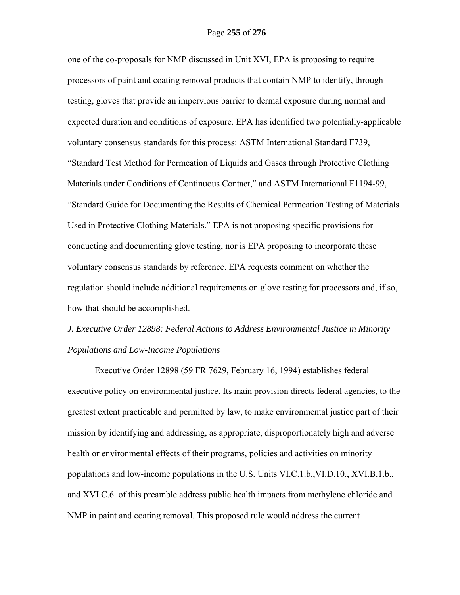one of the co-proposals for NMP discussed in Unit XVI, EPA is proposing to require processors of paint and coating removal products that contain NMP to identify, through testing, gloves that provide an impervious barrier to dermal exposure during normal and expected duration and conditions of exposure. EPA has identified two potentially-applicable voluntary consensus standards for this process: ASTM International Standard F739, "Standard Test Method for Permeation of Liquids and Gases through Protective Clothing Materials under Conditions of Continuous Contact," and ASTM International F1194-99, "Standard Guide for Documenting the Results of Chemical Permeation Testing of Materials Used in Protective Clothing Materials." EPA is not proposing specific provisions for conducting and documenting glove testing, nor is EPA proposing to incorporate these voluntary consensus standards by reference. EPA requests comment on whether the regulation should include additional requirements on glove testing for processors and, if so, how that should be accomplished.

# *J. Executive Order 12898: Federal Actions to Address Environmental Justice in Minority Populations and Low-Income Populations*

Executive Order 12898 (59 FR 7629, February 16, 1994) establishes federal executive policy on environmental justice. Its main provision directs federal agencies, to the greatest extent practicable and permitted by law, to make environmental justice part of their mission by identifying and addressing, as appropriate, disproportionately high and adverse health or environmental effects of their programs, policies and activities on minority populations and low-income populations in the U.S. Units VI.C.1.b.,VI.D.10., XVI.B.1.b., and XVI.C.6. of this preamble address public health impacts from methylene chloride and NMP in paint and coating removal. This proposed rule would address the current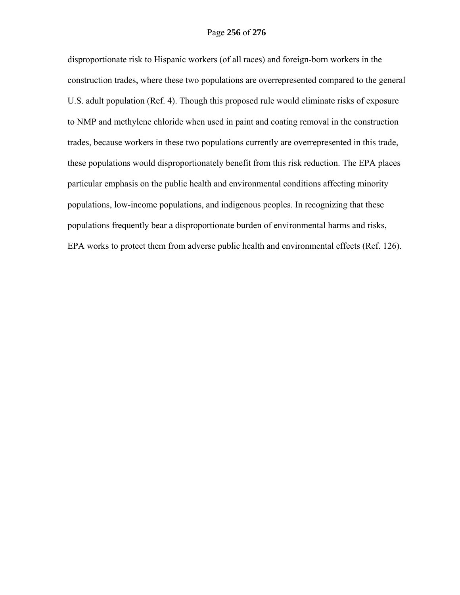disproportionate risk to Hispanic workers (of all races) and foreign-born workers in the construction trades, where these two populations are overrepresented compared to the general U.S. adult population (Ref. 4). Though this proposed rule would eliminate risks of exposure to NMP and methylene chloride when used in paint and coating removal in the construction trades, because workers in these two populations currently are overrepresented in this trade, these populations would disproportionately benefit from this risk reduction. The EPA places particular emphasis on the public health and environmental conditions affecting minority populations, low-income populations, and indigenous peoples. In recognizing that these populations frequently bear a disproportionate burden of environmental harms and risks, EPA works to protect them from adverse public health and environmental effects (Ref. 126).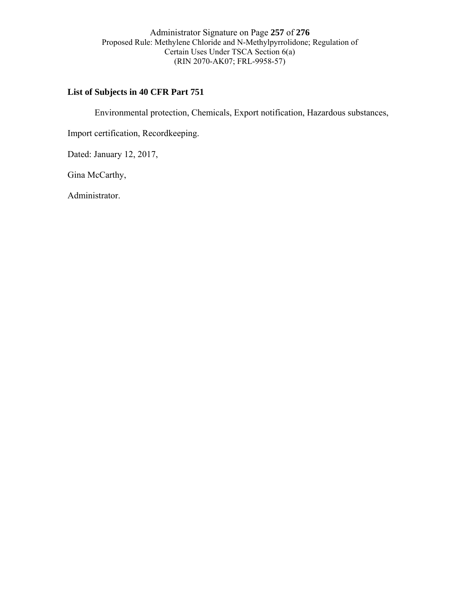Administrator Signature on Page **257** of **276**  Proposed Rule: Methylene Chloride and N-Methylpyrrolidone; Regulation of Certain Uses Under TSCA Section 6(a) (RIN 2070-AK07; FRL-9958-57)

# **List of Subjects in 40 CFR Part 751**

Environmental protection, Chemicals, Export notification, Hazardous substances,

Import certification, Recordkeeping.

Dated: January 12, 2017,

Gina McCarthy,

Administrator.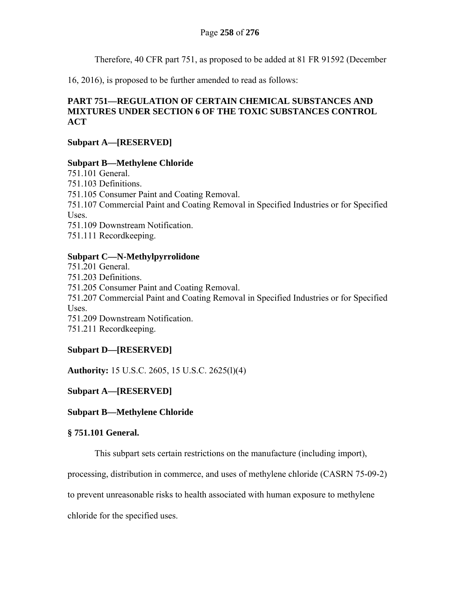Therefore, 40 CFR part 751, as proposed to be added at 81 FR 91592 (December

16, 2016), is proposed to be further amended to read as follows:

# **PART 751—REGULATION OF CERTAIN CHEMICAL SUBSTANCES AND MIXTURES UNDER SECTION 6 OF THE TOXIC SUBSTANCES CONTROL ACT**

# **Subpart A—[RESERVED]**

# **Subpart B—Methylene Chloride**

751.101 General. 751.103 Definitions. 751.105 Consumer Paint and Coating Removal. 751.107 Commercial Paint and Coating Removal in Specified Industries or for Specified Uses. 751.109 Downstream Notification. 751.111 Recordkeeping.

# **Subpart C—N-Methylpyrrolidone**

751.201 General. 751.203 Definitions. 751.205 Consumer Paint and Coating Removal. 751.207 Commercial Paint and Coating Removal in Specified Industries or for Specified Uses. 751.209 Downstream Notification. 751.211 Recordkeeping.

# **Subpart D—[RESERVED]**

**Authority:** 15 U.S.C. 2605, 15 U.S.C. 2625(l)(4)

# **Subpart A—[RESERVED]**

# **Subpart B—Methylene Chloride**

# **§ 751.101 General.**

This subpart sets certain restrictions on the manufacture (including import),

processing, distribution in commerce, and uses of methylene chloride (CASRN 75-09-2)

to prevent unreasonable risks to health associated with human exposure to methylene

chloride for the specified uses.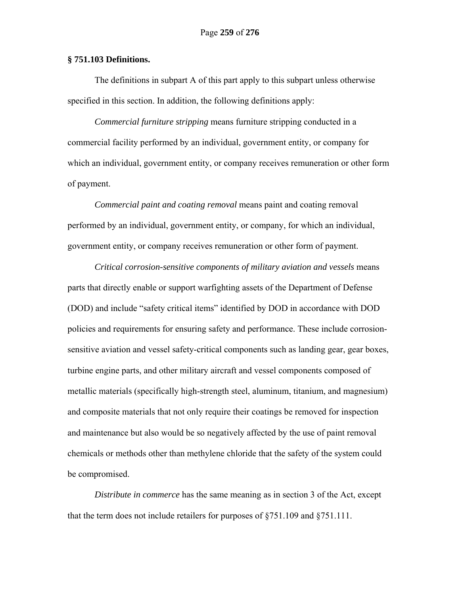## **§ 751.103 Definitions.**

The definitions in subpart A of this part apply to this subpart unless otherwise specified in this section. In addition, the following definitions apply:

*Commercial furniture stripping* means furniture stripping conducted in a commercial facility performed by an individual, government entity, or company for which an individual, government entity, or company receives remuneration or other form of payment.

*Commercial paint and coating removal* means paint and coating removal performed by an individual, government entity, or company, for which an individual, government entity, or company receives remuneration or other form of payment.

*Critical corrosion-sensitive components of military aviation and vessels* means parts that directly enable or support warfighting assets of the Department of Defense (DOD) and include "safety critical items" identified by DOD in accordance with DOD policies and requirements for ensuring safety and performance. These include corrosionsensitive aviation and vessel safety-critical components such as landing gear, gear boxes, turbine engine parts, and other military aircraft and vessel components composed of metallic materials (specifically high-strength steel, aluminum, titanium, and magnesium) and composite materials that not only require their coatings be removed for inspection and maintenance but also would be so negatively affected by the use of paint removal chemicals or methods other than methylene chloride that the safety of the system could be compromised.

*Distribute in commerce* has the same meaning as in section 3 of the Act, except that the term does not include retailers for purposes of  $\S 751.109$  and  $\S 751.111$ .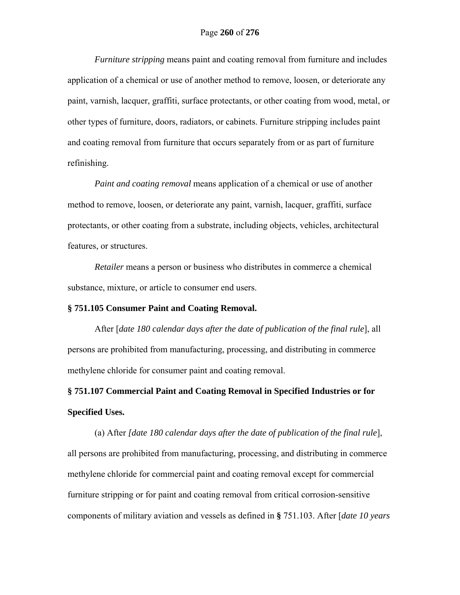*Furniture stripping* means paint and coating removal from furniture and includes application of a chemical or use of another method to remove, loosen, or deteriorate any paint, varnish, lacquer, graffiti, surface protectants, or other coating from wood, metal, or other types of furniture, doors, radiators, or cabinets. Furniture stripping includes paint and coating removal from furniture that occurs separately from or as part of furniture refinishing.

*Paint and coating removal* means application of a chemical or use of another method to remove, loosen, or deteriorate any paint, varnish, lacquer, graffiti, surface protectants, or other coating from a substrate, including objects, vehicles, architectural features, or structures.

*Retailer* means a person or business who distributes in commerce a chemical substance, mixture, or article to consumer end users.

#### **§ 751.105 Consumer Paint and Coating Removal.**

After [*date 180 calendar days after the date of publication of the final rule*], all persons are prohibited from manufacturing, processing, and distributing in commerce methylene chloride for consumer paint and coating removal.

**§ 751.107 Commercial Paint and Coating Removal in Specified Industries or for Specified Uses.**

(a) After *[date 180 calendar days after the date of publication of the final rule*], all persons are prohibited from manufacturing, processing, and distributing in commerce methylene chloride for commercial paint and coating removal except for commercial furniture stripping or for paint and coating removal from critical corrosion-sensitive components of military aviation and vessels as defined in **§** 751.103. After [*date 10 years*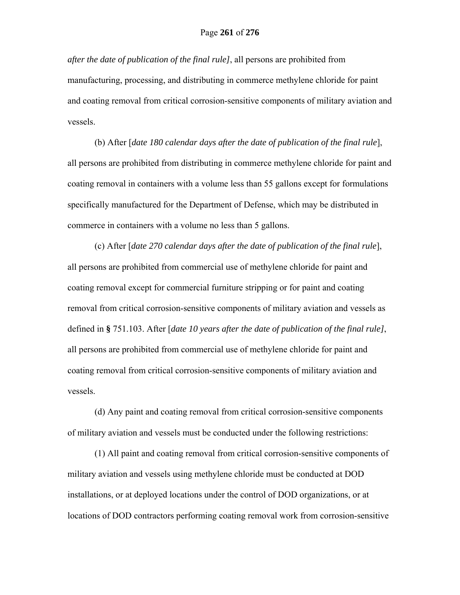*after the date of publication of the final rule]*, all persons are prohibited from manufacturing, processing, and distributing in commerce methylene chloride for paint and coating removal from critical corrosion-sensitive components of military aviation and vessels.

(b) After [*date 180 calendar days after the date of publication of the final rule*], all persons are prohibited from distributing in commerce methylene chloride for paint and coating removal in containers with a volume less than 55 gallons except for formulations specifically manufactured for the Department of Defense, which may be distributed in commerce in containers with a volume no less than 5 gallons.

(c) After [*date 270 calendar days after the date of publication of the final rule*], all persons are prohibited from commercial use of methylene chloride for paint and coating removal except for commercial furniture stripping or for paint and coating removal from critical corrosion-sensitive components of military aviation and vessels as defined in **§** 751.103. After [*date 10 years after the date of publication of the final rule]*, all persons are prohibited from commercial use of methylene chloride for paint and coating removal from critical corrosion-sensitive components of military aviation and vessels.

(d) Any paint and coating removal from critical corrosion-sensitive components of military aviation and vessels must be conducted under the following restrictions:

(1) All paint and coating removal from critical corrosion-sensitive components of military aviation and vessels using methylene chloride must be conducted at DOD installations, or at deployed locations under the control of DOD organizations, or at locations of DOD contractors performing coating removal work from corrosion-sensitive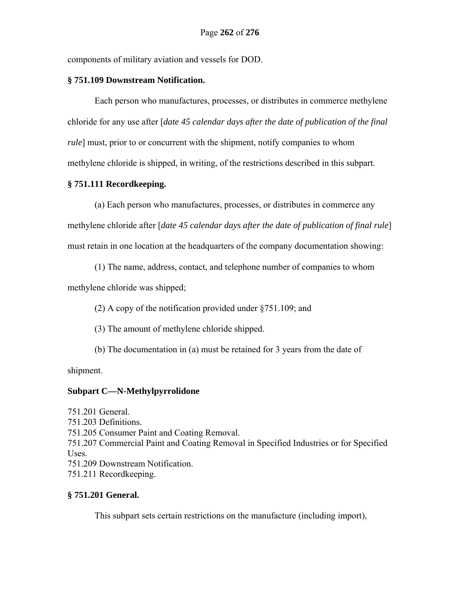components of military aviation and vessels for DOD.

## **§ 751.109 Downstream Notification.**

Each person who manufactures, processes, or distributes in commerce methylene chloride for any use after [*date 45 calendar days after the date of publication of the final rule*] must, prior to or concurrent with the shipment, notify companies to whom methylene chloride is shipped, in writing, of the restrictions described in this subpart.

## **§ 751.111 Recordkeeping.**

(a) Each person who manufactures, processes, or distributes in commerce any methylene chloride after [*date 45 calendar days after the date of publication of final rule*] must retain in one location at the headquarters of the company documentation showing:

(1) The name, address, contact, and telephone number of companies to whom

methylene chloride was shipped;

(2) A copy of the notification provided under §751.109; and

(3) The amount of methylene chloride shipped.

(b) The documentation in (a) must be retained for 3 years from the date of

shipment.

# **Subpart C—N-Methylpyrrolidone**

751.201 General. 751.203 Definitions. 751.205 Consumer Paint and Coating Removal. 751.207 Commercial Paint and Coating Removal in Specified Industries or for Specified Uses. 751.209 Downstream Notification. 751.211 Recordkeeping.

# **§ 751.201 General.**

This subpart sets certain restrictions on the manufacture (including import),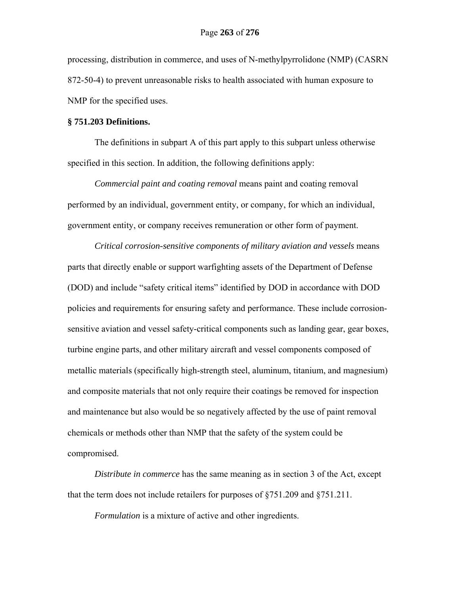processing, distribution in commerce, and uses of N-methylpyrrolidone (NMP) (CASRN 872-50-4) to prevent unreasonable risks to health associated with human exposure to NMP for the specified uses.

## **§ 751.203 Definitions.**

The definitions in subpart A of this part apply to this subpart unless otherwise specified in this section. In addition, the following definitions apply:

*Commercial paint and coating removal* means paint and coating removal performed by an individual, government entity, or company, for which an individual, government entity, or company receives remuneration or other form of payment.

*Critical corrosion-sensitive components of military aviation and vessels* means parts that directly enable or support warfighting assets of the Department of Defense (DOD) and include "safety critical items" identified by DOD in accordance with DOD policies and requirements for ensuring safety and performance. These include corrosionsensitive aviation and vessel safety-critical components such as landing gear, gear boxes, turbine engine parts, and other military aircraft and vessel components composed of metallic materials (specifically high-strength steel, aluminum, titanium, and magnesium) and composite materials that not only require their coatings be removed for inspection and maintenance but also would be so negatively affected by the use of paint removal chemicals or methods other than NMP that the safety of the system could be compromised.

*Distribute in commerce* has the same meaning as in section 3 of the Act, except that the term does not include retailers for purposes of §751.209 and §751.211.

*Formulation* is a mixture of active and other ingredients.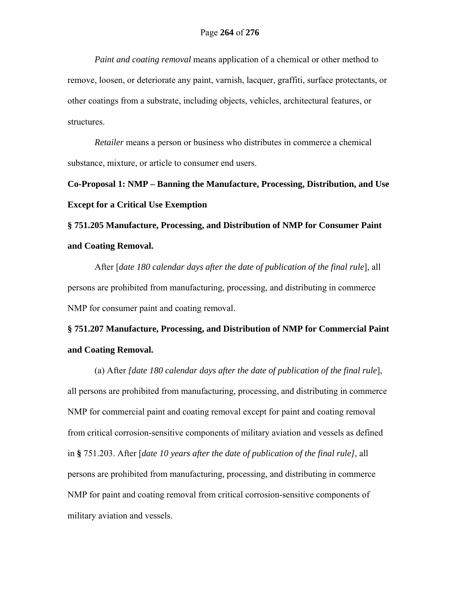*Paint and coating removal* means application of a chemical or other method to remove, loosen, or deteriorate any paint, varnish, lacquer, graffiti, surface protectants, or other coatings from a substrate, including objects, vehicles, architectural features, or structures.

*Retailer* means a person or business who distributes in commerce a chemical substance, mixture, or article to consumer end users.

**Co-Proposal 1: NMP – Banning the Manufacture, Processing, Distribution, and Use Except for a Critical Use Exemption**

**§ 751.205 Manufacture, Processing, and Distribution of NMP for Consumer Paint and Coating Removal.**

After [*date 180 calendar days after the date of publication of the final rule*], all persons are prohibited from manufacturing, processing, and distributing in commerce NMP for consumer paint and coating removal.

# **§ 751.207 Manufacture, Processing, and Distribution of NMP for Commercial Paint and Coating Removal.**

(a) After *[date 180 calendar days after the date of publication of the final rule*], all persons are prohibited from manufacturing, processing, and distributing in commerce NMP for commercial paint and coating removal except for paint and coating removal from critical corrosion-sensitive components of military aviation and vessels as defined in **§** 751.203. After [*date 10 years after the date of publication of the final rule]*, all persons are prohibited from manufacturing, processing, and distributing in commerce NMP for paint and coating removal from critical corrosion-sensitive components of military aviation and vessels.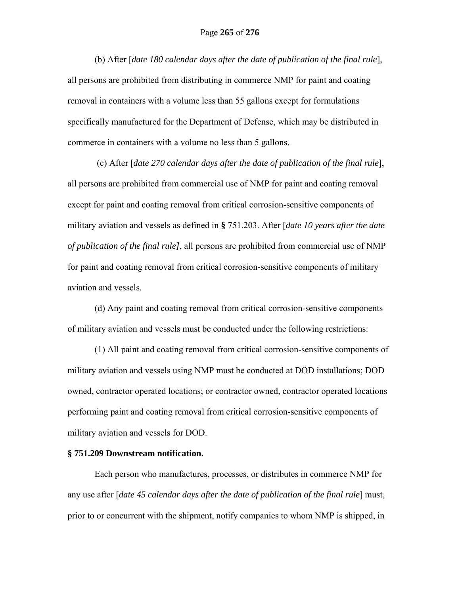(b) After [*date 180 calendar days after the date of publication of the final rule*], all persons are prohibited from distributing in commerce NMP for paint and coating removal in containers with a volume less than 55 gallons except for formulations specifically manufactured for the Department of Defense, which may be distributed in commerce in containers with a volume no less than 5 gallons.

 (c) After [*date 270 calendar days after the date of publication of the final rule*], all persons are prohibited from commercial use of NMP for paint and coating removal except for paint and coating removal from critical corrosion-sensitive components of military aviation and vessels as defined in **§** 751.203. After [*date 10 years after the date of publication of the final rule]*, all persons are prohibited from commercial use of NMP for paint and coating removal from critical corrosion-sensitive components of military aviation and vessels.

(d) Any paint and coating removal from critical corrosion-sensitive components of military aviation and vessels must be conducted under the following restrictions:

(1) All paint and coating removal from critical corrosion-sensitive components of military aviation and vessels using NMP must be conducted at DOD installations; DOD owned, contractor operated locations; or contractor owned, contractor operated locations performing paint and coating removal from critical corrosion-sensitive components of military aviation and vessels for DOD.

## **§ 751.209 Downstream notification.**

Each person who manufactures, processes, or distributes in commerce NMP for any use after [*date 45 calendar days after the date of publication of the final rule*] must, prior to or concurrent with the shipment, notify companies to whom NMP is shipped, in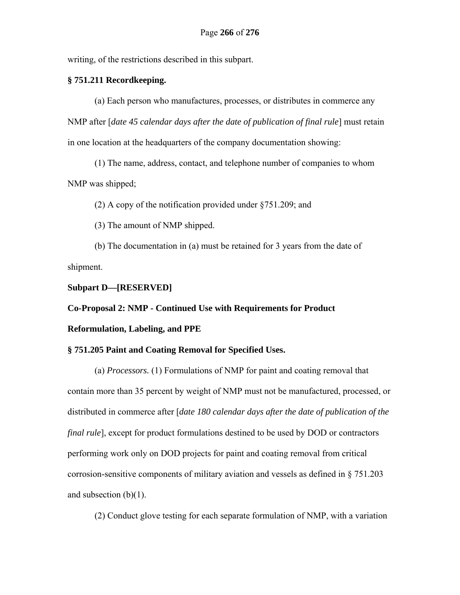writing, of the restrictions described in this subpart.

## **§ 751.211 Recordkeeping.**

(a) Each person who manufactures, processes, or distributes in commerce any NMP after [*date 45 calendar days after the date of publication of final rule*] must retain in one location at the headquarters of the company documentation showing:

(1) The name, address, contact, and telephone number of companies to whom NMP was shipped;

(2) A copy of the notification provided under §751.209; and

(3) The amount of NMP shipped.

(b) The documentation in (a) must be retained for 3 years from the date of shipment.

## **Subpart D—[RESERVED]**

**Co-Proposal 2: NMP - Continued Use with Requirements for Product** 

## **Reformulation, Labeling, and PPE**

## **§ 751.205 Paint and Coating Removal for Specified Uses.**

(a) *Processors.* (1) Formulations of NMP for paint and coating removal that contain more than 35 percent by weight of NMP must not be manufactured, processed, or distributed in commerce after [*date 180 calendar days after the date of publication of the final rule*], except for product formulations destined to be used by DOD or contractors performing work only on DOD projects for paint and coating removal from critical corrosion-sensitive components of military aviation and vessels as defined in § 751.203 and subsection (b)(1).

(2) Conduct glove testing for each separate formulation of NMP, with a variation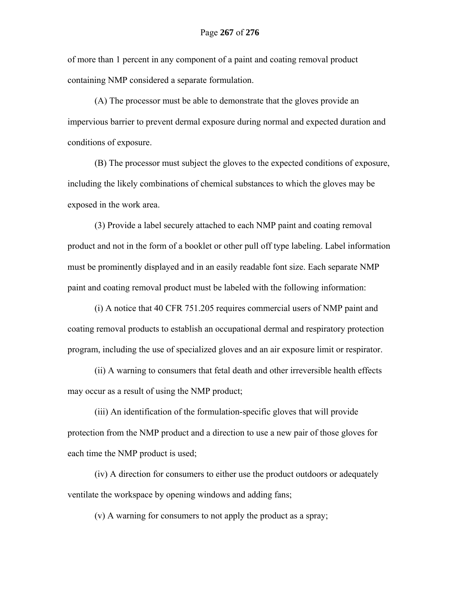of more than 1 percent in any component of a paint and coating removal product containing NMP considered a separate formulation.

(A) The processor must be able to demonstrate that the gloves provide an impervious barrier to prevent dermal exposure during normal and expected duration and conditions of exposure.

(B) The processor must subject the gloves to the expected conditions of exposure, including the likely combinations of chemical substances to which the gloves may be exposed in the work area.

(3) Provide a label securely attached to each NMP paint and coating removal product and not in the form of a booklet or other pull off type labeling. Label information must be prominently displayed and in an easily readable font size. Each separate NMP paint and coating removal product must be labeled with the following information:

(i) A notice that 40 CFR 751.205 requires commercial users of NMP paint and coating removal products to establish an occupational dermal and respiratory protection program, including the use of specialized gloves and an air exposure limit or respirator.

(ii) A warning to consumers that fetal death and other irreversible health effects may occur as a result of using the NMP product;

(iii) An identification of the formulation-specific gloves that will provide protection from the NMP product and a direction to use a new pair of those gloves for each time the NMP product is used;

(iv) A direction for consumers to either use the product outdoors or adequately ventilate the workspace by opening windows and adding fans;

(v) A warning for consumers to not apply the product as a spray;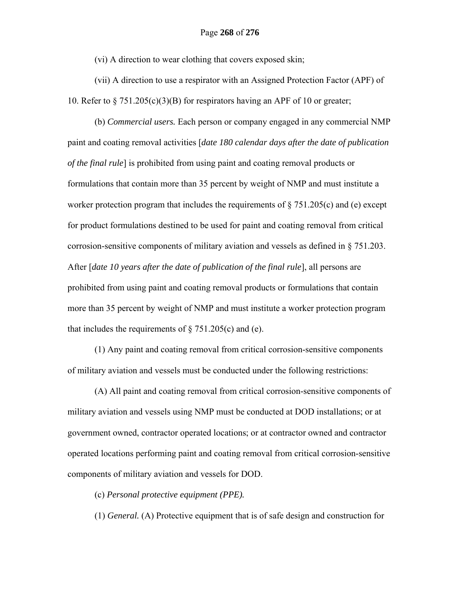(vi) A direction to wear clothing that covers exposed skin;

(vii) A direction to use a respirator with an Assigned Protection Factor (APF) of 10. Refer to  $\S 751.205(c)(3)(B)$  for respirators having an APF of 10 or greater;

(b) *Commercial users.* Each person or company engaged in any commercial NMP paint and coating removal activities [*date 180 calendar days after the date of publication of the final rule*] is prohibited from using paint and coating removal products or formulations that contain more than 35 percent by weight of NMP and must institute a worker protection program that includes the requirements of  $\S 751.205(c)$  and (e) except for product formulations destined to be used for paint and coating removal from critical corrosion-sensitive components of military aviation and vessels as defined in § 751.203. After [*date 10 years after the date of publication of the final rule*], all persons are prohibited from using paint and coating removal products or formulations that contain more than 35 percent by weight of NMP and must institute a worker protection program that includes the requirements of  $\S 751.205(c)$  and (e).

(1) Any paint and coating removal from critical corrosion-sensitive components of military aviation and vessels must be conducted under the following restrictions:

(A) All paint and coating removal from critical corrosion-sensitive components of military aviation and vessels using NMP must be conducted at DOD installations; or at government owned, contractor operated locations; or at contractor owned and contractor operated locations performing paint and coating removal from critical corrosion-sensitive components of military aviation and vessels for DOD.

(c) *Personal protective equipment (PPE).* 

(1) *General.* (A) Protective equipment that is of safe design and construction for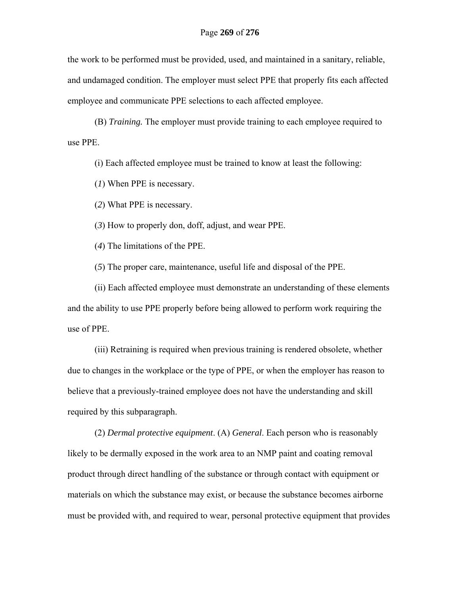the work to be performed must be provided, used, and maintained in a sanitary, reliable, and undamaged condition. The employer must select PPE that properly fits each affected employee and communicate PPE selections to each affected employee.

(B) *Training.* The employer must provide training to each employee required to use PPE.

(i) Each affected employee must be trained to know at least the following:

(*1*) When PPE is necessary.

(*2*) What PPE is necessary.

(*3*) How to properly don, doff, adjust, and wear PPE.

(*4*) The limitations of the PPE.

(*5*) The proper care, maintenance, useful life and disposal of the PPE.

(ii) Each affected employee must demonstrate an understanding of these elements and the ability to use PPE properly before being allowed to perform work requiring the use of PPE.

(iii) Retraining is required when previous training is rendered obsolete, whether due to changes in the workplace or the type of PPE, or when the employer has reason to believe that a previously-trained employee does not have the understanding and skill required by this subparagraph.

(2) *Dermal protective equipment*. (A) *General*. Each person who is reasonably likely to be dermally exposed in the work area to an NMP paint and coating removal product through direct handling of the substance or through contact with equipment or materials on which the substance may exist, or because the substance becomes airborne must be provided with, and required to wear, personal protective equipment that provides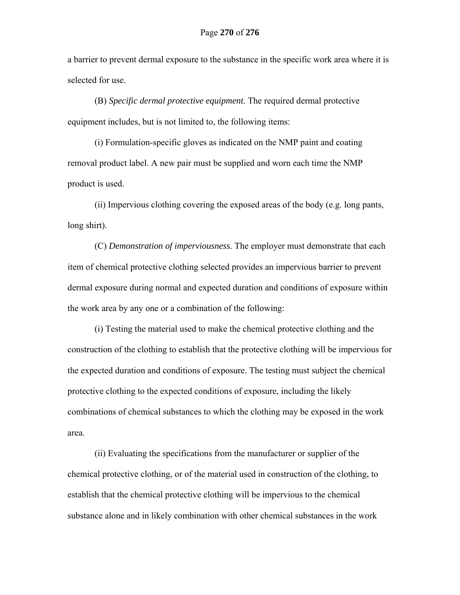a barrier to prevent dermal exposure to the substance in the specific work area where it is selected for use.

(B) *Specific dermal protective equipment.* The required dermal protective equipment includes, but is not limited to, the following items:

(i) Formulation-specific gloves as indicated on the NMP paint and coating removal product label. A new pair must be supplied and worn each time the NMP product is used.

(ii) Impervious clothing covering the exposed areas of the body (e.g. long pants, long shirt).

(C) *Demonstration of imperviousness.* The employer must demonstrate that each item of chemical protective clothing selected provides an impervious barrier to prevent dermal exposure during normal and expected duration and conditions of exposure within the work area by any one or a combination of the following:

(i) Testing the material used to make the chemical protective clothing and the construction of the clothing to establish that the protective clothing will be impervious for the expected duration and conditions of exposure. The testing must subject the chemical protective clothing to the expected conditions of exposure, including the likely combinations of chemical substances to which the clothing may be exposed in the work area.

(ii) Evaluating the specifications from the manufacturer or supplier of the chemical protective clothing, or of the material used in construction of the clothing, to establish that the chemical protective clothing will be impervious to the chemical substance alone and in likely combination with other chemical substances in the work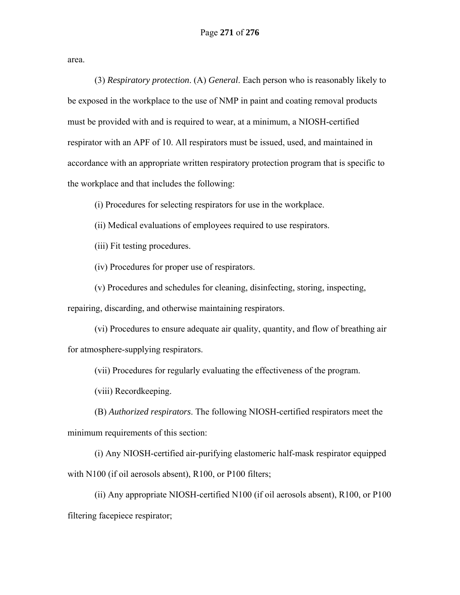area.

(3) *Respiratory protection*. (A) *General*. Each person who is reasonably likely to be exposed in the workplace to the use of NMP in paint and coating removal products must be provided with and is required to wear, at a minimum, a NIOSH-certified respirator with an APF of 10. All respirators must be issued, used, and maintained in accordance with an appropriate written respiratory protection program that is specific to the workplace and that includes the following:

(i) Procedures for selecting respirators for use in the workplace.

(ii) Medical evaluations of employees required to use respirators.

(iii) Fit testing procedures.

(iv) Procedures for proper use of respirators.

(v) Procedures and schedules for cleaning, disinfecting, storing, inspecting,

repairing, discarding, and otherwise maintaining respirators.

(vi) Procedures to ensure adequate air quality, quantity, and flow of breathing air for atmosphere-supplying respirators.

(vii) Procedures for regularly evaluating the effectiveness of the program.

(viii) Recordkeeping.

(B) *Authorized respirators*. The following NIOSH-certified respirators meet the minimum requirements of this section:

(i) Any NIOSH-certified air-purifying elastomeric half-mask respirator equipped with N100 (if oil aerosols absent), R100, or P100 filters;

(ii) Any appropriate NIOSH-certified N100 (if oil aerosols absent), R100, or P100 filtering facepiece respirator;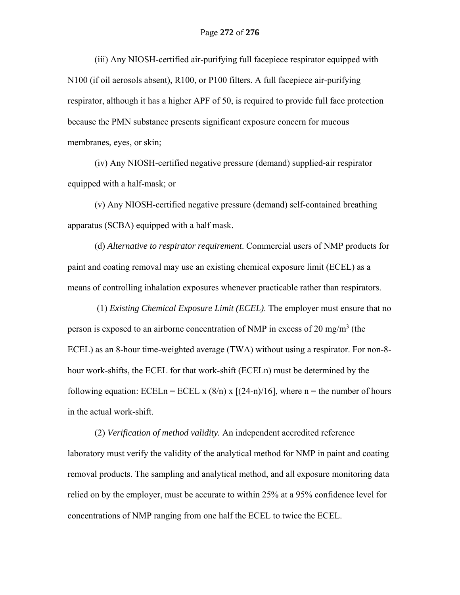(iii) Any NIOSH-certified air-purifying full facepiece respirator equipped with N100 (if oil aerosols absent), R100, or P100 filters. A full facepiece air-purifying respirator, although it has a higher APF of 50, is required to provide full face protection because the PMN substance presents significant exposure concern for mucous membranes, eyes, or skin;

(iv) Any NIOSH-certified negative pressure (demand) supplied-air respirator equipped with a half-mask; or

(v) Any NIOSH-certified negative pressure (demand) self-contained breathing apparatus (SCBA) equipped with a half mask.

(d) *Alternative to respirator requirement*. Commercial users of NMP products for paint and coating removal may use an existing chemical exposure limit (ECEL) as a means of controlling inhalation exposures whenever practicable rather than respirators.

 (1) *Existing Chemical Exposure Limit (ECEL)*. The employer must ensure that no person is exposed to an airborne concentration of NMP in excess of 20 mg/m<sup>3</sup> (the ECEL) as an 8-hour time-weighted average (TWA) without using a respirator. For non-8 hour work-shifts, the ECEL for that work-shift (ECELn) must be determined by the following equation: ECELn = ECEL x  $(8/n)$  x  $[(24-n)/16]$ , where n = the number of hours in the actual work-shift.

(2) *Verification of method validity.* An independent accredited reference laboratory must verify the validity of the analytical method for NMP in paint and coating removal products. The sampling and analytical method, and all exposure monitoring data relied on by the employer, must be accurate to within 25% at a 95% confidence level for concentrations of NMP ranging from one half the ECEL to twice the ECEL.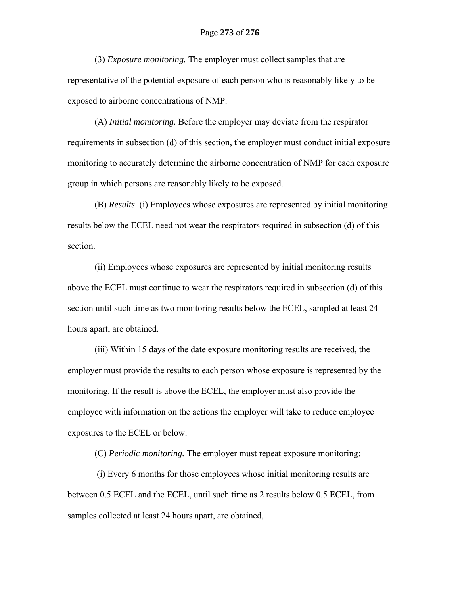(3) *Exposure monitoring.* The employer must collect samples that are representative of the potential exposure of each person who is reasonably likely to be exposed to airborne concentrations of NMP.

(A) *Initial monitoring.* Before the employer may deviate from the respirator requirements in subsection (d) of this section, the employer must conduct initial exposure monitoring to accurately determine the airborne concentration of NMP for each exposure group in which persons are reasonably likely to be exposed.

(B) *Results*. (i) Employees whose exposures are represented by initial monitoring results below the ECEL need not wear the respirators required in subsection (d) of this section.

(ii) Employees whose exposures are represented by initial monitoring results above the ECEL must continue to wear the respirators required in subsection (d) of this section until such time as two monitoring results below the ECEL, sampled at least 24 hours apart, are obtained.

(iii) Within 15 days of the date exposure monitoring results are received, the employer must provide the results to each person whose exposure is represented by the monitoring. If the result is above the ECEL, the employer must also provide the employee with information on the actions the employer will take to reduce employee exposures to the ECEL or below.

(C) *Periodic monitoring.* The employer must repeat exposure monitoring:

 (i) Every 6 months for those employees whose initial monitoring results are between 0.5 ECEL and the ECEL, until such time as 2 results below 0.5 ECEL, from samples collected at least 24 hours apart, are obtained,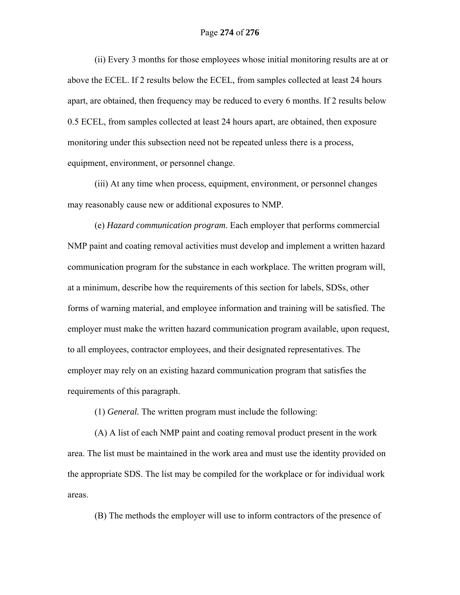## Page **274** of **276**

(ii) Every 3 months for those employees whose initial monitoring results are at or above the ECEL. If 2 results below the ECEL, from samples collected at least 24 hours apart, are obtained, then frequency may be reduced to every 6 months. If 2 results below 0.5 ECEL, from samples collected at least 24 hours apart, are obtained, then exposure monitoring under this subsection need not be repeated unless there is a process, equipment, environment, or personnel change.

(iii) At any time when process, equipment, environment, or personnel changes may reasonably cause new or additional exposures to NMP.

(e) *Hazard communication program*. Each employer that performs commercial NMP paint and coating removal activities must develop and implement a written hazard communication program for the substance in each workplace. The written program will, at a minimum, describe how the requirements of this section for labels, SDSs, other forms of warning material, and employee information and training will be satisfied. The employer must make the written hazard communication program available, upon request, to all employees, contractor employees, and their designated representatives. The employer may rely on an existing hazard communication program that satisfies the requirements of this paragraph.

(1) *General.* The written program must include the following:

(A) A list of each NMP paint and coating removal product present in the work area. The list must be maintained in the work area and must use the identity provided on the appropriate SDS. The list may be compiled for the workplace or for individual work areas.

(B) The methods the employer will use to inform contractors of the presence of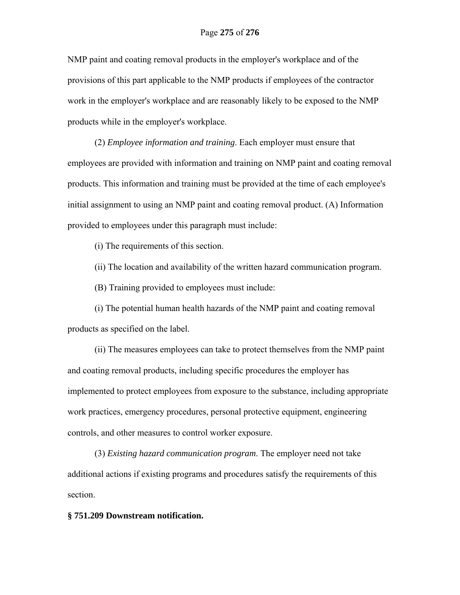NMP paint and coating removal products in the employer's workplace and of the provisions of this part applicable to the NMP products if employees of the contractor work in the employer's workplace and are reasonably likely to be exposed to the NMP products while in the employer's workplace.

(2) *Employee information and training*. Each employer must ensure that employees are provided with information and training on NMP paint and coating removal products. This information and training must be provided at the time of each employee's initial assignment to using an NMP paint and coating removal product. (A) Information provided to employees under this paragraph must include:

(i) The requirements of this section.

(ii) The location and availability of the written hazard communication program.

(B) Training provided to employees must include:

(i) The potential human health hazards of the NMP paint and coating removal products as specified on the label.

(ii) The measures employees can take to protect themselves from the NMP paint and coating removal products, including specific procedures the employer has implemented to protect employees from exposure to the substance, including appropriate work practices, emergency procedures, personal protective equipment, engineering controls, and other measures to control worker exposure.

(3) *Existing hazard communication program*. The employer need not take additional actions if existing programs and procedures satisfy the requirements of this section.

#### **§ 751.209 Downstream notification.**